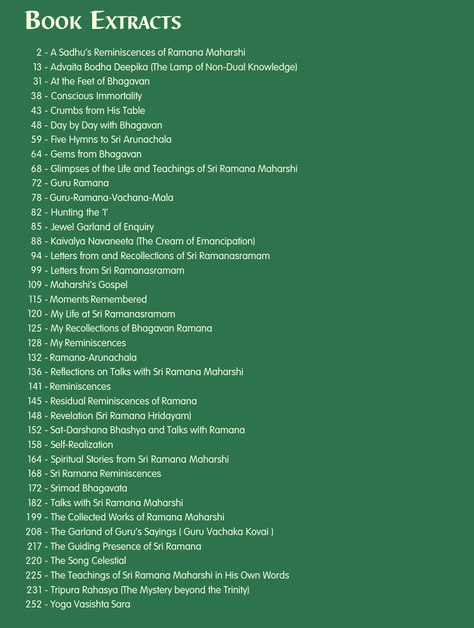# <span id="page-0-0"></span>BOOK EXTRACTS

- [A Sadhu's Reminiscences of Ramana Maharshi](#page-1-0) 2
- 13 Advaita Bodha Deepika (The Lamp of Non-Dual Knowledge)
- 31 [At the Feet of Bhagavan](#page-30-0)
- 38 Conscious Immortality
- 43 [Crumbs from His Table](#page-42-0)
- 48 [Day by Day with Bhagavan](#page-47-0)
- 59 Five Hymns to Sri Arunachala
- 64 Gems from Bhagavan
- 68 Glimpses of the Life and Teachings of Sri Ramana Maharshi
- 72 Guru Ramana
- 78 - [Guru-Ramana-Vachana-Mala](#page-77-0)
- 82 Hunting the 'I'
- 85 [Jewel Garland of Enquiry](#page-84-0)
- 88 Kaivalya Navaneeta (The Cream of Emancipation)
- [Letters from and Recollections of Sri Ramanasramam](#page-93-0)  94
- 99 [Letters from Sri Ramanasramam](#page-98-0)
- 109 - [Maharshi's Gospel](#page-108-0)
- 115 - [Moments Remembered](#page-114-0)
- 120 [My Life at Sri Ramanasramam](#page-119-0)
- 125 [My Recollections of Bhagavan Ramana](#page-124-0)
- 128 - [My Reminiscences](#page-127-0)
- 132 - [Ramana-Arunachala](#page-131-0)
- 136 [Reflections on Talks with Sri Ramana Maharshi](#page-135-0)
- 141 - [Reminiscences](#page-140-0)
- 145 Residual Reminiscences of Ramana
- 148 [Revelation \(Sri Ramana Hridayam\)](#page-147-0)
- 152 [Sat-Darshana Bhashya and Talks with Ramana](#page-151-0)
- 158 Self-Realization
- 164 Spiritual Stories from Sri Ramana Maharshi
- 168 [Sri Ramana Reminiscences](#page-167-0)
- 172 Srimad Bhagavata
- 182 Talks with Sri Ramana Maharshi
- 199 The Collected Works of Ramana Maharshi
- 208 [The Garland of Guru's Sayings \( Guru Vachaka Kovai \)](#page-207-0)
- 217 [The Guiding Presence of Sri Ramana](#page-216-0)
- 220 The Song Celestial
- 225 [The Teachings of Sri Ramana Maharshi in His Own Words](#page-224-0)
- 231 Tripura Rahasya (The Mystery beyond the Trinity)
- 252 [Yoga Vasishta Sara](#page-251-0)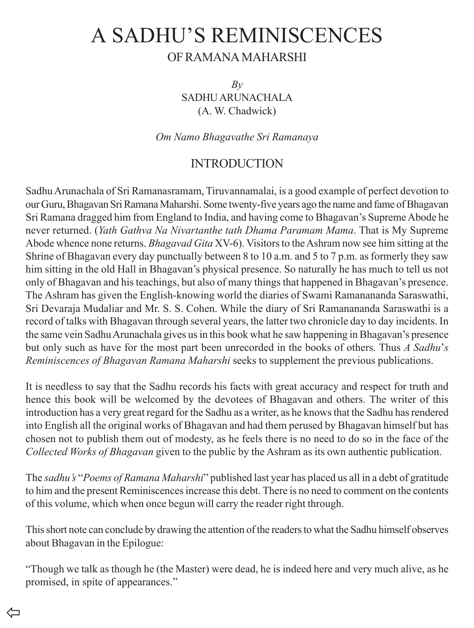# <span id="page-1-0"></span>A SADHU'S REMINISCENCES OF RAMANA MAHARSHI

*By* SADHU ARUNACHALA (A. W. Chadwick)

*Om Namo Bhagavathe Sri Ramanaya*

#### INTRODUCTION

Sadhu Arunachala of Sri Ramanasramam, Tiruvannamalai, is a good example of perfect devotion to our Guru, Bhagavan Sri Ramana Maharshi. Some twenty-five years ago the name and fame of Bhagavan Sri Ramana dragged him from England to India, and having come to Bhagavan's Supreme Abode he never returned. (*Yath Gathva Na Nivartanthe tath Dhama Paramam Mama*. That is My Supreme Abode whence none returns. *Bhagavad Gita* XV-6). Visitors to the Ashram now see him sitting at the Shrine of Bhagavan every day punctually between 8 to 10 a.m. and 5 to 7 p.m. as formerly they saw him sitting in the old Hall in Bhagavan's physical presence. So naturally he has much to tell us not only of Bhagavan and his teachings, but also of many things that happened in Bhagavan's presence. The Ashram has given the English-knowing world the diaries of Swami Ramanananda Saraswathi, Sri Devaraja Mudaliar and Mr. S. S. Cohen. While the diary of Sri Ramanananda Saraswathi is a record of talks with Bhagavan through several years, the latter two chronicle day to day incidents. In the same vein Sadhu Arunachala gives us in this book what he saw happening in Bhagavan's presence but only such as have for the most part been unrecorded in the books of others. Thus *A Sadhu*'*s Reminiscences of Bhagavan Ramana Maharshi* seeks to supplement the previous publications.

It is needless to say that the Sadhu records his facts with great accuracy and respect for truth and hence this book will be welcomed by the devotees of Bhagavan and others. The writer of this introduction has a very great regard for the Sadhu as a writer, as he knows that the Sadhu has rendered into English all the original works of Bhagavan and had them perused by Bhagavan himself but has chosen not to publish them out of modesty, as he feels there is no need to do so in the face of the *Collected Works of Bhagavan* given to the public by the Ashram as its own authentic publication.

The *sadhu's* "*Poems of Ramana Maharshi*" published last year has placed us all in a debt of gratitude to him and the present Reminiscences increase this debt. There is no need to comment on the contents of this volume, which when once begun will carry the reader right through.

This short note can conclude by drawing the attention of the readers to what the Sadhu himself observes about Bhagavan in the Epilogue:

"Though we talk as though he (the Master) were dead, he is indeed here and very much alive, as he promised, in spite of appearances."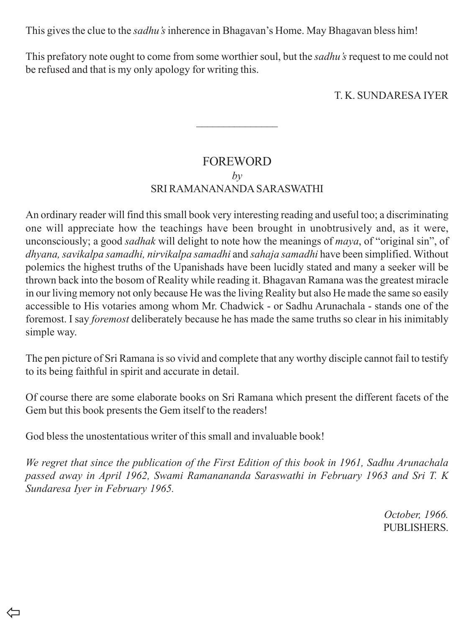This gives the clue to the *sadhu's* inherence in Bhagavan's Home. May Bhagavan bless him!

This prefatory note ought to come from some worthier soul, but the *sadhu's* request to me could not be refused and that is my only apology for writing this.

T. K. SUNDARESA IYER

#### FOREWORD *by* SRI RAMANANANDA SARASWATHI

 $\mathcal{L}=\mathcal{L}^{\mathcal{L}}$ 

An ordinary reader will find this small book very interesting reading and useful too; a discriminating one will appreciate how the teachings have been brought in unobtrusively and, as it were, unconsciously; a good *sadhak* will delight to note how the meanings of *maya*, of "original sin", of *dhyana, savikalpa samadhi, nirvikalpa samadhi* and *sahaja samadhi* have been simplified. Without polemics the highest truths of the Upanishads have been lucidly stated and many a seeker will be thrown back into the bosom of Reality while reading it. Bhagavan Ramana was the greatest miracle in our living memory not only because He was the living Reality but also He made the same so easily accessible to His votaries among whom Mr. Chadwick - or Sadhu Arunachala - stands one of the foremost. I say *foremost* deliberately because he has made the same truths so clear in his inimitably simple way.

The pen picture of Sri Ramana is so vivid and complete that any worthy disciple cannot fail to testify to its being faithful in spirit and accurate in detail.

Of course there are some elaborate books on Sri Ramana which present the different facets of the Gem but this book presents the Gem itself to the readers!

God bless the unostentatious writer of this small and invaluable book!

 $\Leftrightarrow$ 

*We regret that since the publication of the First Edition of this book in 1961, Sadhu Arunachala passed away in April 1962, Swami Ramanananda Saraswathi in February 1963 and Sri T. K Sundaresa Iyer in February 1965.*

> *October, 1966.* PUBLISHERS.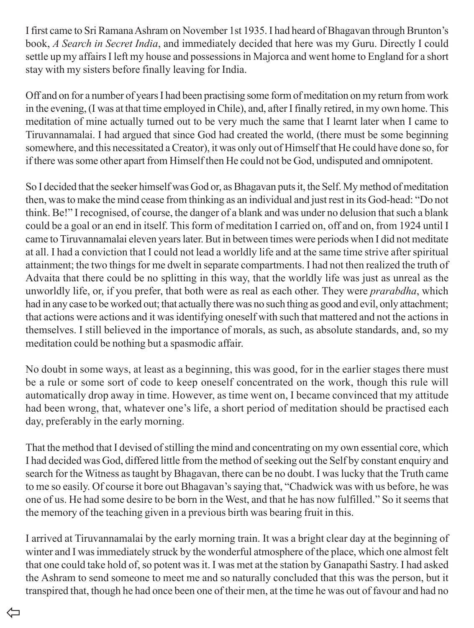I first came to Sri Ramana Ashram on November 1st 1935. I had heard of Bhagavan through Brunton's book, *A Search in Secret India*, and immediately decided that here was my Guru. Directly I could settle up my affairs I left my house and possessions in Majorca and went home to England for a short stay with my sisters before finally leaving for India.

Off and on for a number of years I had been practising some form of meditation on my return from work in the evening, (I was at that time employed in Chile), and, after I finally retired, in my own home. This meditation of mine actually turned out to be very much the same that I learnt later when I came to Tiruvannamalai. I had argued that since God had created the world, (there must be some beginning somewhere, and this necessitated a Creator), it was only out of Himself that He could have done so, for if there was some other apart from Himself then He could not be God, undisputed and omnipotent.

So I decided that the seeker himself was God or, as Bhagavan puts it, the Self. My method of meditation then, was to make the mind cease from thinking as an individual and just rest in its God-head: "Do not think. Be!" I recognised, of course, the danger of a blank and was under no delusion that such a blank could be a goal or an end in itself. This form of meditation I carried on, off and on, from 1924 until I came to Tiruvannamalai eleven years later. But in between times were periods when I did not meditate at all. I had a conviction that I could not lead a worldly life and at the same time strive after spiritual attainment; the two things for me dwelt in separate compartments. I had not then realized the truth of Advaita that there could be no splitting in this way, that the worldly life was just as unreal as the unworldly life, or, if you prefer, that both were as real as each other. They were *prarabdha*, which had in any case to be worked out; that actually there was no such thing as good and evil, only attachment; that actions were actions and it was identifying oneself with such that mattered and not the actions in themselves. I still believed in the importance of morals, as such, as absolute standards, and, so my meditation could be nothing but a spasmodic affair.

No doubt in some ways, at least as a beginning, this was good, for in the earlier stages there must be a rule or some sort of code to keep oneself concentrated on the work, though this rule will automatically drop away in time. However, as time went on, I became convinced that my attitude had been wrong, that, whatever one's life, a short period of meditation should be practised each day, preferably in the early morning.

That the method that I devised of stilling the mind and concentrating on my own essential core, which I had decided was God, differed little from the method of seeking out the Self by constant enquiry and search for the Witness as taught by Bhagavan, there can be no doubt. I was lucky that the Truth came to me so easily. Of course it bore out Bhagavan's saying that, "Chadwick was with us before, he was one of us. He had some desire to be born in the West, and that he has now fulfilled." So it seems that the memory of the teaching given in a previous birth was bearing fruit in this.

I arrived at Tiruvannamalai by the early morning train. It was a bright clear day at the beginning of winter and I was immediately struck by the wonderful atmosphere of the place, which one almost felt that one could take hold of, so potent was it. I was met at the station by Ganapathi Sastry. I had asked the Ashram to send someone to meet me and so naturally concluded that this was the person, but it transpired that, though he had once been one of their men, at the time he was out of favour and had no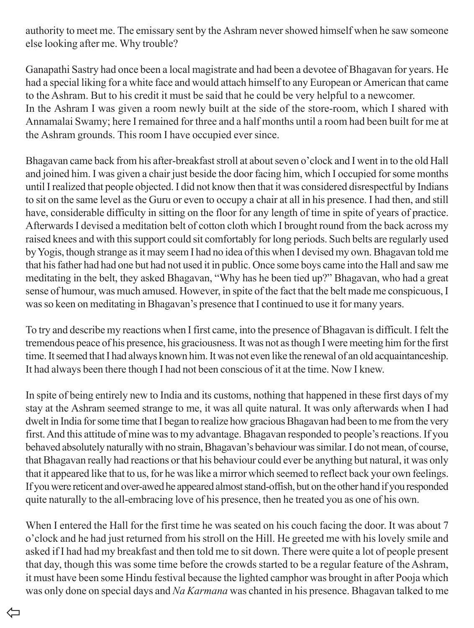authority to meet me. The emissary sent by the Ashram never showed himself when he saw someone else looking after me. Why trouble?

Ganapathi Sastry had once been a local magistrate and had been a devotee of Bhagavan for years. He had a special liking for a white face and would attach himself to any European or American that came to the Ashram. But to his credit it must be said that he could be very helpful to a newcomer. In the Ashram I was given a room newly built at the side of the store-room, which I shared with Annamalai Swamy; here I remained for three and a half months until a room had been built for me at the Ashram grounds. This room I have occupied ever since.

Bhagavan came back from his after-breakfast stroll at about seven o'clock and I went in to the old Hall and joined him. I was given a chair just beside the door facing him, which I occupied for some months until I realized that people objected. I did not know then that it was considered disrespectful by Indians to sit on the same level as the Guru or even to occupy a chair at all in his presence. I had then, and still have, considerable difficulty in sitting on the floor for any length of time in spite of years of practice. Afterwards I devised a meditation belt of cotton cloth which I brought round from the back across my raised knees and with this support could sit comfortably for long periods. Such belts are regularly used by Yogis, though strange as it may seem I had no idea of this when I devised my own. Bhagavan told me that his father had had one but had not used it in public. Once some boys came into the Hall and saw me meditating in the belt, they asked Bhagavan, "Why has he been tied up?" Bhagavan, who had a great sense of humour, was much amused. However, in spite of the fact that the belt made me conspicuous, I was so keen on meditating in Bhagavan's presence that I continued to use it for many years.

To try and describe my reactions when I first came, into the presence of Bhagavan is difficult. I felt the tremendous peace of his presence, his graciousness. It was not as though I were meeting him for the first time. It seemed that I had always known him. It was not even like the renewal of an old acquaintanceship. It had always been there though I had not been conscious of it at the time. Now I knew.

In spite of being entirely new to India and its customs, nothing that happened in these first days of my stay at the Ashram seemed strange to me, it was all quite natural. It was only afterwards when I had dwelt in India for some time that I began to realize how gracious Bhagavan had been to me from the very first. And this attitude of mine was to my advantage. Bhagavan responded to people's reactions. If you behaved absolutely naturally with no strain, Bhagavan's behaviour was similar. I do not mean, of course, that Bhagavan really had reactions or that his behaviour could ever be anything but natural, it was only that it appeared like that to us, for he was like a mirror which seemed to reflect back your own feelings. If you were reticent and over-awed he appeared almost stand-offish, but on the other hand if you responded quite naturally to the all-embracing love of his presence, then he treated you as one of his own.

When I entered the Hall for the first time he was seated on his couch facing the door. It was about 7 o'clock and he had just returned from his stroll on the Hill. He greeted me with his lovely smile and asked if I had had my breakfast and then told me to sit down. There were quite a lot of people present that day, though this was some time before the crowds started to be a regular feature of the Ashram, it must have been some Hindu festival because the lighted camphor was brought in after Pooja which was only done on special days and *Na Karmana* was chanted in his presence. Bhagavan talked to me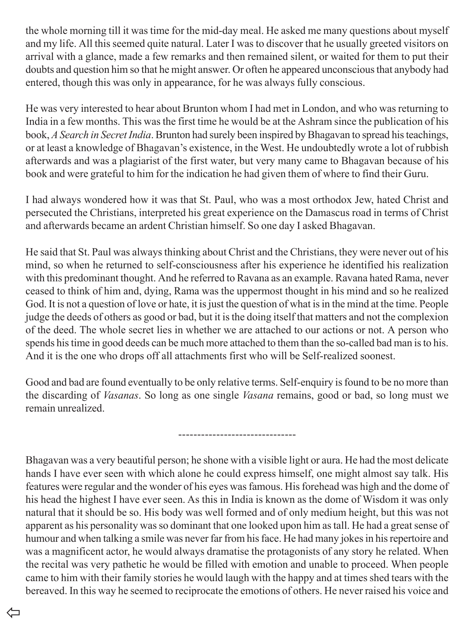the whole morning till it was time for the mid-day meal. He asked me many questions about myself and my life. All this seemed quite natural. Later I was to discover that he usually greeted visitors on arrival with a glance, made a few remarks and then remained silent, or waited for them to put their doubts and question him so that he might answer. Or often he appeared unconscious that anybody had entered, though this was only in appearance, for he was always fully conscious.

He was very interested to hear about Brunton whom I had met in London, and who was returning to India in a few months. This was the first time he would be at the Ashram since the publication of his book, *A Search in Secret India*. Brunton had surely been inspired by Bhagavan to spread his teachings, or at least a knowledge of Bhagavan's existence, in the West. He undoubtedly wrote a lot of rubbish afterwards and was a plagiarist of the first water, but very many came to Bhagavan because of his book and were grateful to him for the indication he had given them of where to find their Guru.

I had always wondered how it was that St. Paul, who was a most orthodox Jew, hated Christ and persecuted the Christians, interpreted his great experience on the Damascus road in terms of Christ and afterwards became an ardent Christian himself. So one day I asked Bhagavan.

He said that St. Paul was always thinking about Christ and the Christians, they were never out of his mind, so when he returned to self-consciousness after his experience he identified his realization with this predominant thought. And he referred to Ravana as an example. Ravana hated Rama, never ceased to think of him and, dying, Rama was the uppermost thought in his mind and so he realized God. It is not a question of love or hate, it is just the question of what is in the mind at the time. People judge the deeds of others as good or bad, but it is the doing itself that matters and not the complexion of the deed. The whole secret lies in whether we are attached to our actions or not. A person who spends his time in good deeds can be much more attached to them than the so-called bad man is to his. And it is the one who drops off all attachments first who will be Self-realized soonest.

Good and bad are found eventually to be only relative terms. Self-enquiry is found to be no more than the discarding of *Vasanas*. So long as one single *Vasana* remains, good or bad, so long must we remain unrealized.

-------------------------------

Bhagavan was a very beautiful person; he shone with a visible light or aura. He had the most delicate hands I have ever seen with which alone he could express himself, one might almost say talk. His features were regular and the wonder of his eyes was famous. His forehead was high and the dome of his head the highest I have ever seen. As this in India is known as the dome of Wisdom it was only natural that it should be so. His body was well formed and of only medium height, but this was not apparent as his personality was so dominant that one looked upon him as tall. He had a great sense of humour and when talking a smile was never far from his face. He had many jokes in his repertoire and was a magnificent actor, he would always dramatise the protagonists of any story he related. When the recital was very pathetic he would be filled with emotion and unable to proceed. When people came to him with their family stories he would laugh with the happy and at times shed tears with the bereaved. In this way he seemed to reciprocate the emotions of others. He never raised his voice and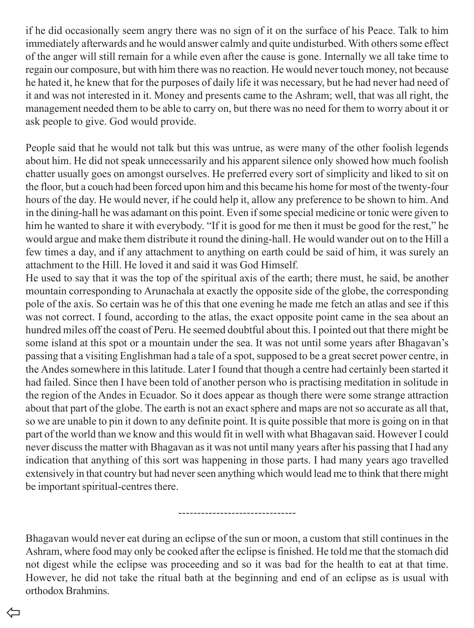if he did occasionally seem angry there was no sign of it on the surface of his Peace. Talk to him immediately afterwards and he would answer calmly and quite undisturbed. With others some effect of the anger will still remain for a while even after the cause is gone. Internally we all take time to regain our composure, but with him there was no reaction. He would never touch money, not because he hated it, he knew that for the purposes of daily life it was necessary, but he had never had need of it and was not interested in it. Money and presents came to the Ashram; well, that was all right, the management needed them to be able to carry on, but there was no need for them to worry about it or ask people to give. God would provide.

People said that he would not talk but this was untrue, as were many of the other foolish legends about him. He did not speak unnecessarily and his apparent silence only showed how much foolish chatter usually goes on amongst ourselves. He preferred every sort of simplicity and liked to sit on the floor, but a couch had been forced upon him and this became his home for most of the twenty-four hours of the day. He would never, if he could help it, allow any preference to be shown to him. And in the dining-hall he was adamant on this point. Even if some special medicine or tonic were given to him he wanted to share it with everybody. "If it is good for me then it must be good for the rest," he would argue and make them distribute it round the dining-hall. He would wander out on to the Hill a few times a day, and if any attachment to anything on earth could be said of him, it was surely an attachment to the Hill. He loved it and said it was God Himself.

He used to say that it was the top of the spiritual axis of the earth; there must, he said, be another mountain corresponding to Arunachala at exactly the opposite side of the globe, the corresponding pole of the axis. So certain was he of this that one evening he made me fetch an atlas and see if this was not correct. I found, according to the atlas, the exact opposite point came in the sea about an hundred miles off the coast of Peru. He seemed doubtful about this. I pointed out that there might be some island at this spot or a mountain under the sea. It was not until some years after Bhagavan's passing that a visiting Englishman had a tale of a spot, supposed to be a great secret power centre, in the Andes somewhere in this latitude. Later I found that though a centre had certainly been started it had failed. Since then I have been told of another person who is practising meditation in solitude in the region of the Andes in Ecuador. So it does appear as though there were some strange attraction about that part of the globe. The earth is not an exact sphere and maps are not so accurate as all that, so we are unable to pin it down to any definite point. It is quite possible that more is going on in that part of the world than we know and this would fit in well with what Bhagavan said. However I could never discuss the matter with Bhagavan as it was not until many years after his passing that I had any indication that anything of this sort was happening in those parts. I had many years ago travelled extensively in that country but had never seen anything which would lead me to think that there might be important spiritual-centres there.

Bhagavan would never eat during an eclipse of the sun or moon, a custom that still continues in the Ashram, where food may only be cooked after the eclipse is finished. He told me that the stomach did not digest while the eclipse was proceeding and so it was bad for the health to eat at that time. However, he did not take the ritual bath at the beginning and end of an eclipse as is usual with orthodox Brahmins.

 $\Leftrightarrow$ 

-------------------------------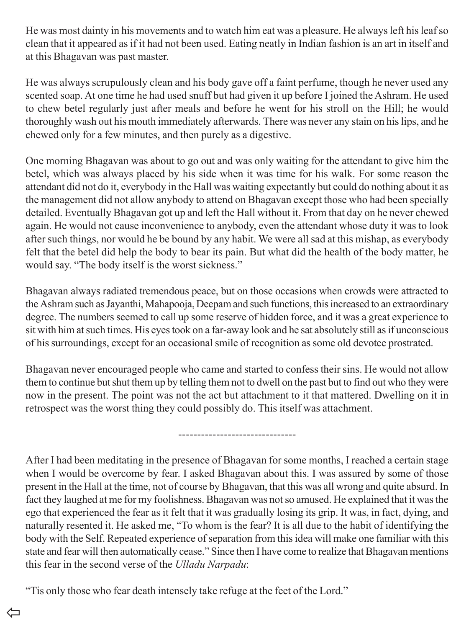He was most dainty in his movements and to watch him eat was a pleasure. He always left his leaf so clean that it appeared as if it had not been used. Eating neatly in Indian fashion is an art in itself and at this Bhagavan was past master.

He was always scrupulously clean and his body gave off a faint perfume, though he never used any scented soap. At one time he had used snuff but had given it up before I joined the Ashram. He used to chew betel regularly just after meals and before he went for his stroll on the Hill; he would thoroughly wash out his mouth immediately afterwards. There was never any stain on his lips, and he chewed only for a few minutes, and then purely as a digestive.

One morning Bhagavan was about to go out and was only waiting for the attendant to give him the betel, which was always placed by his side when it was time for his walk. For some reason the attendant did not do it, everybody in the Hall was waiting expectantly but could do nothing about it as the management did not allow anybody to attend on Bhagavan except those who had been specially detailed. Eventually Bhagavan got up and left the Hall without it. From that day on he never chewed again. He would not cause inconvenience to anybody, even the attendant whose duty it was to look after such things, nor would he be bound by any habit. We were all sad at this mishap, as everybody felt that the betel did help the body to bear its pain. But what did the health of the body matter, he would say. "The body itself is the worst sickness."

Bhagavan always radiated tremendous peace, but on those occasions when crowds were attracted to the Ashram such as Jayanthi, Mahapooja, Deepam and such functions, this increased to an extraordinary degree. The numbers seemed to call up some reserve of hidden force, and it was a great experience to sit with him at such times. His eyes took on a far-away look and he sat absolutely still as if unconscious of his surroundings, except for an occasional smile of recognition as some old devotee prostrated.

Bhagavan never encouraged people who came and started to confess their sins. He would not allow them to continue but shut them up by telling them not to dwell on the past but to find out who they were now in the present. The point was not the act but attachment to it that mattered. Dwelling on it in retrospect was the worst thing they could possibly do. This itself was attachment.

-------------------------------

After I had been meditating in the presence of Bhagavan for some months, I reached a certain stage when I would be overcome by fear. I asked Bhagavan about this. I was assured by some of those present in the Hall at the time, not of course by Bhagavan, that this was all wrong and quite absurd. In fact they laughed at me for my foolishness. Bhagavan was not so amused. He explained that it was the ego that experienced the fear as it felt that it was gradually losing its grip. It was, in fact, dying, and naturally resented it. He asked me, "To whom is the fear? It is all due to the habit of identifying the body with the Self. Repeated experience of separation from this idea will make one familiar with this state and fear will then automatically cease." Since then I have come to realize that Bhagavan mentions this fear in the second verse of the *Ulladu Narpadu*:

"Tis only those who fear death intensely take refuge at the feet of the Lord."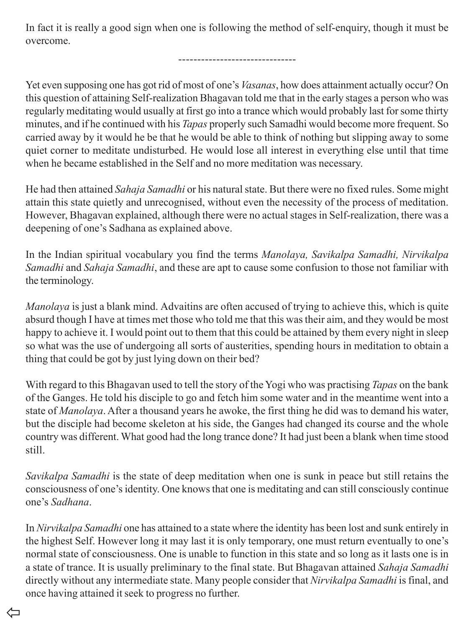In fact it is really a good sign when one is following the method of self-enquiry, though it must be overcome.

-------------------------------

Yet even supposing one has got rid of most of one's *Vasanas*, how does attainment actually occur? On this question of attaining Self-realization Bhagavan told me that in the early stages a person who was regularly meditating would usually at first go into a trance which would probably last for some thirty minutes, and if he continued with his *Tapas* properly such Samadhi would become more frequent. So carried away by it would he be that he would be able to think of nothing but slipping away to some quiet corner to meditate undisturbed. He would lose all interest in everything else until that time when he became established in the Self and no more meditation was necessary.

He had then attained *Sahaja Samadhi* or his natural state. But there were no fixed rules. Some might attain this state quietly and unrecognised, without even the necessity of the process of meditation. However, Bhagavan explained, although there were no actual stages in Self-realization, there was a deepening of one's Sadhana as explained above.

In the Indian spiritual vocabulary you find the terms *Manolaya, Savikalpa Samadhi, Nirvikalpa Samadhi* and *Sahaja Samadhi*, and these are apt to cause some confusion to those not familiar with the terminology.

*Manolaya* is just a blank mind. Advaitins are often accused of trying to achieve this, which is quite absurd though I have at times met those who told me that this was their aim, and they would be most happy to achieve it. I would point out to them that this could be attained by them every night in sleep so what was the use of undergoing all sorts of austerities, spending hours in meditation to obtain a thing that could be got by just lying down on their bed?

With regard to this Bhagavan used to tell the story of the Yogi who was practising *Tapas* on the bank of the Ganges. He told his disciple to go and fetch him some water and in the meantime went into a state of *Manolaya*. After a thousand years he awoke, the first thing he did was to demand his water, but the disciple had become skeleton at his side, the Ganges had changed its course and the whole country was different. What good had the long trance done? It had just been a blank when time stood still.

*Savikalpa Samadhi* is the state of deep meditation when one is sunk in peace but still retains the consciousness of one's identity. One knows that one is meditating and can still consciously continue one's *Sadhana*.

In *Nirvikalpa Samadhi* one has attained to a state where the identity has been lost and sunk entirely in the highest Self. However long it may last it is only temporary, one must return eventually to one's normal state of consciousness. One is unable to function in this state and so long as it lasts one is in a state of trance. It is usually preliminary to the final state. But Bhagavan attained *Sahaja Samadhi* directly without any intermediate state. Many people consider that *Nirvikalpa Samadhi* is final, and once having attained it seek to progress no further.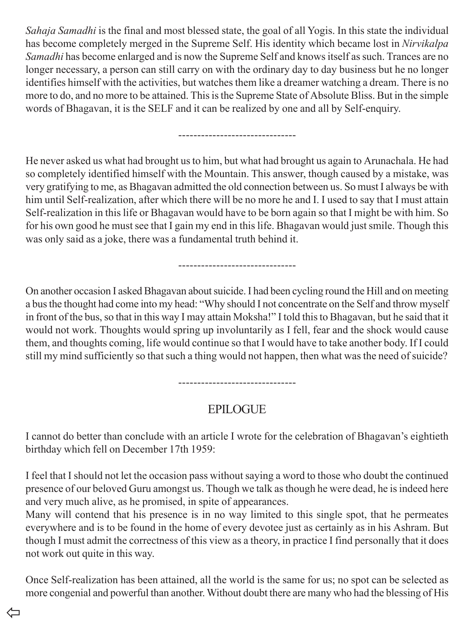*Sahaja Samadhi* is the final and most blessed state, the goal of all Yogis. In this state the individual has become completely merged in the Supreme Self. His identity which became lost in *Nirvikalpa Samadhi* has become enlarged and is now the Supreme Self and knows itself as such. Trances are no longer necessary, a person can still carry on with the ordinary day to day business but he no longer identifies himself with the activities, but watches them like a dreamer watching a dream. There is no more to do, and no more to be attained. This is the Supreme State of Absolute Bliss. But in the simple words of Bhagavan, it is the SELF and it can be realized by one and all by Self-enquiry.

-------------------------------

He never asked us what had brought us to him, but what had brought us again to Arunachala. He had so completely identified himself with the Mountain. This answer, though caused by a mistake, was very gratifying to me, as Bhagavan admitted the old connection between us. So must I always be with him until Self-realization, after which there will be no more he and I. I used to say that I must attain Self-realization in this life or Bhagavan would have to be born again so that I might be with him. So for his own good he must see that I gain my end in this life. Bhagavan would just smile. Though this was only said as a joke, there was a fundamental truth behind it.

On another occasion I asked Bhagavan about suicide. I had been cycling round the Hill and on meeting a bus the thought had come into my head: "Why should I not concentrate on the Self and throw myself in front of the bus, so that in this way I may attain Moksha!" I told this to Bhagavan, but he said that it would not work. Thoughts would spring up involuntarily as I fell, fear and the shock would cause them, and thoughts coming, life would continue so that I would have to take another body. If I could still my mind sufficiently so that such a thing would not happen, then what was the need of suicide?

-------------------------------

-------------------------------

## **EPILOGUE**

I cannot do better than conclude with an article I wrote for the celebration of Bhagavan's eightieth birthday which fell on December 17th 1959:

I feel that I should not let the occasion pass without saying a word to those who doubt the continued presence of our beloved Guru amongst us. Though we talk as though he were dead, he is indeed here and very much alive, as he promised, in spite of appearances.

Many will contend that his presence is in no way limited to this single spot, that he permeates everywhere and is to be found in the home of every devotee just as certainly as in his Ashram. But though I must admit the correctness of this view as a theory, in practice I find personally that it does not work out quite in this way.

Once Self-realization has been attained, all the world is the same for us; no spot can be selected as more congenial and powerful than another. Without doubt there are many who had the blessing of His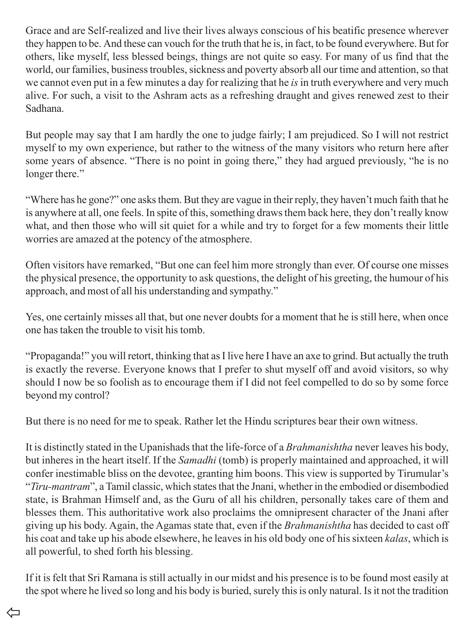Grace and are Self-realized and live their lives always conscious of his beatific presence wherever they happen to be. And these can vouch for the truth that he is, in fact, to be found everywhere. But for others, like myself, less blessed beings, things are not quite so easy. For many of us find that the world, our families, business troubles, sickness and poverty absorb all our time and attention, so that we cannot even put in a few minutes a day for realizing that he *is* in truth everywhere and very much alive. For such, a visit to the Ashram acts as a refreshing draught and gives renewed zest to their Sadhana.

But people may say that I am hardly the one to judge fairly; I am prejudiced. So I will not restrict myself to my own experience, but rather to the witness of the many visitors who return here after some years of absence. "There is no point in going there," they had argued previously, "he is no longer there."

"Where has he gone?" one asks them. But they are vague in their reply, they haven't much faith that he is anywhere at all, one feels. In spite of this, something draws them back here, they don't really know what, and then those who will sit quiet for a while and try to forget for a few moments their little worries are amazed at the potency of the atmosphere.

Often visitors have remarked, "But one can feel him more strongly than ever. Of course one misses the physical presence, the opportunity to ask questions, the delight of his greeting, the humour of his approach, and most of all his understanding and sympathy."

Yes, one certainly misses all that, but one never doubts for a moment that he is still here, when once one has taken the trouble to visit his tomb.

"Propaganda!" you will retort, thinking that as I live here I have an axe to grind. But actually the truth is exactly the reverse. Everyone knows that I prefer to shut myself off and avoid visitors, so why should I now be so foolish as to encourage them if I did not feel compelled to do so by some force beyond my control?

But there is no need for me to speak. Rather let the Hindu scriptures bear their own witness.

It is distinctly stated in the Upanishads that the life-force of a *Brahmanishtha* never leaves his body, but inheres in the heart itself. If the *Samadhi* (tomb) is properly maintained and approached, it will confer inestimable bliss on the devotee, granting him boons. This view is supported by Tirumular's "*Tiru-mantram*", a Tamil classic, which states that the Jnani, whether in the embodied or disembodied state, is Brahman Himself and, as the Guru of all his children, personally takes care of them and blesses them. This authoritative work also proclaims the omnipresent character of the Jnani after giving up his body. Again, the Agamas state that, even if the *Brahmanishtha* has decided to cast off his coat and take up his abode elsewhere, he leaves in his old body one of his sixteen *kalas*, which is all powerful, to shed forth his blessing.

If it is felt that Sri Ramana is still actually in our midst and his presence is to be found most easily at the spot where he lived so long and his body is buried, surely this is only natural. Is it not the tradition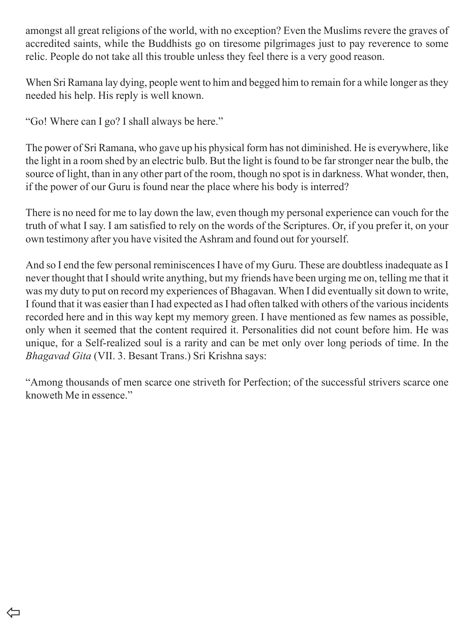amongst all great religions of the world, with no exception? Even the Muslims revere the graves of accredited saints, while the Buddhists go on tiresome pilgrimages just to pay reverence to some relic. People do not take all this trouble unless they feel there is a very good reason.

When Sri Ramana lay dying, people went to him and begged him to remain for a while longer as they needed his help. His reply is well known.

"Go! Where can I go? I shall always be here."

 $\Leftrightarrow$ 

The power of Sri Ramana, who gave up his physical form has not diminished. He is everywhere, like the light in a room shed by an electric bulb. But the light is found to be far stronger near the bulb, the source of light, than in any other part of the room, though no spot is in darkness. What wonder, then, if the power of our Guru is found near the place where his body is interred?

There is no need for me to lay down the law, even though my personal experience can vouch for the truth of what I say. I am satisfied to rely on the words of the Scriptures. Or, if you prefer it, on your own testimony after you have visited the Ashram and found out for yourself.

And so I end the few personal reminiscences I have of my Guru. These are doubtless inadequate as I never thought that I should write anything, but my friends have been urging me on, telling me that it was my duty to put on record my experiences of Bhagavan. When I did eventually sit down to write, I found that it was easier than I had expected as I had often talked with others of the various incidents recorded here and in this way kept my memory green. I have mentioned as few names as possible, only when it seemed that the content required it. Personalities did not count before him. He was unique, for a Self-realized soul is a rarity and can be met only over long periods of time. In the *Bhagavad Gita* (VII. 3. Besant Trans.) Sri Krishna says:

"Among thousands of men scarce one striveth for Perfection; of the successful strivers scarce one knoweth Me in essence."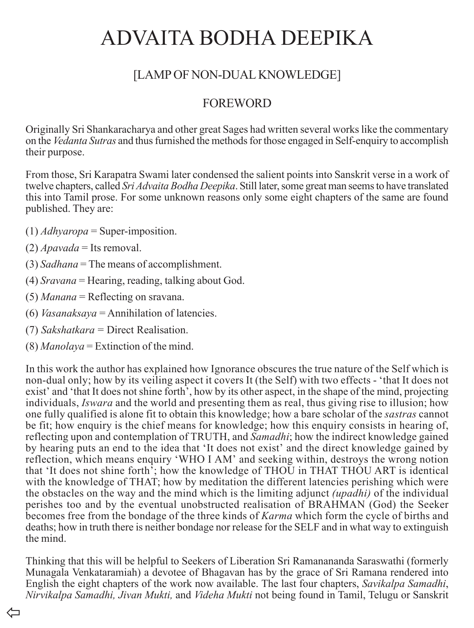# <span id="page-12-0"></span>ADVAITA BODHA DEEPIKA

## [LAMP OF NON-DUAL KNOWLEDGE]

### FOREWORD

Originally Sri Shankaracharya and other great Sages had written several works like the commentary on the *Vedanta Sutras* and thus furnished the methods for those engaged in Self-enquiry to accomplish their purpose.

From those, Sri Karapatra Swami later condensed the salient points into Sanskrit verse in a work of twelve chapters, called *Sri Advaita Bodha Deepika*. Still later, some great man seems to have translated this into Tamil prose. For some unknown reasons only some eight chapters of the same are found published. They are:

- (1) *Adhyaropa* = Super-imposition.
- (2) *Apavada* = Its removal.

 $\Leftrightarrow$ 

- (3) *Sadhana* = The means of accomplishment.
- (4) *Sravana* = Hearing, reading, talking about God.
- (5) *Manana* = Reflecting on sravana.
- (6) *Vasanaksaya* = Annihilation of latencies.
- (7) *Sakshatkara* = Direct Realisation.
- (8) *Manolaya* = Extinction of the mind.

In this work the author has explained how Ignorance obscures the true nature of the Self which is non-dual only; how by its veiling aspect it covers It (the Self) with two effects - 'that It does not exist' and 'that It does not shine forth', how by its other aspect, in the shape of the mind, projecting individuals, *Iswara* and the world and presenting them as real, thus giving rise to illusion; how one fully qualified is alone fit to obtain this knowledge; how a bare scholar of the *sastras* cannot be fit; how enquiry is the chief means for knowledge; how this enquiry consists in hearing of, reflecting upon and contemplation of TRUTH, and *Samadhi*; how the indirect knowledge gained by hearing puts an end to the idea that 'It does not exist' and the direct knowledge gained by reflection, which means enquiry 'WHO I AM' and seeking within, destroys the wrong notion that 'It does not shine forth'; how the knowledge of THOU in THAT THOU ART is identical with the knowledge of THAT; how by meditation the different latencies perishing which were the obstacles on the way and the mind which is the limiting adjunct *(upadhi)* of the individual perishes too and by the eventual unobstructed realisation of BRAHMAN (God) the Seeker becomes free from the bondage of the three kinds of *Karma* which form the cycle of births and deaths; how in truth there is neither bondage nor release for the SELF and in what way to extinguish the mind.

Thinking that this will be helpful to Seekers of Liberation Sri Ramanananda Saraswathi (formerly Munagala Venkataramiah) a devotee of Bhagavan has by the grace of Sri Ramana rendered into English the eight chapters of the work now available. The last four chapters, *Savikalpa Samadhi*, *Nirvikalpa Samadhi, Jivan Mukti,* and *Videha Mukti* not being found in Tamil, Telugu or Sanskrit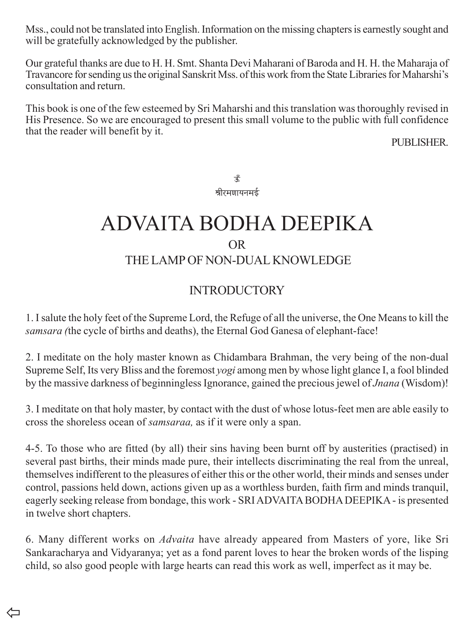Mss., could not be translated into English. Information on the missing chapters is earnestly sought and will be gratefully acknowledged by the publisher.

Our grateful thanks are due to H. H. Smt. Shanta Devi Maharani of Baroda and H. H. the Maharaja of Travancore for sending us the original Sanskrit Mss. of this work from the State Libraries for Maharshi's consultation and return.

This book is one of the few esteemed by Sri Maharshi and this translation was thoroughly revised in His Presence. So we are encouraged to present this small volume to the public with full confidence that the reader will benefit by it.

PUBLISHER.

 $\ddot{x}$ श्रीरमणायनमर्ड

## ADVAITA BODHA DEEPIKA OR THE LAMP OF NON-DUAL KNOWLEDGE

## **INTRODUCTORY**

1. I salute the holy feet of the Supreme Lord, the Refuge of all the universe, the One Means to kill the *samsara (*the cycle of births and deaths), the Eternal God Ganesa of elephant-face!

2. I meditate on the holy master known as Chidambara Brahman, the very being of the non-dual Supreme Self, Its very Bliss and the foremost *yogi* among men by whose light glance I, a fool blinded by the massive darkness of beginningless Ignorance, gained the precious jewel of *Jnana* (Wisdom)!

3. I meditate on that holy master, by contact with the dust of whose lotus-feet men are able easily to cross the shoreless ocean of *samsaraa,* as if it were only a span.

4-5. To those who are fitted (by all) their sins having been burnt off by austerities (practised) in several past births, their minds made pure, their intellects discriminating the real from the unreal, themselves indifferent to the pleasures of either this or the other world, their minds and senses under control, passions held down, actions given up as a worthless burden, faith firm and minds tranquil, eagerly seeking release from bondage, this work - SRI ADVAITA BODHA DEEPIKA - is presented in twelve short chapters.

6. Many different works on *Advaita* have already appeared from Masters of yore, like Sri Sankaracharya and Vidyaranya; yet as a fond parent loves to hear the broken words of the lisping child, so also good people with large hearts can read this work as well, imperfect as it may be.

**′⊐**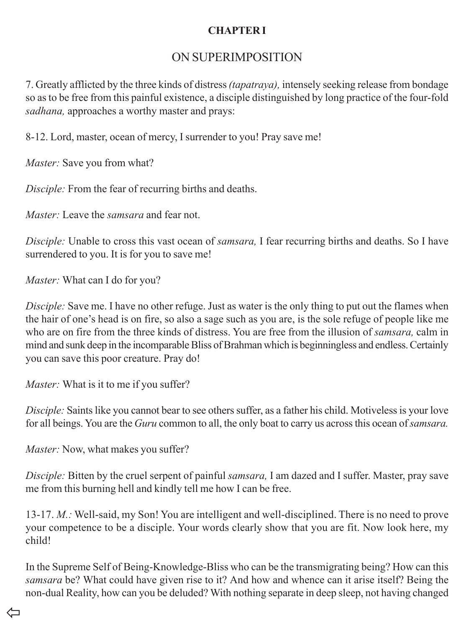#### **CHAPTER I**

### ON SUPERIMPOSITION

7. Greatly afflicted by the three kinds of distress *(tapatraya),* intensely seeking release from bondage so as to be free from this painful existence, a disciple distinguished by long practice of the four-fold *sadhana,* approaches a worthy master and prays:

8-12. Lord, master, ocean of mercy, I surrender to you! Pray save me!

*Master:* Save you from what?

*Disciple:* From the fear of recurring births and deaths.

*Master:* Leave the *samsara* and fear not.

*Disciple:* Unable to cross this vast ocean of *samsara,* I fear recurring births and deaths. So I have surrendered to you. It is for you to save me!

*Master:* What can I do for you?

*Disciple:* Save me. I have no other refuge. Just as water is the only thing to put out the flames when the hair of one's head is on fire, so also a sage such as you are, is the sole refuge of people like me who are on fire from the three kinds of distress. You are free from the illusion of *samsara,* calm in mind and sunk deep in the incomparable Bliss of Brahman which is beginningless and endless. Certainly you can save this poor creature. Pray do!

*Master:* What is it to me if you suffer?

*Disciple:* Saints like you cannot bear to see others suffer, as a father his child. Motiveless is your love for all beings. You are the *Guru* common to all, the only boat to carry us across this ocean of *samsara.*

*Master:* Now, what makes you suffer?

 $\Leftrightarrow$ 

*Disciple:* Bitten by the cruel serpent of painful *samsara,* I am dazed and I suffer. Master, pray save me from this burning hell and kindly tell me how I can be free.

13-17. *M.:* Well-said, my Son! You are intelligent and well-disciplined. There is no need to prove your competence to be a disciple. Your words clearly show that you are fit. Now look here, my child!

In the Supreme Self of Being-Knowledge-Bliss who can be the transmigrating being? How can this *samsara* be? What could have given rise to it? And how and whence can it arise itself? Being the non-dual Reality, how can you be deluded? With nothing separate in deep sleep, not having changed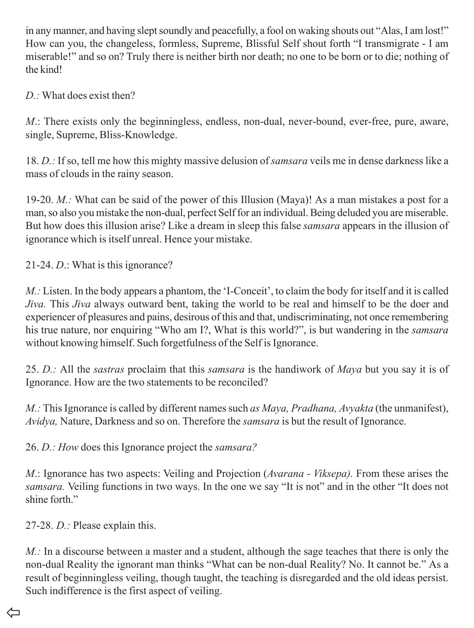in any manner, and having slept soundly and peacefully, a fool on waking shouts out "Alas, I am lost!" How can you, the changeless, formless, Supreme, Blissful Self shout forth "I transmigrate - I am miserable!" and so on? Truly there is neither birth nor death; no one to be born or to die; nothing of the kind!

*D.:* What does exist then?

*M*.: There exists only the beginningless, endless, non-dual, never-bound, ever-free, pure, aware, single, Supreme, Bliss-Knowledge.

18. *D.:* If so, tell me how this mighty massive delusion of *samsara* veils me in dense darkness like a mass of clouds in the rainy season.

19-20. *M.:* What can be said of the power of this Illusion (Maya)! As a man mistakes a post for a man, so also you mistake the non-dual, perfect Self for an individual. Being deluded you are miserable. But how does this illusion arise? Like a dream in sleep this false *samsara* appears in the illusion of ignorance which is itself unreal. Hence your mistake.

21-24. *D*.: What is this ignorance?

*M.*: Listen. In the body appears a phantom, the 'I-Conceit', to claim the body for itself and it is called *Jiva.* This *Jiva* always outward bent, taking the world to be real and himself to be the doer and experiencer of pleasures and pains, desirous of this and that, undiscriminating, not once remembering his true nature, nor enquiring "Who am I?, What is this world?", is but wandering in the *samsara* without knowing himself. Such forgetfulness of the Self is Ignorance.

25. *D.:* All the *sastras* proclaim that this *samsara* is the handiwork of *Maya* but you say it is of Ignorance. How are the two statements to be reconciled?

*M.:* This Ignorance is called by different names such *as Maya, Pradhana, Avyakta* (the unmanifest), *Avidya,* Nature, Darkness and so on. Therefore the *samsara* is but the result of Ignorance.

26. *D.: How* does this Ignorance project the *samsara?*

*M*.: Ignorance has two aspects: Veiling and Projection (*Avarana - Viksepa).* From these arises the *samsara.* Veiling functions in two ways. In the one we say "It is not" and in the other "It does not shine forth."

27-28. *D.:* Please explain this.

 $\Leftrightarrow$ 

*M.*: In a discourse between a master and a student, although the sage teaches that there is only the non-dual Reality the ignorant man thinks "What can be non-dual Reality? No. It cannot be." As a result of beginningless veiling, though taught, the teaching is disregarded and the old ideas persist. Such indifference is the first aspect of veiling.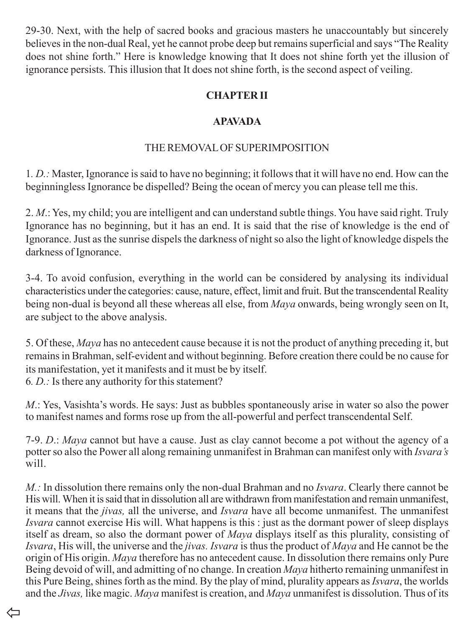29-30. Next, with the help of sacred books and gracious masters he unaccountably but sincerely believes in the non-dual Real, yet he cannot probe deep but remains superficial and says "The Reality does not shine forth." Here is knowledge knowing that It does not shine forth yet the illusion of ignorance persists. This illusion that It does not shine forth, is the second aspect of veiling.

#### **CHAPTER II**

#### **APAVADA**

#### THE REMOVAL OF SUPERIMPOSITION

1*. D.:* Master, Ignorance is said to have no beginning; it follows that it will have no end. How can the beginningless Ignorance be dispelled? Being the ocean of mercy you can please tell me this.

2. *M*.: Yes, my child; you are intelligent and can understand subtle things. You have said right. Truly Ignorance has no beginning, but it has an end. It is said that the rise of knowledge is the end of Ignorance. Just as the sunrise dispels the darkness of night so also the light of knowledge dispels the darkness of Ignorance.

3-4. To avoid confusion, everything in the world can be considered by analysing its individual characteristics under the categories: cause, nature, effect, limit and fruit. But the transcendental Reality being non-dual is beyond all these whereas all else, from *Maya* onwards, being wrongly seen on It, are subject to the above analysis.

5. Of these, *Maya* has no antecedent cause because it is not the product of anything preceding it, but remains in Brahman, self-evident and without beginning. Before creation there could be no cause for its manifestation, yet it manifests and it must be by itself. 6*. D.:* Is there any authority for this statement?

*M*.: Yes, Vasishta's words. He says: Just as bubbles spontaneously arise in water so also the power to manifest names and forms rose up from the all-powerful and perfect transcendental Self.

7-9. *D*.: *Maya* cannot but have a cause. Just as clay cannot become a pot without the agency of a potter so also the Power all along remaining unmanifest in Brahman can manifest only with *Isvara's* will.

*M.:* In dissolution there remains only the non-dual Brahman and no *Isvara*. Clearly there cannot be His will. When it is said that in dissolution all are withdrawn from manifestation and remain unmanifest, it means that the *jivas,* all the universe, and *Isvara* have all become unmanifest. The unmanifest *Isvara* cannot exercise His will. What happens is this : just as the dormant power of sleep displays itself as dream, so also the dormant power of *Maya* displays itself as this plurality, consisting of *Isvara*, His will, the universe and the *jivas. Isvara* is thus the product of *Maya* and He cannot be the origin of His origin. *Maya* therefore has no antecedent cause. In dissolution there remains only Pure Being devoid of will, and admitting of no change. In creation *Maya* hitherto remaining unmanifest in this Pure Being, shines forth as the mind. By the play of mind, plurality appears as *Isvara*, the worlds and the *Jivas,* like magic. *Maya* manifest is creation, and *Maya* unmanifest is dissolution. Thus of its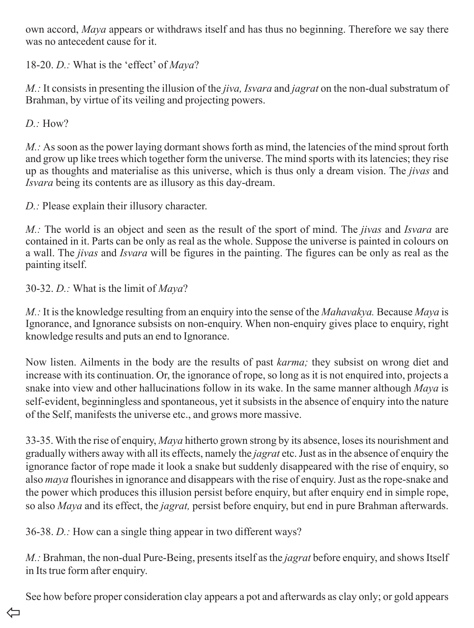own accord, *Maya* appears or withdraws itself and has thus no beginning. Therefore we say there was no antecedent cause for it.

18-20. *D.:* What is the 'effect' of *Maya*?

*M.:* It consists in presenting the illusion of the *jiva, Isvara* and *jagrat* on the non-dual substratum of Brahman, by virtue of its veiling and projecting powers.

 $D \cdot How?$ 

[Õ](#page-0-0)

*M.:* As soon as the power laying dormant shows forth as mind, the latencies of the mind sprout forth and grow up like trees which together form the universe. The mind sports with its latencies; they rise up as thoughts and materialise as this universe, which is thus only a dream vision. The *jivas* and *Isvara* being its contents are as illusory as this day-dream.

*D.:* Please explain their illusory character.

*M.:* The world is an object and seen as the result of the sport of mind. The *jivas* and *Isvara* are contained in it. Parts can be only as real as the whole. Suppose the universe is painted in colours on a wall. The *jivas* and *Isvara* will be figures in the painting. The figures can be only as real as the painting itself.

30-32. *D.:* What is the limit of *Maya*?

*M.:* It is the knowledge resulting from an enquiry into the sense of the *Mahavakya.* Because *Maya* is Ignorance, and Ignorance subsists on non-enquiry. When non-enquiry gives place to enquiry, right knowledge results and puts an end to Ignorance.

Now listen. Ailments in the body are the results of past *karma;* they subsist on wrong diet and increase with its continuation. Or, the ignorance of rope, so long as it is not enquired into, projects a snake into view and other hallucinations follow in its wake. In the same manner although *Maya* is self-evident, beginningless and spontaneous, yet it subsists in the absence of enquiry into the nature of the Self, manifests the universe etc., and grows more massive.

33-35. With the rise of enquiry, *Maya* hitherto grown strong by its absence, loses its nourishment and gradually withers away with all its effects, namely the *jagrat* etc. Just as in the absence of enquiry the ignorance factor of rope made it look a snake but suddenly disappeared with the rise of enquiry, so also *maya* flourishes in ignorance and disappears with the rise of enquiry. Just as the rope-snake and the power which produces this illusion persist before enquiry, but after enquiry end in simple rope, so also *Maya* and its effect, the *jagrat,* persist before enquiry, but end in pure Brahman afterwards.

36-38. *D.:* How can a single thing appear in two different ways?

*M.:* Brahman, the non-dual Pure-Being, presents itself as the *jagrat* before enquiry, and shows Itself in Its true form after enquiry.

See how before proper consideration clay appears a pot and afterwards as clay only; or gold appears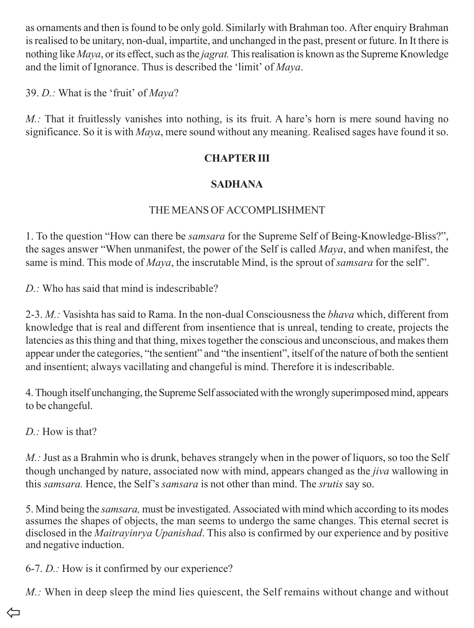as ornaments and then is found to be only gold. Similarly with Brahman too. After enquiry Brahman is realised to be unitary, non-dual, impartite, and unchanged in the past, present or future. In It there is nothing like *Maya*, or its effect, such as the *jagrat.* This realisation is known as the Supreme Knowledge and the limit of Ignorance. Thus is described the 'limit' of *Maya*.

39. *D.:* What is the 'fruit' of *Maya*?

*M.*: That it fruitlessly vanishes into nothing, is its fruit. A hare's horn is mere sound having no significance. So it is with *Maya*, mere sound without any meaning. Realised sages have found it so.

#### **CHAPTER III**

#### **SADHANA**

#### THE MEANS OF ACCOMPLISHMENT

1. To the question "How can there be *samsara* for the Supreme Self of Being-Knowledge-Bliss?", the sages answer "When unmanifest, the power of the Self is called *Maya*, and when manifest, the same is mind. This mode of *Maya*, the inscrutable Mind, is the sprout of *samsara* for the self".

*D.:* Who has said that mind is indescribable?

2-3. *M.:* Vasishta has said to Rama. In the non-dual Consciousness the *bhava* which, different from knowledge that is real and different from insentience that is unreal, tending to create, projects the latencies as this thing and that thing, mixes together the conscious and unconscious, and makes them appear under the categories, "the sentient" and "the insentient", itself of the nature of both the sentient and insentient; always vacillating and changeful is mind. Therefore it is indescribable.

4. Though itself unchanging, the Supreme Self associated with the wrongly superimposed mind, appears to be changeful.

*D.:* How is that?

 $\Leftrightarrow$ 

*M.*: Just as a Brahmin who is drunk, behaves strangely when in the power of liquors, so too the Self though unchanged by nature, associated now with mind, appears changed as the *jiva* wallowing in this *samsara.* Hence, the Self's *samsara* is not other than mind. The *srutis* say so.

5. Mind being the *samsara,* must be investigated. Associated with mind which according to its modes assumes the shapes of objects, the man seems to undergo the same changes. This eternal secret is disclosed in the *Maitrayinrya Upanishad*. This also is confirmed by our experience and by positive and negative induction.

6-7. *D.:* How is it confirmed by our experience?

*M.*: When in deep sleep the mind lies quiescent, the Self remains without change and without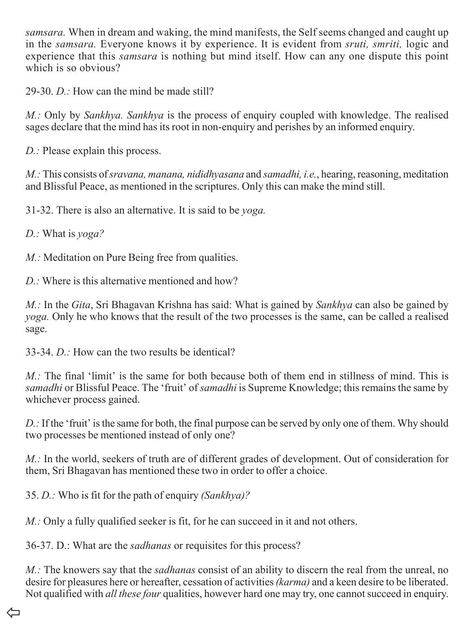*samsara.* When in dream and waking, the mind manifests, the Self seems changed and caught up in the *samsara.* Everyone knows it by experience. It is evident from *sruti, smriti,* logic and experience that this *samsara* is nothing but mind itself. How can any one dispute this point which is so obvious?

29-30. *D.:* How can the mind be made still?

*M.:* Only by *Sankhya. Sankhya* is the process of enquiry coupled with knowledge. The realised sages declare that the mind has its root in non-enquiry and perishes by an informed enquiry.

*D.:* Please explain this process.

*M.:* This consists of *sravana, manana, nididhyasana* and *samadhi, i.e.*, hearing, reasoning, meditation and Blissful Peace, as mentioned in the scriptures. Only this can make the mind still.

31-32. There is also an alternative. It is said to be *yoga.*

*D.:* What is *yoga?*

 $\Leftrightarrow$ 

*M.:* Meditation on Pure Being free from qualities.

*D.:* Where is this alternative mentioned and how?

*M.:* In the *Gita*, Sri Bhagavan Krishna has said: What is gained by *Sankhya* can also be gained by *yoga.* Only he who knows that the result of the two processes is the same, can be called a realised sage.

33-34. *D.:* How can the two results be identical?

*M.*: The final 'limit' is the same for both because both of them end in stillness of mind. This is *samadhi* or Blissful Peace. The 'fruit' of *samadhi* is Supreme Knowledge; this remains the same by whichever process gained.

*D.*: If the 'fruit' is the same for both, the final purpose can be served by only one of them. Why should two processes be mentioned instead of only one?

*M.:* In the world, seekers of truth are of different grades of development. Out of consideration for them, Sri Bhagavan has mentioned these two in order to offer a choice.

35. *D.:* Who is fit for the path of enquiry *(Sankhya)?*

*M.:* Only a fully qualified seeker is fit, for he can succeed in it and not others.

36-37. D.: What are the *sadhanas* or requisites for this process?

*M.:* The knowers say that the *sadhanas* consist of an ability to discern the real from the unreal, no desire for pleasures here or hereafter, cessation of activities *(karma)* and a keen desire to be liberated. Not qualified with *all these four* qualities, however hard one may try, one cannot succeed in enquiry.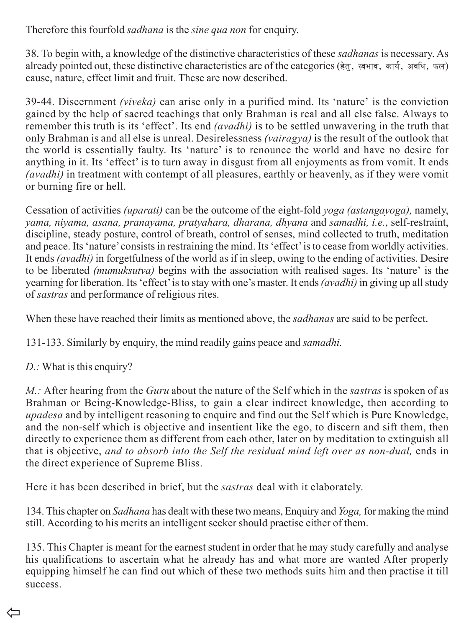Therefore this fourfold *sadhana* is the *sine qua non* for enquiry.

38. To begin with, a knowledge of the distinctive characteristics of these *sadhanas* is necessary. As already pointed out, these distinctive characteristics are of the categories (हेत, खभाव, कार्य, अवधि, फल) cause, nature, effect limit and fruit. These are now described.

39-44. Discernment *(viveka)* can arise only in a purified mind. Its 'nature' is the conviction gained by the help of sacred teachings that only Brahman is real and all else false. Always to remember this truth is its 'effect'. Its end *(avadhi)* is to be settled unwavering in the truth that only Brahman is and all else is unreal. Desirelessness *(vairagya)* is the result of the outlook that the world is essentially faulty. Its 'nature' is to renounce the world and have no desire for anything in it. Its 'effect' is to turn away in disgust from all enjoyments as from vomit. It ends *(avadhi)* in treatment with contempt of all pleasures, earthly or heavenly, as if they were vomit or burning fire or hell.

Cessation of activities *(uparati)* can be the outcome of the eight-fold *yoga (astangayoga),* namely, *yama, niyama, asana, pranayama, pratyahara, dharana, dhyana* and *samadhi, i.e.*, self-restraint, discipline, steady posture, control of breath, control of senses, mind collected to truth, meditation and peace. Its 'nature' consists in restraining the mind. Its 'effect' is to cease from worldly activities. It ends *(avadhi)* in forgetfulness of the world as if in sleep, owing to the ending of activities. Desire to be liberated *(mumuksutva)* begins with the association with realised sages. Its 'nature' is the yearning for liberation. Its 'effect' is to stay with one's master. It ends *(avadhi)* in giving up all study of *sastras* and performance of religious rites.

When these have reached their limits as mentioned above, the *sadhanas* are said to be perfect.

131-133. Similarly by enquiry, the mind readily gains peace and *samadhi.*

*D.:* What is this enquiry?

 $\Leftrightarrow$ 

*M.:* After hearing from the *Guru* about the nature of the Self which in the *sastras* is spoken of as Brahman or Being-Knowledge-Bliss, to gain a clear indirect knowledge, then according to *upadesa* and by intelligent reasoning to enquire and find out the Self which is Pure Knowledge, and the non-self which is objective and insentient like the ego, to discern and sift them, then directly to experience them as different from each other, later on by meditation to extinguish all that is objective, *and to absorb into the Self the residual mind left over as non-dual,* ends in the direct experience of Supreme Bliss.

Here it has been described in brief, but the *sastras* deal with it elaborately.

134. This chapter on *Sadhana* has dealt with these two means, Enquiry and *Yoga,* for making the mind still. According to his merits an intelligent seeker should practise either of them.

135. This Chapter is meant for the earnest student in order that he may study carefully and analyse his qualifications to ascertain what he already has and what more are wanted After properly equipping himself he can find out which of these two methods suits him and then practise it till success.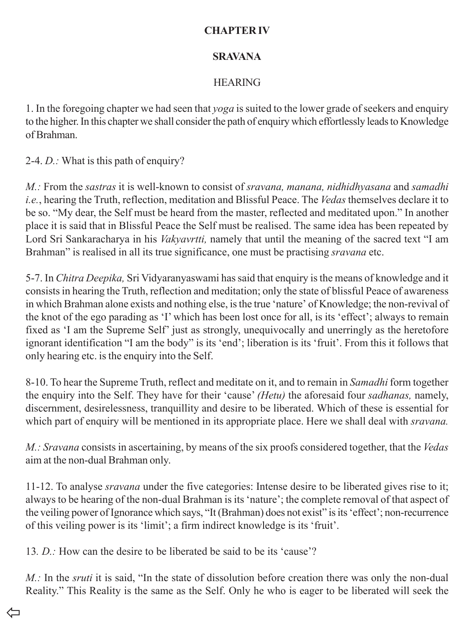#### **CHAPTER IV**

#### **SRAVANA**

#### **HEARING**

1. In the foregoing chapter we had seen that *yoga* is suited to the lower grade of seekers and enquiry to the higher. In this chapter we shall consider the path of enquiry which effortlessly leads to Knowledge of Brahman.

2-4. *D.:* What is this path of enquiry?

*M.:* From the *sastras* it is well-known to consist of *sravana, manana, nidhidhyasana* and *samadhi i.e.*, hearing the Truth, reflection, meditation and Blissful Peace. The *Vedas* themselves declare it to be so. "My dear, the Self must be heard from the master, reflected and meditated upon." In another place it is said that in Blissful Peace the Self must be realised. The same idea has been repeated by Lord Sri Sankaracharya in his *Vakyavrtti,* namely that until the meaning of the sacred text "I am Brahman" is realised in all its true significance, one must be practising *sravana* etc.

5-7. In *Chitra Deepika,* Sri Vidyaranyaswami has said that enquiry is the means of knowledge and it consists in hearing the Truth, reflection and meditation; only the state of blissful Peace of awareness in which Brahman alone exists and nothing else, is the true 'nature' of Knowledge; the non-revival of the knot of the ego parading as 'I' which has been lost once for all, is its 'effect'; always to remain fixed as 'I am the Supreme Self' just as strongly, unequivocally and unerringly as the heretofore ignorant identification "I am the body" is its 'end'; liberation is its 'fruit'. From this it follows that only hearing etc. is the enquiry into the Self.

8-10. To hear the Supreme Truth, reflect and meditate on it, and to remain in *Samadhi* form together the enquiry into the Self. They have for their 'cause' *(Hetu)* the aforesaid four *sadhanas,* namely, discernment, desirelessness, tranquillity and desire to be liberated. Which of these is essential for which part of enquiry will be mentioned in its appropriate place. Here we shall deal with *sravana.*

*M.: Sravana* consists in ascertaining, by means of the six proofs considered together, that the *Vedas* aim at the non-dual Brahman only.

11-12. To analyse *sravana* under the five categories: Intense desire to be liberated gives rise to it; always to be hearing of the non-dual Brahman is its 'nature'; the complete removal of that aspect of the veiling power of Ignorance which says, "It (Brahman) does not exist" is its 'effect'; non-recurrence of this veiling power is its 'limit'; a firm indirect knowledge is its 'fruit'.

13*. D.:* How can the desire to be liberated be said to be its 'cause'?

 $\Leftrightarrow$ 

*M.:* In the *sruti* it is said, "In the state of dissolution before creation there was only the non-dual Reality." This Reality is the same as the Self. Only he who is eager to be liberated will seek the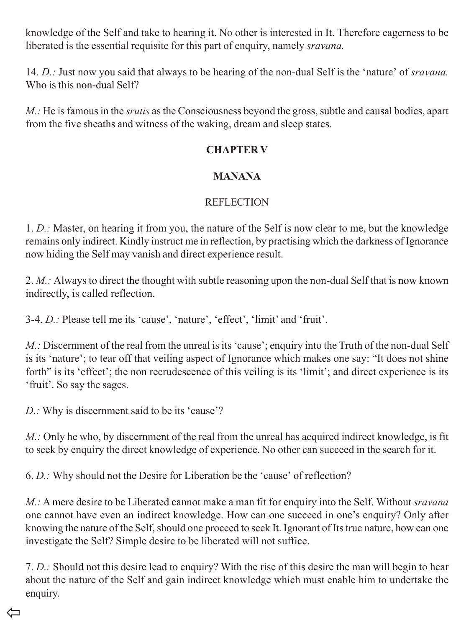knowledge of the Self and take to hearing it. No other is interested in It. Therefore eagerness to be liberated is the essential requisite for this part of enquiry, namely *sravana.*

14*. D.:* Just now you said that always to be hearing of the non-dual Self is the 'nature' of *sravana.* Who is this non-dual Self?

*M.:* He is famous in the *srutis* as the Consciousness beyond the gross, subtle and causal bodies, apart from the five sheaths and witness of the waking, dream and sleep states.

#### **CHAPTER V**

#### **MANANA**

#### **REFLECTION**

1. *D.:* Master, on hearing it from you, the nature of the Self is now clear to me, but the knowledge remains only indirect. Kindly instruct me in reflection, by practising which the darkness of Ignorance now hiding the Self may vanish and direct experience result.

2. *M.*: Always to direct the thought with subtle reasoning upon the non-dual Self that is now known indirectly, is called reflection.

3-4. *D.:* Please tell me its 'cause', 'nature', 'effect', 'limit' and 'fruit'.

*M.:* Discernment of the real from the unreal is its 'cause'; enquiry into the Truth of the non-dual Self is its 'nature'; to tear off that veiling aspect of Ignorance which makes one say: "It does not shine forth" is its 'effect'; the non recrudescence of this veiling is its 'limit'; and direct experience is its 'fruit'. So say the sages.

*D.:* Why is discernment said to be its 'cause'?

[Õ](#page-0-0)

*M.*: Only he who, by discernment of the real from the unreal has acquired indirect knowledge, is fit to seek by enquiry the direct knowledge of experience. No other can succeed in the search for it.

6. *D.:* Why should not the Desire for Liberation be the 'cause' of reflection?

*M.:* A mere desire to be Liberated cannot make a man fit for enquiry into the Self. Without *sravana* one cannot have even an indirect knowledge. How can one succeed in one's enquiry? Only after knowing the nature of the Self, should one proceed to seek It. Ignorant of Its true nature, how can one investigate the Self? Simple desire to be liberated will not suffice.

7. *D.:* Should not this desire lead to enquiry? With the rise of this desire the man will begin to hear about the nature of the Self and gain indirect knowledge which must enable him to undertake the enquiry.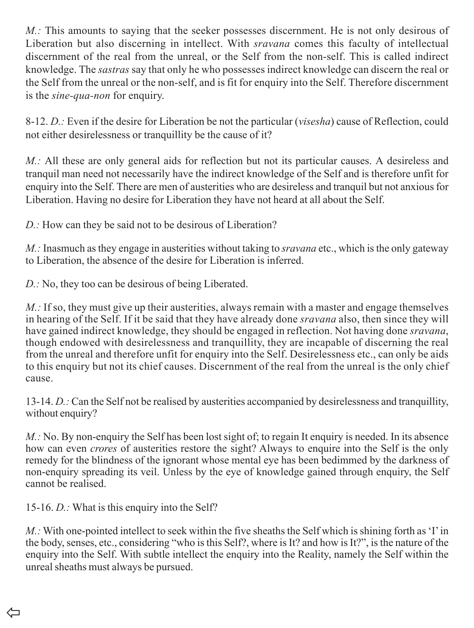*M.*: This amounts to saying that the seeker possesses discernment. He is not only desirous of Liberation but also discerning in intellect. With *sravana* comes this faculty of intellectual discernment of the real from the unreal, or the Self from the non-self. This is called indirect knowledge. The *sastras* say that only he who possesses indirect knowledge can discern the real or the Self from the unreal or the non-self, and is fit for enquiry into the Self. Therefore discernment is the *sine-qua-non* for enquiry.

8-12. *D.:* Even if the desire for Liberation be not the particular (*visesha*) cause of Reflection, could not either desirelessness or tranquillity be the cause of it?

*M.*: All these are only general aids for reflection but not its particular causes. A desireless and tranquil man need not necessarily have the indirect knowledge of the Self and is therefore unfit for enquiry into the Self. There are men of austerities who are desireless and tranquil but not anxious for Liberation. Having no desire for Liberation they have not heard at all about the Self.

*D.:* How can they be said not to be desirous of Liberation?

*M.:* Inasmuch as they engage in austerities without taking to *sravana* etc., which is the only gateway to Liberation, the absence of the desire for Liberation is inferred.

*D.:* No, they too can be desirous of being Liberated.

*M.*: If so, they must give up their austerities, always remain with a master and engage themselves in hearing of the Self. If it be said that they have already done *sravana* also, then since they will have gained indirect knowledge, they should be engaged in reflection. Not having done *sravana*, though endowed with desirelessness and tranquillity, they are incapable of discerning the real from the unreal and therefore unfit for enquiry into the Self. Desirelessness etc., can only be aids to this enquiry but not its chief causes. Discernment of the real from the unreal is the only chief cause.

13-14. *D.:* Can the Self not be realised by austerities accompanied by desirelessness and tranquillity, without enquiry?

*M.:* No. By non-enquiry the Self has been lost sight of; to regain It enquiry is needed. In its absence how can even *crores* of austerities restore the sight? Always to enquire into the Self is the only remedy for the blindness of the ignorant whose mental eye has been bedimmed by the darkness of non-enquiry spreading its veil. Unless by the eye of knowledge gained through enquiry, the Self cannot be realised.

15-16. *D.:* What is this enquiry into the Self?

 $\Leftrightarrow$ 

*M.*: With one-pointed intellect to seek within the five sheaths the Self which is shining forth as 'I' in the body, senses, etc., considering "who is this Self?, where is It? and how is It?", is the nature of the enquiry into the Self. With subtle intellect the enquiry into the Reality, namely the Self within the unreal sheaths must always be pursued.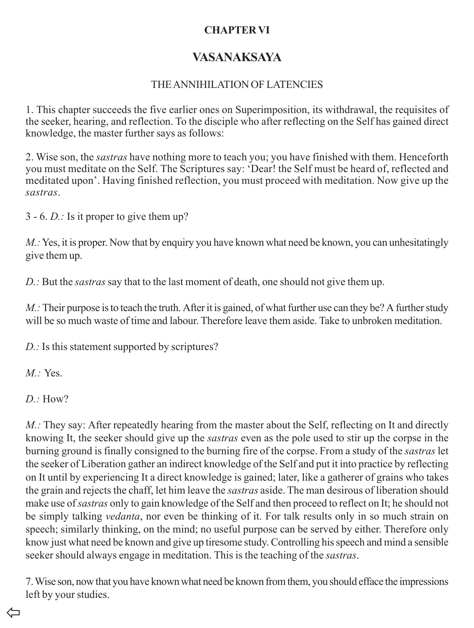#### **CHAPTER VI**

## **VASANAKSAYA**

#### THE ANNIHILATION OF LATENCIES

1. This chapter succeeds the five earlier ones on Superimposition, its withdrawal, the requisites of the seeker, hearing, and reflection. To the disciple who after reflecting on the Self has gained direct knowledge, the master further says as follows:

2. Wise son, the *sastras* have nothing more to teach you; you have finished with them. Henceforth you must meditate on the Self. The Scriptures say: 'Dear! the Self must be heard of, reflected and meditated upon'. Having finished reflection, you must proceed with meditation. Now give up the *sastras*.

3 - 6. *D.:* Is it proper to give them up?

*M.:* Yes, it is proper. Now that by enquiry you have known what need be known, you can unhesitatingly give them up.

*D.:* But the *sastras* say that to the last moment of death, one should not give them up.

*M.:* Their purpose is to teach the truth. After it is gained, of what further use can they be? A further study will be so much waste of time and labour. Therefore leave them aside. Take to unbroken meditation.

*D.*: Is this statement supported by scriptures?

*M.:* Yes.

*D.:* How?

 $\Leftrightarrow$ 

*M.*: They say: After repeatedly hearing from the master about the Self, reflecting on It and directly knowing It, the seeker should give up the *sastras* even as the pole used to stir up the corpse in the burning ground is finally consigned to the burning fire of the corpse. From a study of the *sastras* let the seeker of Liberation gather an indirect knowledge of the Self and put it into practice by reflecting on It until by experiencing It a direct knowledge is gained; later, like a gatherer of grains who takes the grain and rejects the chaff, let him leave the *sastras* aside. The man desirous of liberation should make use of *sastras* only to gain knowledge of the Self and then proceed to reflect on It; he should not be simply talking *vedanta*, nor even be thinking of it. For talk results only in so much strain on speech; similarly thinking, on the mind; no useful purpose can be served by either. Therefore only know just what need be known and give up tiresome study. Controlling his speech and mind a sensible seeker should always engage in meditation. This is the teaching of the *sastras*.

7. Wise son, now that you have known what need be known from them, you should efface the impressions left by your studies.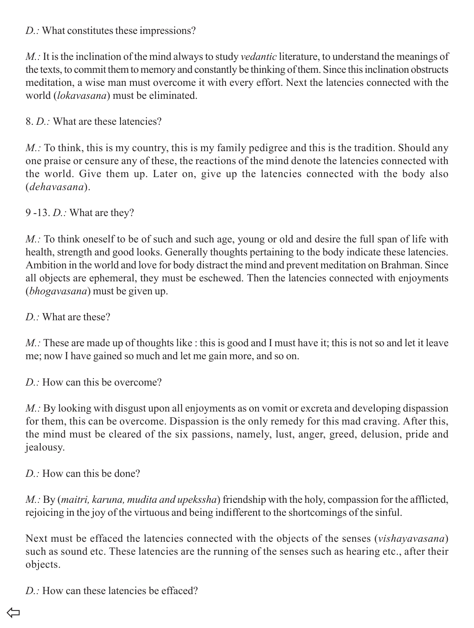*D.:* What constitutes these impressions?

*M.:* It is the inclination of the mind always to study *vedantic* literature, to understand the meanings of the texts, to commit them to memory and constantly be thinking of them. Since this inclination obstructs meditation, a wise man must overcome it with every effort. Next the latencies connected with the world (*lokavasana*) must be eliminated.

8. *D.:* What are these latencies?

*M.*: To think, this is my country, this is my family pedigree and this is the tradition. Should any one praise or censure any of these, the reactions of the mind denote the latencies connected with the world. Give them up. Later on, give up the latencies connected with the body also (*dehavasana*).

9 -13. *D.:* What are they?

*M.*: To think oneself to be of such and such age, young or old and desire the full span of life with health, strength and good looks. Generally thoughts pertaining to the body indicate these latencies. Ambition in the world and love for body distract the mind and prevent meditation on Brahman. Since all objects are ephemeral, they must be eschewed. Then the latencies connected with enjoyments (*bhogavasana*) must be given up.

*D.:* What are these?

*M.*: These are made up of thoughts like : this is good and I must have it; this is not so and let it leave me; now I have gained so much and let me gain more, and so on.

*D.:* How can this be overcome?

*M.*: By looking with disgust upon all enjoyments as on yomit or excreta and developing dispassion for them, this can be overcome. Dispassion is the only remedy for this mad craving. After this, the mind must be cleared of the six passions, namely, lust, anger, greed, delusion, pride and jealousy.

*D.:* How can this be done?

 $\Leftrightarrow$ 

*M.:* By (*maitri, karuna, mudita and upekssha*) friendship with the holy, compassion for the afflicted, rejoicing in the joy of the virtuous and being indifferent to the shortcomings of the sinful.

Next must be effaced the latencies connected with the objects of the senses (*vishayavasana*) such as sound etc. These latencies are the running of the senses such as hearing etc., after their objects.

*D.*: How can these latencies be effaced?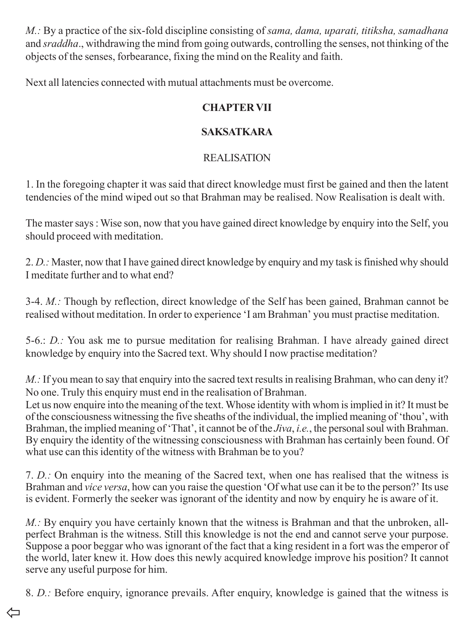*M.:* By a practice of the six-fold discipline consisting of *sama, dama, uparati, titiksha, samadhana* and *sraddha*., withdrawing the mind from going outwards, controlling the senses, not thinking of the objects of the senses, forbearance, fixing the mind on the Reality and faith.

Next all latencies connected with mutual attachments must be overcome.

#### **CHAPTER VII**

#### **SAKSATKARA**

#### REALISATION

1. In the foregoing chapter it was said that direct knowledge must first be gained and then the latent tendencies of the mind wiped out so that Brahman may be realised. Now Realisation is dealt with.

The master says : Wise son, now that you have gained direct knowledge by enquiry into the Self, you should proceed with meditation.

2. *D.:* Master, now that I have gained direct knowledge by enquiry and my task is finished why should I meditate further and to what end?

3-4. *M.:* Though by reflection, direct knowledge of the Self has been gained, Brahman cannot be realised without meditation. In order to experience 'I am Brahman' you must practise meditation.

5-6.: *D.:* You ask me to pursue meditation for realising Brahman. I have already gained direct knowledge by enquiry into the Sacred text. Why should I now practise meditation?

*M.*: If you mean to say that enquiry into the sacred text results in realising Brahman, who can deny it? No one. Truly this enquiry must end in the realisation of Brahman.

Let us now enquire into the meaning of the text. Whose identity with whom is implied in it? It must be of the consciousness witnessing the five sheaths of the individual, the implied meaning of 'thou', with Brahman, the implied meaning of 'That', it cannot be of the *Jiva*, *i.e.*, the personal soul with Brahman. By enquiry the identity of the witnessing consciousness with Brahman has certainly been found. Of what use can this identity of the witness with Brahman be to you?

7. *D.:* On enquiry into the meaning of the Sacred text, when one has realised that the witness is Brahman and *vice versa*, how can you raise the question 'Of what use can it be to the person?' Its use is evident. Formerly the seeker was ignorant of the identity and now by enquiry he is aware of it.

*M.*: By enquiry you have certainly known that the witness is Brahman and that the unbroken, allperfect Brahman is the witness. Still this knowledge is not the end and cannot serve your purpose. Suppose a poor beggar who was ignorant of the fact that a king resident in a fort was the emperor of the world, later knew it. How does this newly acquired knowledge improve his position? It cannot serve any useful purpose for him.

8. *D.:* Before enquiry, ignorance prevails. After enquiry, knowledge is gained that the witness is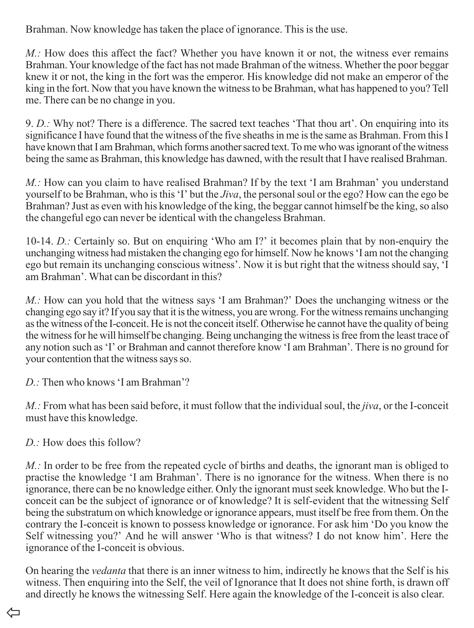Brahman. Now knowledge has taken the place of ignorance. This is the use.

*M.*: How does this affect the fact? Whether you have known it or not, the witness ever remains Brahman. Your knowledge of the fact has not made Brahman of the witness. Whether the poor beggar knew it or not, the king in the fort was the emperor. His knowledge did not make an emperor of the king in the fort. Now that you have known the witness to be Brahman, what has happened to you? Tell me. There can be no change in you.

9. *D.:* Why not? There is a difference. The sacred text teaches 'That thou art'. On enquiring into its significance I have found that the witness of the five sheaths in me is the same as Brahman. From this I have known that I am Brahman, which forms another sacred text. To me who was ignorant of the witness being the same as Brahman, this knowledge has dawned, with the result that I have realised Brahman.

*M.*: How can you claim to have realised Brahman? If by the text 'I am Brahman' you understand yourself to be Brahman, who is this 'I' but the *Jiva*, the personal soul or the ego? How can the ego be Brahman? Just as even with his knowledge of the king, the beggar cannot himself be the king, so also the changeful ego can never be identical with the changeless Brahman.

10-14. *D.:* Certainly so. But on enquiring 'Who am I?' it becomes plain that by non-enquiry the unchanging witness had mistaken the changing ego for himself. Now he knows 'I am not the changing ego but remain its unchanging conscious witness'. Now it is but right that the witness should say, 'I am Brahman'. What can be discordant in this?

*M.*: How can you hold that the witness says 'I am Brahman?' Does the unchanging witness or the changing ego say it? If you say that it is the witness, you are wrong. For the witness remains unchanging as the witness of the I-conceit. He is not the conceit itself. Otherwise he cannot have the quality of being the witness for he will himself be changing. Being unchanging the witness is free from the least trace of any notion such as 'I' or Brahman and cannot therefore know 'I am Brahman'. There is no ground for your contention that the witness says so.

*D.:* Then who knows 'I am Brahman'?

*M.:* From what has been said before, it must follow that the individual soul, the *jiva*, or the I-conceit must have this knowledge.

#### *D.:* How does this follow?

[Õ](#page-0-0)

*M.*: In order to be free from the repeated cycle of births and deaths, the ignorant man is obliged to practise the knowledge 'I am Brahman'. There is no ignorance for the witness. When there is no ignorance, there can be no knowledge either. Only the ignorant must seek knowledge. Who but the Iconceit can be the subject of ignorance or of knowledge? It is self-evident that the witnessing Self being the substratum on which knowledge or ignorance appears, must itself be free from them. On the contrary the I-conceit is known to possess knowledge or ignorance. For ask him 'Do you know the Self witnessing you?' And he will answer 'Who is that witness? I do not know him'. Here the ignorance of the I-conceit is obvious.

On hearing the *vedanta* that there is an inner witness to him, indirectly he knows that the Self is his witness. Then enquiring into the Self, the veil of Ignorance that It does not shine forth, is drawn off and directly he knows the witnessing Self. Here again the knowledge of the I-conceit is also clear.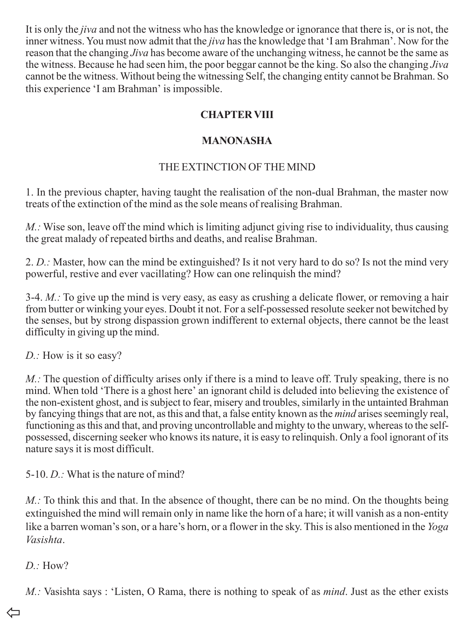It is only the *jiva* and not the witness who has the knowledge or ignorance that there is, or is not, the inner witness. You must now admit that the *jiva* has the knowledge that 'I am Brahman'. Now for the reason that the changing *Jiva* has become aware of the unchanging witness, he cannot be the same as the witness. Because he had seen him, the poor beggar cannot be the king. So also the changing *Jiva* cannot be the witness. Without being the witnessing Self, the changing entity cannot be Brahman. So this experience 'I am Brahman' is impossible.

#### **CHAPTER VIII**

#### **MANONASHA**

#### THE EXTINCTION OF THE MIND

1. In the previous chapter, having taught the realisation of the non-dual Brahman, the master now treats of the extinction of the mind as the sole means of realising Brahman.

*M.*: Wise son, leave off the mind which is limiting adjunct giving rise to individuality, thus causing the great malady of repeated births and deaths, and realise Brahman.

2. *D.:* Master, how can the mind be extinguished? Is it not very hard to do so? Is not the mind very powerful, restive and ever vacillating? How can one relinquish the mind?

3-4. *M.:* To give up the mind is very easy, as easy as crushing a delicate flower, or removing a hair from butter or winking your eyes. Doubt it not. For a self-possessed resolute seeker not bewitched by the senses, but by strong dispassion grown indifferent to external objects, there cannot be the least difficulty in giving up the mind.

*D.:* How is it so easy?

*M.*: The question of difficulty arises only if there is a mind to leave off. Truly speaking, there is no mind. When told 'There is a ghost here' an ignorant child is deluded into believing the existence of the non-existent ghost, and is subject to fear, misery and troubles, similarly in the untainted Brahman by fancying things that are not, as this and that, a false entity known as the *mind* arises seemingly real, functioning as this and that, and proving uncontrollable and mighty to the unwary, whereas to the selfpossessed, discerning seeker who knows its nature, it is easy to relinquish. Only a fool ignorant of its nature says it is most difficult.

5-10. *D.:* What is the nature of mind?

*M.*: To think this and that. In the absence of thought, there can be no mind. On the thoughts being extinguished the mind will remain only in name like the horn of a hare; it will vanish as a non-entity like a barren woman's son, or a hare's horn, or a flower in the sky. This is also mentioned in the *Yoga Vasishta*.

 $D \cdot$  How<sup>?</sup>

 $\Leftrightarrow$ 

*M.:* Vasishta says : 'Listen, O Rama, there is nothing to speak of as *mind*. Just as the ether exists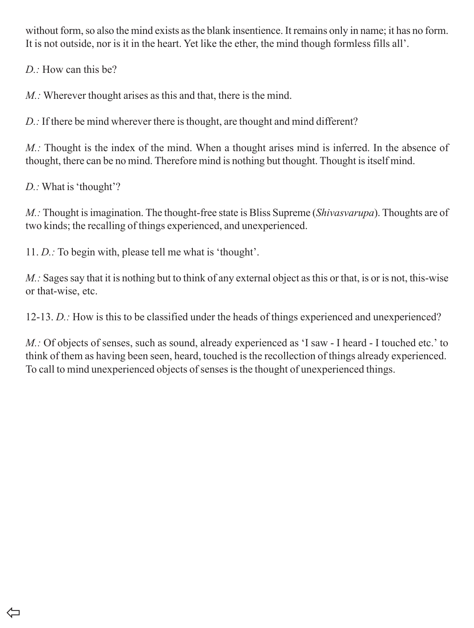without form, so also the mind exists as the blank insentience. It remains only in name; it has no form. It is not outside, nor is it in the heart. Yet like the ether, the mind though formless fills all'.

*D.:* How can this be?

*M.:* Wherever thought arises as this and that, there is the mind.

*D.:* If there be mind wherever there is thought, are thought and mind different?

*M.:* Thought is the index of the mind. When a thought arises mind is inferred. In the absence of thought, there can be no mind. Therefore mind is nothing but thought. Thought is itself mind.

*D.:* What is 'thought'?

 $\Leftrightarrow$ 

*M.:* Thought is imagination. The thought-free state is Bliss Supreme (*Shivasvarupa*). Thoughts are of two kinds; the recalling of things experienced, and unexperienced.

11. *D.:* To begin with, please tell me what is 'thought'.

*M.:* Sages say that it is nothing but to think of any external object as this or that, is or is not, this-wise or that-wise, etc.

12-13. *D.:* How is this to be classified under the heads of things experienced and unexperienced?

*M.:* Of objects of senses, such as sound, already experienced as 'I saw - I heard - I touched etc.' to think of them as having been seen, heard, touched is the recollection of things already experienced. To call to mind unexperienced objects of senses is the thought of unexperienced things.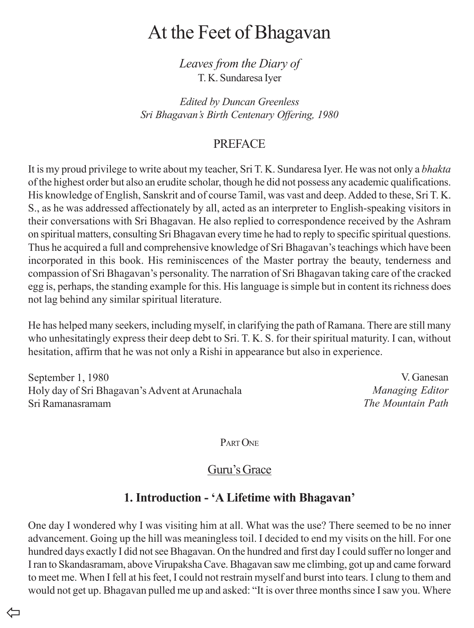## <span id="page-30-0"></span>At the Feet of Bhagavan

*Leaves from the Diary of* T. K. Sundaresa Iyer

*Edited by Duncan Greenless Sri Bhagavan's Birth Centenary Offering, 1980*

#### **PREFACE**

It is my proud privilege to write about my teacher, Sri T. K. Sundaresa Iyer. He was not only a *bhakta* of the highest order but also an erudite scholar, though he did not possess any academic qualifications. His knowledge of English, Sanskrit and of course Tamil, was vast and deep. Added to these, Sri T. K. S., as he was addressed affectionately by all, acted as an interpreter to English-speaking visitors in their conversations with Sri Bhagavan. He also replied to correspondence received by the Ashram on spiritual matters, consulting Sri Bhagavan every time he had to reply to specific spiritual questions. Thus he acquired a full and comprehensive knowledge of Sri Bhagavan's teachings which have been incorporated in this book. His reminiscences of the Master portray the beauty, tenderness and compassion of Sri Bhagavan's personality. The narration of Sri Bhagavan taking care of the cracked egg is, perhaps, the standing example for this. His language is simple but in content its richness does not lag behind any similar spiritual literature.

He has helped many seekers, including myself, in clarifying the path of Ramana. There are still many who unhesitatingly express their deep debt to Sri. T. K. S. for their spiritual maturity. I can, without hesitation, affirm that he was not only a Rishi in appearance but also in experience.

September 1, 1980 Holy day of Sri Bhagavan's Advent at Arunachala Sri Ramanasramam

 $\Leftrightarrow$ 

V. Ganesan *Managing Editor The Mountain Path*

PART ONE

#### Guru's Grace

#### **1. Introduction - 'A Lifetime with Bhagavan'**

One day I wondered why I was visiting him at all. What was the use? There seemed to be no inner advancement. Going up the hill was meaningless toil. I decided to end my visits on the hill. For one hundred days exactly I did not see Bhagavan. On the hundred and first day I could suffer no longer and I ran to Skandasramam, above Virupaksha Cave. Bhagavan saw me climbing, got up and came forward to meet me. When I fell at his feet, I could not restrain myself and burst into tears. I clung to them and would not get up. Bhagavan pulled me up and asked: "It is over three months since I saw you. Where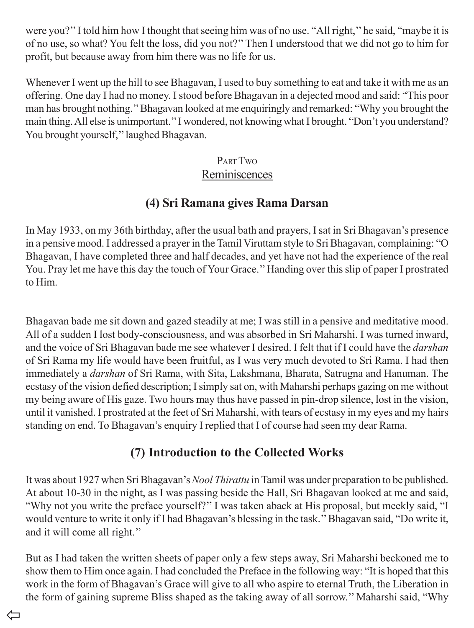were you?'' I told him how I thought that seeing him was of no use. "All right,'' he said, "maybe it is of no use, so what? You felt the loss, did you not?'' Then I understood that we did not go to him for profit, but because away from him there was no life for us.

Whenever I went up the hill to see Bhagavan, I used to buy something to eat and take it with me as an offering. One day I had no money. I stood before Bhagavan in a dejected mood and said: "This poor man has brought nothing.'' Bhagavan looked at me enquiringly and remarked: "Why you brought the main thing. All else is unimportant.'' I wondered, not knowing what I brought. "Don't you understand? You brought yourself," laughed Bhagavan.

#### PART TWO

#### Reminiscences

## **(4) Sri Ramana gives Rama Darsan**

In May 1933, on my 36th birthday, after the usual bath and prayers, I sat in Sri Bhagavan's presence in a pensive mood. I addressed a prayer in the Tamil Viruttam style to Sri Bhagavan, complaining: "O Bhagavan, I have completed three and half decades, and yet have not had the experience of the real You. Pray let me have this day the touch of Your Grace.'' Handing over this slip of paper I prostrated to Him.

Bhagavan bade me sit down and gazed steadily at me; I was still in a pensive and meditative mood. All of a sudden I lost body-consciousness, and was absorbed in Sri Maharshi. I was turned inward, and the voice of Sri Bhagavan bade me see whatever I desired. I felt that if I could have the *darshan* of Sri Rama my life would have been fruitful, as I was very much devoted to Sri Rama. I had then immediately a *darshan* of Sri Rama, with Sita, Lakshmana, Bharata, Satrugna and Hanuman. The ecstasy of the vision defied description; I simply sat on, with Maharshi perhaps gazing on me without my being aware of His gaze. Two hours may thus have passed in pin-drop silence, lost in the vision, until it vanished. I prostrated at the feet of Sri Maharshi, with tears of ecstasy in my eyes and my hairs standing on end. To Bhagavan's enquiry I replied that I of course had seen my dear Rama.

## **(7) Introduction to the Collected Works**

It was about 1927 when Sri Bhagavan's *Nool Thirattu* in Tamil was under preparation to be published. At about 10-30 in the night, as I was passing beside the Hall, Sri Bhagavan looked at me and said, "Why not you write the preface yourself?'' I was taken aback at His proposal, but meekly said, "I would venture to write it only if I had Bhagavan's blessing in the task.'' Bhagavan said, "Do write it, and it will come all right.''

But as I had taken the written sheets of paper only a few steps away, Sri Maharshi beckoned me to show them to Him once again. I had concluded the Preface in the following way: "It is hoped that this work in the form of Bhagavan's Grace will give to all who aspire to eternal Truth, the Liberation in the form of gaining supreme Bliss shaped as the taking away of all sorrow.'' Maharshi said, "Why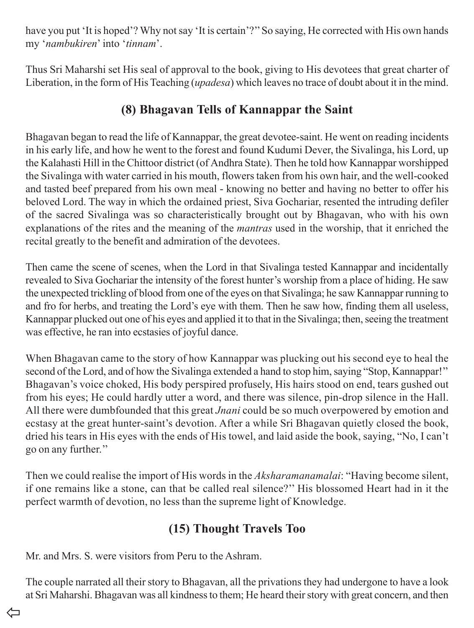have you put 'It is hoped'? Why not say 'It is certain'?" So saying, He corrected with His own hands my '*nambukiren*' into '*tinnam*'.

Thus Sri Maharshi set His seal of approval to the book, giving to His devotees that great charter of Liberation, in the form of His Teaching (*upadesa*) which leaves no trace of doubt about it in the mind.

## **(8) Bhagavan Tells of Kannappar the Saint**

Bhagavan began to read the life of Kannappar, the great devotee-saint. He went on reading incidents in his early life, and how he went to the forest and found Kudumi Dever, the Sivalinga, his Lord, up the Kalahasti Hill in the Chittoor district (of Andhra State). Then he told how Kannappar worshipped the Sivalinga with water carried in his mouth, flowers taken from his own hair, and the well-cooked and tasted beef prepared from his own meal - knowing no better and having no better to offer his beloved Lord. The way in which the ordained priest, Siva Gochariar, resented the intruding defiler of the sacred Sivalinga was so characteristically brought out by Bhagavan, who with his own explanations of the rites and the meaning of the *mantras* used in the worship, that it enriched the recital greatly to the benefit and admiration of the devotees.

Then came the scene of scenes, when the Lord in that Sivalinga tested Kannappar and incidentally revealed to Siva Gochariar the intensity of the forest hunter's worship from a place of hiding. He saw the unexpected trickling of blood from one of the eyes on that Sivalinga; he saw Kannappar running to and fro for herbs, and treating the Lord's eye with them. Then he saw how, finding them all useless, Kannappar plucked out one of his eyes and applied it to that in the Sivalinga; then, seeing the treatment was effective, he ran into ecstasies of joyful dance.

When Bhagavan came to the story of how Kannappar was plucking out his second eye to heal the second of the Lord, and of how the Sivalinga extended a hand to stop him, saying "Stop, Kannappar!'' Bhagavan's voice choked, His body perspired profusely, His hairs stood on end, tears gushed out from his eyes; He could hardly utter a word, and there was silence, pin-drop silence in the Hall. All there were dumbfounded that this great *Jnani* could be so much overpowered by emotion and ecstasy at the great hunter-saint's devotion. After a while Sri Bhagavan quietly closed the book, dried his tears in His eyes with the ends of His towel, and laid aside the book, saying, "No, I can't go on any further.''

Then we could realise the import of His words in the *Aksharamanamalai*: "Having become silent, if one remains like a stone, can that be called real silence?'' His blossomed Heart had in it the perfect warmth of devotion, no less than the supreme light of Knowledge.

## **(15) Thought Travels Too**

Mr. and Mrs. S. were visitors from Peru to the Ashram.

 $\Leftrightarrow$ 

The couple narrated all their story to Bhagavan, all the privations they had undergone to have a look at Sri Maharshi. Bhagavan was all kindness to them; He heard their story with great concern, and then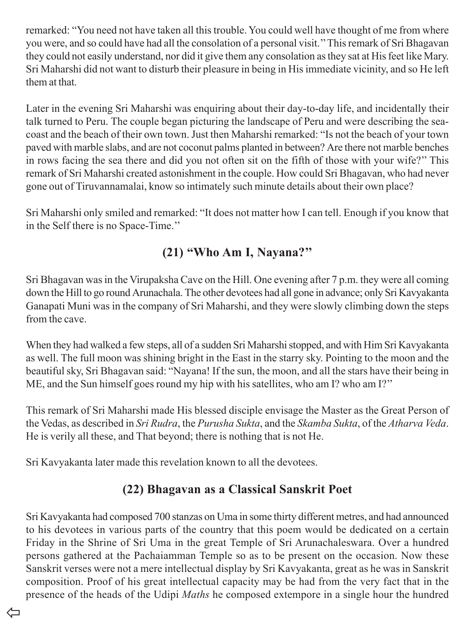remarked: "You need not have taken all this trouble. You could well have thought of me from where you were, and so could have had all the consolation of a personal visit.'' This remark of Sri Bhagavan they could not easily understand, nor did it give them any consolation as they sat at His feet like Mary. Sri Maharshi did not want to disturb their pleasure in being in His immediate vicinity, and so He left them at that.

Later in the evening Sri Maharshi was enquiring about their day-to-day life, and incidentally their talk turned to Peru. The couple began picturing the landscape of Peru and were describing the seacoast and the beach of their own town. Just then Maharshi remarked: "Is not the beach of your town paved with marble slabs, and are not coconut palms planted in between? Are there not marble benches in rows facing the sea there and did you not often sit on the fifth of those with your wife?'' This remark of Sri Maharshi created astonishment in the couple. How could Sri Bhagavan, who had never gone out of Tiruvannamalai, know so intimately such minute details about their own place?

Sri Maharshi only smiled and remarked: "It does not matter how I can tell. Enough if you know that in the Self there is no Space-Time.''

## **(21) "Who Am I, Nayana?''**

Sri Bhagavan was in the Virupaksha Cave on the Hill. One evening after 7 p.m. they were all coming down the Hill to go round Arunachala. The other devotees had all gone in advance; only Sri Kavyakanta Ganapati Muni was in the company of Sri Maharshi, and they were slowly climbing down the steps from the cave.

When they had walked a few steps, all of a sudden Sri Maharshi stopped, and with Him Sri Kavyakanta as well. The full moon was shining bright in the East in the starry sky. Pointing to the moon and the beautiful sky, Sri Bhagavan said: "Nayana! If the sun, the moon, and all the stars have their being in ME, and the Sun himself goes round my hip with his satellites, who am I? who am I?''

This remark of Sri Maharshi made His blessed disciple envisage the Master as the Great Person of the Vedas, as described in *Sri Rudra*, the *Purusha Sukta*, and the *Skamba Sukta*, of the *Atharva Veda*. He is verily all these, and That beyond; there is nothing that is not He.

Sri Kavyakanta later made this revelation known to all the devotees.

 $\Leftrightarrow$ 

## **(22) Bhagavan as a Classical Sanskrit Poet**

Sri Kavyakanta had composed 700 stanzas on Uma in some thirty different metres, and had announced to his devotees in various parts of the country that this poem would be dedicated on a certain Friday in the Shrine of Sri Uma in the great Temple of Sri Arunachaleswara. Over a hundred persons gathered at the Pachaiamman Temple so as to be present on the occasion. Now these Sanskrit verses were not a mere intellectual display by Sri Kavyakanta, great as he was in Sanskrit composition. Proof of his great intellectual capacity may be had from the very fact that in the presence of the heads of the Udipi *Maths* he composed extempore in a single hour the hundred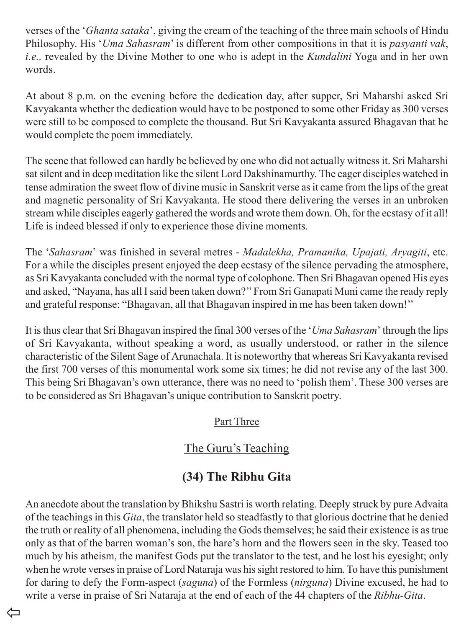verses of the '*Ghanta sataka*', giving the cream of the teaching of the three main schools of Hindu Philosophy. His '*Uma Sahasram*' is different from other compositions in that it is *pasyanti vak*, *i.e.,* revealed by the Divine Mother to one who is adept in the *Kundalini* Yoga and in her own words.

At about 8 p.m. on the evening before the dedication day, after supper, Sri Maharshi asked Sri Kavyakanta whether the dedication would have to be postponed to some other Friday as 300 verses were still to be composed to complete the thousand. But Sri Kavyakanta assured Bhagavan that he would complete the poem immediately.

The scene that followed can hardly be believed by one who did not actually witness it. Sri Maharshi sat silent and in deep meditation like the silent Lord Dakshinamurthy. The eager disciples watched in tense admiration the sweet flow of divine music in Sanskrit verse as it came from the lips of the great and magnetic personality of Sri Kavyakanta. He stood there delivering the verses in an unbroken stream while disciples eagerly gathered the words and wrote them down. Oh, for the ecstasy of it all! Life is indeed blessed if only to experience those divine moments.

The '*Sahasram*' was finished in several metres - *Madalekha, Pramanika, Upajati, Aryagiti*, etc. For a while the disciples present enjoyed the deep ecstasy of the silence pervading the atmosphere, as Sri Kavyakanta concluded with the normal type of colophone. Then Sri Bhagavan opened His eyes and asked, "Nayana, has all I said been taken down?'' From Sri Ganapati Muni came the ready reply and grateful response: "Bhagavan, all that Bhagavan inspired in me has been taken down!''

It is thus clear that Sri Bhagavan inspired the final 300 verses of the '*Uma Sahasram*' through the lips of Sri Kavyakanta, without speaking a word, as usually understood, or rather in the silence characteristic of the Silent Sage of Arunachala. It is noteworthy that whereas Sri Kavyakanta revised the first 700 verses of this monumental work some six times; he did not revise any of the last 300. This being Sri Bhagavan's own utterance, there was no need to 'polish them'. These 300 verses are to be considered as Sri Bhagavan's unique contribution to Sanskrit poetry.

#### Part Three

## The Guru's Teaching

## **(34) The Ribhu Gita**

An anecdote about the translation by Bhikshu Sastri is worth relating. Deeply struck by pure Advaita of the teachings in this *Gita*, the translator held so steadfastly to that glorious doctrine that he denied the truth or reality of all phenomena, including the Gods themselves; he said their existence is as true only as that of the barren woman's son, the hare's horn and the flowers seen in the sky. Teased too much by his atheism, the manifest Gods put the translator to the test, and he lost his eyesight; only when he wrote verses in praise of Lord Nataraja was his sight restored to him. To have this punishment for daring to defy the Form-aspect (*saguna*) of the Formless (*nirguna*) Divine excused, he had to write a verse in praise of Sri Nataraja at the end of each of the 44 chapters of the *Ribhu-Gita*.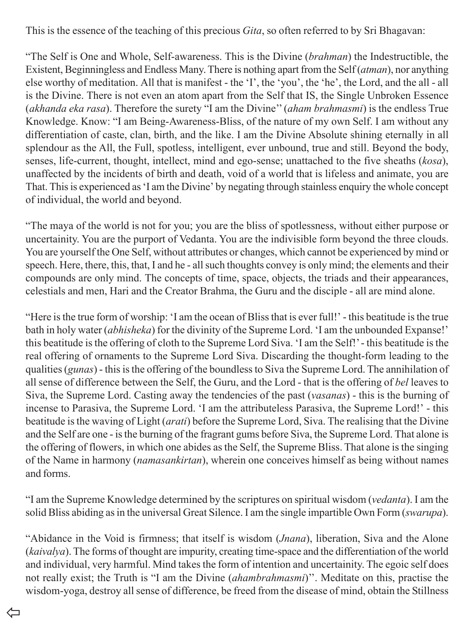This is the essence of the teaching of this precious *Gita*, so often referred to by Sri Bhagavan:

"The Self is One and Whole, Self-awareness. This is the Divine (*brahman*) the Indestructible, the Existent, Beginningless and Endless Many. There is nothing apart from the Self (*atman*), nor anything else worthy of meditation. All that is manifest - the 'I', the 'you', the 'he', the Lord, and the all - all is the Divine. There is not even an atom apart from the Self that IS, the Single Unbroken Essence (*akhanda eka rasa*). Therefore the surety "I am the Divine'' (*aham brahmasmi*) is the endless True Knowledge. Know: "I am Being-Awareness-Bliss, of the nature of my own Self. I am without any differentiation of caste, clan, birth, and the like. I am the Divine Absolute shining eternally in all splendour as the All, the Full, spotless, intelligent, ever unbound, true and still. Beyond the body, senses, life-current, thought, intellect, mind and ego-sense; unattached to the five sheaths (*kosa*), unaffected by the incidents of birth and death, void of a world that is lifeless and animate, you are That. This is experienced as 'I am the Divine' by negating through stainless enquiry the whole concept of individual, the world and beyond.

"The maya of the world is not for you; you are the bliss of spotlessness, without either purpose or uncertainity. You are the purport of Vedanta. You are the indivisible form beyond the three clouds. You are yourself the One Self, without attributes or changes, which cannot be experienced by mind or speech. Here, there, this, that, I and he - all such thoughts convey is only mind; the elements and their compounds are only mind. The concepts of time, space, objects, the triads and their appearances, celestials and men, Hari and the Creator Brahma, the Guru and the disciple - all are mind alone.

"Here is the true form of worship: 'I am the ocean of Bliss that is ever full!' - this beatitude is the true bath in holy water (*abhisheka*) for the divinity of the Supreme Lord. 'I am the unbounded Expanse!' this beatitude is the offering of cloth to the Supreme Lord Siva. 'I am the Self!' - this beatitude is the real offering of ornaments to the Supreme Lord Siva. Discarding the thought-form leading to the qualities (*gunas*) - this is the offering of the boundless to Siva the Supreme Lord. The annihilation of all sense of difference between the Self, the Guru, and the Lord - that is the offering of *bel* leaves to Siva, the Supreme Lord. Casting away the tendencies of the past (*vasanas*) - this is the burning of incense to Parasiva, the Supreme Lord. 'I am the attributeless Parasiva, the Supreme Lord!' - this beatitude is the waving of Light (*arati*) before the Supreme Lord, Siva. The realising that the Divine and the Self are one - is the burning of the fragrant gums before Siva, the Supreme Lord. That alone is the offering of flowers, in which one abides as the Self, the Supreme Bliss. That alone is the singing of the Name in harmony (*namasankirtan*), wherein one conceives himself as being without names and forms.

"I am the Supreme Knowledge determined by the scriptures on spiritual wisdom (*vedanta*). I am the solid Bliss abiding as in the universal Great Silence. I am the single impartible Own Form (*swarupa*).

"Abidance in the Void is firmness; that itself is wisdom (*Jnana*), liberation, Siva and the Alone (*kaivalya*). The forms of thought are impurity, creating time-space and the differentiation of the world and individual, very harmful. Mind takes the form of intention and uncertainity. The egoic self does not really exist; the Truth is "I am the Divine (*ahambrahmasmi*)''. Meditate on this, practise the wisdom-yoga, destroy all sense of difference, be freed from the disease of mind, obtain the Stillness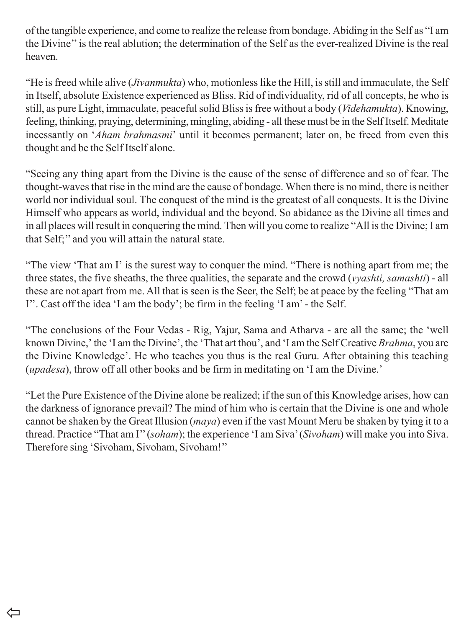of the tangible experience, and come to realize the release from bondage. Abiding in the Self as "I am the Divine'' is the real ablution; the determination of the Self as the ever-realized Divine is the real heaven.

"He is freed while alive (*Jivanmukta*) who, motionless like the Hill, is still and immaculate, the Self in Itself, absolute Existence experienced as Bliss. Rid of individuality, rid of all concepts, he who is still, as pure Light, immaculate, peaceful solid Bliss is free without a body (*Videhamukta*). Knowing, feeling, thinking, praying, determining, mingling, abiding - all these must be in the Self Itself. Meditate incessantly on '*Aham brahmasmi*' until it becomes permanent; later on, be freed from even this thought and be the Self Itself alone.

"Seeing any thing apart from the Divine is the cause of the sense of difference and so of fear. The thought-waves that rise in the mind are the cause of bondage. When there is no mind, there is neither world nor individual soul. The conquest of the mind is the greatest of all conquests. It is the Divine Himself who appears as world, individual and the beyond. So abidance as the Divine all times and in all places will result in conquering the mind. Then will you come to realize "All is the Divine; I am that Self;'' and you will attain the natural state.

"The view 'That am I' is the surest way to conquer the mind. "There is nothing apart from me; the three states, the five sheaths, the three qualities, the separate and the crowd (*vyashti, samashti*) - all these are not apart from me. All that is seen is the Seer, the Self; be at peace by the feeling "That am I''. Cast off the idea 'I am the body'; be firm in the feeling 'I am' - the Self.

"The conclusions of the Four Vedas - Rig, Yajur, Sama and Atharva - are all the same; the 'well known Divine,' the 'I am the Divine', the 'That art thou', and 'I am the Self Creative *Brahma*, you are the Divine Knowledge'. He who teaches you thus is the real Guru. After obtaining this teaching (*upadesa*), throw off all other books and be firm in meditating on 'I am the Divine.'

"Let the Pure Existence of the Divine alone be realized; if the sun of this Knowledge arises, how can the darkness of ignorance prevail? The mind of him who is certain that the Divine is one and whole cannot be shaken by the Great Illusion (*maya*) even if the vast Mount Meru be shaken by tying it to a thread. Practice "That am I'' (*soham*); the experience 'I am Siva' (*Sivoham*) will make you into Siva. Therefore sing 'Sivoham, Sivoham, Sivoham!''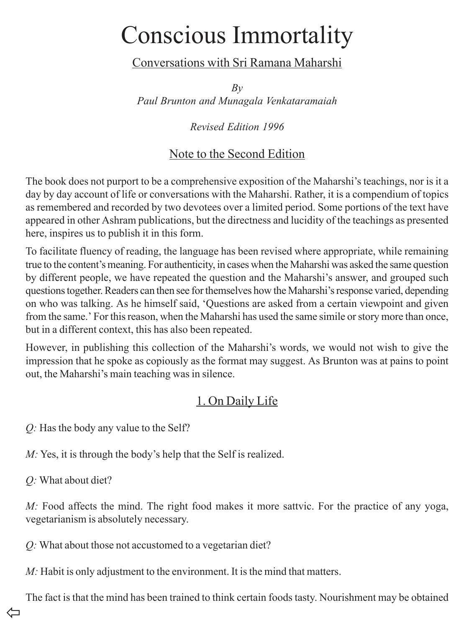# Conscious Immortality

# Conversations with Sri Ramana Maharshi

*By Paul Brunton and Munagala Venkataramaiah*

### *Revised Edition 1996*

# Note to the Second Edition

The book does not purport to be a comprehensive exposition of the Maharshi's teachings, nor is it a day by day account of life or conversations with the Maharshi. Rather, it is a compendium of topics as remembered and recorded by two devotees over a limited period. Some portions of the text have appeared in other Ashram publications, but the directness and lucidity of the teachings as presented here, inspires us to publish it in this form.

To facilitate fluency of reading, the language has been revised where appropriate, while remaining true to the content's meaning. For authenticity, in cases when the Maharshi was asked the same question by different people, we have repeated the question and the Maharshi's answer, and grouped such questions together. Readers can then see for themselves how the Maharshi's response varied, depending on who was talking. As he himself said, 'Questions are asked from a certain viewpoint and given from the same.' For this reason, when the Maharshi has used the same simile or story more than once, but in a different context, this has also been repeated.

However, in publishing this collection of the Maharshi's words, we would not wish to give the impression that he spoke as copiously as the format may suggest. As Brunton was at pains to point out, the Maharshi's main teaching was in silence.

# 1. On Daily Life

*Q:* Has the body any value to the Self?

*M:* Yes, it is through the body's help that the Self is realized.

*Q:* What about diet?

 $\Leftrightarrow$ 

*M*: Food affects the mind. The right food makes it more sattvic. For the practice of any yoga, vegetarianism is absolutely necessary.

*Q:* What about those not accustomed to a vegetarian diet?

*M:* Habit is only adjustment to the environment. It is the mind that matters.

The fact is that the mind has been trained to think certain foods tasty. Nourishment may be obtained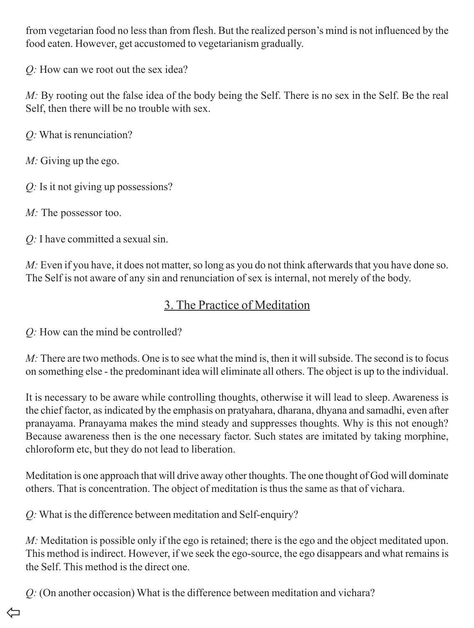from vegetarian food no less than from flesh. But the realized person's mind is not influenced by the food eaten. However, get accustomed to vegetarianism gradually.

*Q:* How can we root out the sex idea?

*M:* By rooting out the false idea of the body being the Self. There is no sex in the Self. Be the real Self, then there will be no trouble with sex.

*Q:* What is renunciation?

*M:* Giving up the ego.

*Q*: Is it not giving up possessions?

*M:* The possessor too.

 $\Leftrightarrow$ 

*Q:* I have committed a sexual sin.

*M*: Even if you have, it does not matter, so long as you do not think afterwards that you have done so. The Self is not aware of any sin and renunciation of sex is internal, not merely of the body.

# 3. The Practice of Meditation

*Q:* How can the mind be controlled?

*M*: There are two methods. One is to see what the mind is, then it will subside. The second is to focus on something else - the predominant idea will eliminate all others. The object is up to the individual.

It is necessary to be aware while controlling thoughts, otherwise it will lead to sleep. Awareness is the chief factor, as indicated by the emphasis on pratyahara, dharana, dhyana and samadhi, even after pranayama. Pranayama makes the mind steady and suppresses thoughts. Why is this not enough? Because awareness then is the one necessary factor. Such states are imitated by taking morphine, chloroform etc, but they do not lead to liberation.

Meditation is one approach that will drive away other thoughts. The one thought of God will dominate others. That is concentration. The object of meditation is thus the same as that of vichara.

*Q:* What is the difference between meditation and Self-enquiry?

*M*: Meditation is possible only if the ego is retained; there is the ego and the object meditated upon. This method is indirect. However, if we seek the ego-source, the ego disappears and what remains is the Self. This method is the direct one.

*Q:* (On another occasion) What is the difference between meditation and vichara?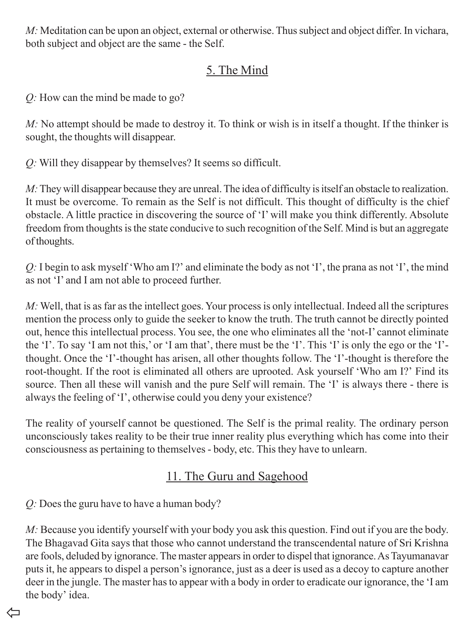*M*: Meditation can be upon an object, external or otherwise. Thus subject and object differ. In vichara, both subject and object are the same - the Self.

# 5. The Mind

*Q:* How can the mind be made to go?

*M*: No attempt should be made to destroy it. To think or wish is in itself a thought. If the thinker is sought, the thoughts will disappear.

*Q:* Will they disappear by themselves? It seems so difficult.

*M*: They will disappear because they are unreal. The idea of difficulty is itself an obstacle to realization. It must be overcome. To remain as the Self is not difficult. This thought of difficulty is the chief obstacle. A little practice in discovering the source of 'I' will make you think differently. Absolute freedom from thoughts is the state conducive to such recognition of the Self. Mind is but an aggregate of thoughts.

*Q:* I begin to ask myself 'Who am I?' and eliminate the body as not 'I', the prana as not 'I', the mind as not 'I' and I am not able to proceed further.

*M:* Well, that is as far as the intellect goes. Your process is only intellectual. Indeed all the scriptures mention the process only to guide the seeker to know the truth. The truth cannot be directly pointed out, hence this intellectual process. You see, the one who eliminates all the 'not-I' cannot eliminate the 'I'. To say 'I am not this,' or 'I am that', there must be the 'I'. This 'I' is only the ego or the 'I' thought. Once the 'I'-thought has arisen, all other thoughts follow. The 'I'-thought is therefore the root-thought. If the root is eliminated all others are uprooted. Ask yourself 'Who am I?' Find its source. Then all these will vanish and the pure Self will remain. The 'I' is always there - there is always the feeling of 'I', otherwise could you deny your existence?

The reality of yourself cannot be questioned. The Self is the primal reality. The ordinary person unconsciously takes reality to be their true inner reality plus everything which has come into their consciousness as pertaining to themselves - body, etc. This they have to unlearn.

# 11. The Guru and Sagehood

*Q:* Does the guru have to have a human body?

 $\Leftrightarrow$ 

*M*: Because you identify yourself with your body you ask this question. Find out if you are the body. The Bhagavad Gita says that those who cannot understand the transcendental nature of Sri Krishna are fools, deluded by ignorance. The master appears in order to dispel that ignorance. As Tayumanavar puts it, he appears to dispel a person's ignorance, just as a deer is used as a decoy to capture another deer in the jungle. The master has to appear with a body in order to eradicate our ignorance, the 'I am the body' idea.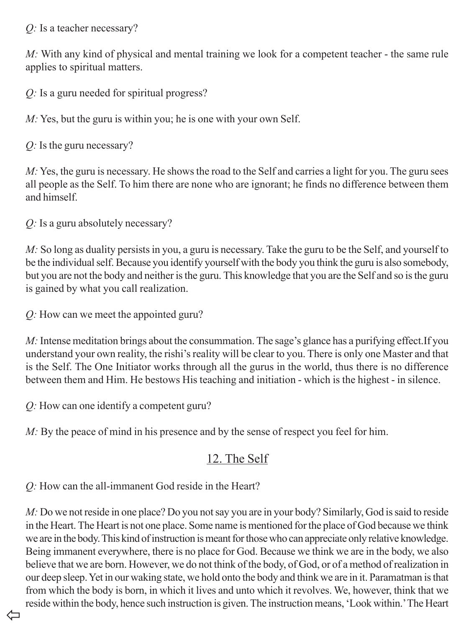*Q:* Is a teacher necessary?

*M:* With any kind of physical and mental training we look for a competent teacher - the same rule applies to spiritual matters.

*Q:* Is a guru needed for spiritual progress?

*M:* Yes, but the guru is within you; he is one with your own Self.

*Q:* Is the guru necessary?

*M*: Yes, the guru is necessary. He shows the road to the Self and carries a light for you. The guru sees all people as the Self. To him there are none who are ignorant; he finds no difference between them and himself.

*Q*: Is a guru absolutely necessary?

*M*: So long as duality persists in you, a guru is necessary. Take the guru to be the Self, and yourself to be the individual self. Because you identify yourself with the body you think the guru is also somebody, but you are not the body and neither is the guru. This knowledge that you are the Self and so is the guru is gained by what you call realization.

*Q:* How can we meet the appointed guru?

*M*: Intense meditation brings about the consummation. The sage's glance has a purifying effect. If you understand your own reality, the rishi's reality will be clear to you. There is only one Master and that is the Self. The One Initiator works through all the gurus in the world, thus there is no difference between them and Him. He bestows His teaching and initiation - which is the highest - in silence.

*Q:* How can one identify a competent guru?

 $\Leftrightarrow$ 

*M*: By the peace of mind in his presence and by the sense of respect you feel for him.

# 12. The Self

*Q:* How can the all-immanent God reside in the Heart?

*M:* Do we not reside in one place? Do you not say you are in your body? Similarly, God is said to reside in the Heart. The Heart is not one place. Some name is mentioned for the place of God because we think we are in the body. This kind of instruction is meant for those who can appreciate only relative knowledge. Being immanent everywhere, there is no place for God. Because we think we are in the body, we also believe that we are born. However, we do not think of the body, of God, or of a method of realization in our deep sleep. Yet in our waking state, we hold onto the body and think we are in it. Paramatman is that from which the body is born, in which it lives and unto which it revolves. We, however, think that we reside within the body, hence such instruction is given. The instruction means, 'Look within.' The Heart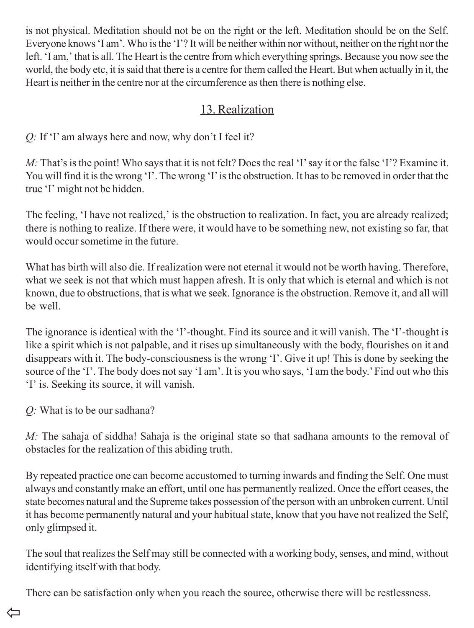is not physical. Meditation should not be on the right or the left. Meditation should be on the Self. Everyone knows 'I am'. Who is the 'I'? It will be neither within nor without, neither on the right nor the left. 'I am,' that is all. The Heart is the centre from which everything springs. Because you now see the world, the body etc, it is said that there is a centre for them called the Heart. But when actually in it, the Heart is neither in the centre nor at the circumference as then there is nothing else.

# 13. Realization

*Q*: If 'I' am always here and now, why don't I feel it?

*M*: That's is the point! Who says that it is not felt? Does the real 'I' say it or the false 'I'? Examine it. You will find it is the wrong 'I'. The wrong 'I' is the obstruction. It has to be removed in order that the true 'I' might not be hidden.

The feeling, 'I have not realized,' is the obstruction to realization. In fact, you are already realized; there is nothing to realize. If there were, it would have to be something new, not existing so far, that would occur sometime in the future.

What has birth will also die. If realization were not eternal it would not be worth having. Therefore, what we seek is not that which must happen afresh. It is only that which is eternal and which is not known, due to obstructions, that is what we seek. Ignorance is the obstruction. Remove it, and all will be well.

The ignorance is identical with the 'I'-thought. Find its source and it will vanish. The 'I'-thought is like a spirit which is not palpable, and it rises up simultaneously with the body, flourishes on it and disappears with it. The body-consciousness is the wrong 'I'. Give it up! This is done by seeking the source of the 'I'. The body does not say 'I am'. It is you who says, 'I am the body.' Find out who this 'I' is. Seeking its source, it will vanish.

*Q:* What is to be our sadhana?

 $\Leftrightarrow$ 

*M*: The sahaja of siddha! Sahaja is the original state so that sadhana amounts to the removal of obstacles for the realization of this abiding truth.

By repeated practice one can become accustomed to turning inwards and finding the Self. One must always and constantly make an effort, until one has permanently realized. Once the effort ceases, the state becomes natural and the Supreme takes possession of the person with an unbroken current. Until it has become permanently natural and your habitual state, know that you have not realized the Self, only glimpsed it.

The soul that realizes the Self may still be connected with a working body, senses, and mind, without identifying itself with that body.

There can be satisfaction only when you reach the source, otherwise there will be restlessness.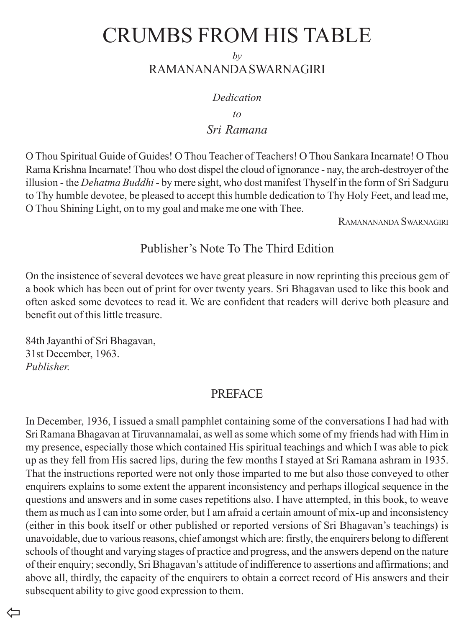# CRUMBS FROM HIS TABLE

*by*

# RAMANANANDA SWARNAGIRI

# *Dedication to Sri Ramana*

O Thou Spiritual Guide of Guides! O Thou Teacher of Teachers! O Thou Sankara Incarnate! O Thou Rama Krishna Incarnate! Thou who dost dispel the cloud of ignorance - nay, the arch-destroyer of the illusion - the *Dehatma Buddhi* - by mere sight, who dost manifest Thyself in the form of Sri Sadguru to Thy humble devotee, be pleased to accept this humble dedication to Thy Holy Feet, and lead me, O Thou Shining Light, on to my goal and make me one with Thee.

RAMANANANDA SWARNAGIRI

### Publisher's Note To The Third Edition

On the insistence of several devotees we have great pleasure in now reprinting this precious gem of a book which has been out of print for over twenty years. Sri Bhagavan used to like this book and often asked some devotees to read it. We are confident that readers will derive both pleasure and benefit out of this little treasure.

84th Jayanthi of Sri Bhagavan, 31st December, 1963. *Publisher.*

 $\Leftrightarrow$ 

### **PREFACE**

In December, 1936, I issued a small pamphlet containing some of the conversations I had had with Sri Ramana Bhagavan at Tiruvannamalai, as well as some which some of my friends had with Him in my presence, especially those which contained His spiritual teachings and which I was able to pick up as they fell from His sacred lips, during the few months I stayed at Sri Ramana ashram in 1935. That the instructions reported were not only those imparted to me but also those conveyed to other enquirers explains to some extent the apparent inconsistency and perhaps illogical sequence in the questions and answers and in some cases repetitions also. I have attempted, in this book, to weave them as much as I can into some order, but I am afraid a certain amount of mix-up and inconsistency (either in this book itself or other published or reported versions of Sri Bhagavan's teachings) is unavoidable, due to various reasons, chief amongst which are: firstly, the enquirers belong to different schools of thought and varying stages of practice and progress, and the answers depend on the nature of their enquiry; secondly, Sri Bhagavan's attitude of indifference to assertions and affirmations; and above all, thirdly, the capacity of the enquirers to obtain a correct record of His answers and their subsequent ability to give good expression to them.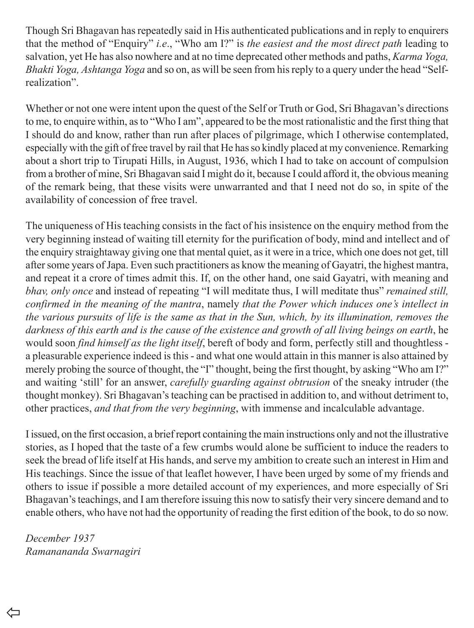Though Sri Bhagavan has repeatedly said in His authenticated publications and in reply to enquirers that the method of "Enquiry" *i.e*., "Who am I?" is *the easiest and the most direct path* leading to salvation, yet He has also nowhere and at no time deprecated other methods and paths, *Karma Yoga, Bhakti Yoga, Ashtanga Yoga* and so on, as will be seen from his reply to a query under the head "Selfrealization".

Whether or not one were intent upon the quest of the Self or Truth or God, Sri Bhagavan's directions to me, to enquire within, as to "Who I am", appeared to be the most rationalistic and the first thing that I should do and know, rather than run after places of pilgrimage, which I otherwise contemplated, especially with the gift of free travel by rail that He has so kindly placed at my convenience. Remarking about a short trip to Tirupati Hills, in August, 1936, which I had to take on account of compulsion from a brother of mine, Sri Bhagavan said I might do it, because I could afford it, the obvious meaning of the remark being, that these visits were unwarranted and that I need not do so, in spite of the availability of concession of free travel.

The uniqueness of His teaching consists in the fact of his insistence on the enquiry method from the very beginning instead of waiting till eternity for the purification of body, mind and intellect and of the enquiry straightaway giving one that mental quiet, as it were in a trice, which one does not get, till after some years of Japa. Even such practitioners as know the meaning of Gayatri, the highest mantra, and repeat it a crore of times admit this. If, on the other hand, one said Gayatri, with meaning and *bhav, only once* and instead of repeating "I will meditate thus, I will meditate thus" *remained still, confirmed in the meaning of the mantra*, namely *that the Power which induces one's intellect in the various pursuits of life is the same as that in the Sun, which, by its illumination, removes the darkness of this earth and is the cause of the existence and growth of all living beings on earth*, he would soon *find himself as the light itself*, bereft of body and form, perfectly still and thoughtless a pleasurable experience indeed is this - and what one would attain in this manner is also attained by merely probing the source of thought, the "I" thought, being the first thought, by asking "Who am I?" and waiting 'still' for an answer, *carefully guarding against obtrusion* of the sneaky intruder (the thought monkey). Sri Bhagavan's teaching can be practised in addition to, and without detriment to, other practices, *and that from the very beginning*, with immense and incalculable advantage.

I issued, on the first occasion, a brief report containing the main instructions only and not the illustrative stories, as I hoped that the taste of a few crumbs would alone be sufficient to induce the readers to seek the bread of life itself at His hands, and serve my ambition to create such an interest in Him and His teachings. Since the issue of that leaflet however, I have been urged by some of my friends and others to issue if possible a more detailed account of my experiences, and more especially of Sri Bhagavan's teachings, and I am therefore issuing this now to satisfy their very sincere demand and to enable others, who have not had the opportunity of reading the first edition of the book, to do so now.

*December 1937 Ramanananda Swarnagiri*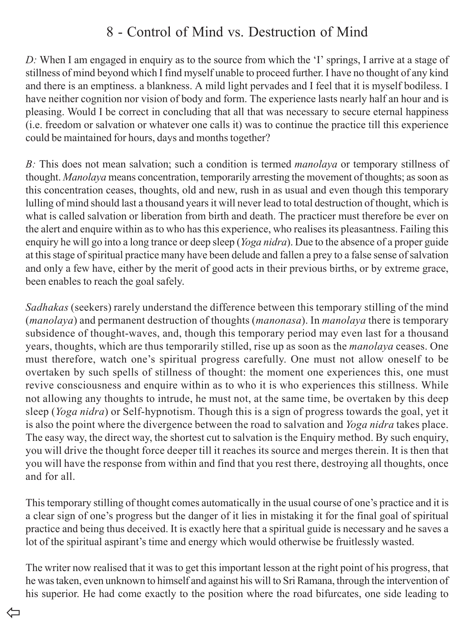# 8 - Control of Mind vs. Destruction of Mind

*D:* When I am engaged in enquiry as to the source from which the 'I' springs, I arrive at a stage of stillness of mind beyond which I find myself unable to proceed further. I have no thought of any kind and there is an emptiness. a blankness. A mild light pervades and I feel that it is myself bodiless. I have neither cognition nor vision of body and form. The experience lasts nearly half an hour and is pleasing. Would I be correct in concluding that all that was necessary to secure eternal happiness (i.e. freedom or salvation or whatever one calls it) was to continue the practice till this experience could be maintained for hours, days and months together?

*B:* This does not mean salvation; such a condition is termed *manolaya* or temporary stillness of thought. *Manolaya* means concentration, temporarily arresting the movement of thoughts; as soon as this concentration ceases, thoughts, old and new, rush in as usual and even though this temporary lulling of mind should last a thousand years it will never lead to total destruction of thought, which is what is called salvation or liberation from birth and death. The practicer must therefore be ever on the alert and enquire within as to who has this experience, who realises its pleasantness. Failing this enquiry he will go into a long trance or deep sleep (*Yoga nidra*). Due to the absence of a proper guide at this stage of spiritual practice many have been delude and fallen a prey to a false sense of salvation and only a few have, either by the merit of good acts in their previous births, or by extreme grace, been enables to reach the goal safely.

*Sadhakas* (seekers) rarely understand the difference between this temporary stilling of the mind (*manolaya*) and permanent destruction of thoughts (*manonasa*). In *manolaya* there is temporary subsidence of thought-waves, and, though this temporary period may even last for a thousand years, thoughts, which are thus temporarily stilled, rise up as soon as the *manolaya* ceases. One must therefore, watch one's spiritual progress carefully. One must not allow oneself to be overtaken by such spells of stillness of thought: the moment one experiences this, one must revive consciousness and enquire within as to who it is who experiences this stillness. While not allowing any thoughts to intrude, he must not, at the same time, be overtaken by this deep sleep (*Yoga nidra*) or Self-hypnotism. Though this is a sign of progress towards the goal, yet it is also the point where the divergence between the road to salvation and *Yoga nidra* takes place. The easy way, the direct way, the shortest cut to salvation is the Enquiry method. By such enquiry, you will drive the thought force deeper till it reaches its source and merges therein. It is then that you will have the response from within and find that you rest there, destroying all thoughts, once and for all.

This temporary stilling of thought comes automatically in the usual course of one's practice and it is a clear sign of one's progress but the danger of it lies in mistaking it for the final goal of spiritual practice and being thus deceived. It is exactly here that a spiritual guide is necessary and he saves a lot of the spiritual aspirant's time and energy which would otherwise be fruitlessly wasted.

The writer now realised that it was to get this important lesson at the right point of his progress, that he was taken, even unknown to himself and against his will to Sri Ramana, through the intervention of his superior. He had come exactly to the position where the road bifurcates, one side leading to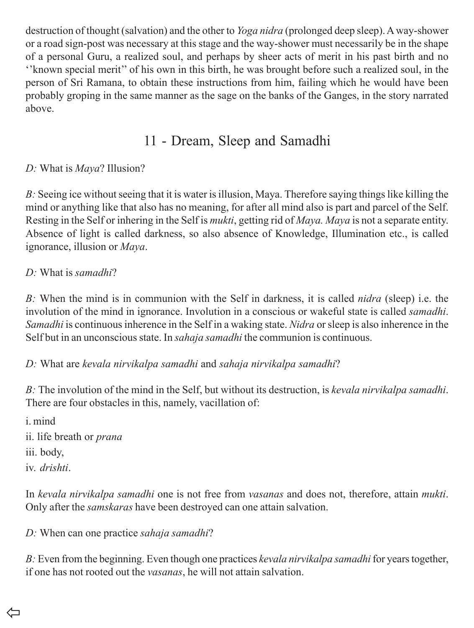destruction of thought (salvation) and the other to *Yoga nidra* (prolonged deep sleep). A way-shower or a road sign-post was necessary at this stage and the way-shower must necessarily be in the shape of a personal Guru, a realized soul, and perhaps by sheer acts of merit in his past birth and no ''known special merit'' of his own in this birth, he was brought before such a realized soul, in the person of Sri Ramana, to obtain these instructions from him, failing which he would have been probably groping in the same manner as the sage on the banks of the Ganges, in the story narrated above.

# 11 - Dream, Sleep and Samadhi

*D:* What is *Maya*? Illusion?

*B:* Seeing ice without seeing that it is water is illusion, Maya. Therefore saying things like killing the mind or anything like that also has no meaning, for after all mind also is part and parcel of the Self. Resting in the Self or inhering in the Self is *mukti*, getting rid of *Maya. Maya* is not a separate entity. Absence of light is called darkness, so also absence of Knowledge, Illumination etc., is called ignorance, illusion or *Maya*.

*D:* What is *samadhi*?

*B:* When the mind is in communion with the Self in darkness, it is called *nidra* (sleep) i.e. the involution of the mind in ignorance. Involution in a conscious or wakeful state is called *samadhi*. *Samadhi* is continuous inherence in the Self in a waking state. *Nidra* or sleep is also inherence in the Self but in an unconscious state. In *sahaja samadhi* the communion is continuous.

*D:* What are *kevala nirvikalpa samadhi* and *sahaja nirvikalpa samadhi*?

*B:* The involution of the mind in the Self, but without its destruction, is *kevala nirvikalpa samadhi*. There are four obstacles in this, namely, vacillation of:

i. mind ii. life breath or *prana* iii. body,

iv. *drishti*.

 $\Leftrightarrow$ 

In *kevala nirvikalpa samadhi* one is not free from *vasanas* and does not, therefore, attain *mukti*. Only after the *samskaras* have been destroyed can one attain salvation.

*D:* When can one practice *sahaja samadhi*?

*B:* Even from the beginning. Even though one practices *kevala nirvikalpa samadhi* for years together, if one has not rooted out the *vasanas*, he will not attain salvation.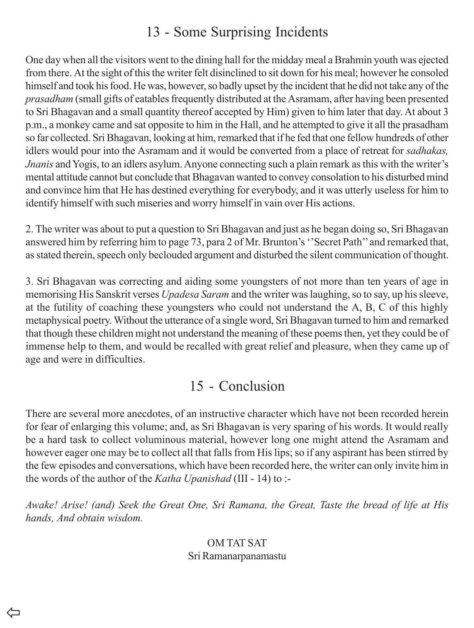# 13 - Some Surprising Incidents

One day when all the visitors went to the dining hall for the midday meal a Brahmin youth was ejected from there. At the sight of this the writer felt disinclined to sit down for his meal; however he consoled himself and took his food. He was, however, so badly upset by the incident that he did not take any of the *prasadham* (small gifts of eatables frequently distributed at the Asramam, after having been presented to Sri Bhagavan and a small quantity thereof accepted by Him) given to him later that day. At about 3 p.m., a monkey came and sat opposite to him in the Hall, and he attempted to give it all the prasadham so far collected. Sri Bhagavan, looking at him, remarked that if he fed that one fellow hundreds of other idlers would pour into the Asramam and it would be converted from a place of retreat for *sadhakas, Jnanis* and Yogis, to an idlers asylum. Anyone connecting such a plain remark as this with the writer's mental attitude cannot but conclude that Bhagavan wanted to convey consolation to his disturbed mind and convince him that He has destined everything for everybody, and it was utterly useless for him to identify himself with such miseries and worry himself in vain over His actions.

2. The writer was about to put a question to Sri Bhagavan and just as he began doing so, Sri Bhagavan answered him by referring him to page 73, para 2 of Mr. Brunton's ''Secret Path'' and remarked that, as stated therein, speech only beclouded argument and disturbed the silent communication of thought.

3. Sri Bhagavan was correcting and aiding some youngsters of not more than ten years of age in memorising His Sanskrit verses *Upadesa Saram* and the writer was laughing, so to say, up his sleeve, at the futility of coaching these youngsters who could not understand the A, B, C of this highly metaphysical poetry. Without the utterance of a single word, Sri Bhagavan turned to him and remarked that though these children might not understand the meaning of these poems then, yet they could be of immense help to them, and would be recalled with great relief and pleasure, when they came up of age and were in difficulties.

# 15 - Conclusion

There are several more anecdotes, of an instructive character which have not been recorded herein for fear of enlarging this volume; and, as Sri Bhagavan is very sparing of his words. It would really be a hard task to collect voluminous material, however long one might attend the Asramam and however eager one may be to collect all that falls from His lips; so if any aspirant has been stirred by the few episodes and conversations, which have been recorded here, the writer can only invite him in the words of the author of the *Katha Upanishad* (III - 14) to :-

*Awake! Arise! (and) Seek the Great One, Sri Ramana, the Great, Taste the bread of life at His hands, And obtain wisdom.*

### OM TAT SAT Sri Ramanarpanamastu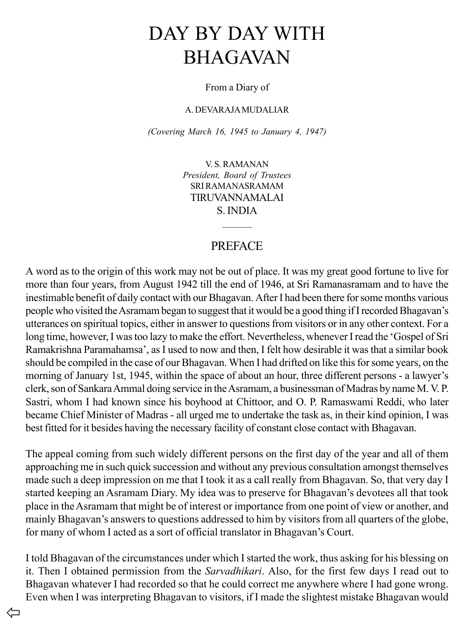# DAY BY DAY WITH BHAGAVAN

#### From a Diary of

#### A. DEVARAJA MUDALIAR

*(Covering March 16, 1945 to January 4, 1947)*

V. S. RAMANAN *President, Board of Trustees* SRI RAMANASRAMAM TIRUVANNAMALAI S. INDIA

#### **PREFACE**

 $\mathcal{L}_\text{max}$ 

A word as to the origin of this work may not be out of place. It was my great good fortune to live for more than four years, from August 1942 till the end of 1946, at Sri Ramanasramam and to have the inestimable benefit of daily contact with our Bhagavan. After I had been there for some months various people who visited the Asramam began to suggest that it would be a good thing if I recorded Bhagavan's utterances on spiritual topics, either in answer to questions from visitors or in any other context. For a long time, however, I was too lazy to make the effort. Nevertheless, whenever I read the 'Gospel of Sri Ramakrishna Paramahamsa', as I used to now and then, I felt how desirable it was that a similar book should be compiled in the case of our Bhagavan. When I had drifted on like this for some years, on the morning of January 1st, 1945, within the space of about an hour, three different persons - a lawyer's clerk, son of Sankara Ammal doing service in the Asramam, a businessman of Madras by name M. V. P. Sastri, whom I had known since his boyhood at Chittoor, and O. P. Ramaswami Reddi, who later became Chief Minister of Madras - all urged me to undertake the task as, in their kind opinion, I was best fitted for it besides having the necessary facility of constant close contact with Bhagavan.

The appeal coming from such widely different persons on the first day of the year and all of them approaching me in such quick succession and without any previous consultation amongst themselves made such a deep impression on me that I took it as a call really from Bhagavan. So, that very day I started keeping an Asramam Diary. My idea was to preserve for Bhagavan's devotees all that took place in the Asramam that might be of interest or importance from one point of view or another, and mainly Bhagavan's answers to questions addressed to him by visitors from all quarters of the globe, for many of whom I acted as a sort of official translator in Bhagavan's Court.

I told Bhagavan of the circumstances under which I started the work, thus asking for his blessing on it. Then I obtained permission from the *Sarvadhikari*. Also, for the first few days I read out to Bhagavan whatever I had recorded so that he could correct me anywhere where I had gone wrong. Even when I was interpreting Bhagavan to visitors, if I made the slightest mistake Bhagavan would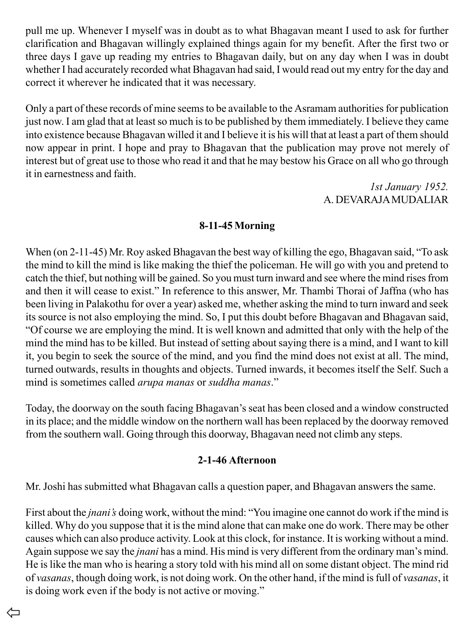pull me up. Whenever I myself was in doubt as to what Bhagavan meant I used to ask for further clarification and Bhagavan willingly explained things again for my benefit. After the first two or three days I gave up reading my entries to Bhagavan daily, but on any day when I was in doubt whether I had accurately recorded what Bhagavan had said, I would read out my entry for the day and correct it wherever he indicated that it was necessary.

Only a part of these records of mine seems to be available to the Asramam authorities for publication just now. I am glad that at least so much is to be published by them immediately. I believe they came into existence because Bhagavan willed it and I believe it is his will that at least a part of them should now appear in print. I hope and pray to Bhagavan that the publication may prove not merely of interest but of great use to those who read it and that he may bestow his Grace on all who go through it in earnestness and faith.

> *1st January 1952.* A. DEVARAJA MUDALIAR

### **8-11-45 Morning**

When (on 2-11-45) Mr. Roy asked Bhagavan the best way of killing the ego, Bhagavan said, "To ask the mind to kill the mind is like making the thief the policeman. He will go with you and pretend to catch the thief, but nothing will be gained. So you must turn inward and see where the mind rises from and then it will cease to exist." In reference to this answer, Mr. Thambi Thorai of Jaffna (who has been living in Palakothu for over a year) asked me, whether asking the mind to turn inward and seek its source is not also employing the mind. So, I put this doubt before Bhagavan and Bhagavan said, "Of course we are employing the mind. It is well known and admitted that only with the help of the mind the mind has to be killed. But instead of setting about saying there is a mind, and I want to kill it, you begin to seek the source of the mind, and you find the mind does not exist at all. The mind, turned outwards, results in thoughts and objects. Turned inwards, it becomes itself the Self. Such a mind is sometimes called *arupa manas* or *suddha manas*."

Today, the doorway on the south facing Bhagavan's seat has been closed and a window constructed in its place; and the middle window on the northern wall has been replaced by the doorway removed from the southern wall. Going through this doorway, Bhagavan need not climb any steps.

### **2-1-46 Afternoon**

Mr. Joshi has submitted what Bhagavan calls a question paper, and Bhagavan answers the same.

First about the *jnani's* doing work, without the mind: "You imagine one cannot do work if the mind is killed. Why do you suppose that it is the mind alone that can make one do work. There may be other causes which can also produce activity. Look at this clock, for instance. It is working without a mind. Again suppose we say the *jnani* has a mind. His mind is very different from the ordinary man's mind. He is like the man who is hearing a story told with his mind all on some distant object. The mind rid of *vasanas*, though doing work, is not doing work. On the other hand, if the mind is full of *vasanas*, it is doing work even if the body is not active or moving."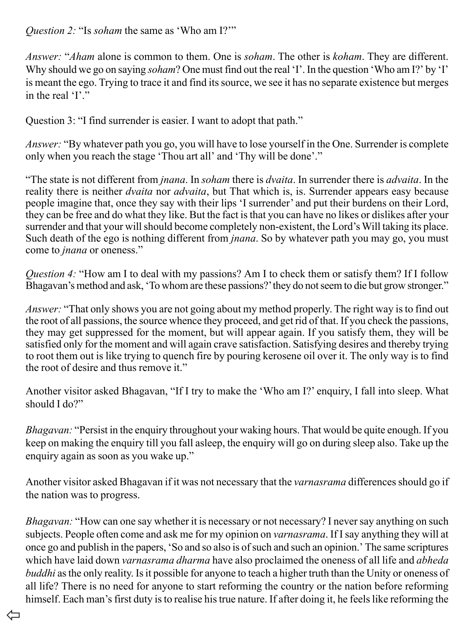*Question 2:* "Is *soham* the same as 'Who am I?'"

 $\Leftrightarrow$ 

*Answer:* "*Aham* alone is common to them. One is *soham*. The other is *koham*. They are different. Why should we go on saying *soham*? One must find out the real 'I'. In the question 'Who am I?' by 'I' is meant the ego. Trying to trace it and find its source, we see it has no separate existence but merges in the real 'I'."

Question 3: "I find surrender is easier. I want to adopt that path."

*Answer:* "By whatever path you go, you will have to lose yourself in the One. Surrender is complete only when you reach the stage 'Thou art all' and 'Thy will be done'."

"The state is not different from *jnana*. In *soham* there is *dvaita*. In surrender there is *advaita*. In the reality there is neither *dvaita* nor *advaita*, but That which is, is. Surrender appears easy because people imagine that, once they say with their lips 'I surrender' and put their burdens on their Lord, they can be free and do what they like. But the fact is that you can have no likes or dislikes after your surrender and that your will should become completely non-existent, the Lord's Will taking its place. Such death of the ego is nothing different from *jnana*. So by whatever path you may go, you must come to *jnana* or oneness."

*Question 4:* "How am I to deal with my passions? Am I to check them or satisfy them? If I follow Bhagavan's method and ask, 'To whom are these passions?' they do not seem to die but grow stronger."

*Answer:* "That only shows you are not going about my method properly. The right way is to find out the root of all passions, the source whence they proceed, and get rid of that. If you check the passions, they may get suppressed for the moment, but will appear again. If you satisfy them, they will be satisfied only for the moment and will again crave satisfaction. Satisfying desires and thereby trying to root them out is like trying to quench fire by pouring kerosene oil over it. The only way is to find the root of desire and thus remove it."

Another visitor asked Bhagavan, "If I try to make the 'Who am I?' enquiry, I fall into sleep. What should I do?"

*Bhagavan:* "Persist in the enquiry throughout your waking hours. That would be quite enough. If you keep on making the enquiry till you fall asleep, the enquiry will go on during sleep also. Take up the enquiry again as soon as you wake up."

Another visitor asked Bhagavan if it was not necessary that the *varnasrama* differences should go if the nation was to progress.

*Bhagavan:* "How can one say whether it is necessary or not necessary? I never say anything on such subjects. People often come and ask me for my opinion on *varnasrama*. If I say anything they will at once go and publish in the papers, 'So and so also is of such and such an opinion.' The same scriptures which have laid down *varnasrama dharma* have also proclaimed the oneness of all life and *abheda buddhi* as the only reality. Is it possible for anyone to teach a higher truth than the Unity or oneness of all life? There is no need for anyone to start reforming the country or the nation before reforming himself. Each man's first duty is to realise his true nature. If after doing it, he feels like reforming the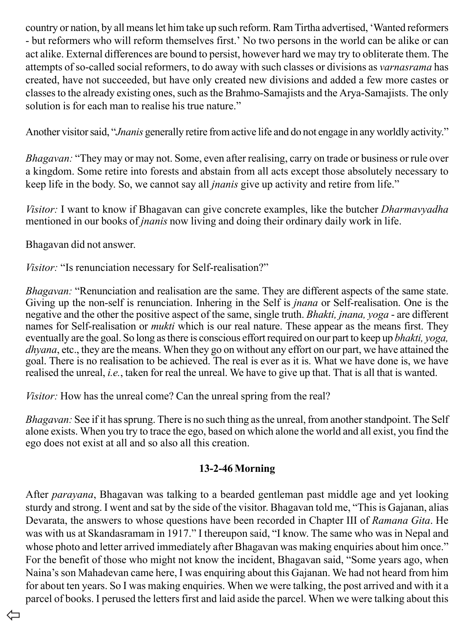country or nation, by all means let him take up such reform. Ram Tirtha advertised, 'Wanted reformers - but reformers who will reform themselves first.' No two persons in the world can be alike or can act alike. External differences are bound to persist, however hard we may try to obliterate them. The attempts of so-called social reformers, to do away with such classes or divisions as *varnasrama* has created, have not succeeded, but have only created new divisions and added a few more castes or classes to the already existing ones, such as the Brahmo-Samajists and the Arya-Samajists. The only solution is for each man to realise his true nature."

Another visitor said, "*Jnanis* generally retire from active life and do not engage in any worldly activity."

*Bhagavan:* "They may or may not. Some, even after realising, carry on trade or business or rule over a kingdom. Some retire into forests and abstain from all acts except those absolutely necessary to keep life in the body. So, we cannot say all *jnanis* give up activity and retire from life."

*Visitor:* I want to know if Bhagavan can give concrete examples, like the butcher *Dharmavyadha* mentioned in our books of *jnanis* now living and doing their ordinary daily work in life.

Bhagavan did not answer.

 $\Leftrightarrow$ 

*Visitor:* "Is renunciation necessary for Self-realisation?"

*Bhagavan:* "Renunciation and realisation are the same. They are different aspects of the same state. Giving up the non-self is renunciation. Inhering in the Self is *jnana* or Self-realisation. One is the negative and the other the positive aspect of the same, single truth. *Bhakti, jnana, yoga* - are different names for Self-realisation or *mukti* which is our real nature. These appear as the means first. They eventually are the goal. So long as there is conscious effort required on our part to keep up *bhakti, yoga, dhyana*, etc., they are the means. When they go on without any effort on our part, we have attained the goal. There is no realisation to be achieved. The real is ever as it is. What we have done is, we have realised the unreal, *i.e.*, taken for real the unreal. We have to give up that. That is all that is wanted.

*Visitor:* How has the unreal come? Can the unreal spring from the real?

*Bhagavan:* See if it has sprung. There is no such thing as the unreal, from another standpoint. The Self alone exists. When you try to trace the ego, based on which alone the world and all exist, you find the ego does not exist at all and so also all this creation.

### **13-2-46 Morning**

After *parayana*, Bhagavan was talking to a bearded gentleman past middle age and yet looking sturdy and strong. I went and sat by the side of the visitor. Bhagavan told me, "This is Gajanan, alias Devarata, the answers to whose questions have been recorded in Chapter III of *Ramana Gita*. He was with us at Skandasramam in 1917." I thereupon said, "I know. The same who was in Nepal and whose photo and letter arrived immediately after Bhagavan was making enquiries about him once." For the benefit of those who might not know the incident, Bhagavan said, "Some years ago, when Naina's son Mahadevan came here, I was enquiring about this Gajanan. We had not heard from him for about ten years. So I was making enquiries. When we were talking, the post arrived and with it a parcel of books. I perused the letters first and laid aside the parcel. When we were talking about this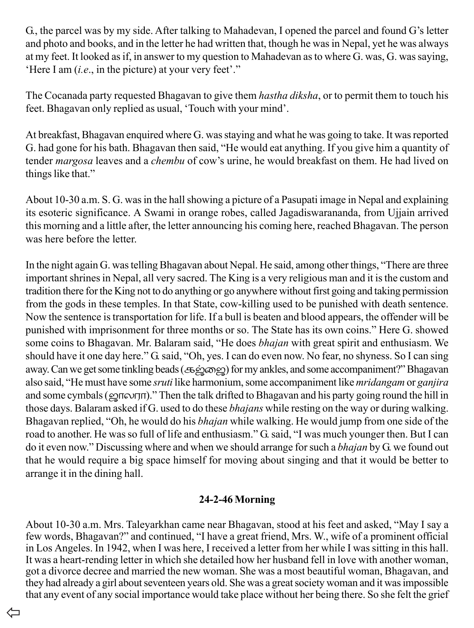G., the parcel was by my side. After talking to Mahadevan, I opened the parcel and found G's letter and photo and books, and in the letter he had written that, though he was in Nepal, yet he was always at my feet. It looked as if, in answer to my question to Mahadevan as to where G. was, G. was saying, 'Here I am (*i.e*., in the picture) at your very feet'."

The Cocanada party requested Bhagavan to give them *hastha diksha*, or to permit them to touch his feet. Bhagavan only replied as usual, 'Touch with your mind'.

At breakfast, Bhagavan enquired where G. was staying and what he was going to take. It was reported G. had gone for his bath. Bhagavan then said, "He would eat anything. If you give him a quantity of tender *margosa* leaves and a *chembu* of cow's urine, he would breakfast on them. He had lived on things like that."

About 10-30 a.m. S. G. was in the hall showing a picture of a Pasupati image in Nepal and explaining its esoteric significance. A Swami in orange robes, called Jagadiswarananda, from Ujjain arrived this morning and a little after, the letter announcing his coming here, reached Bhagavan. The person was here before the letter.

In the night again G. was telling Bhagavan about Nepal. He said, among other things, "There are three important shrines in Nepal, all very sacred. The King is a very religious man and it is the custom and tradition there for the King not to do anything or go anywhere without first going and taking permission from the gods in these temples. In that State, cow-killing used to be punished with death sentence. Now the sentence is transportation for life. If a bull is beaten and blood appears, the offender will be punished with imprisonment for three months or so. The State has its own coins." Here G. showed some coins to Bhagavan. Mr. Balaram said, "He does *bhajan* with great spirit and enthusiasm. We should have it one day here." G. said, "Oh, yes. I can do even now. No fear, no shyness. So I can sing away. Can we get some tinkling beads ( $\bigoplus$   $\bigotimes$ ) for my ankles, and some accompaniment?" Bhagavan also said, "He must have some *sruti* like harmonium, some accompaniment like *mridangam* or *ganjira* and some cymbals ( $\epsilon$ gnevryn)." Then the talk drifted to Bhagavan and his party going round the hill in those days. Balaram asked if G. used to do these *bhajans* while resting on the way or during walking. Bhagavan replied, "Oh, he would do his *bhajan* while walking. He would jump from one side of the road to another. He was so full of life and enthusiasm." G. said, "I was much younger then. But I can do it even now." Discussing where and when we should arrange for such a *bhajan* by G. we found out that he would require a big space himself for moving about singing and that it would be better to arrange it in the dining hall.

### **24-2-46 Morning**

About 10-30 a.m. Mrs. Taleyarkhan came near Bhagavan, stood at his feet and asked, "May I say a few words, Bhagavan?" and continued, "I have a great friend, Mrs. W., wife of a prominent official in Los Angeles. In 1942, when I was here, I received a letter from her while I was sitting in this hall. It was a heart-rending letter in which she detailed how her husband fell in love with another woman, got a divorce decree and married the new woman. She was a most beautiful woman, Bhagavan, and they had already a girl about seventeen years old. She was a great society woman and it was impossible that any event of any social importance would take place without her being there. So she felt the grief

[Õ](#page-0-0)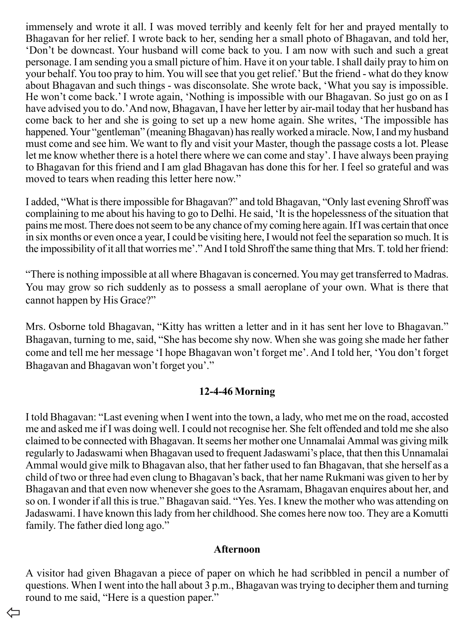immensely and wrote it all. I was moved terribly and keenly felt for her and prayed mentally to Bhagavan for her relief. I wrote back to her, sending her a small photo of Bhagavan, and told her, 'Don't be downcast. Your husband will come back to you. I am now with such and such a great personage. I am sending you a small picture of him. Have it on your table. I shall daily pray to him on your behalf. You too pray to him. You will see that you get relief.' But the friend - what do they know about Bhagavan and such things - was disconsolate. She wrote back, 'What you say is impossible. He won't come back.' I wrote again, 'Nothing is impossible with our Bhagavan. So just go on as I have advised you to do.' And now, Bhagavan, I have her letter by air-mail today that her husband has come back to her and she is going to set up a new home again. She writes, 'The impossible has happened. Your "gentleman" (meaning Bhagavan) has really worked a miracle. Now, I and my husband must come and see him. We want to fly and visit your Master, though the passage costs a lot. Please let me know whether there is a hotel there where we can come and stay'. I have always been praying to Bhagavan for this friend and I am glad Bhagavan has done this for her. I feel so grateful and was moved to tears when reading this letter here now."

I added, "What is there impossible for Bhagavan?" and told Bhagavan, "Only last evening Shroff was complaining to me about his having to go to Delhi. He said, 'It is the hopelessness of the situation that pains me most. There does not seem to be any chance of my coming here again. If I was certain that once in six months or even once a year, I could be visiting here, I would not feel the separation so much. It is the impossibility of it all that worries me'." And I told Shroff the same thing that Mrs. T. told her friend:

"There is nothing impossible at all where Bhagavan is concerned. You may get transferred to Madras. You may grow so rich suddenly as to possess a small aeroplane of your own. What is there that cannot happen by His Grace?"

Mrs. Osborne told Bhagavan, "Kitty has written a letter and in it has sent her love to Bhagavan." Bhagavan, turning to me, said, "She has become shy now. When she was going she made her father come and tell me her message 'I hope Bhagavan won't forget me'. And I told her, 'You don't forget Bhagavan and Bhagavan won't forget you'."

### **12-4-46 Morning**

I told Bhagavan: "Last evening when I went into the town, a lady, who met me on the road, accosted me and asked me if I was doing well. I could not recognise her. She felt offended and told me she also claimed to be connected with Bhagavan. It seems her mother one Unnamalai Ammal was giving milk regularly to Jadaswami when Bhagavan used to frequent Jadaswami's place, that then this Unnamalai Ammal would give milk to Bhagavan also, that her father used to fan Bhagavan, that she herself as a child of two or three had even clung to Bhagavan's back, that her name Rukmani was given to her by Bhagavan and that even now whenever she goes to the Asramam, Bhagavan enquires about her, and so on. I wonder if all this is true." Bhagavan said. "Yes. Yes. I knew the mother who was attending on Jadaswami. I have known this lady from her childhood. She comes here now too. They are a Komutti family. The father died long ago."

#### **Afternoon**

A visitor had given Bhagavan a piece of paper on which he had scribbled in pencil a number of questions. When I went into the hall about 3 p.m., Bhagavan was trying to decipher them and turning round to me said, "Here is a question paper."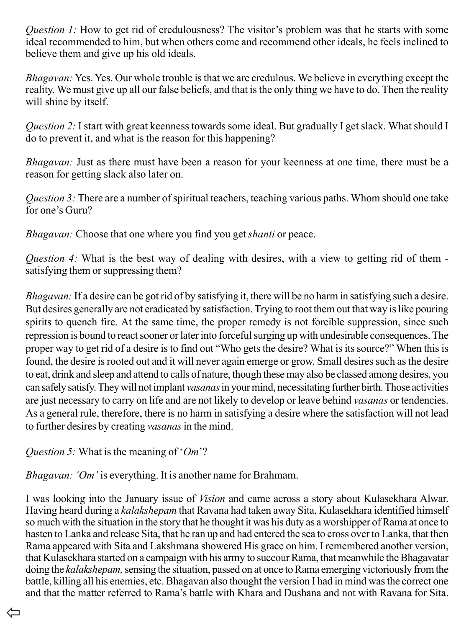*Question 1:* How to get rid of credulousness? The visitor's problem was that he starts with some ideal recommended to him, but when others come and recommend other ideals, he feels inclined to believe them and give up his old ideals.

*Bhagavan:* Yes. Yes. Our whole trouble is that we are credulous. We believe in everything except the reality. We must give up all our false beliefs, and that is the only thing we have to do. Then the reality will shine by itself.

*Question 2:* I start with great keenness towards some ideal. But gradually I get slack. What should I do to prevent it, and what is the reason for this happening?

*Bhagavan:* Just as there must have been a reason for your keenness at one time, there must be a reason for getting slack also later on.

*Question 3:* There are a number of spiritual teachers, teaching various paths. Whom should one take for one's Guru?

*Bhagavan:* Choose that one where you find you get *shanti* or peace.

*Question 4:* What is the best way of dealing with desires, with a view to getting rid of them satisfying them or suppressing them?

*Bhagavan:* If a desire can be got rid of by satisfying it, there will be no harm in satisfying such a desire. But desires generally are not eradicated by satisfaction. Trying to root them out that way is like pouring spirits to quench fire. At the same time, the proper remedy is not forcible suppression, since such repression is bound to react sooner or later into forceful surging up with undesirable consequences. The proper way to get rid of a desire is to find out "Who gets the desire? What is its source?" When this is found, the desire is rooted out and it will never again emerge or grow. Small desires such as the desire to eat, drink and sleep and attend to calls of nature, though these may also be classed among desires, you can safely satisfy. They will not implant *vasanas* in your mind, necessitating further birth. Those activities are just necessary to carry on life and are not likely to develop or leave behind *vasanas* or tendencies. As a general rule, therefore, there is no harm in satisfying a desire where the satisfaction will not lead to further desires by creating *vasanas* in the mind.

*Question 5:* What is the meaning of '*Om*'?

 $\Leftrightarrow$ 

*Bhagavan: 'Om'* is everything. It is another name for Brahmam.

I was looking into the January issue of *Vision* and came across a story about Kulasekhara Alwar. Having heard during a *kalakshepam* that Ravana had taken away Sita, Kulasekhara identified himself so much with the situation in the story that he thought it was his duty as a worshipper of Rama at once to hasten to Lanka and release Sita, that he ran up and had entered the sea to cross over to Lanka, that then Rama appeared with Sita and Lakshmana showered His grace on him. I remembered another version, that Kulasekhara started on a campaign with his army to succour Rama, that meanwhile the Bhagavatar doing the *kalakshepam,* sensing the situation, passed on at once to Rama emerging victoriously from the battle, killing all his enemies, etc. Bhagavan also thought the version I had in mind was the correct one and that the matter referred to Rama's battle with Khara and Dushana and not with Ravana for Sita.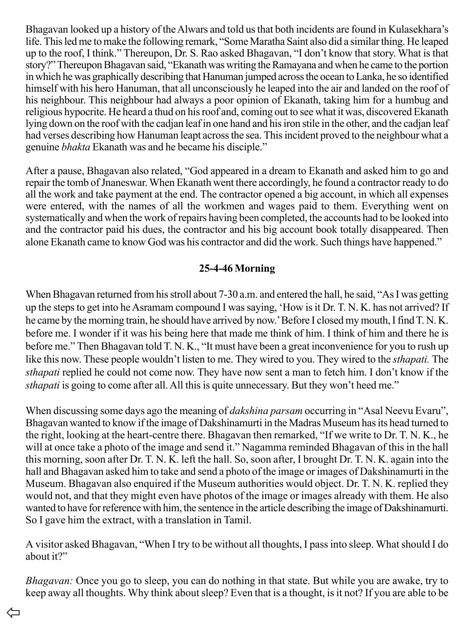Bhagavan looked up a history of the Alwars and told us that both incidents are found in Kulasekhara's life. This led me to make the following remark, "Some Maratha Saint also did a similar thing. He leaped up to the roof, I think." Thereupon, Dr. S. Rao asked Bhagavan, "I don't know that story. What is that story?" Thereupon Bhagavan said, "Ekanath was writing the Ramayana and when he came to the portion in which he was graphically describing that Hanuman jumped across the ocean to Lanka, he so identified himself with his hero Hanuman, that all unconsciously he leaped into the air and landed on the roof of his neighbour. This neighbour had always a poor opinion of Ekanath, taking him for a humbug and religious hypocrite. He heard a thud on his roof and, coming out to see what it was, discovered Ekanath lying down on the roof with the cadjan leaf in one hand and his iron stile in the other, and the cadjan leaf had verses describing how Hanuman leapt across the sea. This incident proved to the neighbour what a genuine *bhakta* Ekanath was and he became his disciple."

After a pause, Bhagavan also related, "God appeared in a dream to Ekanath and asked him to go and repair the tomb of Jnaneswar. When Ekanath went there accordingly, he found a contractor ready to do all the work and take payment at the end. The contractor opened a big account, in which all expenses were entered, with the names of all the workmen and wages paid to them. Everything went on systematically and when the work of repairs having been completed, the accounts had to be looked into and the contractor paid his dues, the contractor and his big account book totally disappeared. Then alone Ekanath came to know God was his contractor and did the work. Such things have happened."

### **25-4-46 Morning**

When Bhagavan returned from his stroll about 7-30 a.m. and entered the hall, he said, "As I was getting up the steps to get into he Asramam compound I was saying, 'How is it Dr. T. N. K. has not arrived? If he came by the morning train, he should have arrived by now.' Before I closed my mouth, I find T. N. K. before me. I wonder if it was his being here that made me think of him. I think of him and there he is before me." Then Bhagavan told T. N. K., "It must have been a great inconvenience for you to rush up like this now. These people wouldn't listen to me. They wired to you. They wired to the *sthapati.* The *sthapati* replied he could not come now. They have now sent a man to fetch him. I don't know if the *sthapati* is going to come after all. All this is quite unnecessary. But they won't heed me."

When discussing some days ago the meaning of *dakshina parsam* occurring in "Asal Neevu Evaru", Bhagavan wanted to know if the image of Dakshinamurti in the Madras Museum has its head turned to the right, looking at the heart-centre there. Bhagavan then remarked, "If we write to Dr. T. N. K., he will at once take a photo of the image and send it." Nagamma reminded Bhagavan of this in the hall this morning, soon after Dr. T. N. K. left the hall. So, soon after, I brought Dr. T. N. K. again into the hall and Bhagavan asked him to take and send a photo of the image or images of Dakshinamurti in the Museum. Bhagavan also enquired if the Museum authorities would object. Dr. T. N. K. replied they would not, and that they might even have photos of the image or images already with them. He also wanted to have for reference with him, the sentence in the article describing the image of Dakshinamurti. So I gave him the extract, with a translation in Tamil.

A visitor asked Bhagavan, "When I try to be without all thoughts, I pass into sleep. What should I do about it?"

*Bhagavan:* Once you go to sleep, you can do nothing in that state. But while you are awake, try to keep away all thoughts. Why think about sleep? Even that is a thought, is it not? If you are able to be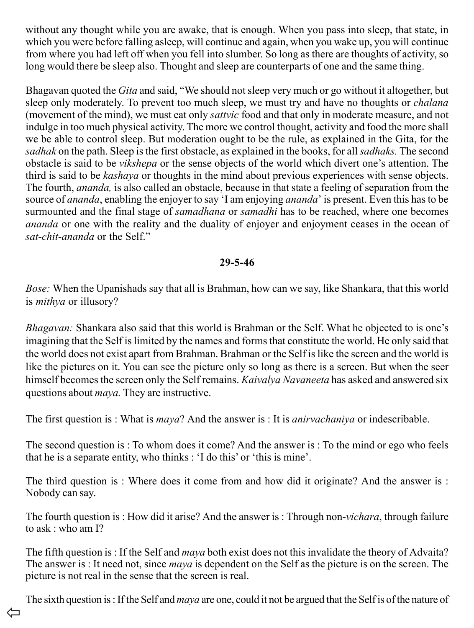without any thought while you are awake, that is enough. When you pass into sleep, that state, in which you were before falling asleep, will continue and again, when you wake up, you will continue from where you had left off when you fell into slumber. So long as there are thoughts of activity, so long would there be sleep also. Thought and sleep are counterparts of one and the same thing.

Bhagavan quoted the *Gita* and said, "We should not sleep very much or go without it altogether, but sleep only moderately. To prevent too much sleep, we must try and have no thoughts or *chalana* (movement of the mind), we must eat only *sattvic* food and that only in moderate measure, and not indulge in too much physical activity. The more we control thought, activity and food the more shall we be able to control sleep. But moderation ought to be the rule, as explained in the Gita, for the *sadhak* on the path. Sleep is the first obstacle, as explained in the books, for all *sadhaks.* The second obstacle is said to be *vikshepa* or the sense objects of the world which divert one's attention. The third is said to be *kashaya* or thoughts in the mind about previous experiences with sense objects. The fourth, *ananda,* is also called an obstacle, because in that state a feeling of separation from the source of *ananda*, enabling the enjoyer to say 'I am enjoying *ananda*' is present. Even this has to be surmounted and the final stage of *samadhana* or *samadhi* has to be reached, where one becomes *ananda* or one with the reality and the duality of enjoyer and enjoyment ceases in the ocean of sat-chit-ananda or the Self."

### **29-5-46**

*Bose:* When the Upanishads say that all is Brahman, how can we say, like Shankara, that this world is *mithya* or illusory?

*Bhagavan:* Shankara also said that this world is Brahman or the Self. What he objected to is one's imagining that the Self is limited by the names and forms that constitute the world. He only said that the world does not exist apart from Brahman. Brahman or the Self is like the screen and the world is like the pictures on it. You can see the picture only so long as there is a screen. But when the seer himself becomes the screen only the Self remains. *Kaivalya Navaneeta* has asked and answered six questions about *maya.* They are instructive.

The first question is : What is *maya*? And the answer is : It is *anirvachaniya* or indescribable.

The second question is : To whom does it come? And the answer is : To the mind or ego who feels that he is a separate entity, who thinks : 'I do this' or 'this is mine'.

The third question is : Where does it come from and how did it originate? And the answer is : Nobody can say.

The fourth question is : How did it arise? And the answer is : Through non-*vichara*, through failure to ask : who am I?

The fifth question is : If the Self and *maya* both exist does not this invalidate the theory of Advaita? The answer is : It need not, since *maya* is dependent on the Self as the picture is on the screen. The picture is not real in the sense that the screen is real.

The sixth question is : If the Self and *maya* are one, could it not be argued that the Self is of the nature of

[Õ](#page-0-0)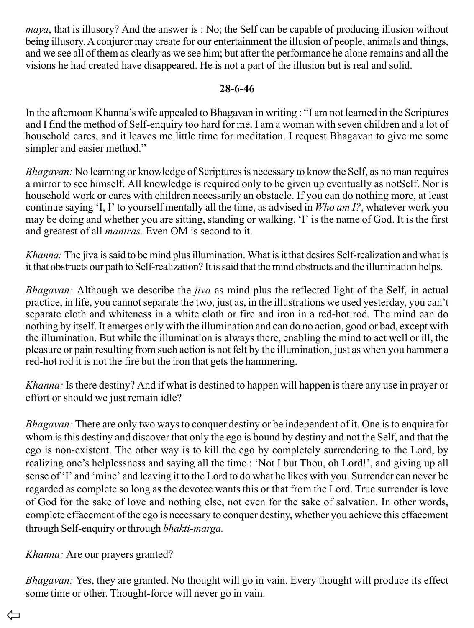*maya*, that is illusory? And the answer is : No; the Self can be capable of producing illusion without being illusory. A conjuror may create for our entertainment the illusion of people, animals and things, and we see all of them as clearly as we see him; but after the performance he alone remains and all the visions he had created have disappeared. He is not a part of the illusion but is real and solid.

#### **28-6-46**

In the afternoon Khanna's wife appealed to Bhagavan in writing : "I am not learned in the Scriptures and I find the method of Self-enquiry too hard for me. I am a woman with seven children and a lot of household cares, and it leaves me little time for meditation. I request Bhagavan to give me some simpler and easier method."

*Bhagavan:* No learning or knowledge of Scriptures is necessary to know the Self, as no man requires a mirror to see himself. All knowledge is required only to be given up eventually as notSelf. Nor is household work or cares with children necessarily an obstacle. If you can do nothing more, at least continue saying 'I, I' to yourself mentally all the time, as advised in *Who am I?*, whatever work you may be doing and whether you are sitting, standing or walking. 'I' is the name of God. It is the first and greatest of all *mantras.* Even OM is second to it.

*Khanna:* The jiva is said to be mind plus illumination. What is it that desires Self-realization and what is it that obstructs our path to Self-realization? It is said that the mind obstructs and the illumination helps.

*Bhagavan:* Although we describe the *jiva* as mind plus the reflected light of the Self, in actual practice, in life, you cannot separate the two, just as, in the illustrations we used yesterday, you can't separate cloth and whiteness in a white cloth or fire and iron in a red-hot rod. The mind can do nothing by itself. It emerges only with the illumination and can do no action, good or bad, except with the illumination. But while the illumination is always there, enabling the mind to act well or ill, the pleasure or pain resulting from such action is not felt by the illumination, just as when you hammer a red-hot rod it is not the fire but the iron that gets the hammering.

*Khanna:* Is there destiny? And if what is destined to happen will happen is there any use in prayer or effort or should we just remain idle?

*Bhagavan:* There are only two ways to conquer destiny or be independent of it. One is to enquire for whom is this destiny and discover that only the ego is bound by destiny and not the Self, and that the ego is non-existent. The other way is to kill the ego by completely surrendering to the Lord, by realizing one's helplessness and saying all the time : 'Not I but Thou, oh Lord!', and giving up all sense of 'I' and 'mine' and leaving it to the Lord to do what he likes with you. Surrender can never be regarded as complete so long as the devotee wants this or that from the Lord. True surrender is love of God for the sake of love and nothing else, not even for the sake of salvation. In other words, complete effacement of the ego is necessary to conquer destiny, whether you achieve this effacement through Self-enquiry or through *bhakti-marga.*

*Khanna:* Are our prayers granted?

 $\Leftrightarrow$ 

*Bhagavan:* Yes, they are granted. No thought will go in vain. Every thought will produce its effect some time or other. Thought-force will never go in vain.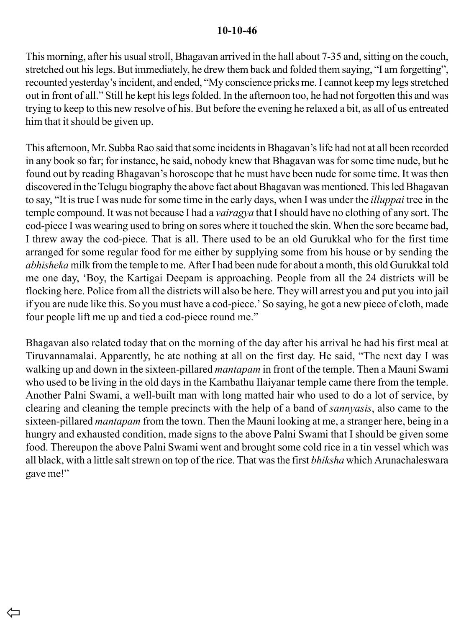#### **10-10-46**

This morning, after his usual stroll, Bhagavan arrived in the hall about 7-35 and, sitting on the couch, stretched out his legs. But immediately, he drew them back and folded them saying, "I am forgetting", recounted yesterday's incident, and ended, "My conscience pricks me. I cannot keep my legs stretched out in front of all." Still he kept his legs folded. In the afternoon too, he had not forgotten this and was trying to keep to this new resolve of his. But before the evening he relaxed a bit, as all of us entreated him that it should be given up.

This afternoon, Mr. Subba Rao said that some incidents in Bhagavan's life had not at all been recorded in any book so far; for instance, he said, nobody knew that Bhagavan was for some time nude, but he found out by reading Bhagavan's horoscope that he must have been nude for some time. It was then discovered in the Telugu biography the above fact about Bhagavan was mentioned. This led Bhagavan to say, "It is true I was nude for some time in the early days, when I was under the *illuppai* tree in the temple compound. It was not because I had a *vairagya* that I should have no clothing of any sort. The cod-piece I was wearing used to bring on sores where it touched the skin. When the sore became bad, I threw away the cod-piece. That is all. There used to be an old Gurukkal who for the first time arranged for some regular food for me either by supplying some from his house or by sending the *abhisheka* milk from the temple to me. After I had been nude for about a month, this old Gurukkal told me one day, 'Boy, the Kartigai Deepam is approaching. People from all the 24 districts will be flocking here. Police from all the districts will also be here. They will arrest you and put you into jail if you are nude like this. So you must have a cod-piece.' So saying, he got a new piece of cloth, made four people lift me up and tied a cod-piece round me."

Bhagavan also related today that on the morning of the day after his arrival he had his first meal at Tiruvannamalai. Apparently, he ate nothing at all on the first day. He said, "The next day I was walking up and down in the sixteen-pillared *mantapam* in front of the temple. Then a Mauni Swami who used to be living in the old days in the Kambathu Ilaiyanar temple came there from the temple. Another Palni Swami, a well-built man with long matted hair who used to do a lot of service, by clearing and cleaning the temple precincts with the help of a band of *sannyasis*, also came to the sixteen-pillared *mantapam* from the town. Then the Mauni looking at me, a stranger here, being in a hungry and exhausted condition, made signs to the above Palni Swami that I should be given some food. Thereupon the above Palni Swami went and brought some cold rice in a tin vessel which was all black, with a little salt strewn on top of the rice. That was the first *bhiksha* which Arunachaleswara gave me!"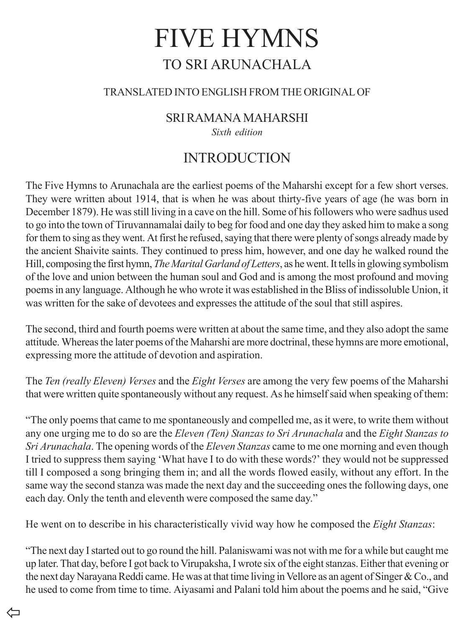# FIVE HYMNS TO SRI ARUNACHALA

### TRANSLATED INTO ENGLISH FROM THE ORIGINAL OF

### SRI RAMANA MAHARSHI *Sixth edition*

# INTRODUCTION

The Five Hymns to Arunachala are the earliest poems of the Maharshi except for a few short verses. They were written about 1914, that is when he was about thirty-five years of age (he was born in December 1879). He was still living in a cave on the hill. Some of his followers who were sadhus used to go into the town of Tiruvannamalai daily to beg for food and one day they asked him to make a song for them to sing as they went. At first he refused, saying that there were plenty of songs already made by the ancient Shaivite saints. They continued to press him, however, and one day he walked round the Hill, composing the first hymn, *The Marital Garland of Letters*, as he went. It tells in glowing symbolism of the love and union between the human soul and God and is among the most profound and moving poems in any language. Although he who wrote it was established in the Bliss of indissoluble Union, it was written for the sake of devotees and expresses the attitude of the soul that still aspires.

The second, third and fourth poems were written at about the same time, and they also adopt the same attitude. Whereas the later poems of the Maharshi are more doctrinal, these hymns are more emotional, expressing more the attitude of devotion and aspiration.

The *Ten (really Eleven) Verses* and the *Eight Verses* are among the very few poems of the Maharshi that were written quite spontaneously without any request. As he himself said when speaking of them:

"The only poems that came to me spontaneously and compelled me, as it were, to write them without any one urging me to do so are the *Eleven (Ten) Stanzas to Sri Arunachala* and the *Eight Stanzas to Sri Arunachala*. The opening words of the *Eleven Stanzas* came to me one morning and even though I tried to suppress them saying 'What have I to do with these words?' they would not be suppressed till I composed a song bringing them in; and all the words flowed easily, without any effort. In the same way the second stanza was made the next day and the succeeding ones the following days, one each day. Only the tenth and eleventh were composed the same day."

He went on to describe in his characteristically vivid way how he composed the *Eight Stanzas*:

"The next day I started out to go round the hill. Palaniswami was not with me for a while but caught me up later. That day, before I got back to Virupaksha, I wrote six of the eight stanzas. Either that evening or the next day Narayana Reddi came. He was at that time living in Vellore as an agent of Singer & Co., and he used to come from time to time. Aiyasami and Palani told him about the poems and he said, "Give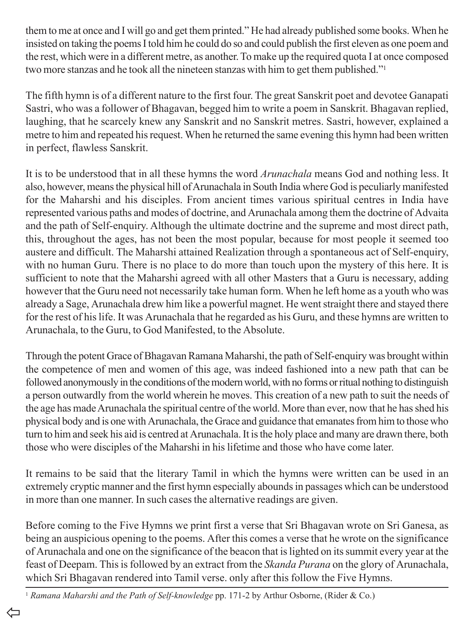them to me at once and I will go and get them printed." He had already published some books. When he insisted on taking the poems I told him he could do so and could publish the first eleven as one poem and the rest, which were in a different metre, as another. To make up the required quota I at once composed two more stanzas and he took all the nineteen stanzas with him to get them published."1

The fifth hymn is of a different nature to the first four. The great Sanskrit poet and devotee Ganapati Sastri, who was a follower of Bhagavan, begged him to write a poem in Sanskrit. Bhagavan replied, laughing, that he scarcely knew any Sanskrit and no Sanskrit metres. Sastri, however, explained a metre to him and repeated his request. When he returned the same evening this hymn had been written in perfect, flawless Sanskrit.

It is to be understood that in all these hymns the word *Arunachala* means God and nothing less. It also, however, means the physical hill of Arunachala in South India where God is peculiarly manifested for the Maharshi and his disciples. From ancient times various spiritual centres in India have represented various paths and modes of doctrine, and Arunachala among them the doctrine of Advaita and the path of Self-enquiry. Although the ultimate doctrine and the supreme and most direct path, this, throughout the ages, has not been the most popular, because for most people it seemed too austere and difficult. The Maharshi attained Realization through a spontaneous act of Self-enquiry, with no human Guru. There is no place to do more than touch upon the mystery of this here. It is sufficient to note that the Maharshi agreed with all other Masters that a Guru is necessary, adding however that the Guru need not necessarily take human form. When he left home as a youth who was already a Sage, Arunachala drew him like a powerful magnet. He went straight there and stayed there for the rest of his life. It was Arunachala that he regarded as his Guru, and these hymns are written to Arunachala, to the Guru, to God Manifested, to the Absolute.

Through the potent Grace of Bhagavan Ramana Maharshi, the path of Self-enquiry was brought within the competence of men and women of this age, was indeed fashioned into a new path that can be followed anonymously in the conditions of the modern world, with no forms or ritual nothing to distinguish a person outwardly from the world wherein he moves. This creation of a new path to suit the needs of the age has made Arunachala the spiritual centre of the world. More than ever, now that he has shed his physical body and is one with Arunachala, the Grace and guidance that emanates from him to those who turn to him and seek his aid is centred at Arunachala. It is the holy place and many are drawn there, both those who were disciples of the Maharshi in his lifetime and those who have come later.

It remains to be said that the literary Tamil in which the hymns were written can be used in an extremely cryptic manner and the first hymn especially abounds in passages which can be understood in more than one manner. In such cases the alternative readings are given.

Before coming to the Five Hymns we print first a verse that Sri Bhagavan wrote on Sri Ganesa, as being an auspicious opening to the poems. After this comes a verse that he wrote on the significance of Arunachala and one on the significance of the beacon that is lighted on its summit every year at the feast of Deepam. This is followed by an extract from the *Skanda Purana* on the glory of Arunachala, which Sri Bhagavan rendered into Tamil verse. only after this follow the Five Hymns.

<sup>&</sup>lt;sup>1</sup> Ramana Maharshi and the Path of Self-knowledge pp. 171-2 by Arthur Osborne, (Rider & Co.)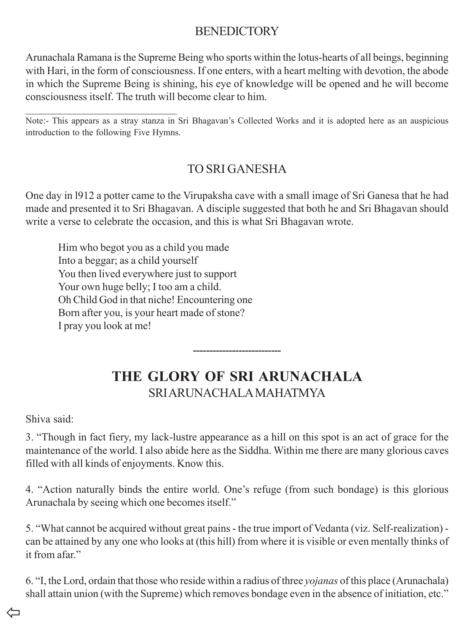# **BENEDICTORY**

Arunachala Ramana is the Supreme Being who sports within the lotus-hearts of all beings, beginning with Hari, in the form of consciousness. If one enters, with a heart melting with devotion, the abode in which the Supreme Being is shining, his eye of knowledge will be opened and he will become consciousness itself. The truth will become clear to him.

Note:- This appears as a stray stanza in Sri Bhagavan's Collected Works and it is adopted here as an auspicious introduction to the following Five Hymns.

# TO SRI GANESHA

One day in l912 a potter came to the Virupaksha cave with a small image of Sri Ganesa that he had made and presented it to Sri Bhagavan. A disciple suggested that both he and Sri Bhagavan should write a verse to celebrate the occasion, and this is what Sri Bhagavan wrote.

Him who begot you as a child you made Into a beggar; as a child yourself You then lived everywhere just to support Your own huge belly; I too am a child. Oh Child God in that niche! Encountering one Born after you, is your heart made of stone? I pray you look at me!

 $\mathcal{L}=\{1,2,3,4,5\}$ 

# **THE GLORY OF SRI ARUNACHALA** SRI ARUNACHALA MAHATMYA

**---------------------------**

Shiva said:

 $\Leftrightarrow$ 

3. "Though in fact fiery, my lack-lustre appearance as a hill on this spot is an act of grace for the maintenance of the world. I also abide here as the Siddha. Within me there are many glorious caves filled with all kinds of enjoyments. Know this.

4. "Action naturally binds the entire world. One's refuge (from such bondage) is this glorious Arunachala by seeing which one becomes itself."

5. "What cannot be acquired without great pains - the true import of Vedanta (viz. Self-realization) can be attained by any one who looks at (this hill) from where it is visible or even mentally thinks of it from afar"

6. "I, the Lord, ordain that those who reside within a radius of three *yojanas* of this place (Arunachala) shall attain union (with the Supreme) which removes bondage even in the absence of initiation, etc."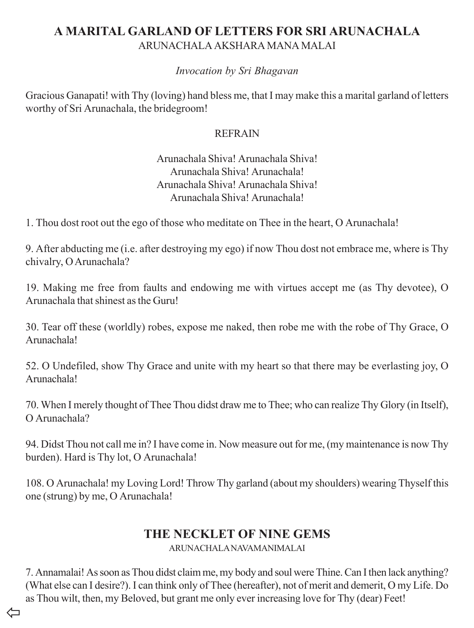# **A MARITAL GARLAND OF LETTERS FOR SRI ARUNACHALA** ARUNACHALA AKSHARA MANA MALAI

### *Invocation by Sri Bhagavan*

Gracious Ganapati! with Thy (loving) hand bless me, that I may make this a marital garland of letters worthy of Sri Arunachala, the bridegroom!

### **REFRAIN**

Arunachala Shiva! Arunachala Shiva! Arunachala Shiva! Arunachala! Arunachala Shiva! Arunachala Shiva! Arunachala Shiva! Arunachala!

1. Thou dost root out the ego of those who meditate on Thee in the heart, O Arunachala!

9. After abducting me (i.e. after destroying my ego) if now Thou dost not embrace me, where is Thy chivalry, O Arunachala?

19. Making me free from faults and endowing me with virtues accept me (as Thy devotee), O Arunachala that shinest as the Guru!

30. Tear off these (worldly) robes, expose me naked, then robe me with the robe of Thy Grace, O Arunachala!

52. O Undefiled, show Thy Grace and unite with my heart so that there may be everlasting joy, O Arunachala!

70. When I merely thought of Thee Thou didst draw me to Thee; who can realize Thy Glory (in Itself), O Arunachala?

94. Didst Thou not call me in? I have come in. Now measure out for me, (my maintenance is now Thy burden). Hard is Thy lot, O Arunachala!

108. O Arunachala! my Loving Lord! Throw Thy garland (about my shoulders) wearing Thyself this one (strung) by me, O Arunachala!

# **THE NECKLET OF NINE GEMS**

ARUNACHALA NAVAMANIMALAI

7. Annamalai! As soon as Thou didst claim me, my body and soul were Thine. Can I then lack anything? (What else can I desire?). I can think only of Thee (hereafter), not of merit and demerit, O my Life. Do as Thou wilt, then, my Beloved, but grant me only ever increasing love for Thy (dear) Feet!

[Õ](#page-0-0)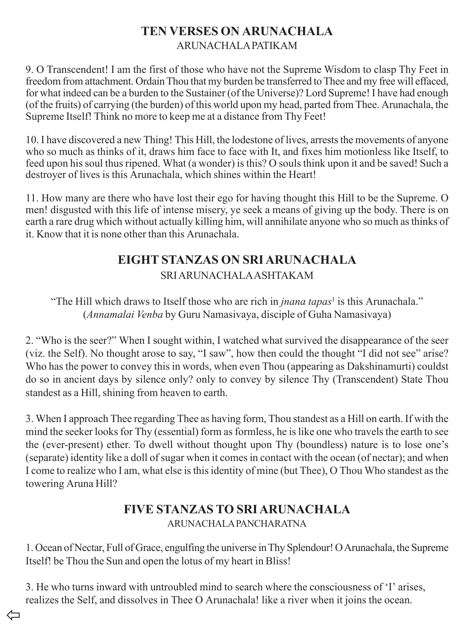## **TEN VERSES ON ARUNACHALA** ARUNACHALA PATIKAM

9. O Transcendent! I am the first of those who have not the Supreme Wisdom to clasp Thy Feet in freedom from attachment. Ordain Thou that my burden be transferred to Thee and my free will effaced, for what indeed can be a burden to the Sustainer (of the Universe)? Lord Supreme! I have had enough (of the fruits) of carrying (the burden) of this world upon my head, parted from Thee. Arunachala, the Supreme Itself! Think no more to keep me at a distance from Thy Feet!

10. I have discovered a new Thing! This Hill, the lodestone of lives, arrests the movements of anyone who so much as thinks of it, draws him face to face with It, and fixes him motionless like Itself, to feed upon his soul thus ripened. What (a wonder) is this? O souls think upon it and be saved! Such a destroyer of lives is this Arunachala, which shines within the Heart!

11. How many are there who have lost their ego for having thought this Hill to be the Supreme. O men! disgusted with this life of intense misery, ye seek a means of giving up the body. There is on earth a rare drug which without actually killing him, will annihilate anyone who so much as thinks of it. Know that it is none other than this Arunachala.

### **EIGHT STANZAS ON SRI ARUNACHALA** SRI ARUNACHALA ASHTAKAM

"The Hill which draws to Itself those who are rich in *jnana tapas*<sup>1</sup> is this Arunachala." (*Annamalai Venba* by Guru Namasivaya, disciple of Guha Namasivaya)

2. "Who is the seer?" When I sought within, I watched what survived the disappearance of the seer (viz. the Self). No thought arose to say, "I saw", how then could the thought "I did not see" arise? Who has the power to convey this in words, when even Thou (appearing as Dakshinamurti) couldst do so in ancient days by silence only? only to convey by silence Thy (Transcendent) State Thou standest as a Hill, shining from heaven to earth.

3. When I approach Thee regarding Thee as having form, Thou standest as a Hill on earth. If with the mind the seeker looks for Thy (essential) form as formless, he is like one who travels the earth to see the (ever-present) ether. To dwell without thought upon Thy (boundless) nature is to lose one's (separate) identity like a doll of sugar when it comes in contact with the ocean (of nectar); and when I come to realize who I am, what else is this identity of mine (but Thee), O Thou Who standest as the towering Aruna Hill?

# **FIVE STANZAS TO SRI ARUNACHALA** ARUNACHALA PANCHARATNA

1. Ocean of Nectar, Full of Grace, engulfing the universe in Thy Splendour! O Arunachala, the Supreme Itself! be Thou the Sun and open the lotus of my heart in Bliss!

3. He who turns inward with untroubled mind to search where the consciousness of 'I' arises, realizes the Self, and dissolves in Thee O Arunachala! like a river when it joins the ocean.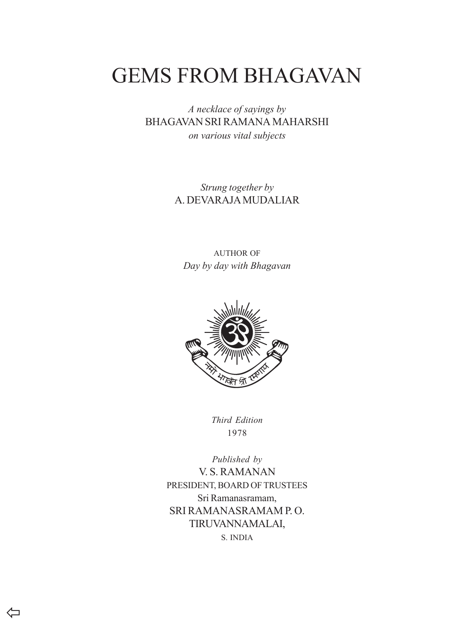# GEMS FROM BHAGAVAN

*A necklace of sayings by* BHAGAVAN SRI RAMANA MAHARSHI *on various vital subjects*

> *Strung together by* A. DEVARAJA MUDALIAR

AUTHOR OF *Day by day with Bhagavan*



*Third Edition* 1978

*Published by* V. S. RAMANAN PRESIDENT, BOARD OF TRUSTEES Sri Ramanasramam, SRI RAMANASRAMAM P. O. TIRUVANNAMALAI, S. INDIA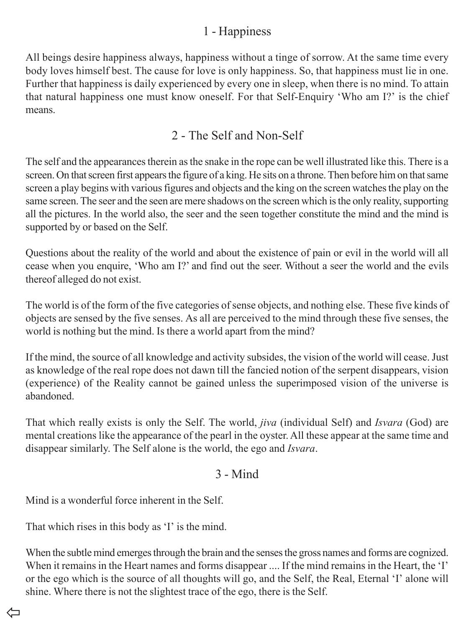# 1 - Happiness

All beings desire happiness always, happiness without a tinge of sorrow. At the same time every body loves himself best. The cause for love is only happiness. So, that happiness must lie in one. Further that happiness is daily experienced by every one in sleep, when there is no mind. To attain that natural happiness one must know oneself. For that Self-Enquiry 'Who am I?' is the chief means.

# 2 - The Self and Non-Self

The self and the appearances therein as the snake in the rope can be well illustrated like this. There is a screen. On that screen first appears the figure of a king. He sits on a throne. Then before him on that same screen a play begins with various figures and objects and the king on the screen watches the play on the same screen. The seer and the seen are mere shadows on the screen which is the only reality, supporting all the pictures. In the world also, the seer and the seen together constitute the mind and the mind is supported by or based on the Self.

Questions about the reality of the world and about the existence of pain or evil in the world will all cease when you enquire, 'Who am I?' and find out the seer. Without a seer the world and the evils thereof alleged do not exist.

The world is of the form of the five categories of sense objects, and nothing else. These five kinds of objects are sensed by the five senses. As all are perceived to the mind through these five senses, the world is nothing but the mind. Is there a world apart from the mind?

If the mind, the source of all knowledge and activity subsides, the vision of the world will cease. Just as knowledge of the real rope does not dawn till the fancied notion of the serpent disappears, vision (experience) of the Reality cannot be gained unless the superimposed vision of the universe is abandoned.

That which really exists is only the Self. The world, *jiva* (individual Self) and *Isvara* (God) are mental creations like the appearance of the pearl in the oyster. All these appear at the same time and disappear similarly. The Self alone is the world, the ego and *Isvara*.

# 3 - Mind

Mind is a wonderful force inherent in the Self.

That which rises in this body as 'I' is the mind.

 $\Leftrightarrow$ 

When the subtle mind emerges through the brain and the senses the gross names and forms are cognized. When it remains in the Heart names and forms disappear .... If the mind remains in the Heart, the 'I' or the ego which is the source of all thoughts will go, and the Self, the Real, Eternal 'I' alone will shine. Where there is not the slightest trace of the ego, there is the Self.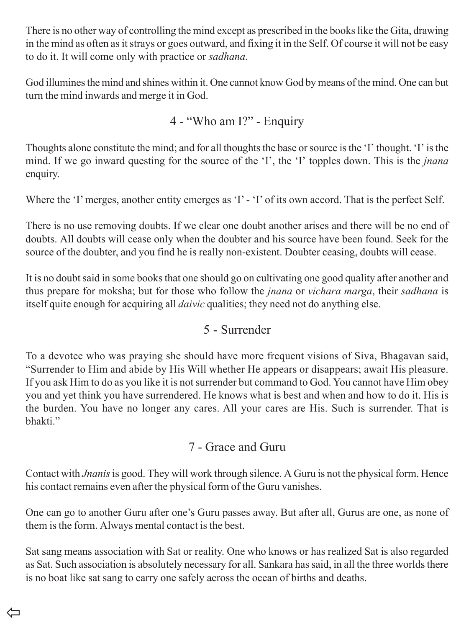There is no other way of controlling the mind except as prescribed in the books like the Gita, drawing in the mind as often as it strays or goes outward, and fixing it in the Self. Of course it will not be easy to do it. It will come only with practice or *sadhana*.

God illumines the mind and shines within it. One cannot know God by means of the mind. One can but turn the mind inwards and merge it in God.

# 4 - "Who am I?" - Enquiry

Thoughts alone constitute the mind; and for all thoughts the base or source is the 'I' thought. 'I' is the mind. If we go inward questing for the source of the 'I', the 'I' topples down. This is the *jnana* enquiry.

Where the 'I' merges, another entity emerges as 'I' - 'I' of its own accord. That is the perfect Self.

There is no use removing doubts. If we clear one doubt another arises and there will be no end of doubts. All doubts will cease only when the doubter and his source have been found. Seek for the source of the doubter, and you find he is really non-existent. Doubter ceasing, doubts will cease.

It is no doubt said in some books that one should go on cultivating one good quality after another and thus prepare for moksha; but for those who follow the *jnana* or *vichara marga*, their *sadhana* is itself quite enough for acquiring all *daivic* qualities; they need not do anything else.

## 5 - Surrender

To a devotee who was praying she should have more frequent visions of Siva, Bhagavan said, "Surrender to Him and abide by His Will whether He appears or disappears; await His pleasure. If you ask Him to do as you like it is not surrender but command to God. You cannot have Him obey you and yet think you have surrendered. He knows what is best and when and how to do it. His is the burden. You have no longer any cares. All your cares are His. Such is surrender. That is bhakti."

# 7 - Grace and Guru

Contact with *Jnanis* is good. They will work through silence. A Guru is not the physical form. Hence his contact remains even after the physical form of the Guru vanishes.

One can go to another Guru after one's Guru passes away. But after all, Gurus are one, as none of them is the form. Always mental contact is the best.

Sat sang means association with Sat or reality. One who knows or has realized Sat is also regarded as Sat. Such association is absolutely necessary for all. Sankara has said, in all the three worlds there is no boat like sat sang to carry one safely across the ocean of births and deaths.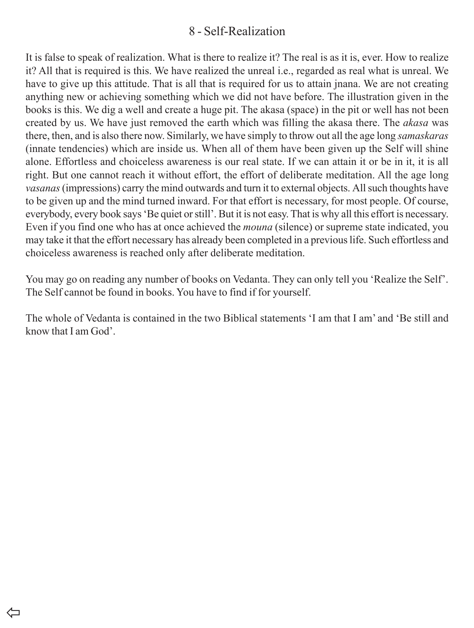# 8 - Self-Realization

It is false to speak of realization. What is there to realize it? The real is as it is, ever. How to realize it? All that is required is this. We have realized the unreal i.e., regarded as real what is unreal. We have to give up this attitude. That is all that is required for us to attain jnana. We are not creating anything new or achieving something which we did not have before. The illustration given in the books is this. We dig a well and create a huge pit. The akasa (space) in the pit or well has not been created by us. We have just removed the earth which was filling the akasa there. The *akasa* was there, then, and is also there now. Similarly, we have simply to throw out all the age long *samaskaras* (innate tendencies) which are inside us. When all of them have been given up the Self will shine alone. Effortless and choiceless awareness is our real state. If we can attain it or be in it, it is all right. But one cannot reach it without effort, the effort of deliberate meditation. All the age long *vasanas* (impressions) carry the mind outwards and turn it to external objects. All such thoughts have to be given up and the mind turned inward. For that effort is necessary, for most people. Of course, everybody, every book says 'Be quiet or still'. But it is not easy. That is why all this effort is necessary. Even if you find one who has at once achieved the *mouna* (silence) or supreme state indicated, you may take it that the effort necessary has already been completed in a previous life. Such effortless and choiceless awareness is reached only after deliberate meditation.

You may go on reading any number of books on Vedanta. They can only tell you 'Realize the Self'. The Self cannot be found in books. You have to find if for yourself.

The whole of Vedanta is contained in the two Biblical statements 'I am that I am' and 'Be still and know that I am God'.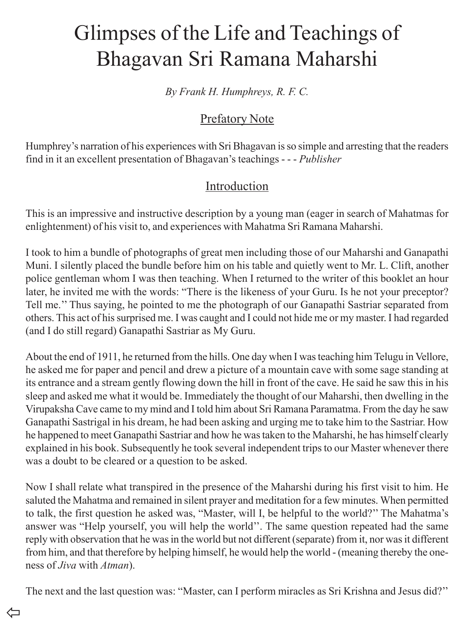# Glimpses of the Life and Teachings of Bhagavan Sri Ramana Maharshi

*By Frank H. Humphreys, R. F. C.*

# Prefatory Note

Humphrey's narration of his experiences with Sri Bhagavan is so simple and arresting that the readers find in it an excellent presentation of Bhagavan's teachings - - - *Publisher*

# Introduction

This is an impressive and instructive description by a young man (eager in search of Mahatmas for enlightenment) of his visit to, and experiences with Mahatma Sri Ramana Maharshi.

I took to him a bundle of photographs of great men including those of our Maharshi and Ganapathi Muni. I silently placed the bundle before him on his table and quietly went to Mr. L. Clift, another police gentleman whom I was then teaching. When I returned to the writer of this booklet an hour later, he invited me with the words: "There is the likeness of your Guru. Is he not your preceptor? Tell me.'' Thus saying, he pointed to me the photograph of our Ganapathi Sastriar separated from others. This act of his surprised me. I was caught and I could not hide me or my master. I had regarded (and I do still regard) Ganapathi Sastriar as My Guru.

About the end of 1911, he returned from the hills. One day when I was teaching him Telugu in Vellore, he asked me for paper and pencil and drew a picture of a mountain cave with some sage standing at its entrance and a stream gently flowing down the hill in front of the cave. He said he saw this in his sleep and asked me what it would be. Immediately the thought of our Maharshi, then dwelling in the Virupaksha Cave came to my mind and I told him about Sri Ramana Paramatma. From the day he saw Ganapathi Sastrigal in his dream, he had been asking and urging me to take him to the Sastriar. How he happened to meet Ganapathi Sastriar and how he was taken to the Maharshi, he has himself clearly explained in his book. Subsequently he took several independent trips to our Master whenever there was a doubt to be cleared or a question to be asked.

Now I shall relate what transpired in the presence of the Maharshi during his first visit to him. He saluted the Mahatma and remained in silent prayer and meditation for a few minutes. When permitted to talk, the first question he asked was, "Master, will I, be helpful to the world?'' The Mahatma's answer was "Help yourself, you will help the world''. The same question repeated had the same reply with observation that he was in the world but not different (separate) from it, nor was it different from him, and that therefore by helping himself, he would help the world - (meaning thereby the oneness of *Jiva* with *Atman*).

The next and the last question was: "Master, can I perform miracles as Sri Krishna and Jesus did?''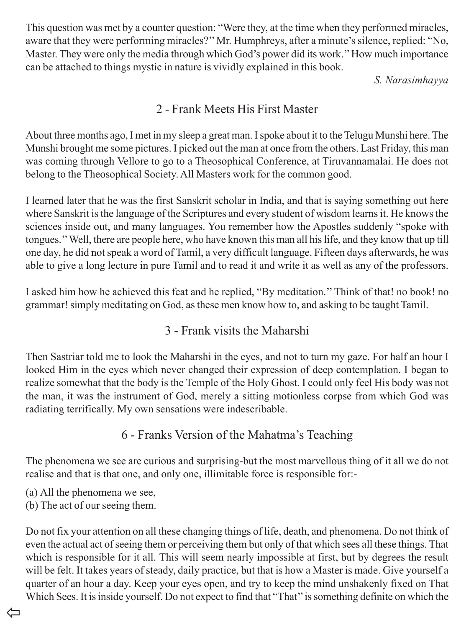This question was met by a counter question: "Were they, at the time when they performed miracles, aware that they were performing miracles?'' Mr. Humphreys, after a minute's silence, replied: "No, Master. They were only the media through which God's power did its work.'' How much importance can be attached to things mystic in nature is vividly explained in this book.

*S. Narasimhayya*

# 2 - Frank Meets His First Master

About three months ago, I met in my sleep a great man. I spoke about it to the Telugu Munshi here. The Munshi brought me some pictures. I picked out the man at once from the others. Last Friday, this man was coming through Vellore to go to a Theosophical Conference, at Tiruvannamalai. He does not belong to the Theosophical Society. All Masters work for the common good.

I learned later that he was the first Sanskrit scholar in India, and that is saying something out here where Sanskrit is the language of the Scriptures and every student of wisdom learns it. He knows the sciences inside out, and many languages. You remember how the Apostles suddenly "spoke with tongues.'' Well, there are people here, who have known this man all his life, and they know that up till one day, he did not speak a word of Tamil, a very difficult language. Fifteen days afterwards, he was able to give a long lecture in pure Tamil and to read it and write it as well as any of the professors.

I asked him how he achieved this feat and he replied, "By meditation.'' Think of that! no book! no grammar! simply meditating on God, as these men know how to, and asking to be taught Tamil.

# 3 - Frank visits the Maharshi

Then Sastriar told me to look the Maharshi in the eyes, and not to turn my gaze. For half an hour I looked Him in the eyes which never changed their expression of deep contemplation. I began to realize somewhat that the body is the Temple of the Holy Ghost. I could only feel His body was not the man, it was the instrument of God, merely a sitting motionless corpse from which God was radiating terrifically. My own sensations were indescribable.

# 6 - Franks Version of the Mahatma's Teaching

The phenomena we see are curious and surprising-but the most marvellous thing of it all we do not realise and that is that one, and only one, illimitable force is responsible for:-

- (a) All the phenomena we see,
- (b) The act of our seeing them.

 $\Leftrightarrow$ 

Do not fix your attention on all these changing things of life, death, and phenomena. Do not think of even the actual act of seeing them or perceiving them but only of that which sees all these things. That which is responsible for it all. This will seem nearly impossible at first, but by degrees the result will be felt. It takes years of steady, daily practice, but that is how a Master is made. Give yourself a quarter of an hour a day. Keep your eyes open, and try to keep the mind unshakenly fixed on That Which Sees. It is inside yourself. Do not expect to find that "That'' is something definite on which the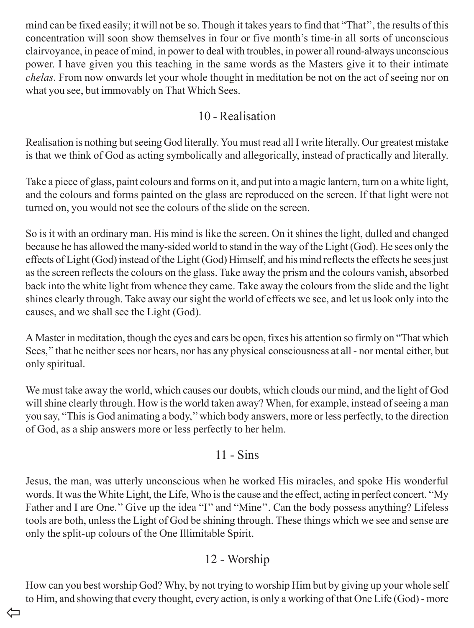mind can be fixed easily; it will not be so. Though it takes years to find that "That'', the results of this concentration will soon show themselves in four or five month's time-in all sorts of unconscious clairvoyance, in peace of mind, in power to deal with troubles, in power all round-always unconscious power. I have given you this teaching in the same words as the Masters give it to their intimate *chelas*. From now onwards let your whole thought in meditation be not on the act of seeing nor on what you see, but immovably on That Which Sees.

# 10 - Realisation

Realisation is nothing but seeing God literally. You must read all I write literally. Our greatest mistake is that we think of God as acting symbolically and allegorically, instead of practically and literally.

Take a piece of glass, paint colours and forms on it, and put into a magic lantern, turn on a white light, and the colours and forms painted on the glass are reproduced on the screen. If that light were not turned on, you would not see the colours of the slide on the screen.

So is it with an ordinary man. His mind is like the screen. On it shines the light, dulled and changed because he has allowed the many-sided world to stand in the way of the Light (God). He sees only the effects of Light (God) instead of the Light (God) Himself, and his mind reflects the effects he sees just as the screen reflects the colours on the glass. Take away the prism and the colours vanish, absorbed back into the white light from whence they came. Take away the colours from the slide and the light shines clearly through. Take away our sight the world of effects we see, and let us look only into the causes, and we shall see the Light (God).

A Master in meditation, though the eyes and ears be open, fixes his attention so firmly on "That which Sees,'' that he neither sees nor hears, nor has any physical consciousness at all - nor mental either, but only spiritual.

We must take away the world, which causes our doubts, which clouds our mind, and the light of God will shine clearly through. How is the world taken away? When, for example, instead of seeing a man you say, "This is God animating a body,'' which body answers, more or less perfectly, to the direction of God, as a ship answers more or less perfectly to her helm.

## 11 - Sins

Jesus, the man, was utterly unconscious when he worked His miracles, and spoke His wonderful words. It was the White Light, the Life, Who is the cause and the effect, acting in perfect concert. "My Father and I are One." Give up the idea "I" and "Mine". Can the body possess anything? Lifeless tools are both, unless the Light of God be shining through. These things which we see and sense are only the split-up colours of the One Illimitable Spirit.

## 12 - Worship

How can you best worship God? Why, by not trying to worship Him but by giving up your whole self to Him, and showing that every thought, every action, is only a working of that One Life (God) - more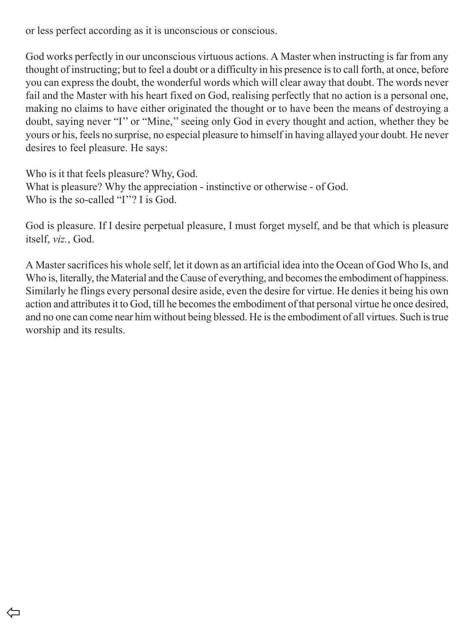or less perfect according as it is unconscious or conscious.

 $\Leftrightarrow$ 

God works perfectly in our unconscious virtuous actions. A Master when instructing is far from any thought of instructing; but to feel a doubt or a difficulty in his presence is to call forth, at once, before you can express the doubt, the wonderful words which will clear away that doubt. The words never fail and the Master with his heart fixed on God, realising perfectly that no action is a personal one, making no claims to have either originated the thought or to have been the means of destroying a doubt, saying never "I'' or "Mine,'' seeing only God in every thought and action, whether they be yours or his, feels no surprise, no especial pleasure to himself in having allayed your doubt. He never desires to feel pleasure. He says:

Who is it that feels pleasure? Why, God. What is pleasure? Why the appreciation - instinctive or otherwise - of God. Who is the so-called "I"? I is God.

God is pleasure. If I desire perpetual pleasure, I must forget myself, and be that which is pleasure itself, *viz.*, God.

A Master sacrifices his whole self, let it down as an artificial idea into the Ocean of God Who Is, and Who is, literally, the Material and the Cause of everything, and becomes the embodiment of happiness. Similarly he flings every personal desire aside, even the desire for virtue. He denies it being his own action and attributes it to God, till he becomes the embodiment of that personal virtue he once desired, and no one can come near him without being blessed. He is the embodiment of all virtues. Such is true worship and its results.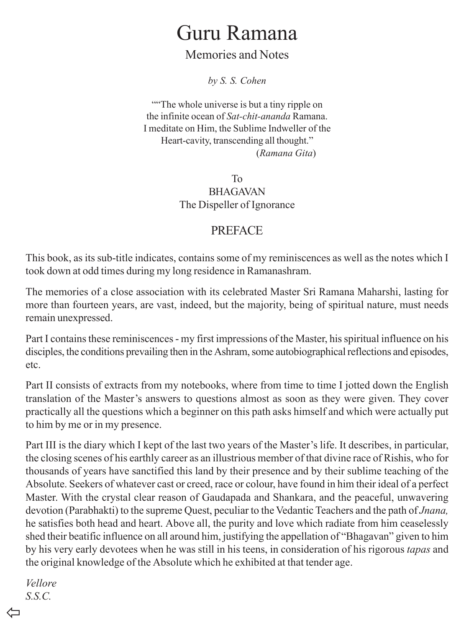# Guru Ramana

### Memories and Notes

*by S. S. Cohen*

"The whole universe is but a tiny ripple on" the infinite ocean of *Sat-chit-ananda* Ramana. I meditate on Him, the Sublime Indweller of the Heart-cavity, transcending all thought." (*Ramana Gita*)

### To BHAGAVAN The Dispeller of Ignorance

## PREFACE

This book, as its sub-title indicates, contains some of my reminiscences as well as the notes which I took down at odd times during my long residence in Ramanashram.

The memories of a close association with its celebrated Master Sri Ramana Maharshi, lasting for more than fourteen years, are vast, indeed, but the majority, being of spiritual nature, must needs remain unexpressed.

Part I contains these reminiscences - my first impressions of the Master, his spiritual influence on his disciples, the conditions prevailing then in the Ashram, some autobiographical reflections and episodes, etc.

Part II consists of extracts from my notebooks, where from time to time I jotted down the English translation of the Master's answers to questions almost as soon as they were given. They cover practically all the questions which a beginner on this path asks himself and which were actually put to him by me or in my presence.

Part III is the diary which I kept of the last two years of the Master's life. It describes, in particular, the closing scenes of his earthly career as an illustrious member of that divine race of Rishis, who for thousands of years have sanctified this land by their presence and by their sublime teaching of the Absolute. Seekers of whatever cast or creed, race or colour, have found in him their ideal of a perfect Master. With the crystal clear reason of Gaudapada and Shankara, and the peaceful, unwavering devotion (Parabhakti) to the supreme Quest, peculiar to the Vedantic Teachers and the path of *Jnana,* he satisfies both head and heart. Above all, the purity and love which radiate from him ceaselessly shed their beatific influence on all around him, justifying the appellation of "Bhagavan" given to him by his very early devotees when he was still in his teens, in consideration of his rigorous *tapas* and the original knowledge of the Absolute which he exhibited at that tender age.

*Vellore S.S.C.*

[Õ](#page-0-0)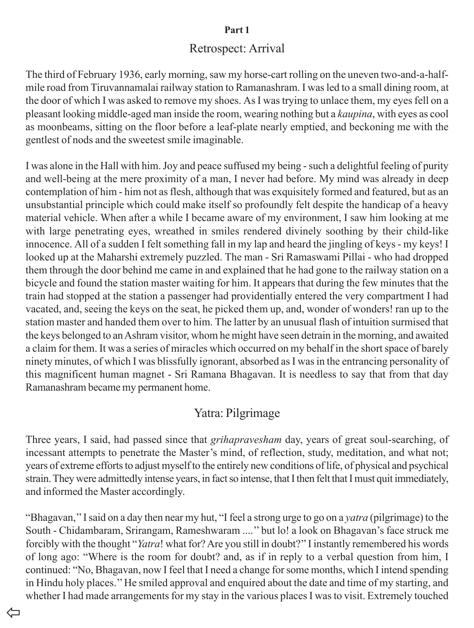#### **Part 1**

### Retrospect: Arrival

The third of February 1936, early morning, saw my horse-cart rolling on the uneven two-and-a-halfmile road from Tiruvannamalai railway station to Ramanashram. I was led to a small dining room, at the door of which I was asked to remove my shoes. As I was trying to unlace them, my eyes fell on a pleasant looking middle-aged man inside the room, wearing nothing but a *kaupina*, with eyes as cool as moonbeams, sitting on the floor before a leaf-plate nearly emptied, and beckoning me with the gentlest of nods and the sweetest smile imaginable.

I was alone in the Hall with him. Joy and peace suffused my being - such a delightful feeling of purity and well-being at the mere proximity of a man, I never had before. My mind was already in deep contemplation of him - him not as flesh, although that was exquisitely formed and featured, but as an unsubstantial principle which could make itself so profoundly felt despite the handicap of a heavy material vehicle. When after a while I became aware of my environment, I saw him looking at me with large penetrating eyes, wreathed in smiles rendered divinely soothing by their child-like innocence. All of a sudden I felt something fall in my lap and heard the jingling of keys - my keys! I looked up at the Maharshi extremely puzzled. The man - Sri Ramaswami Pillai - who had dropped them through the door behind me came in and explained that he had gone to the railway station on a bicycle and found the station master waiting for him. It appears that during the few minutes that the train had stopped at the station a passenger had providentially entered the very compartment I had vacated, and, seeing the keys on the seat, he picked them up, and, wonder of wonders! ran up to the station master and handed them over to him. The latter by an unusual flash of intuition surmised that the keys belonged to an Ashram visitor, whom he might have seen detrain in the morning, and awaited a claim for them. It was a series of miracles which occurred on my behalf in the short space of barely ninety minutes, of which I was blissfully ignorant, absorbed as I was in the entrancing personality of this magnificent human magnet - Sri Ramana Bhagavan. It is needless to say that from that day Ramanashram became my permanent home.

### Yatra: Pilgrimage

Three years, I said, had passed since that *grihapravesham* day, years of great soul-searching, of incessant attempts to penetrate the Master's mind, of reflection, study, meditation, and what not; years of extreme efforts to adjust myself to the entirely new conditions of life, of physical and psychical strain. They were admittedly intense years, in fact so intense, that I then felt that I must quit immediately, and informed the Master accordingly.

"Bhagavan,'' I said on a day then near my hut, "I feel a strong urge to go on a *yatra* (pilgrimage) to the South - Chidambaram, Srirangam, Rameshwaram ....'' but lo! a look on Bhagavan's face struck me forcibly with the thought "*Yatra*! what for? Are you still in doubt?'' I instantly remembered his words of long ago: "Where is the room for doubt? and, as if in reply to a verbal question from him, I continued: "No, Bhagavan, now I feel that I need a change for some months, which I intend spending in Hindu holy places.'' He smiled approval and enquired about the date and time of my starting, and whether I had made arrangements for my stay in the various places I was to visit. Extremely touched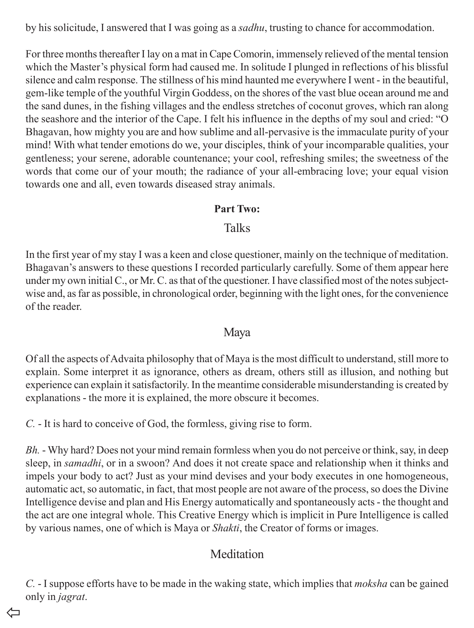by his solicitude, I answered that I was going as a *sadhu*, trusting to chance for accommodation.

For three months thereafter I lay on a mat in Cape Comorin, immensely relieved of the mental tension which the Master's physical form had caused me. In solitude I plunged in reflections of his blissful silence and calm response. The stillness of his mind haunted me everywhere I went - in the beautiful, gem-like temple of the youthful Virgin Goddess, on the shores of the vast blue ocean around me and the sand dunes, in the fishing villages and the endless stretches of coconut groves, which ran along the seashore and the interior of the Cape. I felt his influence in the depths of my soul and cried: "O Bhagavan, how mighty you are and how sublime and all-pervasive is the immaculate purity of your mind! With what tender emotions do we, your disciples, think of your incomparable qualities, your gentleness; your serene, adorable countenance; your cool, refreshing smiles; the sweetness of the words that come our of your mouth; the radiance of your all-embracing love; your equal vision towards one and all, even towards diseased stray animals.

#### **Part Two:**

### **Talks**

In the first year of my stay I was a keen and close questioner, mainly on the technique of meditation. Bhagavan's answers to these questions I recorded particularly carefully. Some of them appear here under my own initial C., or Mr. C. as that of the questioner. I have classified most of the notes subjectwise and, as far as possible, in chronological order, beginning with the light ones, for the convenience of the reader.

### Maya

Of all the aspects of Advaita philosophy that of Maya is the most difficult to understand, still more to explain. Some interpret it as ignorance, others as dream, others still as illusion, and nothing but experience can explain it satisfactorily. In the meantime considerable misunderstanding is created by explanations - the more it is explained, the more obscure it becomes.

*C.* - It is hard to conceive of God, the formless, giving rise to form.

[Õ](#page-0-0)

*Bh.* - Why hard? Does not your mind remain formless when you do not perceive or think, say, in deep sleep, in *samadhi*, or in a swoon? And does it not create space and relationship when it thinks and impels your body to act? Just as your mind devises and your body executes in one homogeneous, automatic act, so automatic, in fact, that most people are not aware of the process, so does the Divine Intelligence devise and plan and His Energy automatically and spontaneously acts - the thought and the act are one integral whole. This Creative Energy which is implicit in Pure Intelligence is called by various names, one of which is Maya or *Shakti*, the Creator of forms or images.

### **Meditation**

*C.* - I suppose efforts have to be made in the waking state, which implies that *moksha* can be gained only in *jagrat*.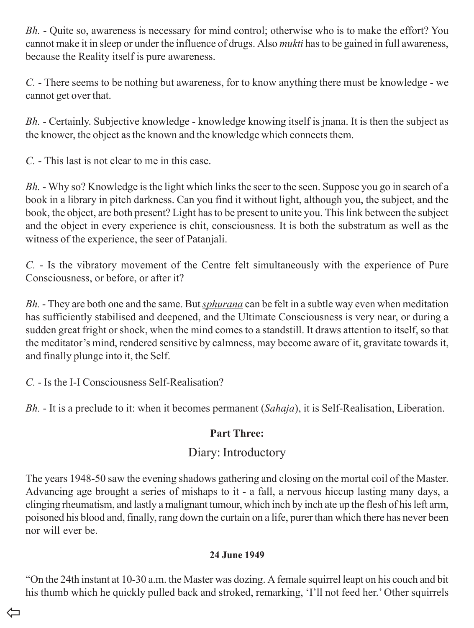*Bh.* - Quite so, awareness is necessary for mind control; otherwise who is to make the effort? You cannot make it in sleep or under the influence of drugs. Also *mukti* has to be gained in full awareness, because the Reality itself is pure awareness.

*C.* - There seems to be nothing but awareness, for to know anything there must be knowledge - we cannot get over that.

*Bh.* - Certainly. Subjective knowledge - knowledge knowing itself is jnana. It is then the subject as the knower, the object as the known and the knowledge which connects them.

*C.* - This last is not clear to me in this case.

*Bh.* - Why so? Knowledge is the light which links the seer to the seen. Suppose you go in search of a book in a library in pitch darkness. Can you find it without light, although you, the subject, and the book, the object, are both present? Light has to be present to unite you. This link between the subject and the object in every experience is chit, consciousness. It is both the substratum as well as the witness of the experience, the seer of Patanjali.

*C.* - Is the vibratory movement of the Centre felt simultaneously with the experience of Pure Consciousness, or before, or after it?

*Bh.* - They are both one and the same. But *sphurana* can be felt in a subtle way even when meditation has sufficiently stabilised and deepened, and the Ultimate Consciousness is very near, or during a sudden great fright or shock, when the mind comes to a standstill. It draws attention to itself, so that the meditator's mind, rendered sensitive by calmness, may become aware of it, gravitate towards it, and finally plunge into it, the Self.

*C.* - Is the I-I Consciousness Self-Realisation?

 $\Leftrightarrow$ 

*Bh.* - It is a preclude to it: when it becomes permanent (*Sahaja*), it is Self-Realisation, Liberation.

### **Part Three:**

## Diary: Introductory

The years 1948-50 saw the evening shadows gathering and closing on the mortal coil of the Master. Advancing age brought a series of mishaps to it - a fall, a nervous hiccup lasting many days, a clinging rheumatism, and lastly a malignant tumour, which inch by inch ate up the flesh of his left arm, poisoned his blood and, finally, rang down the curtain on a life, purer than which there has never been nor will ever be.

### **24 June 1949**

"On the 24th instant at 10-30 a.m. the Master was dozing. A female squirrel leapt on his couch and bit his thumb which he quickly pulled back and stroked, remarking, 'I'll not feed her.' Other squirrels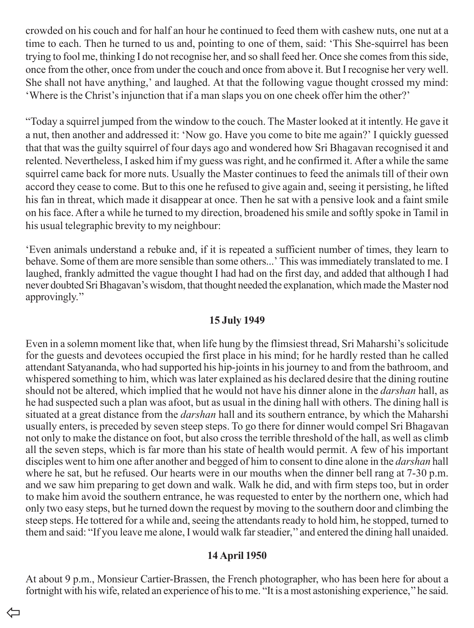crowded on his couch and for half an hour he continued to feed them with cashew nuts, one nut at a time to each. Then he turned to us and, pointing to one of them, said: 'This She-squirrel has been trying to fool me, thinking I do not recognise her, and so shall feed her. Once she comes from this side, once from the other, once from under the couch and once from above it. But I recognise her very well. She shall not have anything,' and laughed. At that the following vague thought crossed my mind: 'Where is the Christ's injunction that if a man slaps you on one cheek offer him the other?'

"Today a squirrel jumped from the window to the couch. The Master looked at it intently. He gave it a nut, then another and addressed it: 'Now go. Have you come to bite me again?' I quickly guessed that that was the guilty squirrel of four days ago and wondered how Sri Bhagavan recognised it and relented. Nevertheless, I asked him if my guess was right, and he confirmed it. After a while the same squirrel came back for more nuts. Usually the Master continues to feed the animals till of their own accord they cease to come. But to this one he refused to give again and, seeing it persisting, he lifted his fan in threat, which made it disappear at once. Then he sat with a pensive look and a faint smile on his face. After a while he turned to my direction, broadened his smile and softly spoke in Tamil in his usual telegraphic brevity to my neighbour:

'Even animals understand a rebuke and, if it is repeated a sufficient number of times, they learn to behave. Some of them are more sensible than some others...' This was immediately translated to me. I laughed, frankly admitted the vague thought I had had on the first day, and added that although I had never doubted Sri Bhagavan's wisdom, that thought needed the explanation, which made the Master nod approvingly.''

### **15 July 1949**

Even in a solemn moment like that, when life hung by the flimsiest thread, Sri Maharshi's solicitude for the guests and devotees occupied the first place in his mind; for he hardly rested than he called attendant Satyananda, who had supported his hip-joints in his journey to and from the bathroom, and whispered something to him, which was later explained as his declared desire that the dining routine should not be altered, which implied that he would not have his dinner alone in the *darshan* hall, as he had suspected such a plan was afoot, but as usual in the dining hall with others. The dining hall is situated at a great distance from the *darshan* hall and its southern entrance, by which the Maharshi usually enters, is preceded by seven steep steps. To go there for dinner would compel Sri Bhagavan not only to make the distance on foot, but also cross the terrible threshold of the hall, as well as climb all the seven steps, which is far more than his state of health would permit. A few of his important disciples went to him one after another and begged of him to consent to dine alone in the *darshan* hall where he sat, but he refused. Our hearts were in our mouths when the dinner bell rang at 7-30 p.m. and we saw him preparing to get down and walk. Walk he did, and with firm steps too, but in order to make him avoid the southern entrance, he was requested to enter by the northern one, which had only two easy steps, but he turned down the request by moving to the southern door and climbing the steep steps. He tottered for a while and, seeing the attendants ready to hold him, he stopped, turned to them and said: "If you leave me alone, I would walk far steadier,'' and entered the dining hall unaided.

#### **14 April 1950**

At about 9 p.m., Monsieur Cartier-Brassen, the French photographer, who has been here for about a fortnight with his wife, related an experience of his to me. "It is a most astonishing experience,'' he said.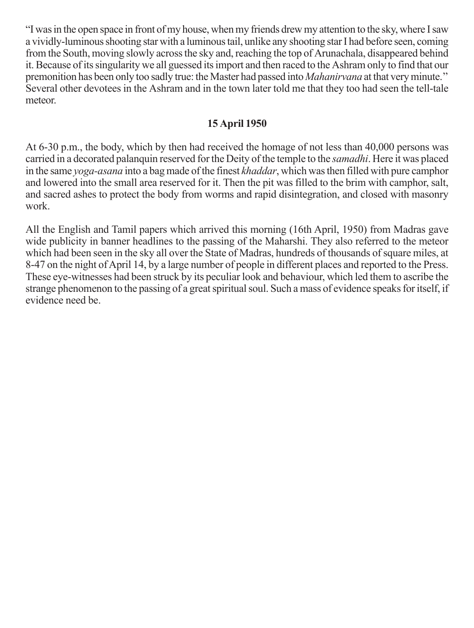"I was in the open space in front of my house, when my friends drew my attention to the sky, where I saw a vividly-luminous shooting star with a luminous tail, unlike any shooting star I had before seen, coming from the South, moving slowly across the sky and, reaching the top of Arunachala, disappeared behind it. Because of its singularity we all guessed its import and then raced to the Ashram only to find that our premonition has been only too sadly true: the Master had passed into *Mahanirvana* at that very minute.'' Several other devotees in the Ashram and in the town later told me that they too had seen the tell-tale meteor.

### **15 April 1950**

At 6-30 p.m., the body, which by then had received the homage of not less than 40,000 persons was carried in a decorated palanquin reserved for the Deity of the temple to the *samadhi*. Here it was placed in the same *yoga-asana* into a bag made of the finest *khaddar*, which was then filled with pure camphor and lowered into the small area reserved for it. Then the pit was filled to the brim with camphor, salt, and sacred ashes to protect the body from worms and rapid disintegration, and closed with masonry work.

All the English and Tamil papers which arrived this morning (16th April, 1950) from Madras gave wide publicity in banner headlines to the passing of the Maharshi. They also referred to the meteor which had been seen in the sky all over the State of Madras, hundreds of thousands of square miles, at 8-47 on the night of April 14, by a large number of people in different places and reported to the Press. These eye-witnesses had been struck by its peculiar look and behaviour, which led them to ascribe the strange phenomenon to the passing of a great spiritual soul. Such a mass of evidence speaks for itself, if evidence need be.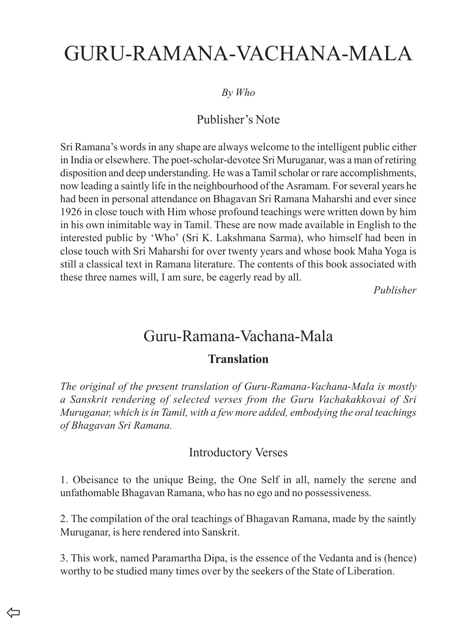# GURU-RAMANA-VACHANA-MALA

### *By Who*

### Publisher's Note

Sri Ramana's words in any shape are always welcome to the intelligent public either in India or elsewhere. The poet-scholar-devotee Sri Muruganar, was a man of retiring disposition and deep understanding. He was a Tamil scholar or rare accomplishments, now leading a saintly life in the neighbourhood of the Asramam. For several years he had been in personal attendance on Bhagavan Sri Ramana Maharshi and ever since 1926 in close touch with Him whose profound teachings were written down by him in his own inimitable way in Tamil. These are now made available in English to the interested public by 'Who' (Sri K. Lakshmana Sarma), who himself had been in close touch with Sri Maharshi for over twenty years and whose book Maha Yoga is still a classical text in Ramana literature. The contents of this book associated with these three names will, I am sure, be eagerly read by all.

*Publisher*

# Guru-Ramana-Vachana-Mala

### **Translation**

*The original of the present translation of Guru-Ramana-Vachana-Mala is mostly a Sanskrit rendering of selected verses from the Guru Vachakakkovai of Sri Muruganar, which is in Tamil, with a few more added, embodying the oral teachings of Bhagavan Sri Ramana.*

### Introductory Verses

1. Obeisance to the unique Being, the One Self in all, namely the serene and unfathomable Bhagavan Ramana, who has no ego and no possessiveness.

2. The compilation of the oral teachings of Bhagavan Ramana, made by the saintly Muruganar, is here rendered into Sanskrit.

3. This work, named Paramartha Dipa, is the essence of the Vedanta and is (hence) worthy to be studied many times over by the seekers of the State of Liberation.

**′⊐**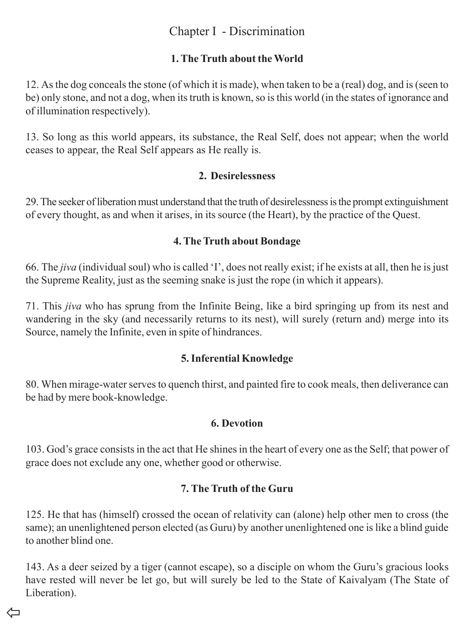### Chapter I - Discrimination

### **1. The Truth about the World**

12. As the dog conceals the stone (of which it is made), when taken to be a (real) dog, and is (seen to be) only stone, and not a dog, when its truth is known, so is this world (in the states of ignorance and of illumination respectively).

13. So long as this world appears, its substance, the Real Self, does not appear; when the world ceases to appear, the Real Self appears as He really is.

### **2. Desirelessness**

29. The seeker of liberation must understand that the truth of desirelessness is the prompt extinguishment of every thought, as and when it arises, in its source (the Heart), by the practice of the Quest.

### **4. The Truth about Bondage**

66. The *jiva* (individual soul) who is called 'I', does not really exist; if he exists at all, then he is just the Supreme Reality, just as the seeming snake is just the rope (in which it appears).

71. This *jiva* who has sprung from the Infinite Being, like a bird springing up from its nest and wandering in the sky (and necessarily returns to its nest), will surely (return and) merge into its Source, namely the Infinite, even in spite of hindrances.

### **5. Inferential Knowledge**

80. When mirage-water serves to quench thirst, and painted fire to cook meals, then deliverance can be had by mere book-knowledge.

### **6. Devotion**

103. God's grace consists in the act that He shines in the heart of every one as the Self; that power of grace does not exclude any one, whether good or otherwise.

### **7. The Truth of the Guru**

125. He that has (himself) crossed the ocean of relativity can (alone) help other men to cross (the same); an unenlightened person elected (as Guru) by another unenlightened one is like a blind guide to another blind one.

143. As a deer seized by a tiger (cannot escape), so a disciple on whom the Guru's gracious looks have rested will never be let go, but will surely be led to the State of Kaivalyam (The State of Liberation).

[Õ](#page-0-0)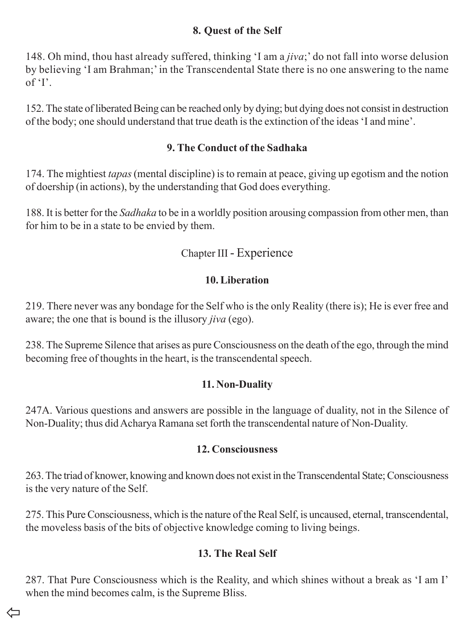### **8. Quest of the Self**

148. Oh mind, thou hast already suffered, thinking 'I am a *jiva*;' do not fall into worse delusion by believing 'I am Brahman;' in the Transcendental State there is no one answering to the name  $\alpha f'$ .

152. The state of liberated Being can be reached only by dying; but dying does not consist in destruction of the body; one should understand that true death is the extinction of the ideas 'I and mine'.

### **9. The Conduct of the Sadhaka**

174. The mightiest *tapas* (mental discipline) is to remain at peace, giving up egotism and the notion of doership (in actions), by the understanding that God does everything.

188. It is better for the *Sadhaka* to be in a worldly position arousing compassion from other men, than for him to be in a state to be envied by them.

### Chapter III - Experience

### **10. Liberation**

219. There never was any bondage for the Self who is the only Reality (there is); He is ever free and aware; the one that is bound is the illusory *jiva* (ego).

238. The Supreme Silence that arises as pure Consciousness on the death of the ego, through the mind becoming free of thoughts in the heart, is the transcendental speech.

### **11. Non-Duality**

247A. Various questions and answers are possible in the language of duality, not in the Silence of Non-Duality; thus did Acharya Ramana set forth the transcendental nature of Non-Duality.

### **12. Consciousness**

263. The triad of knower, knowing and known does not exist in the Transcendental State; Consciousness is the very nature of the Self.

275. This Pure Consciousness, which is the nature of the Real Self, is uncaused, eternal, transcendental, the moveless basis of the bits of objective knowledge coming to living beings.

### **13. The Real Self**

287. That Pure Consciousness which is the Reality, and which shines without a break as 'I am I' when the mind becomes calm, is the Supreme Bliss.

[Õ](#page-0-0)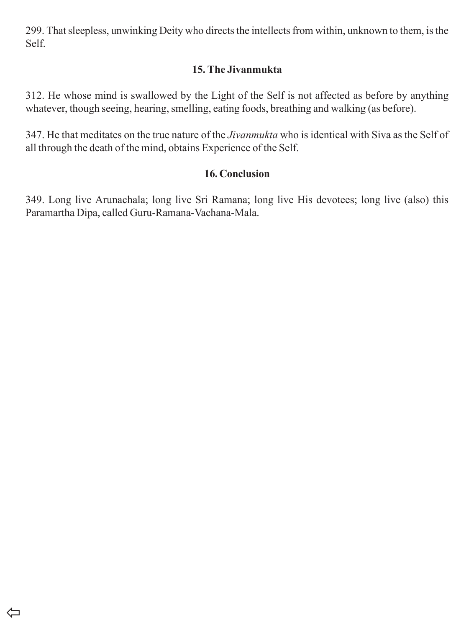299. That sleepless, unwinking Deity who directs the intellects from within, unknown to them, is the Self.

### **15. The Jivanmukta**

312. He whose mind is swallowed by the Light of the Self is not affected as before by anything whatever, though seeing, hearing, smelling, eating foods, breathing and walking (as before).

347. He that meditates on the true nature of the *Jivanmukta* who is identical with Siva as the Self of all through the death of the mind, obtains Experience of the Self.

#### **16. Conclusion**

349. Long live Arunachala; long live Sri Ramana; long live His devotees; long live (also) this Paramartha Dipa, called Guru-Ramana-Vachana-Mala.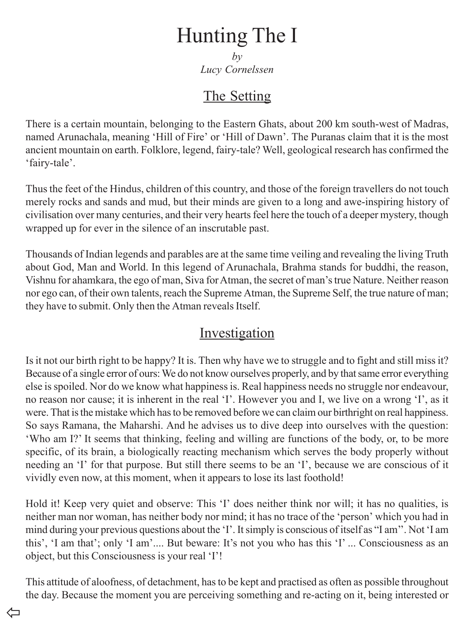# Hunting The I

*by*

*Lucy Cornelssen*

# The Setting

There is a certain mountain, belonging to the Eastern Ghats, about 200 km south-west of Madras, named Arunachala, meaning 'Hill of Fire' or 'Hill of Dawn'. The Puranas claim that it is the most ancient mountain on earth. Folklore, legend, fairy-tale? Well, geological research has confirmed the 'fairy-tale'.

Thus the feet of the Hindus, children of this country, and those of the foreign travellers do not touch merely rocks and sands and mud, but their minds are given to a long and awe-inspiring history of civilisation over many centuries, and their very hearts feel here the touch of a deeper mystery, though wrapped up for ever in the silence of an inscrutable past.

Thousands of Indian legends and parables are at the same time veiling and revealing the living Truth about God, Man and World. In this legend of Arunachala, Brahma stands for buddhi, the reason, Vishnu for ahamkara, the ego of man, Siva for Atman, the secret of man's true Nature. Neither reason nor ego can, of their own talents, reach the Supreme Atman, the Supreme Self, the true nature of man; they have to submit. Only then the Atman reveals Itself.

# Investigation

Is it not our birth right to be happy? It is. Then why have we to struggle and to fight and still miss it? Because of a single error of ours: We do not know ourselves properly, and by that same error everything else is spoiled. Nor do we know what happiness is. Real happiness needs no struggle nor endeavour, no reason nor cause; it is inherent in the real 'I'. However you and I, we live on a wrong 'I', as it were. That is the mistake which has to be removed before we can claim our birthright on real happiness. So says Ramana, the Maharshi. And he advises us to dive deep into ourselves with the question: 'Who am I?' It seems that thinking, feeling and willing are functions of the body, or, to be more specific, of its brain, a biologically reacting mechanism which serves the body properly without needing an 'I' for that purpose. But still there seems to be an 'I', because we are conscious of it vividly even now, at this moment, when it appears to lose its last foothold!

Hold it! Keep very quiet and observe: This 'I' does neither think nor will; it has no qualities, is neither man nor woman, has neither body nor mind; it has no trace of the 'person' which you had in mind during your previous questions about the 'I'. It simply is conscious of itself as "I am''. Not 'I am this', 'I am that'; only 'I am'.... But beware: It's not you who has this 'I' ... Consciousness as an object, but this Consciousness is your real 'I'!

This attitude of aloofness, of detachment, has to be kept and practised as often as possible throughout the day. Because the moment you are perceiving something and re-acting on it, being interested or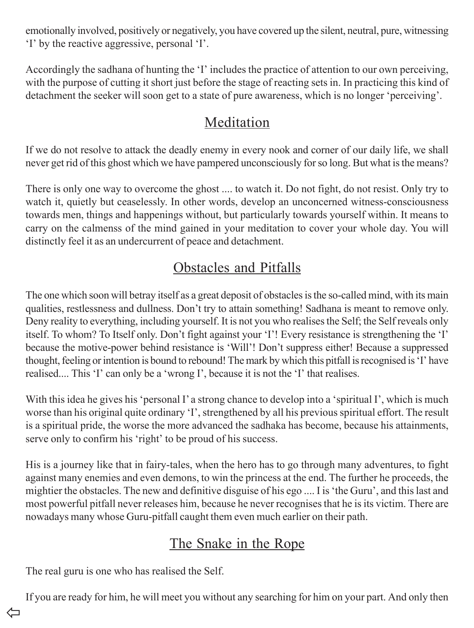emotionally involved, positively or negatively, you have covered up the silent, neutral, pure, witnessing 'I' by the reactive aggressive, personal 'I'.

Accordingly the sadhana of hunting the 'I' includes the practice of attention to our own perceiving, with the purpose of cutting it short just before the stage of reacting sets in. In practicing this kind of detachment the seeker will soon get to a state of pure awareness, which is no longer 'perceiving'.

# Meditation

If we do not resolve to attack the deadly enemy in every nook and corner of our daily life, we shall never get rid of this ghost which we have pampered unconsciously for so long. But what is the means?

There is only one way to overcome the ghost .... to watch it. Do not fight, do not resist. Only try to watch it, quietly but ceaselessly. In other words, develop an unconcerned witness-consciousness towards men, things and happenings without, but particularly towards yourself within. It means to carry on the calmenss of the mind gained in your meditation to cover your whole day. You will distinctly feel it as an undercurrent of peace and detachment.

# Obstacles and Pitfalls

The one which soon will betray itself as a great deposit of obstacles is the so-called mind, with its main qualities, restlessness and dullness. Don't try to attain something! Sadhana is meant to remove only. Deny reality to everything, including yourself. It is not you who realises the Self; the Self reveals only itself. To whom? To Itself only. Don't fight against your 'I'! Every resistance is strengthening the 'I' because the motive-power behind resistance is 'Will'! Don't suppress either! Because a suppressed thought, feeling or intention is bound to rebound! The mark by which this pitfall is recognised is 'I' have realised.... This 'I' can only be a 'wrong I', because it is not the 'I' that realises.

With this idea he gives his 'personal I' a strong chance to develop into a 'spiritual I', which is much worse than his original quite ordinary 'I', strengthened by all his previous spiritual effort. The result is a spiritual pride, the worse the more advanced the sadhaka has become, because his attainments, serve only to confirm his 'right' to be proud of his success.

His is a journey like that in fairy-tales, when the hero has to go through many adventures, to fight against many enemies and even demons, to win the princess at the end. The further he proceeds, the mightier the obstacles. The new and definitive disguise of his ego .... I is 'the Guru', and this last and most powerful pitfall never releases him, because he never recognises that he is its victim. There are nowadays many whose Guru-pitfall caught them even much earlier on their path.

# The Snake in the Rope

The real guru is one who has realised the Self.

 $\Leftrightarrow$ 

If you are ready for him, he will meet you without any searching for him on your part. And only then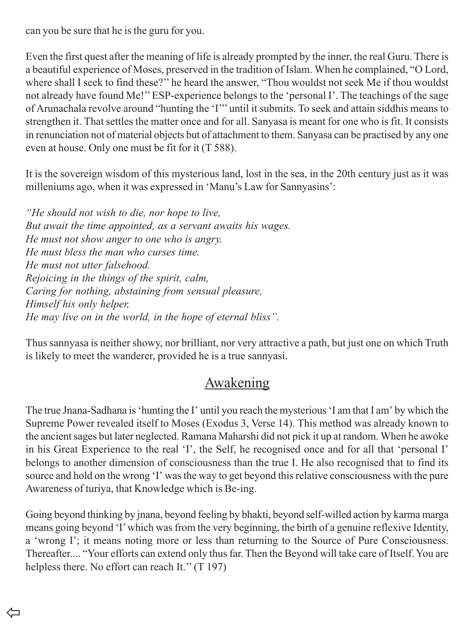can you be sure that he is the guru for you.

Even the first quest after the meaning of life is already prompted by the inner, the real Guru. There is a beautiful experience of Moses, preserved in the tradition of Islam. When he complained, "O Lord, where shall I seek to find these?'' he heard the answer, "Thou wouldst not seek Me if thou wouldst not already have found Me!'' ESP-experience belongs to the 'personal I'. The teachings of the sage of Arunachala revolve around "hunting the 'I''' until it submits. To seek and attain siddhis means to strengthen it. That settles the matter once and for all. Sanyasa is meant for one who is fit. It consists in renunciation not of material objects but of attachment to them. Sanyasa can be practised by any one even at house. Only one must be fit for it (T 588).

It is the sovereign wisdom of this mysterious land, lost in the sea, in the 20th century just as it was milleniums ago, when it was expressed in 'Manu's Law for Sannyasins':

*"He should not wish to die, nor hope to live, But await the time appointed, as a servant awaits his wages. He must not show anger to one who is angry. He must bless the man who curses time. He must not utter falsehood. Rejoicing in the things of the spirit, calm, Caring for nothing, abstaining from sensual pleasure, Himself his only helper, He may live on in the world, in the hope of eternal bliss''.*

 $\Leftrightarrow$ 

Thus sannyasa is neither showy, nor brilliant, nor very attractive a path, but just one on which Truth is likely to meet the wanderer, provided he is a true sannyasi.

## Awakening

The true Jnana-Sadhana is 'hunting the I' until you reach the mysterious 'I am that I am' by which the Supreme Power revealed itself to Moses (Exodus 3, Verse 14). This method was already known to the ancient sages but later neglected. Ramana Maharshi did not pick it up at random. When he awoke in his Great Experience to the real 'I', the Self, he recognised once and for all that 'personal I' belongs to another dimension of consciousness than the true I. He also recognised that to find its source and hold on the wrong 'I' was the way to get beyond this relative consciousness with the pure Awareness of turiya, that Knowledge which is Be-ing.

Going beyond thinking by jnana, beyond feeling by bhakti, beyond self-willed action by karma marga means going beyond 'I' which was from the very beginning, the birth of a genuine reflexive Identity, a 'wrong I'; it means noting more or less than returning to the Source of Pure Consciousness. Thereafter.... "Your efforts can extend only thus far. Then the Beyond will take care of Itself. You are helpless there. No effort can reach It." (T 197)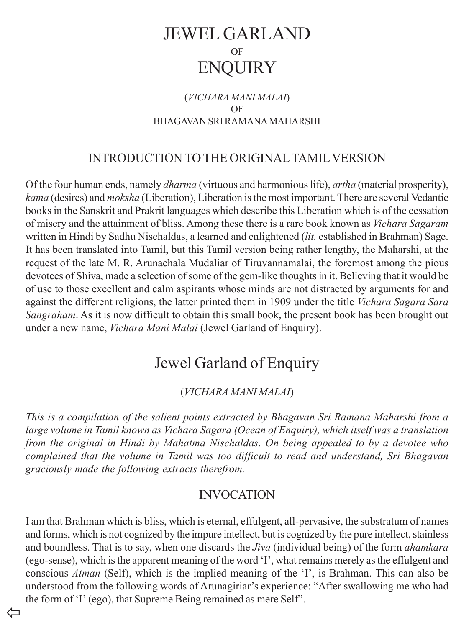# JEWEL GARLAND OF **ENOUIRY**

#### (*VICHARA MANI MALAI*) OF BHAGAVAN SRI RAMANA MAHARSHI

### INTRODUCTION TO THE ORIGINAL TAMIL VERSION

Of the four human ends, namely *dharma* (virtuous and harmonious life), *artha* (material prosperity), *kama* (desires) and *moksha* (Liberation), Liberation is the most important. There are several Vedantic books in the Sanskrit and Prakrit languages which describe this Liberation which is of the cessation of misery and the attainment of bliss. Among these there is a rare book known as *Vichara Sagaram* written in Hindi by Sadhu Nischaldas, a learned and enlightened (*lit.* established in Brahman) Sage. It has been translated into Tamil, but this Tamil version being rather lengthy, the Maharshi, at the request of the late M. R. Arunachala Mudaliar of Tiruvannamalai, the foremost among the pious devotees of Shiva, made a selection of some of the gem-like thoughts in it. Believing that it would be of use to those excellent and calm aspirants whose minds are not distracted by arguments for and against the different religions, the latter printed them in 1909 under the title *Vichara Sagara Sara Sangraham*. As it is now difficult to obtain this small book, the present book has been brought out under a new name, *Vichara Mani Malai* (Jewel Garland of Enquiry).

# Jewel Garland of Enquiry

(*VICHARA MANI MALAI*)

*This is a compilation of the salient points extracted by Bhagavan Sri Ramana Maharshi from a large volume in Tamil known as Vichara Sagara (Ocean of Enquiry), which itself was a translation from the original in Hindi by Mahatma Nischaldas. On being appealed to by a devotee who complained that the volume in Tamil was too difficult to read and understand, Sri Bhagavan graciously made the following extracts therefrom.*

### INVOCATION

I am that Brahman which is bliss, which is eternal, effulgent, all-pervasive, the substratum of names and forms, which is not cognized by the impure intellect, but is cognized by the pure intellect, stainless and boundless. That is to say, when one discards the *Jiva* (individual being) of the form *ahamkara* (ego-sense), which is the apparent meaning of the word 'I', what remains merely as the effulgent and conscious *Atman* (Self), which is the implied meaning of the 'I', is Brahman. This can also be understood from the following words of Arunagiriar's experience: "After swallowing me who had the form of 'I' (ego), that Supreme Being remained as mere Self".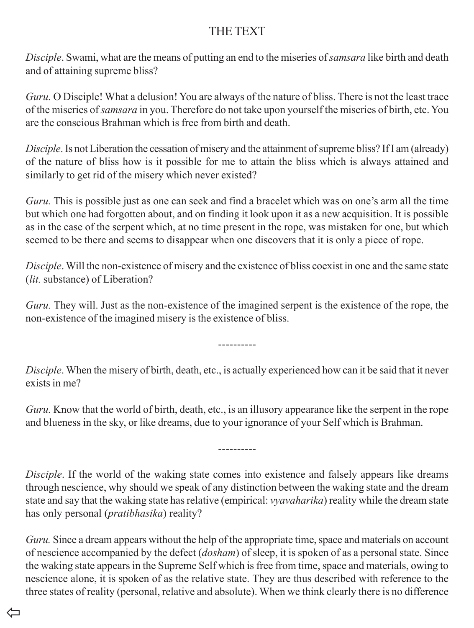### THE TEXT

*Disciple*. Swami, what are the means of putting an end to the miseries of *samsara* like birth and death and of attaining supreme bliss?

*Guru.* O Disciple! What a delusion! You are always of the nature of bliss. There is not the least trace of the miseries of *samsara* in you. Therefore do not take upon yourself the miseries of birth, etc. You are the conscious Brahman which is free from birth and death.

*Disciple*. Is not Liberation the cessation of misery and the attainment of supreme bliss? If I am (already) of the nature of bliss how is it possible for me to attain the bliss which is always attained and similarly to get rid of the misery which never existed?

*Guru.* This is possible just as one can seek and find a bracelet which was on one's arm all the time but which one had forgotten about, and on finding it look upon it as a new acquisition. It is possible as in the case of the serpent which, at no time present in the rope, was mistaken for one, but which seemed to be there and seems to disappear when one discovers that it is only a piece of rope.

*Disciple*. Will the non-existence of misery and the existence of bliss coexist in one and the same state (*lit.* substance) of Liberation?

*Guru.* They will. Just as the non-existence of the imagined serpent is the existence of the rope, the non-existence of the imagined misery is the existence of bliss.

----------

*Disciple*. When the misery of birth, death, etc., is actually experienced how can it be said that it never exists in me?

*Guru.* Know that the world of birth, death, etc., is an illusory appearance like the serpent in the rope and blueness in the sky, or like dreams, due to your ignorance of your Self which is Brahman.

----------

*Disciple*. If the world of the waking state comes into existence and falsely appears like dreams through nescience, why should we speak of any distinction between the waking state and the dream state and say that the waking state has relative (empirical: *vyavaharika*) reality while the dream state has only personal (*pratibhasika*) reality?

*Guru.* Since a dream appears without the help of the appropriate time, space and materials on account of nescience accompanied by the defect (*dosham*) of sleep, it is spoken of as a personal state. Since the waking state appears in the Supreme Self which is free from time, space and materials, owing to nescience alone, it is spoken of as the relative state. They are thus described with reference to the three states of reality (personal, relative and absolute). When we think clearly there is no difference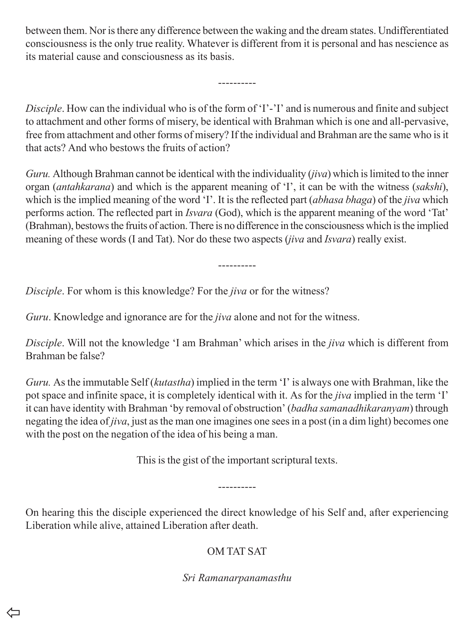between them. Nor is there any difference between the waking and the dream states. Undifferentiated consciousness is the only true reality. Whatever is different from it is personal and has nescience as its material cause and consciousness as its basis.

----------

*Disciple*. How can the individual who is of the form of 'I'-'I' and is numerous and finite and subject to attachment and other forms of misery, be identical with Brahman which is one and all-pervasive, free from attachment and other forms of misery? If the individual and Brahman are the same who is it that acts? And who bestows the fruits of action?

*Guru.* Although Brahman cannot be identical with the individuality (*jiva*) which is limited to the inner organ (*antahkarana*) and which is the apparent meaning of 'I', it can be with the witness (*sakshi*), which is the implied meaning of the word 'I'. It is the reflected part (*abhasa bhaga*) of the *jiva* which performs action. The reflected part in *Isvara* (God), which is the apparent meaning of the word 'Tat' (Brahman), bestows the fruits of action. There is no difference in the consciousness which is the implied meaning of these words (I and Tat). Nor do these two aspects (*jiva* and *Isvara*) really exist.

----------

*Disciple*. For whom is this knowledge? For the *jiva* or for the witness?

 $\Leftrightarrow$ 

*Guru*. Knowledge and ignorance are for the *jiva* alone and not for the witness.

*Disciple*. Will not the knowledge 'I am Brahman' which arises in the *jiva* which is different from Brahman be false?

*Guru.* As the immutable Self (*kutastha*) implied in the term 'I' is always one with Brahman, like the pot space and infinite space, it is completely identical with it. As for the *jiva* implied in the term 'I' it can have identity with Brahman 'by removal of obstruction' (*badha samanadhikaranyam*) through negating the idea of *jiva*, just as the man one imagines one sees in a post (in a dim light) becomes one with the post on the negation of the idea of his being a man.

This is the gist of the important scriptural texts.

----------

On hearing this the disciple experienced the direct knowledge of his Self and, after experiencing Liberation while alive, attained Liberation after death.

### OM TAT SAT

*Sri Ramanarpanamasthu*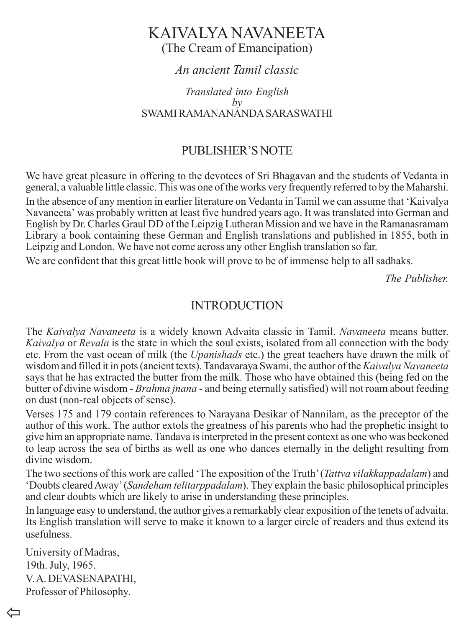## KAIVALYA NAVANEETA (The Cream of Emancipation)

*An ancient Tamil classic*

*Translated into English by* SWAMI RAMANANANDA SARASWATHI

### PUBLISHER'S NOTE

We have great pleasure in offering to the devotees of Sri Bhagavan and the students of Vedanta in general, a valuable little classic. This was one of the works very frequently referred to by the Maharshi.

In the absence of any mention in earlier literature on Vedanta in Tamil we can assume that 'Kaivalya Navaneeta' was probably written at least five hundred years ago. It was translated into German and English by Dr. Charles Graul DD of the Leipzig Lutheran Mission and we have in the Ramanasramam Library a book containing these German and English translations and published in 1855, both in Leipzig and London. We have not come across any other English translation so far.

We are confident that this great little book will prove to be of immense help to all sadhaks.

*The Publisher.*

### INTRODUCTION

The *Kaivalya Navaneeta* is a widely known Advaita classic in Tamil. *Navaneeta* means butter. *Kaivalya* or *Revala* is the state in which the soul exists, isolated from all connection with the body etc. From the vast ocean of milk (the *Upanishads* etc.) the great teachers have drawn the milk of wisdom and filled it in pots (ancient texts). Tandavaraya Swami, the author of the *Kaivalya Navaneeta* says that he has extracted the butter from the milk. Those who have obtained this (being fed on the butter of divine wisdom - *Brahma jnana* - and being eternally satisfied) will not roam about feeding on dust (non-real objects of sense).

Verses 175 and 179 contain references to Narayana Desikar of Nannilam, as the preceptor of the author of this work. The author extols the greatness of his parents who had the prophetic insight to give him an appropriate name. Tandava is interpreted in the present context as one who was beckoned to leap across the sea of births as well as one who dances eternally in the delight resulting from divine wisdom.

The two sections of this work are called 'The exposition of the Truth' (*Tattva vilakkappadalam*) and 'Doubts cleared Away' (*Sandeham telitarppadalam*). They explain the basic philosophical principles and clear doubts which are likely to arise in understanding these principles.

In language easy to understand, the author gives a remarkably clear exposition of the tenets of advaita. Its English translation will serve to make it known to a larger circle of readers and thus extend its usefulness.

University of Madras, 19th. July, 1965. V. A. DEVASENAPATHI, Professor of Philosophy.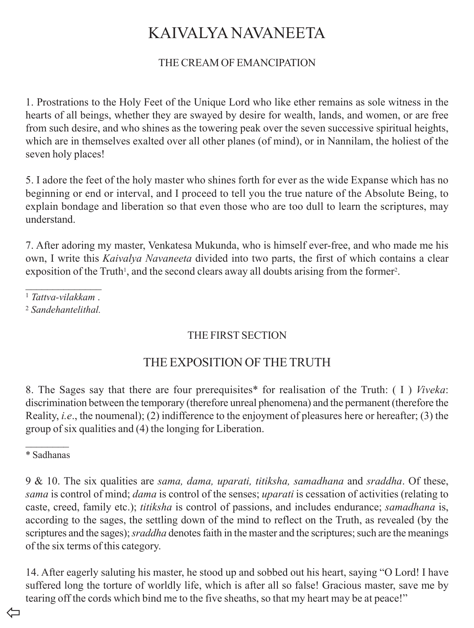# KAIVALYA NAVANEETA

#### THE CREAM OF EMANCIPATION

1. Prostrations to the Holy Feet of the Unique Lord who like ether remains as sole witness in the hearts of all beings, whether they are swayed by desire for wealth, lands, and women, or are free from such desire, and who shines as the towering peak over the seven successive spiritual heights, which are in themselves exalted over all other planes (of mind), or in Nannilam, the holiest of the seven holy places!

5. I adore the feet of the holy master who shines forth for ever as the wide Expanse which has no beginning or end or interval, and I proceed to tell you the true nature of the Absolute Being, to explain bondage and liberation so that even those who are too dull to learn the scriptures, may understand.

7. After adoring my master, Venkatesa Mukunda, who is himself ever-free, and who made me his own, I write this *Kaivalya Navaneeta* divided into two parts, the first of which contains a clear exposition of the Truth<sup>1</sup>, and the second clears away all doubts arising from the former<sup>2</sup>.

 $\mathcal{L}$  , we have the set of  $\mathcal{L}$ <sup>1</sup> *Tattva-vilakkam* .

<sup>2</sup> *Sandehantelithal.*

### THE FIRST SECTION

### THE EXPOSITION OF THE TRUTH

8. The Sages say that there are four prerequisites\* for realisation of the Truth: ( I ) *Viveka*: discrimination between the temporary (therefore unreal phenomena) and the permanent (therefore the Reality, *i.e*., the noumenal); (2) indifference to the enjoyment of pleasures here or hereafter; (3) the group of six qualities and (4) the longing for Liberation.

 $\mathcal{L}_\text{max}$ \* Sadhanas

 $\Leftrightarrow$ 

9 & 10. The six qualities are *sama, dama, uparati, titiksha, samadhana* and *sraddha*. Of these, *sama* is control of mind; *dama* is control of the senses; *uparati* is cessation of activities (relating to caste, creed, family etc.); *titiksha* is control of passions, and includes endurance; *samadhana* is, according to the sages, the settling down of the mind to reflect on the Truth, as revealed (by the scriptures and the sages); *sraddha* denotes faith in the master and the scriptures; such are the meanings of the six terms of this category.

14. After eagerly saluting his master, he stood up and sobbed out his heart, saying "O Lord! I have suffered long the torture of worldly life, which is after all so false! Gracious master, save me by tearing off the cords which bind me to the five sheaths, so that my heart may be at peace!"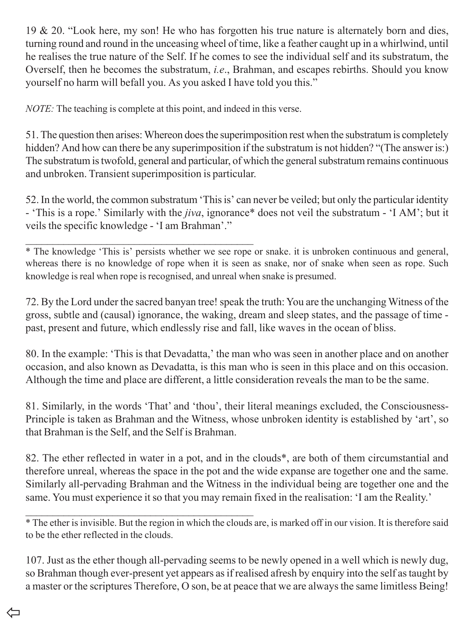19 & 20. "Look here, my son! He who has forgotten his true nature is alternately born and dies, turning round and round in the unceasing wheel of time, like a feather caught up in a whirlwind, until he realises the true nature of the Self. If he comes to see the individual self and its substratum, the Overself, then he becomes the substratum, *i.e*., Brahman, and escapes rebirths. Should you know yourself no harm will befall you. As you asked I have told you this."

*NOTE:* The teaching is complete at this point, and indeed in this verse.

 $\mathcal{L}_\text{max}$ 

 $\mathcal{L}_\text{max}$  and  $\mathcal{L}_\text{max}$  and  $\mathcal{L}_\text{max}$  and  $\mathcal{L}_\text{max}$  and  $\mathcal{L}_\text{max}$ 

 $\Leftrightarrow$ 

51. The question then arises: Whereon does the superimposition rest when the substratum is completely hidden? And how can there be any superimposition if the substratum is not hidden? "(The answer is:) The substratum is twofold, general and particular, of which the general substratum remains continuous and unbroken. Transient superimposition is particular.

52. In the world, the common substratum 'This is' can never be veiled; but only the particular identity - 'This is a rope.' Similarly with the *jiva*, ignorance\* does not veil the substratum - 'I AM'; but it veils the specific knowledge - 'I am Brahman'."

\* The knowledge 'This is' persists whether we see rope or snake. it is unbroken continuous and general, whereas there is no knowledge of rope when it is seen as snake, nor of snake when seen as rope. Such knowledge is real when rope is recognised, and unreal when snake is presumed.

72. By the Lord under the sacred banyan tree! speak the truth: You are the unchanging Witness of the gross, subtle and (causal) ignorance, the waking, dream and sleep states, and the passage of time past, present and future, which endlessly rise and fall, like waves in the ocean of bliss.

80. In the example: 'This is that Devadatta,' the man who was seen in another place and on another occasion, and also known as Devadatta, is this man who is seen in this place and on this occasion. Although the time and place are different, a little consideration reveals the man to be the same.

81. Similarly, in the words 'That' and 'thou', their literal meanings excluded, the Consciousness-Principle is taken as Brahman and the Witness, whose unbroken identity is established by 'art', so that Brahman is the Self, and the Self is Brahman.

82. The ether reflected in water in a pot, and in the clouds\*, are both of them circumstantial and therefore unreal, whereas the space in the pot and the wide expanse are together one and the same. Similarly all-pervading Brahman and the Witness in the individual being are together one and the same. You must experience it so that you may remain fixed in the realisation: 'I am the Reality.'

\* The ether is invisible. But the region in which the clouds are, is marked off in our vision. It is therefore said to be the ether reflected in the clouds.

107. Just as the ether though all-pervading seems to be newly opened in a well which is newly dug, so Brahman though ever-present yet appears as if realised afresh by enquiry into the self as taught by a master or the scriptures Therefore, O son, be at peace that we are always the same limitless Being!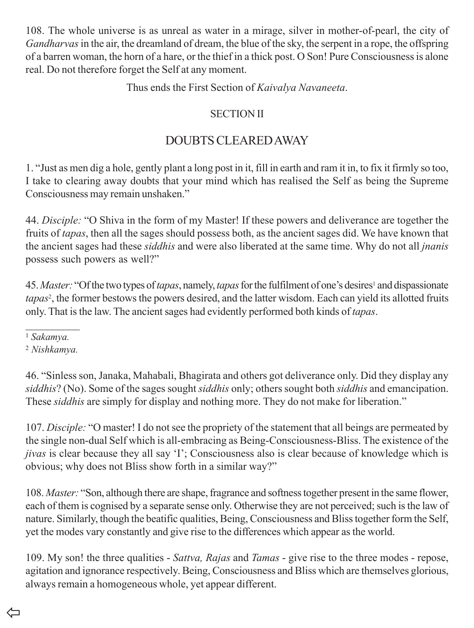108. The whole universe is as unreal as water in a mirage, silver in mother-of-pearl, the city of *Gandharvas* in the air, the dreamland of dream, the blue of the sky, the serpent in a rope, the offspring of a barren woman, the horn of a hare, or the thief in a thick post. O Son! Pure Consciousness is alone real. Do not therefore forget the Self at any moment.

Thus ends the First Section of *Kaivalya Navaneeta*.

### SECTION II

### DOUBTS CLEARED AWAY

1. "Just as men dig a hole, gently plant a long post in it, fill in earth and ram it in, to fix it firmly so too, I take to clearing away doubts that your mind which has realised the Self as being the Supreme Consciousness may remain unshaken."

44. *Disciple:* "O Shiva in the form of my Master! If these powers and deliverance are together the fruits of *tapas*, then all the sages should possess both, as the ancient sages did. We have known that the ancient sages had these *siddhis* and were also liberated at the same time. Why do not all *jnanis* possess such powers as well?"

45. *Master*: "Of the two types of *tapas*, namely, *tapas* for the fulfilment of one's desires<sup>1</sup> and dispassionate *tapas*<sup>2</sup> , the former bestows the powers desired, and the latter wisdom. Each can yield its allotted fruits only. That is the law. The ancient sages had evidently performed both kinds of *tapas*.

 $\frac{1}{2}$ <sup>1</sup> *Sakamya.*

 $\Leftrightarrow$ 

<sup>2</sup> *Nishkamya.*

46. "Sinless son, Janaka, Mahabali, Bhagirata and others got deliverance only. Did they display any *siddhis*? (No). Some of the sages sought *siddhis* only; others sought both *siddhis* and emancipation. These *siddhis* are simply for display and nothing more. They do not make for liberation."

107. *Disciple:* "O master! I do not see the propriety of the statement that all beings are permeated by the single non-dual Self which is all-embracing as Being-Consciousness-Bliss. The existence of the *jivas* is clear because they all say 'I'; Consciousness also is clear because of knowledge which is obvious; why does not Bliss show forth in a similar way?"

108. *Master:* "Son, although there are shape, fragrance and softness together present in the same flower, each of them is cognised by a separate sense only. Otherwise they are not perceived; such is the law of nature. Similarly, though the beatific qualities, Being, Consciousness and Bliss together form the Self, yet the modes vary constantly and give rise to the differences which appear as the world.

109. My son! the three qualities - *Sattva, Rajas* and *Tamas* - give rise to the three modes - repose, agitation and ignorance respectively. Being, Consciousness and Bliss which are themselves glorious, always remain a homogeneous whole, yet appear different.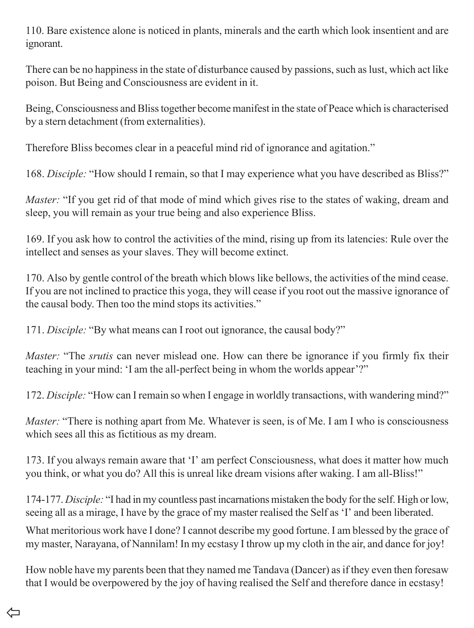110. Bare existence alone is noticed in plants, minerals and the earth which look insentient and are ignorant.

There can be no happiness in the state of disturbance caused by passions, such as lust, which act like poison. But Being and Consciousness are evident in it.

Being, Consciousness and Bliss together become manifest in the state of Peace which is characterised by a stern detachment (from externalities).

Therefore Bliss becomes clear in a peaceful mind rid of ignorance and agitation."

168. *Disciple:* "How should I remain, so that I may experience what you have described as Bliss?"

*Master:* "If you get rid of that mode of mind which gives rise to the states of waking, dream and sleep, you will remain as your true being and also experience Bliss.

169. If you ask how to control the activities of the mind, rising up from its latencies: Rule over the intellect and senses as your slaves. They will become extinct.

170. Also by gentle control of the breath which blows like bellows, the activities of the mind cease. If you are not inclined to practice this yoga, they will cease if you root out the massive ignorance of the causal body. Then too the mind stops its activities."

171. *Disciple:* "By what means can I root out ignorance, the causal body?"

 $\Leftrightarrow$ 

*Master:* "The *srutis* can never mislead one. How can there be ignorance if you firmly fix their teaching in your mind: 'I am the all-perfect being in whom the worlds appear'?"

172. *Disciple:* "How can I remain so when I engage in worldly transactions, with wandering mind?"

*Master:* "There is nothing apart from Me. Whatever is seen, is of Me. I am I who is consciousness which sees all this as fictitious as my dream.

173. If you always remain aware that 'I' am perfect Consciousness, what does it matter how much you think, or what you do? All this is unreal like dream visions after waking. I am all-Bliss!"

174-177. *Disciple:* "I had in my countless past incarnations mistaken the body for the self. High or low, seeing all as a mirage, I have by the grace of my master realised the Self as 'I' and been liberated.

What meritorious work have I done? I cannot describe my good fortune. I am blessed by the grace of my master, Narayana, of Nannilam! In my ecstasy I throw up my cloth in the air, and dance for joy!

How noble have my parents been that they named me Tandava (Dancer) as if they even then foresaw that I would be overpowered by the joy of having realised the Self and therefore dance in ecstasy!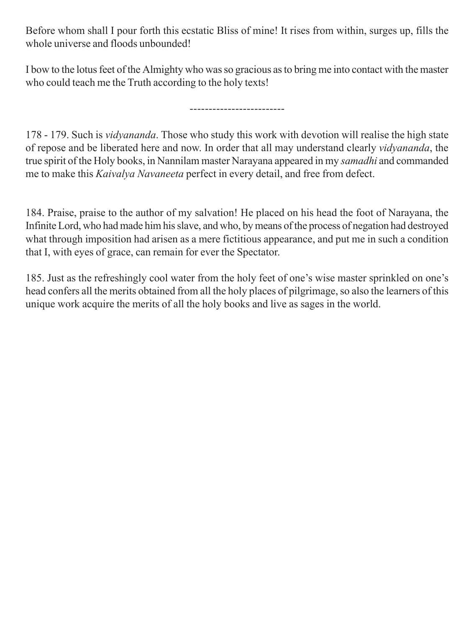Before whom shall I pour forth this ecstatic Bliss of mine! It rises from within, surges up, fills the whole universe and floods unbounded!

I bow to the lotus feet of the Almighty who was so gracious as to bring me into contact with the master who could teach me the Truth according to the holy texts!

-------------------------

178 - 179. Such is *vidyananda*. Those who study this work with devotion will realise the high state of repose and be liberated here and now. In order that all may understand clearly *vidyananda*, the true spirit of the Holy books, in Nannilam master Narayana appeared in my *samadhi* and commanded me to make this *Kaivalya Navaneeta* perfect in every detail, and free from defect.

184. Praise, praise to the author of my salvation! He placed on his head the foot of Narayana, the Infinite Lord, who had made him his slave, and who, by means of the process of negation had destroyed what through imposition had arisen as a mere fictitious appearance, and put me in such a condition that I, with eyes of grace, can remain for ever the Spectator.

185. Just as the refreshingly cool water from the holy feet of one's wise master sprinkled on one's head confers all the merits obtained from all the holy places of pilgrimage, so also the learners of this unique work acquire the merits of all the holy books and live as sages in the world.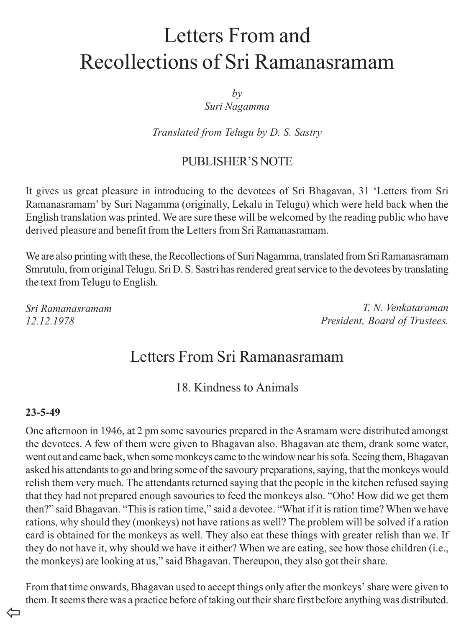# Letters From and Recollections of Sri Ramanasramam

*by*

*Suri Nagamma*

*Translated from Telugu by D. S. Sastry*

### PUBLISHER'S NOTE

It gives us great pleasure in introducing to the devotees of Sri Bhagavan, 31 'Letters from Sri Ramanasramam' by Suri Nagamma (originally, Lekalu in Telugu) which were held back when the English translation was printed. We are sure these will be welcomed by the reading public who have derived pleasure and benefit from the Letters from Sri Ramanasramam.

We are also printing with these, the Recollections of Suri Nagamma, translated from Sri Ramanasramam Smrutulu, from original Telugu. Sri D. S. Sastri has rendered great service to the devotees by translating the text from Telugu to English.

*Sri Ramanasramam 12.12.1978*

*T. N. Venkataraman President, Board of Trustees.*

# Letters From Sri Ramanasramam

18. Kindness to Animals

#### **23-5-49**

 $\Leftrightarrow$ 

One afternoon in 1946, at 2 pm some savouries prepared in the Asramam were distributed amongst the devotees. A few of them were given to Bhagavan also. Bhagavan ate them, drank some water, went out and came back, when some monkeys came to the window near his sofa. Seeing them, Bhagavan asked his attendants to go and bring some of the savoury preparations, saying, that the monkeys would relish them very much. The attendants returned saying that the people in the kitchen refused saying that they had not prepared enough savouries to feed the monkeys also. "Oho! How did we get them then?" said Bhagavan. "This is ration time," said a devotee. "What if it is ration time? When we have rations, why should they (monkeys) not have rations as well? The problem will be solved if a ration card is obtained for the monkeys as well. They also eat these things with greater relish than we. If they do not have it, why should we have it either? When we are eating, see how those children (i.e., the monkeys) are looking at us," said Bhagavan. Thereupon, they also got their share.

From that time onwards, Bhagavan used to accept things only after the monkeys' share were given to them. It seems there was a practice before of taking out their share first before anything was distributed.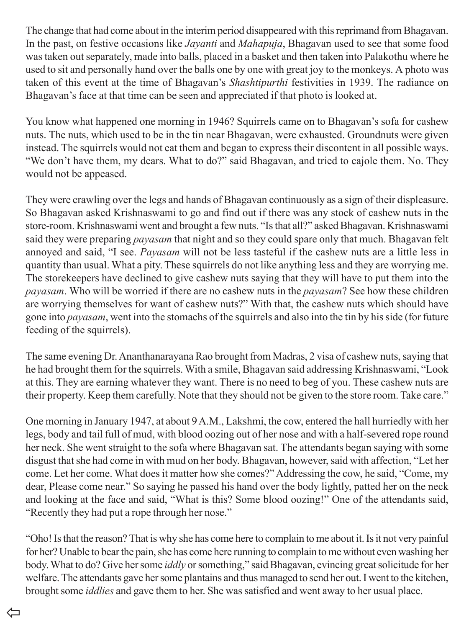The change that had come about in the interim period disappeared with this reprimand from Bhagavan. In the past, on festive occasions like *Jayanti* and *Mahapuja*, Bhagavan used to see that some food was taken out separately, made into balls, placed in a basket and then taken into Palakothu where he used to sit and personally hand over the balls one by one with great joy to the monkeys. A photo was taken of this event at the time of Bhagavan's *Shashtipurthi* festivities in 1939. The radiance on Bhagavan's face at that time can be seen and appreciated if that photo is looked at.

You know what happened one morning in 1946? Squirrels came on to Bhagavan's sofa for cashew nuts. The nuts, which used to be in the tin near Bhagavan, were exhausted. Groundnuts were given instead. The squirrels would not eat them and began to express their discontent in all possible ways. "We don't have them, my dears. What to do?" said Bhagavan, and tried to cajole them. No. They would not be appeased.

They were crawling over the legs and hands of Bhagavan continuously as a sign of their displeasure. So Bhagavan asked Krishnaswami to go and find out if there was any stock of cashew nuts in the store-room. Krishnaswami went and brought a few nuts. "Is that all?" asked Bhagavan. Krishnaswami said they were preparing *payasam* that night and so they could spare only that much. Bhagavan felt annoyed and said, "I see. *Payasam* will not be less tasteful if the cashew nuts are a little less in quantity than usual. What a pity. These squirrels do not like anything less and they are worrying me. The storekeepers have declined to give cashew nuts saying that they will have to put them into the *payasam*. Who will be worried if there are no cashew nuts in the *payasam*? See how these children are worrying themselves for want of cashew nuts?" With that, the cashew nuts which should have gone into *payasam*, went into the stomachs of the squirrels and also into the tin by his side (for future feeding of the squirrels).

The same evening Dr. Ananthanarayana Rao brought from Madras, 2 visa of cashew nuts, saying that he had brought them for the squirrels. With a smile, Bhagavan said addressing Krishnaswami, "Look at this. They are earning whatever they want. There is no need to beg of you. These cashew nuts are their property. Keep them carefully. Note that they should not be given to the store room. Take care."

One morning in January 1947, at about 9 A.M., Lakshmi, the cow, entered the hall hurriedly with her legs, body and tail full of mud, with blood oozing out of her nose and with a half-severed rope round her neck. She went straight to the sofa where Bhagavan sat. The attendants began saying with some disgust that she had come in with mud on her body. Bhagavan, however, said with affection, "Let her come. Let her come. What does it matter how she comes?" Addressing the cow, he said, "Come, my dear, Please come near." So saying he passed his hand over the body lightly, patted her on the neck and looking at the face and said, "What is this? Some blood oozing!" One of the attendants said, "Recently they had put a rope through her nose."

"Oho! Is that the reason? That is why she has come here to complain to me about it. Is it not very painful for her? Unable to bear the pain, she has come here running to complain to me without even washing her body. What to do? Give her some *iddly* or something," said Bhagavan, evincing great solicitude for her welfare. The attendants gave her some plantains and thus managed to send her out. I went to the kitchen, brought some *iddlies* and gave them to her. She was satisfied and went away to her usual place.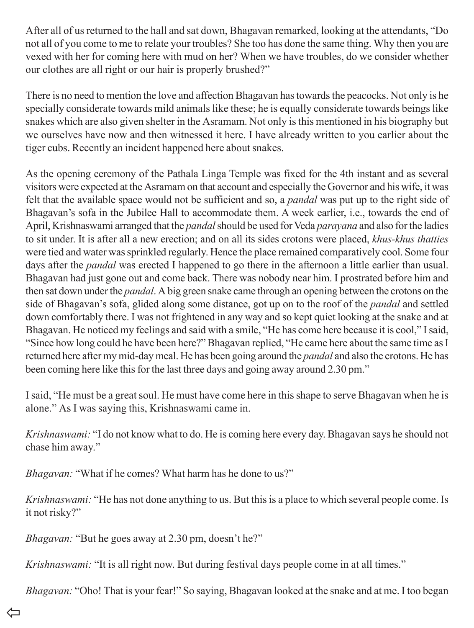After all of us returned to the hall and sat down, Bhagavan remarked, looking at the attendants, "Do not all of you come to me to relate your troubles? She too has done the same thing. Why then you are vexed with her for coming here with mud on her? When we have troubles, do we consider whether our clothes are all right or our hair is properly brushed?"

There is no need to mention the love and affection Bhagavan has towards the peacocks. Not only is he specially considerate towards mild animals like these; he is equally considerate towards beings like snakes which are also given shelter in the Asramam. Not only is this mentioned in his biography but we ourselves have now and then witnessed it here. I have already written to you earlier about the tiger cubs. Recently an incident happened here about snakes.

As the opening ceremony of the Pathala Linga Temple was fixed for the 4th instant and as several visitors were expected at the Asramam on that account and especially the Governor and his wife, it was felt that the available space would not be sufficient and so, a *pandal* was put up to the right side of Bhagavan's sofa in the Jubilee Hall to accommodate them. A week earlier, i.e., towards the end of April, Krishnaswami arranged that the *pandal* should be used for Veda *parayana* and also for the ladies to sit under. It is after all a new erection; and on all its sides crotons were placed, *khus-khus thatties* were tied and water was sprinkled regularly. Hence the place remained comparatively cool. Some four days after the *pandal* was erected I happened to go there in the afternoon a little earlier than usual. Bhagavan had just gone out and come back. There was nobody near him. I prostrated before him and then sat down under the *pandal*. A big green snake came through an opening between the crotons on the side of Bhagavan's sofa, glided along some distance, got up on to the roof of the *pandal* and settled down comfortably there. I was not frightened in any way and so kept quiet looking at the snake and at Bhagavan. He noticed my feelings and said with a smile, "He has come here because it is cool," I said, "Since how long could he have been here?" Bhagavan replied, "He came here about the same time as I returned here after my mid-day meal. He has been going around the *pandal* and also the crotons. He has been coming here like this for the last three days and going away around 2.30 pm."

I said, "He must be a great soul. He must have come here in this shape to serve Bhagavan when he is alone." As I was saying this, Krishnaswami came in.

*Krishnaswami:* "I do not know what to do. He is coming here every day. Bhagavan says he should not chase him away."

*Bhagavan:* "What if he comes? What harm has he done to us?"

*Krishnaswami:* "He has not done anything to us. But this is a place to which several people come. Is it not risky?"

*Bhagavan:* "But he goes away at 2.30 pm, doesn't he?"

 $\Leftrightarrow$ 

*Krishnaswami:* "It is all right now. But during festival days people come in at all times."

*Bhagavan:* "Oho! That is your fear!" So saying, Bhagavan looked at the snake and at me. I too began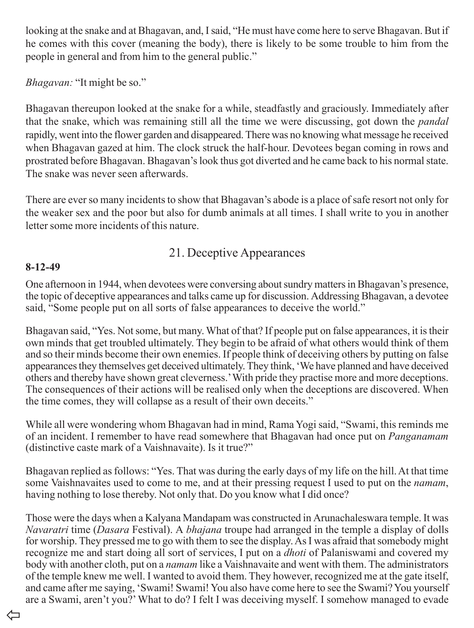looking at the snake and at Bhagavan, and, I said, "He must have come here to serve Bhagavan. But if he comes with this cover (meaning the body), there is likely to be some trouble to him from the people in general and from him to the general public."

*Bhagavan:* "It might be so."

Bhagavan thereupon looked at the snake for a while, steadfastly and graciously. Immediately after that the snake, which was remaining still all the time we were discussing, got down the *pandal* rapidly, went into the flower garden and disappeared. There was no knowing what message he received when Bhagavan gazed at him. The clock struck the half-hour. Devotees began coming in rows and prostrated before Bhagavan. Bhagavan's look thus got diverted and he came back to his normal state. The snake was never seen afterwards.

There are ever so many incidents to show that Bhagavan's abode is a place of safe resort not only for the weaker sex and the poor but also for dumb animals at all times. I shall write to you in another letter some more incidents of this nature.

### 21. Deceptive Appearances

### **8-12-49**

 $\Leftrightarrow$ 

One afternoon in 1944, when devotees were conversing about sundry matters in Bhagavan's presence, the topic of deceptive appearances and talks came up for discussion. Addressing Bhagavan, a devotee said, "Some people put on all sorts of false appearances to deceive the world."

Bhagavan said, "Yes. Not some, but many. What of that? If people put on false appearances, it is their own minds that get troubled ultimately. They begin to be afraid of what others would think of them and so their minds become their own enemies. If people think of deceiving others by putting on false appearances they themselves get deceived ultimately. They think, 'We have planned and have deceived others and thereby have shown great cleverness.' With pride they practise more and more deceptions. The consequences of their actions will be realised only when the deceptions are discovered. When the time comes, they will collapse as a result of their own deceits."

While all were wondering whom Bhagavan had in mind, Rama Yogi said, "Swami, this reminds me of an incident. I remember to have read somewhere that Bhagavan had once put on *Panganamam* (distinctive caste mark of a Vaishnavaite). Is it true?"

Bhagavan replied as follows: "Yes. That was during the early days of my life on the hill. At that time some Vaishnavaites used to come to me, and at their pressing request I used to put on the *namam*, having nothing to lose thereby. Not only that. Do you know what I did once?

Those were the days when a Kalyana Mandapam was constructed in Arunachaleswara temple. It was *Navaratri* time (*Dasara* Festival). A *bhajana* troupe had arranged in the temple a display of dolls for worship. They pressed me to go with them to see the display. As I was afraid that somebody might recognize me and start doing all sort of services, I put on a *dhoti* of Palaniswami and covered my body with another cloth, put on a *namam* like a Vaishnavaite and went with them. The administrators of the temple knew me well. I wanted to avoid them. They however, recognized me at the gate itself, and came after me saying, 'Swami! Swami! You also have come here to see the Swami? You yourself are a Swami, aren't you?' What to do? I felt I was deceiving myself. I somehow managed to evade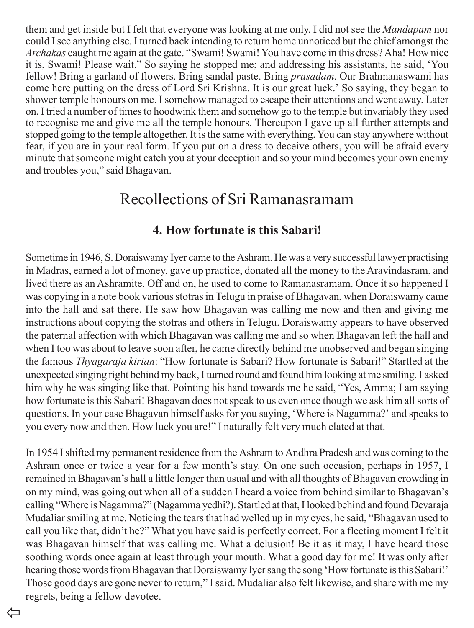them and get inside but I felt that everyone was looking at me only. I did not see the *Mandapam* nor could I see anything else. I turned back intending to return home unnoticed but the chief amongst the *Archakas* caught me again at the gate. "Swami! Swami! You have come in this dress? Aha! How nice it is, Swami! Please wait." So saying he stopped me; and addressing his assistants, he said, 'You fellow! Bring a garland of flowers. Bring sandal paste. Bring *prasadam*. Our Brahmanaswami has come here putting on the dress of Lord Sri Krishna. It is our great luck.' So saying, they began to shower temple honours on me. I somehow managed to escape their attentions and went away. Later on, I tried a number of times to hoodwink them and somehow go to the temple but invariably they used to recognise me and give me all the temple honours. Thereupon I gave up all further attempts and stopped going to the temple altogether. It is the same with everything. You can stay anywhere without fear, if you are in your real form. If you put on a dress to deceive others, you will be afraid every minute that someone might catch you at your deception and so your mind becomes your own enemy and troubles you," said Bhagavan.

# Recollections of Sri Ramanasramam

### **4. How fortunate is this Sabari!**

Sometime in 1946, S. Doraiswamy Iyer came to the Ashram. He was a very successful lawyer practising in Madras, earned a lot of money, gave up practice, donated all the money to the Aravindasram, and lived there as an Ashramite. Off and on, he used to come to Ramanasramam. Once it so happened I was copying in a note book various stotras in Telugu in praise of Bhagavan, when Doraiswamy came into the hall and sat there. He saw how Bhagavan was calling me now and then and giving me instructions about copying the stotras and others in Telugu. Doraiswamy appears to have observed the paternal affection with which Bhagavan was calling me and so when Bhagavan left the hall and when I too was about to leave soon after, he came directly behind me unobserved and began singing the famous *Thyagaraja kirtan*: "How fortunate is Sabari? How fortunate is Sabari!" Startled at the unexpected singing right behind my back, I turned round and found him looking at me smiling. I asked him why he was singing like that. Pointing his hand towards me he said, "Yes, Amma; I am saying how fortunate is this Sabari! Bhagavan does not speak to us even once though we ask him all sorts of questions. In your case Bhagavan himself asks for you saying, 'Where is Nagamma?' and speaks to you every now and then. How luck you are!" I naturally felt very much elated at that.

In 1954 I shifted my permanent residence from the Ashram to Andhra Pradesh and was coming to the Ashram once or twice a year for a few month's stay. On one such occasion, perhaps in 1957, I remained in Bhagavan's hall a little longer than usual and with all thoughts of Bhagavan crowding in on my mind, was going out when all of a sudden I heard a voice from behind similar to Bhagavan's calling "Where is Nagamma?" (Nagamma yedhi?). Startled at that, I looked behind and found Devaraja Mudaliar smiling at me. Noticing the tears that had welled up in my eyes, he said, "Bhagavan used to call you like that, didn't he?" What you have said is perfectly correct. For a fleeting moment I felt it was Bhagavan himself that was calling me. What a delusion! Be it as it may, I have heard those soothing words once again at least through your mouth. What a good day for me! It was only after hearing those words from Bhagavan that Doraiswamy Iyer sang the song 'How fortunate is this Sabari!' Those good days are gone never to return," I said. Mudaliar also felt likewise, and share with me my regrets, being a fellow devotee.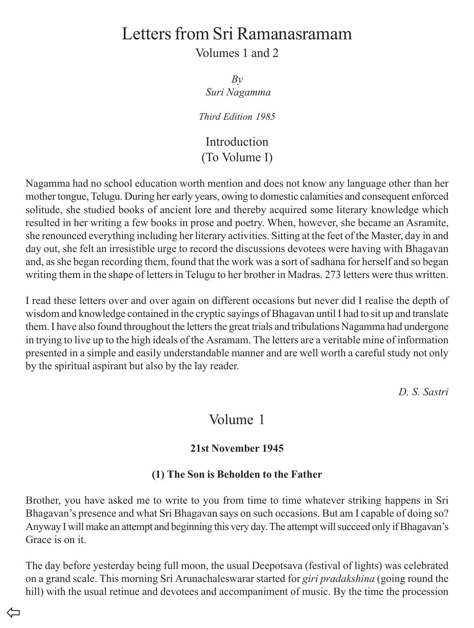# Letters from Sri Ramanasramam

Volumes 1 and 2

*By Suri Nagamma*

*Third Edition 1985*

Introduction (To Volume I)

Nagamma had no school education worth mention and does not know any language other than her mother tongue, Telugu. During her early years, owing to domestic calamities and consequent enforced solitude, she studied books of ancient lore and thereby acquired some literary knowledge which resulted in her writing a few books in prose and poetry. When, however, she became an Asramite, she renounced everything including her literary activities. Sitting at the feet of the Master, day in and day out, she felt an irresistible urge to record the discussions devotees were having with Bhagavan and, as she began recording them, found that the work was a sort of sadhana for herself and so began writing them in the shape of letters in Telugu to her brother in Madras. 273 letters were thus written.

I read these letters over and over again on different occasions but never did I realise the depth of wisdom and knowledge contained in the cryptic sayings of Bhagavan until I had to sit up and translate them. I have also found throughout the letters the great trials and tribulations Nagamma had undergone in trying to live up to the high ideals of the Asramam. The letters are a veritable mine of information presented in a simple and easily understandable manner and are well worth a careful study not only by the spiritual aspirant but also by the lay reader.

*D. S. Sastri*

## Volume 1

### **21st November 1945**

### **(1) The Son is Beholden to the Father**

Brother, you have asked me to write to you from time to time whatever striking happens in Sri Bhagavan's presence and what Sri Bhagavan says on such occasions. But am I capable of doing so? Anyway I will make an attempt and beginning this very day. The attempt will succeed only if Bhagavan's Grace is on it.

The day before yesterday being full moon, the usual Deepotsava (festival of lights) was celebrated on a grand scale. This morning Sri Arunachaleswarar started for *giri pradakshina* (going round the hill) with the usual retinue and devotees and accompaniment of music. By the time the procession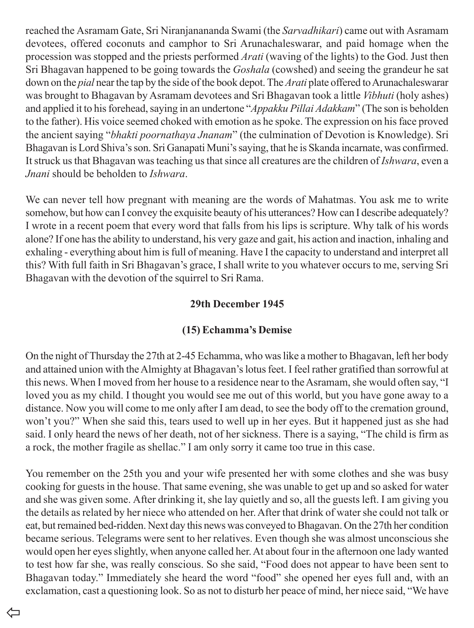reached the Asramam Gate, Sri Niranjanananda Swami (the *Sarvadhikari*) came out with Asramam devotees, offered coconuts and camphor to Sri Arunachaleswarar, and paid homage when the procession was stopped and the priests performed *Arati* (waving of the lights) to the God. Just then Sri Bhagavan happened to be going towards the *Goshala* (cowshed) and seeing the grandeur he sat down on the *pial* near the tap by the side of the book depot. The *Arati* plate offered to Arunachaleswarar was brought to Bhagavan by Asramam devotees and Sri Bhagavan took a little *Vibhuti* (holy ashes) and applied it to his forehead, saying in an undertone "*Appakku Pillai Adakkam*" (The son is beholden to the father). His voice seemed choked with emotion as he spoke. The expression on his face proved the ancient saying "*bhakti poornathaya Jnanam*" (the culmination of Devotion is Knowledge). Sri Bhagavan is Lord Shiva's son. Sri Ganapati Muni's saying, that he is Skanda incarnate, was confirmed. It struck us that Bhagavan was teaching us that since all creatures are the children of *Ishwara*, even a *Jnani* should be beholden to *Ishwara*.

We can never tell how pregnant with meaning are the words of Mahatmas. You ask me to write somehow, but how can I convey the exquisite beauty of his utterances? How can I describe adequately? I wrote in a recent poem that every word that falls from his lips is scripture. Why talk of his words alone? If one has the ability to understand, his very gaze and gait, his action and inaction, inhaling and exhaling - everything about him is full of meaning. Have I the capacity to understand and interpret all this? With full faith in Sri Bhagavan's grace, I shall write to you whatever occurs to me, serving Sri Bhagavan with the devotion of the squirrel to Sri Rama.

### **29th December 1945**

### **(15) Echamma's Demise**

On the night of Thursday the 27th at 2-45 Echamma, who was like a mother to Bhagavan, left her body and attained union with the Almighty at Bhagavan's lotus feet. I feel rather gratified than sorrowful at this news. When I moved from her house to a residence near to the Asramam, she would often say, "I loved you as my child. I thought you would see me out of this world, but you have gone away to a distance. Now you will come to me only after I am dead, to see the body off to the cremation ground, won't you?" When she said this, tears used to well up in her eyes. But it happened just as she had said. I only heard the news of her death, not of her sickness. There is a saying, "The child is firm as a rock, the mother fragile as shellac." I am only sorry it came too true in this case.

You remember on the 25th you and your wife presented her with some clothes and she was busy cooking for guests in the house. That same evening, she was unable to get up and so asked for water and she was given some. After drinking it, she lay quietly and so, all the guests left. I am giving you the details as related by her niece who attended on her. After that drink of water she could not talk or eat, but remained bed-ridden. Next day this news was conveyed to Bhagavan. On the 27th her condition became serious. Telegrams were sent to her relatives. Even though she was almost unconscious she would open her eyes slightly, when anyone called her. At about four in the afternoon one lady wanted to test how far she, was really conscious. So she said, "Food does not appear to have been sent to Bhagavan today." Immediately she heard the word "food" she opened her eyes full and, with an exclamation, cast a questioning look. So as not to disturb her peace of mind, her niece said, "We have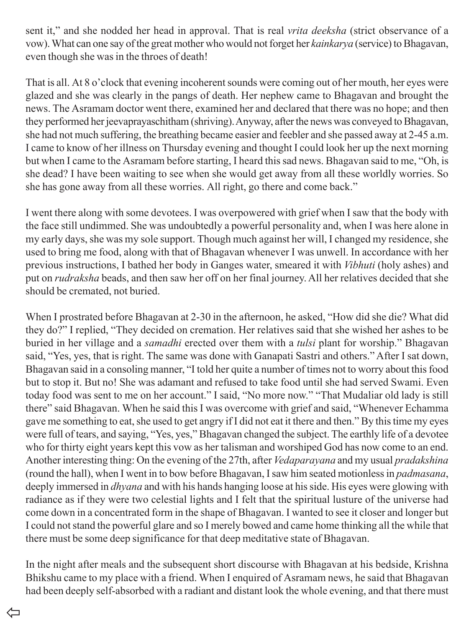sent it," and she nodded her head in approval. That is real *vrita deeksha* (strict observance of a vow). What can one say of the great mother who would not forget her *kainkarya* (service) to Bhagavan, even though she was in the throes of death!

That is all. At 8 o'clock that evening incoherent sounds were coming out of her mouth, her eyes were glazed and she was clearly in the pangs of death. Her nephew came to Bhagavan and brought the news. The Asramam doctor went there, examined her and declared that there was no hope; and then they performed her jeevaprayaschitham (shriving). Anyway, after the news was conveyed to Bhagavan, she had not much suffering, the breathing became easier and feebler and she passed away at 2-45 a.m. I came to know of her illness on Thursday evening and thought I could look her up the next morning but when I came to the Asramam before starting, I heard this sad news. Bhagavan said to me, "Oh, is she dead? I have been waiting to see when she would get away from all these worldly worries. So she has gone away from all these worries. All right, go there and come back."

I went there along with some devotees. I was overpowered with grief when I saw that the body with the face still undimmed. She was undoubtedly a powerful personality and, when I was here alone in my early days, she was my sole support. Though much against her will, I changed my residence, she used to bring me food, along with that of Bhagavan whenever I was unwell. In accordance with her previous instructions, I bathed her body in Ganges water, smeared it with *Vibhuti* (holy ashes) and put on *rudraksha* beads, and then saw her off on her final journey. All her relatives decided that she should be cremated, not buried.

When I prostrated before Bhagavan at 2-30 in the afternoon, he asked, "How did she die? What did they do?" I replied, "They decided on cremation. Her relatives said that she wished her ashes to be buried in her village and a *samadhi* erected over them with a *tulsi* plant for worship." Bhagavan said, "Yes, yes, that is right. The same was done with Ganapati Sastri and others." After I sat down, Bhagavan said in a consoling manner, "I told her quite a number of times not to worry about this food but to stop it. But no! She was adamant and refused to take food until she had served Swami. Even today food was sent to me on her account." I said, "No more now." "That Mudaliar old lady is still there" said Bhagavan. When he said this I was overcome with grief and said, "Whenever Echamma gave me something to eat, she used to get angry if I did not eat it there and then." By this time my eyes were full of tears, and saying, "Yes, yes," Bhagavan changed the subject. The earthly life of a devotee who for thirty eight years kept this vow as her talisman and worshiped God has now come to an end. Another interesting thing: On the evening of the 27th, after *Vedaparayana* and my usual *pradakshina* (round the hall), when I went in to bow before Bhagavan, I saw him seated motionless in *padmasana*, deeply immersed in *dhyana* and with his hands hanging loose at his side. His eyes were glowing with radiance as if they were two celestial lights and I felt that the spiritual lusture of the universe had come down in a concentrated form in the shape of Bhagavan. I wanted to see it closer and longer but I could not stand the powerful glare and so I merely bowed and came home thinking all the while that there must be some deep significance for that deep meditative state of Bhagavan.

In the night after meals and the subsequent short discourse with Bhagavan at his bedside, Krishna Bhikshu came to my place with a friend. When I enquired of Asramam news, he said that Bhagavan had been deeply self-absorbed with a radiant and distant look the whole evening, and that there must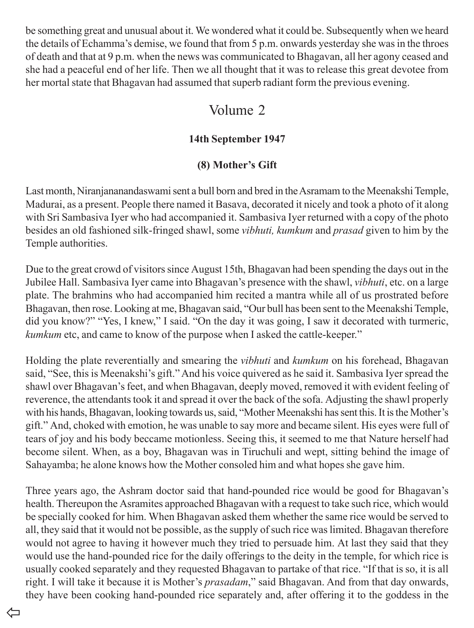be something great and unusual about it. We wondered what it could be. Subsequently when we heard the details of Echamma's demise, we found that from 5 p.m. onwards yesterday she was in the throes of death and that at 9 p.m. when the news was communicated to Bhagavan, all her agony ceased and she had a peaceful end of her life. Then we all thought that it was to release this great devotee from her mortal state that Bhagavan had assumed that superb radiant form the previous evening.

# Volume 2

### **14th September 1947**

### **(8) Mother's Gift**

Last month, Niranjananandaswami sent a bull born and bred in the Asramam to the Meenakshi Temple, Madurai, as a present. People there named it Basava, decorated it nicely and took a photo of it along with Sri Sambasiva Iyer who had accompanied it. Sambasiva Iyer returned with a copy of the photo besides an old fashioned silk-fringed shawl, some *vibhuti, kumkum* and *prasad* given to him by the Temple authorities.

Due to the great crowd of visitors since August 15th, Bhagavan had been spending the days out in the Jubilee Hall. Sambasiva Iyer came into Bhagavan's presence with the shawl, *vibhuti*, etc. on a large plate. The brahmins who had accompanied him recited a mantra while all of us prostrated before Bhagavan, then rose. Looking at me, Bhagavan said, "Our bull has been sent to the Meenakshi Temple, did you know?" "Yes, I knew," I said. "On the day it was going, I saw it decorated with turmeric, *kumkum* etc, and came to know of the purpose when I asked the cattle-keeper."

Holding the plate reverentially and smearing the *vibhuti* and *kumkum* on his forehead, Bhagavan said, "See, this is Meenakshi's gift." And his voice quivered as he said it. Sambasiva Iyer spread the shawl over Bhagavan's feet, and when Bhagavan, deeply moved, removed it with evident feeling of reverence, the attendants took it and spread it over the back of the sofa. Adjusting the shawl properly with his hands, Bhagavan, looking towards us, said, "Mother Meenakshi has sent this. It is the Mother's gift." And, choked with emotion, he was unable to say more and became silent. His eyes were full of tears of joy and his body beccame motionless. Seeing this, it seemed to me that Nature herself had become silent. When, as a boy, Bhagavan was in Tiruchuli and wept, sitting behind the image of Sahayamba; he alone knows how the Mother consoled him and what hopes she gave him.

Three years ago, the Ashram doctor said that hand-pounded rice would be good for Bhagavan's health. Thereupon the Asramites approached Bhagavan with a request to take such rice, which would be specially cooked for him. When Bhagavan asked them whether the same rice would be served to all, they said that it would not be possible, as the supply of such rice was limited. Bhagavan therefore would not agree to having it however much they tried to persuade him. At last they said that they would use the hand-pounded rice for the daily offerings to the deity in the temple, for which rice is usually cooked separately and they requested Bhagavan to partake of that rice. "If that is so, it is all right. I will take it because it is Mother's *prasadam*," said Bhagavan. And from that day onwards, they have been cooking hand-pounded rice separately and, after offering it to the goddess in the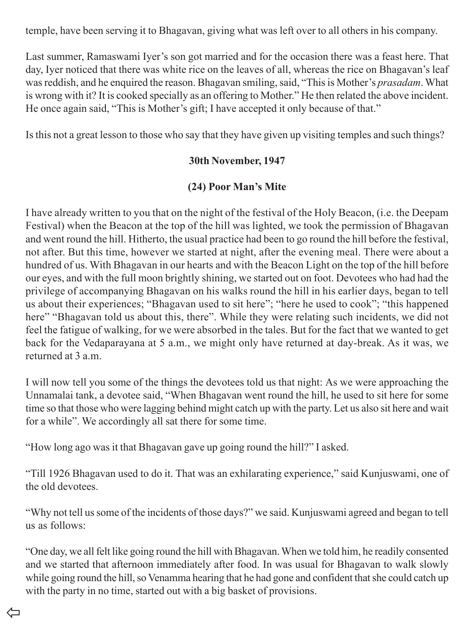temple, have been serving it to Bhagavan, giving what was left over to all others in his company.

Last summer, Ramaswami Iyer's son got married and for the occasion there was a feast here. That day, Iyer noticed that there was white rice on the leaves of all, whereas the rice on Bhagavan's leaf was reddish, and he enquired the reason. Bhagavan smiling, said, "This is Mother's *prasadam*. What is wrong with it? It is cooked specially as an offering to Mother." He then related the above incident. He once again said, "This is Mother's gift; I have accepted it only because of that."

Is this not a great lesson to those who say that they have given up visiting temples and such things?

#### **30th November, 1947**

#### **(24) Poor Man's Mite**

I have already written to you that on the night of the festival of the Holy Beacon, (i.e. the Deepam Festival) when the Beacon at the top of the hill was lighted, we took the permission of Bhagavan and went round the hill. Hitherto, the usual practice had been to go round the hill before the festival, not after. But this time, however we started at night, after the evening meal. There were about a hundred of us. With Bhagavan in our hearts and with the Beacon Light on the top of the hill before our eyes, and with the full moon brightly shining, we started out on foot. Devotees who had had the privilege of accompanying Bhagavan on his walks round the hill in his earlier days, began to tell us about their experiences; "Bhagavan used to sit here"; "here he used to cook"; "this happened here" "Bhagavan told us about this, there". While they were relating such incidents, we did not feel the fatigue of walking, for we were absorbed in the tales. But for the fact that we wanted to get back for the Vedaparayana at 5 a.m., we might only have returned at day-break. As it was, we returned at 3 a.m.

I will now tell you some of the things the devotees told us that night: As we were approaching the Unnamalai tank, a devotee said, "When Bhagavan went round the hill, he used to sit here for some time so that those who were lagging behind might catch up with the party. Let us also sit here and wait for a while". We accordingly all sat there for some time.

"How long ago was it that Bhagavan gave up going round the hill?" I asked.

 $\Leftrightarrow$ 

"Till 1926 Bhagavan used to do it. That was an exhilarating experience," said Kunjuswami, one of the old devotees.

"Why not tell us some of the incidents of those days?" we said. Kunjuswami agreed and began to tell us as follows:

"One day, we all felt like going round the hill with Bhagavan. When we told him, he readily consented and we started that afternoon immediately after food. In was usual for Bhagavan to walk slowly while going round the hill, so Venamma hearing that he had gone and confident that she could catch up with the party in no time, started out with a big basket of provisions.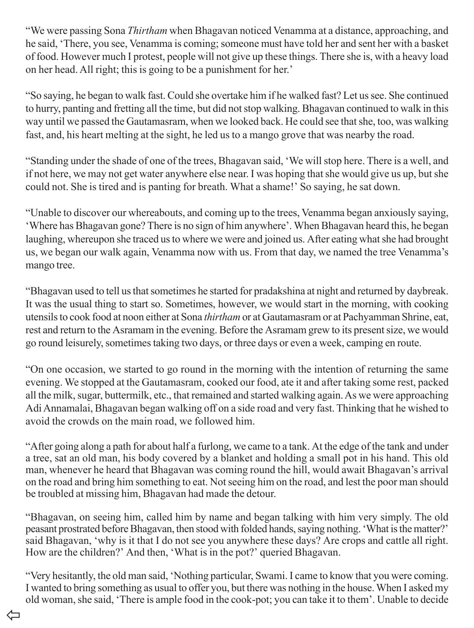"We were passing Sona *Thirtham* when Bhagavan noticed Venamma at a distance, approaching, and he said, 'There, you see, Venamma is coming; someone must have told her and sent her with a basket of food. However much I protest, people will not give up these things. There she is, with a heavy load on her head. All right; this is going to be a punishment for her.'

"So saying, he began to walk fast. Could she overtake him if he walked fast? Let us see. She continued to hurry, panting and fretting all the time, but did not stop walking. Bhagavan continued to walk in this way until we passed the Gautamasram, when we looked back. He could see that she, too, was walking fast, and, his heart melting at the sight, he led us to a mango grove that was nearby the road.

"Standing under the shade of one of the trees, Bhagavan said, 'We will stop here. There is a well, and if not here, we may not get water anywhere else near. I was hoping that she would give us up, but she could not. She is tired and is panting for breath. What a shame!' So saying, he sat down.

"Unable to discover our whereabouts, and coming up to the trees, Venamma began anxiously saying, 'Where has Bhagavan gone? There is no sign of him anywhere'. When Bhagavan heard this, he began laughing, whereupon she traced us to where we were and joined us. After eating what she had brought us, we began our walk again, Venamma now with us. From that day, we named the tree Venamma's mango tree.

"Bhagavan used to tell us that sometimes he started for pradakshina at night and returned by daybreak. It was the usual thing to start so. Sometimes, however, we would start in the morning, with cooking utensils to cook food at noon either at Sona *thirtham* or at Gautamasram or at Pachyamman Shrine, eat, rest and return to the Asramam in the evening. Before the Asramam grew to its present size, we would go round leisurely, sometimes taking two days, or three days or even a week, camping en route.

"On one occasion, we started to go round in the morning with the intention of returning the same evening. We stopped at the Gautamasram, cooked our food, ate it and after taking some rest, packed all the milk, sugar, buttermilk, etc., that remained and started walking again. As we were approaching Adi Annamalai, Bhagavan began walking off on a side road and very fast. Thinking that he wished to avoid the crowds on the main road, we followed him.

"After going along a path for about half a furlong, we came to a tank. At the edge of the tank and under a tree, sat an old man, his body covered by a blanket and holding a small pot in his hand. This old man, whenever he heard that Bhagavan was coming round the hill, would await Bhagavan's arrival on the road and bring him something to eat. Not seeing him on the road, and lest the poor man should be troubled at missing him, Bhagavan had made the detour.

"Bhagavan, on seeing him, called him by name and began talking with him very simply. The old peasant prostrated before Bhagavan, then stood with folded hands, saying nothing. 'What is the matter?' said Bhagavan, 'why is it that I do not see you anywhere these days? Are crops and cattle all right. How are the children?' And then, 'What is in the pot?' queried Bhagavan.

"Very hesitantly, the old man said, 'Nothing particular, Swami. I came to know that you were coming. I wanted to bring something as usual to offer you, but there was nothing in the house. When I asked my old woman, she said, 'There is ample food in the cook-pot; you can take it to them'. Unable to decide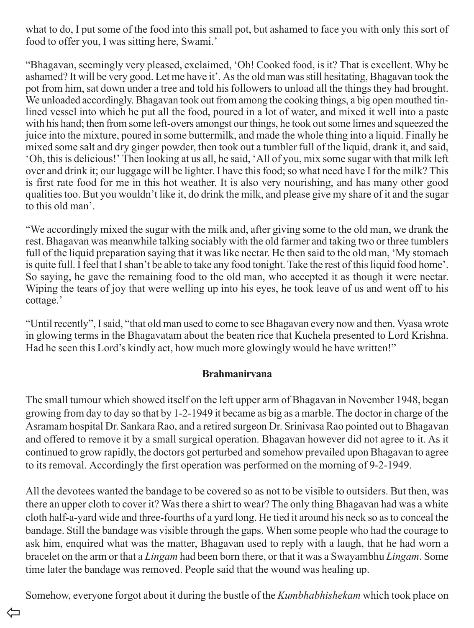what to do, I put some of the food into this small pot, but ashamed to face you with only this sort of food to offer you, I was sitting here, Swami.'

"Bhagavan, seemingly very pleased, exclaimed, 'Oh! Cooked food, is it? That is excellent. Why be ashamed? It will be very good. Let me have it'. As the old man was still hesitating, Bhagavan took the pot from him, sat down under a tree and told his followers to unload all the things they had brought. We unloaded accordingly. Bhagavan took out from among the cooking things, a big open mouthed tinlined vessel into which he put all the food, poured in a lot of water, and mixed it well into a paste with his hand; then from some left-overs amongst our things, he took out some limes and squeezed the juice into the mixture, poured in some buttermilk, and made the whole thing into a liquid. Finally he mixed some salt and dry ginger powder, then took out a tumbler full of the liquid, drank it, and said, 'Oh, this is delicious!' Then looking at us all, he said, 'All of you, mix some sugar with that milk left over and drink it; our luggage will be lighter. I have this food; so what need have I for the milk? This is first rate food for me in this hot weather. It is also very nourishing, and has many other good qualities too. But you wouldn't like it, do drink the milk, and please give my share of it and the sugar to this old man'.

"We accordingly mixed the sugar with the milk and, after giving some to the old man, we drank the rest. Bhagavan was meanwhile talking sociably with the old farmer and taking two or three tumblers full of the liquid preparation saying that it was like nectar. He then said to the old man, 'My stomach is quite full. I feel that I shan't be able to take any food tonight. Take the rest of this liquid food home'. So saying, he gave the remaining food to the old man, who accepted it as though it were nectar. Wiping the tears of joy that were welling up into his eyes, he took leave of us and went off to his cottage.'

"Until recently", I said, "that old man used to come to see Bhagavan every now and then. Vyasa wrote in glowing terms in the Bhagavatam about the beaten rice that Kuchela presented to Lord Krishna. Had he seen this Lord's kindly act, how much more glowingly would he have written!"

#### **Brahmanirvana**

The small tumour which showed itself on the left upper arm of Bhagavan in November 1948, began growing from day to day so that by 1-2-1949 it became as big as a marble. The doctor in charge of the Asramam hospital Dr. Sankara Rao, and a retired surgeon Dr. Srinivasa Rao pointed out to Bhagavan and offered to remove it by a small surgical operation. Bhagavan however did not agree to it. As it continued to grow rapidly, the doctors got perturbed and somehow prevailed upon Bhagavan to agree to its removal. Accordingly the first operation was performed on the morning of 9-2-1949.

All the devotees wanted the bandage to be covered so as not to be visible to outsiders. But then, was there an upper cloth to cover it? Was there a shirt to wear? The only thing Bhagavan had was a white cloth half-a-yard wide and three-fourths of a yard long. He tied it around his neck so as to conceal the bandage. Still the bandage was visible through the gaps. When some people who had the courage to ask him, enquired what was the matter, Bhagavan used to reply with a laugh, that he had worn a bracelet on the arm or that a *Lingam* had been born there, or that it was a Swayambhu *Lingam*. Some time later the bandage was removed. People said that the wound was healing up.

Somehow, everyone forgot about it during the bustle of the *Kumbhabhishekam* which took place on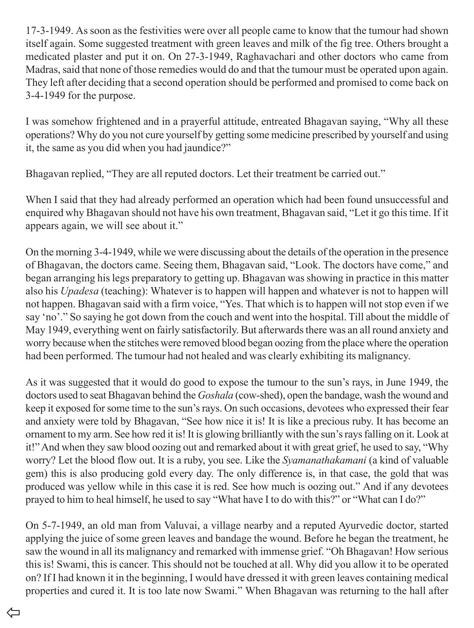17-3-1949. As soon as the festivities were over all people came to know that the tumour had shown itself again. Some suggested treatment with green leaves and milk of the fig tree. Others brought a medicated plaster and put it on. On 27-3-1949, Raghavachari and other doctors who came from Madras, said that none of those remedies would do and that the tumour must be operated upon again. They left after deciding that a second operation should be performed and promised to come back on 3-4-1949 for the purpose.

I was somehow frightened and in a prayerful attitude, entreated Bhagavan saying, "Why all these operations? Why do you not cure yourself by getting some medicine prescribed by yourself and using it, the same as you did when you had jaundice?"

Bhagavan replied, "They are all reputed doctors. Let their treatment be carried out."

When I said that they had already performed an operation which had been found unsuccessful and enquired why Bhagavan should not have his own treatment, Bhagavan said, "Let it go this time. If it appears again, we will see about it."

On the morning 3-4-1949, while we were discussing about the details of the operation in the presence of Bhagavan, the doctors came. Seeing them, Bhagavan said, "Look. The doctors have come," and began arranging his legs preparatory to getting up. Bhagavan was showing in practice in this matter also his *Upadesa* (teaching): Whatever is to happen will happen and whatever is not to happen will not happen. Bhagavan said with a firm voice, "Yes. That which is to happen will not stop even if we say 'no'." So saying he got down from the couch and went into the hospital. Till about the middle of May 1949, everything went on fairly satisfactorily. But afterwards there was an all round anxiety and worry because when the stitches were removed blood began oozing from the place where the operation had been performed. The tumour had not healed and was clearly exhibiting its malignancy.

As it was suggested that it would do good to expose the tumour to the sun's rays, in June 1949, the doctors used to seat Bhagavan behind the *Goshala* (cow-shed), open the bandage, wash the wound and keep it exposed for some time to the sun's rays. On such occasions, devotees who expressed their fear and anxiety were told by Bhagavan, "See how nice it is! It is like a precious ruby. It has become an ornament to my arm. See how red it is! It is glowing brilliantly with the sun's rays falling on it. Look at it!" And when they saw blood oozing out and remarked about it with great grief, he used to say, "Why worry? Let the blood flow out. It is a ruby, you see. Like the *Syamanathakamani* (a kind of valuable gem) this is also producing gold every day. The only difference is, in that case, the gold that was produced was yellow while in this case it is red. See how much is oozing out." And if any devotees prayed to him to heal himself, he used to say "What have I to do with this?" or "What can I do?"

On 5-7-1949, an old man from Valuvai, a village nearby and a reputed Ayurvedic doctor, started applying the juice of some green leaves and bandage the wound. Before he began the treatment, he saw the wound in all its malignancy and remarked with immense grief. "Oh Bhagavan! How serious this is! Swami, this is cancer. This should not be touched at all. Why did you allow it to be operated on? If I had known it in the beginning, I would have dressed it with green leaves containing medical properties and cured it. It is too late now Swami." When Bhagavan was returning to the hall after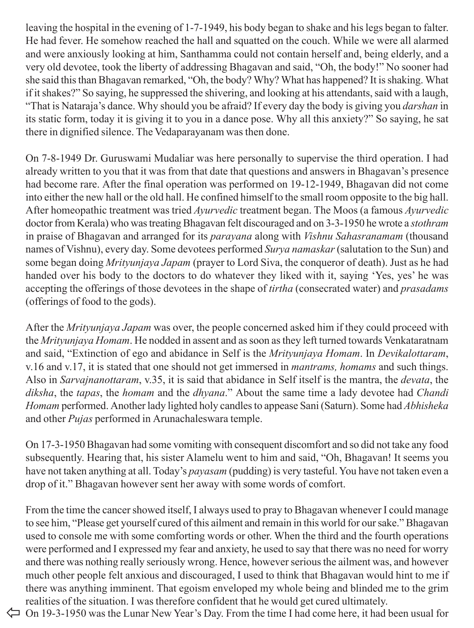leaving the hospital in the evening of 1-7-1949, his body began to shake and his legs began to falter. He had fever. He somehow reached the hall and squatted on the couch. While we were all alarmed and were anxiously looking at him, Santhamma could not contain herself and, being elderly, and a very old devotee, took the liberty of addressing Bhagavan and said, "Oh, the body!" No sooner had she said this than Bhagavan remarked, "Oh, the body? Why? What has happened? It is shaking. What if it shakes?" So saying, he suppressed the shivering, and looking at his attendants, said with a laugh, "That is Nataraja's dance. Why should you be afraid? If every day the body is giving you *darshan* in its static form, today it is giving it to you in a dance pose. Why all this anxiety?" So saying, he sat there in dignified silence. The Vedaparayanam was then done.

On 7-8-1949 Dr. Guruswami Mudaliar was here personally to supervise the third operation. I had already written to you that it was from that date that questions and answers in Bhagavan's presence had become rare. After the final operation was performed on 19-12-1949, Bhagavan did not come into either the new hall or the old hall. He confined himself to the small room opposite to the big hall. After homeopathic treatment was tried *Ayurvedic* treatment began. The Moos (a famous *Ayurvedic* doctor from Kerala) who was treating Bhagavan felt discouraged and on 3-3-1950 he wrote a *stothram* in praise of Bhagavan and arranged for its *parayana* along with *Vishnu Sahasranamam* (thousand names of Vishnu), every day. Some devotees performed *Surya namaskar* (salutation to the Sun) and some began doing *Mrityunjaya Japam* (prayer to Lord Siva, the conqueror of death). Just as he had handed over his body to the doctors to do whatever they liked with it, saying 'Yes, yes' he was accepting the offerings of those devotees in the shape of *tirtha* (consecrated water) and *prasadams* (offerings of food to the gods).

After the *Mrityunjaya Japam* was over, the people concerned asked him if they could proceed with the *Mrityunjaya Homam*. He nodded in assent and as soon as they left turned towards Venkataratnam and said, "Extinction of ego and abidance in Self is the *Mrityunjaya Homam*. In *Devikalottaram*, v.16 and v.17, it is stated that one should not get immersed in *mantrams, homams* and such things. Also in *Sarvajnanottaram*, v.35, it is said that abidance in Self itself is the mantra, the *devata*, the *diksha*, the *tapas*, the *homam* and the *dhyana*." About the same time a lady devotee had *Chandi Homam* performed. Another lady lighted holy candles to appease Sani (Saturn). Some had *Abhisheka* and other *Pujas* performed in Arunachaleswara temple.

On 17-3-1950 Bhagavan had some vomiting with consequent discomfort and so did not take any food subsequently. Hearing that, his sister Alamelu went to him and said, "Oh, Bhagavan! It seems you have not taken anything at all. Today's *payasam* (pudding) is very tasteful. You have not taken even a drop of it." Bhagavan however sent her away with some words of comfort.

From the time the cancer showed itself, I always used to pray to Bhagavan whenever I could manage to see him, "Please get yourself cured of this ailment and remain in this world for our sake." Bhagavan used to console me with some comforting words or other. When the third and the fourth operations were performed and I expressed my fear and anxiety, he used to say that there was no need for worry and there was nothing really seriously wrong. Hence, however serious the ailment was, and however much other people felt anxious and discouraged, I used to think that Bhagavan would hint to me if there was anything imminent. That egoism enveloped my whole being and blinded me to the grim realities of the situation. I was therefore confident that he would get cured ultimately.

[Õ](#page-0-0) On 19-3-1950 was the Lunar New Year's Day. From the time I had come here, it had been usual for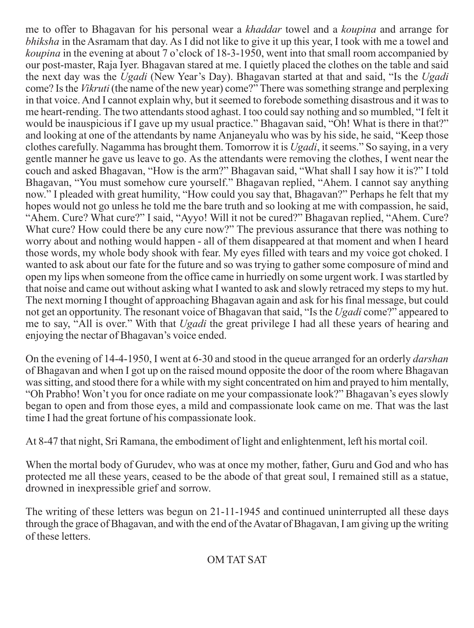me to offer to Bhagavan for his personal wear a *khaddar* towel and a *koupina* and arrange for *bhiksha* in the Asramam that day. As I did not like to give it up this year, I took with me a towel and *koupina* in the evening at about 7 o'clock of 18-3-1950, went into that small room accompanied by our post-master, Raja Iyer. Bhagavan stared at me. I quietly placed the clothes on the table and said the next day was the *Ugadi* (New Year's Day). Bhagavan started at that and said, "Is the *Ugadi* come? Is the *Vikruti* (the name of the new year) come?" There was something strange and perplexing in that voice. And I cannot explain why, but it seemed to forebode something disastrous and it was to me heart-rending. The two attendants stood aghast. I too could say nothing and so mumbled, "I felt it would be inauspicious if I gave up my usual practice." Bhagavan said, "Oh! What is there in that?" and looking at one of the attendants by name Anjaneyalu who was by his side, he said, "Keep those clothes carefully. Nagamma has brought them. Tomorrow it is *Ugadi*, it seems." So saying, in a very gentle manner he gave us leave to go. As the attendants were removing the clothes, I went near the couch and asked Bhagavan, "How is the arm?" Bhagavan said, "What shall I say how it is?" I told Bhagavan, "You must somehow cure yourself." Bhagavan replied, "Ahem. I cannot say anything now." I pleaded with great humility, "How could you say that, Bhagavan?" Perhaps he felt that my hopes would not go unless he told me the bare truth and so looking at me with compassion, he said, "Ahem. Cure? What cure?" I said, "Ayyo! Will it not be cured?" Bhagavan replied, "Ahem. Cure? What cure? How could there be any cure now?" The previous assurance that there was nothing to worry about and nothing would happen - all of them disappeared at that moment and when I heard those words, my whole body shook with fear. My eyes filled with tears and my voice got choked. I wanted to ask about our fate for the future and so was trying to gather some composure of mind and open my lips when someone from the office came in hurriedly on some urgent work. I was startled by that noise and came out without asking what I wanted to ask and slowly retraced my steps to my hut. The next morning I thought of approaching Bhagavan again and ask for his final message, but could not get an opportunity. The resonant voice of Bhagavan that said, "Is the *Ugadi* come?" appeared to me to say, "All is over." With that *Ugadi* the great privilege I had all these years of hearing and enjoying the nectar of Bhagavan's voice ended.

On the evening of 14-4-1950, I went at 6-30 and stood in the queue arranged for an orderly *darshan* of Bhagavan and when I got up on the raised mound opposite the door of the room where Bhagavan was sitting, and stood there for a while with my sight concentrated on him and prayed to him mentally, "Oh Prabho! Won't you for once radiate on me your compassionate look?" Bhagavan's eyes slowly began to open and from those eyes, a mild and compassionate look came on me. That was the last time I had the great fortune of his compassionate look.

At 8-47 that night, Sri Ramana, the embodiment of light and enlightenment, left his mortal coil.

When the mortal body of Gurudev, who was at once my mother, father, Guru and God and who has protected me all these years, ceased to be the abode of that great soul, I remained still as a statue, drowned in inexpressible grief and sorrow.

The writing of these letters was begun on 21-11-1945 and continued uninterrupted all these days through the grace of Bhagavan, and with the end of the Avatar of Bhagavan, I am giving up the writing of these letters.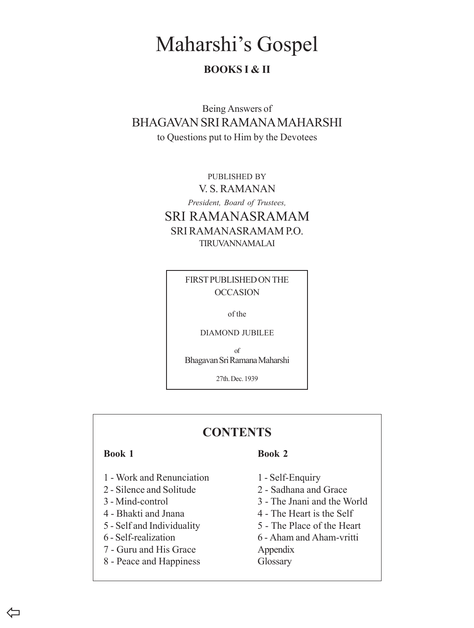# Maharshi's Gospel

#### **BOOKS I & II**

Being Answers of BHAGAVAN SRI RAMANA MAHARSHI to Questions put to Him by the Devotees

> PUBLISHED BY V. S. RAMANAN *President, Board of Trustees,* SRI RAMANASRAMAM SRI RAMANASRAMAM P.O. TIRUVANNAMALAI

> > FIRST PUBLISHED ON THE **OCCASION**

> > > of the

DIAMOND JUBILEE

of Bhagavan Sri Ramana Maharshi

27th. Dec. 1939

#### **CONTENTS**

#### **Book 1**

**′⊐** 

- 1 Work and Renunciation
- 2 Silence and Solitude
- 3 Mind-control
- 4 Bhakti and Jnana
- 5 Self and Individuality
- 6 Self-realization
- 7 Guru and His Grace
- 8 Peace and Happiness
- **Book 2**
- 1 Self-Enquiry
- 2 Sadhana and Grace
- 3 The Jnani and the World
- 4 The Heart is the Self
- 5 The Place of the Heart
- 6 Aham and Aham-vritti

Appendix

Glossary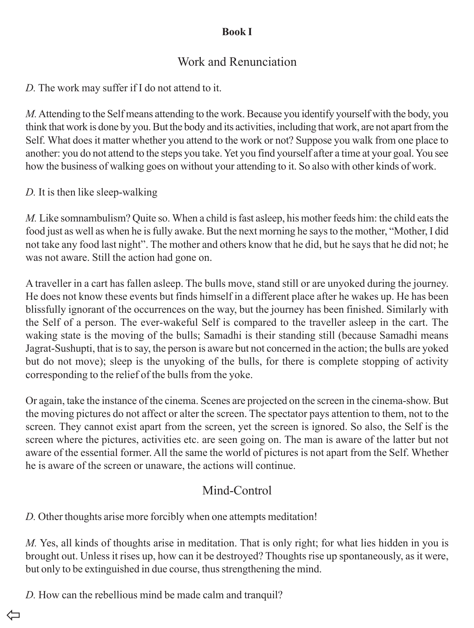#### **Book I**

#### Work and Renunciation

*D.* The work may suffer if I do not attend to it.

*M.* Attending to the Self means attending to the work. Because you identify yourself with the body, you think that work is done by you. But the body and its activities, including that work, are not apart from the Self. What does it matter whether you attend to the work or not? Suppose you walk from one place to another: you do not attend to the steps you take. Yet you find yourself after a time at your goal. You see how the business of walking goes on without your attending to it. So also with other kinds of work.

*D.* It is then like sleep-walking

*M.* Like somnambulism? Quite so. When a child is fast asleep, his mother feeds him: the child eats the food just as well as when he is fully awake. But the next morning he says to the mother, "Mother, I did not take any food last night". The mother and others know that he did, but he says that he did not; he was not aware. Still the action had gone on.

A traveller in a cart has fallen asleep. The bulls move, stand still or are unyoked during the journey. He does not know these events but finds himself in a different place after he wakes up. He has been blissfully ignorant of the occurrences on the way, but the journey has been finished. Similarly with the Self of a person. The ever-wakeful Self is compared to the traveller asleep in the cart. The waking state is the moving of the bulls; Samadhi is their standing still (because Samadhi means Jagrat-Sushupti, that is to say, the person is aware but not concerned in the action; the bulls are yoked but do not move); sleep is the unyoking of the bulls, for there is complete stopping of activity corresponding to the relief of the bulls from the yoke.

Or again, take the instance of the cinema. Scenes are projected on the screen in the cinema-show. But the moving pictures do not affect or alter the screen. The spectator pays attention to them, not to the screen. They cannot exist apart from the screen, yet the screen is ignored. So also, the Self is the screen where the pictures, activities etc. are seen going on. The man is aware of the latter but not aware of the essential former. All the same the world of pictures is not apart from the Self. Whether he is aware of the screen or unaware, the actions will continue.

## Mind-Control

*D.* Other thoughts arise more forcibly when one attempts meditation!

*M.* Yes, all kinds of thoughts arise in meditation. That is only right; for what lies hidden in you is brought out. Unless it rises up, how can it be destroyed? Thoughts rise up spontaneously, as it were, but only to be extinguished in due course, thus strengthening the mind.

*D.* How can the rebellious mind be made calm and tranquil?

[Õ](#page-0-0)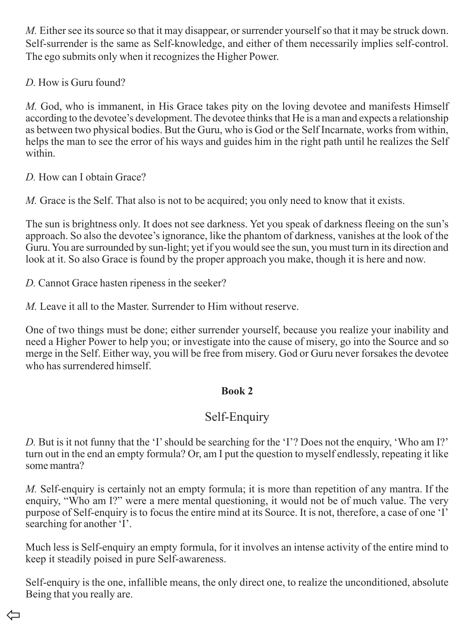*M.* Either see its source so that it may disappear, or surrender yourself so that it may be struck down. Self-surrender is the same as Self-knowledge, and either of them necessarily implies self-control. The ego submits only when it recognizes the Higher Power.

*D.* How is Guru found?

*M.* God, who is immanent, in His Grace takes pity on the loving devotee and manifests Himself according to the devotee's development. The devotee thinks that He is a man and expects a relationship as between two physical bodies. But the Guru, who is God or the Self Incarnate, works from within, helps the man to see the error of his ways and guides him in the right path until he realizes the Self within.

*D.* How can I obtain Grace?

[Õ](#page-0-0)

*M.* Grace is the Self. That also is not to be acquired; you only need to know that it exists.

The sun is brightness only. It does not see darkness. Yet you speak of darkness fleeing on the sun's approach. So also the devotee's ignorance, like the phantom of darkness, vanishes at the look of the Guru. You are surrounded by sun-light; yet if you would see the sun, you must turn in its direction and look at it. So also Grace is found by the proper approach you make, though it is here and now.

*D.* Cannot Grace hasten ripeness in the seeker?

*M.* Leave it all to the Master. Surrender to Him without reserve.

One of two things must be done; either surrender yourself, because you realize your inability and need a Higher Power to help you; or investigate into the cause of misery, go into the Source and so merge in the Self. Either way, you will be free from misery. God or Guru never forsakes the devotee who has surrendered himself.

#### **Book 2**

#### Self-Enquiry

*D.* But is it not funny that the 'I' should be searching for the 'I'? Does not the enquiry, 'Who am I?' turn out in the end an empty formula? Or, am I put the question to myself endlessly, repeating it like some mantra?

*M.* Self-enquiry is certainly not an empty formula; it is more than repetition of any mantra. If the enquiry, "Who am I?" were a mere mental questioning, it would not be of much value. The very purpose of Self-enquiry is to focus the entire mind at its Source. It is not, therefore, a case of one 'I' searching for another 'I'.

Much less is Self-enquiry an empty formula, for it involves an intense activity of the entire mind to keep it steadily poised in pure Self-awareness.

Self-enquiry is the one, infallible means, the only direct one, to realize the unconditioned, absolute Being that you really are.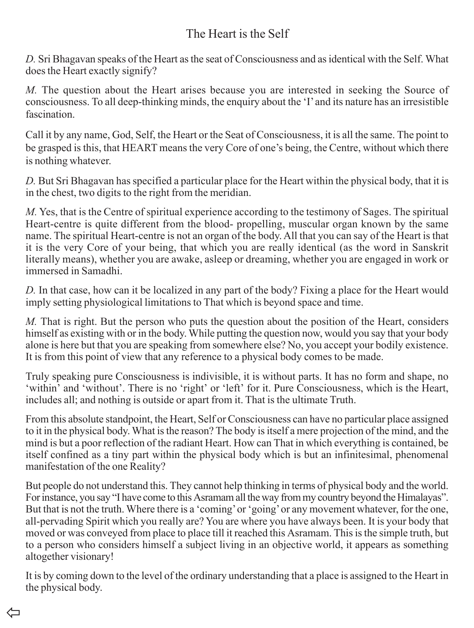### The Heart is the Self

*D.* Sri Bhagavan speaks of the Heart as the seat of Consciousness and as identical with the Self. What does the Heart exactly signify?

*M.* The question about the Heart arises because you are interested in seeking the Source of consciousness. To all deep-thinking minds, the enquiry about the 'I' and its nature has an irresistible fascination.

Call it by any name, God, Self, the Heart or the Seat of Consciousness, it is all the same. The point to be grasped is this, that HEART means the very Core of one's being, the Centre, without which there is nothing whatever.

*D.* But Sri Bhagavan has specified a particular place for the Heart within the physical body, that it is in the chest, two digits to the right from the meridian.

*M.* Yes, that is the Centre of spiritual experience according to the testimony of Sages. The spiritual Heart-centre is quite different from the blood- propelling, muscular organ known by the same name. The spiritual Heart-centre is not an organ of the body. All that you can say of the Heart is that it is the very Core of your being, that which you are really identical (as the word in Sanskrit literally means), whether you are awake, asleep or dreaming, whether you are engaged in work or immersed in Samadhi.

*D.* In that case, how can it be localized in any part of the body? Fixing a place for the Heart would imply setting physiological limitations to That which is beyond space and time.

*M.* That is right. But the person who puts the question about the position of the Heart, considers himself as existing with or in the body. While putting the question now, would you say that your body alone is here but that you are speaking from somewhere else? No, you accept your bodily existence. It is from this point of view that any reference to a physical body comes to be made.

Truly speaking pure Consciousness is indivisible, it is without parts. It has no form and shape, no 'within' and 'without'. There is no 'right' or 'left' for it. Pure Consciousness, which is the Heart, includes all; and nothing is outside or apart from it. That is the ultimate Truth.

From this absolute standpoint, the Heart, Self or Consciousness can have no particular place assigned to it in the physical body. What is the reason? The body is itself a mere projection of the mind, and the mind is but a poor reflection of the radiant Heart. How can That in which everything is contained, be itself confined as a tiny part within the physical body which is but an infinitesimal, phenomenal manifestation of the one Reality?

But people do not understand this. They cannot help thinking in terms of physical body and the world. For instance, you say "I have come to this Asramam all the way from my country beyond the Himalayas". But that is not the truth. Where there is a 'coming' or 'going' or any movement whatever, for the one, all-pervading Spirit which you really are? You are where you have always been. It is your body that moved or was conveyed from place to place till it reached this Asramam. This is the simple truth, but to a person who considers himself a subject living in an objective world, it appears as something altogether visionary!

It is by coming down to the level of the ordinary understanding that a place is assigned to the Heart in the physical body.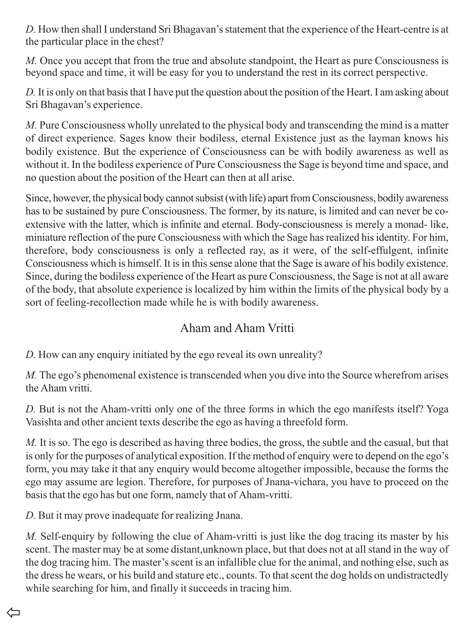*D.* How then shall I understand Sri Bhagavan's statement that the experience of the Heart-centre is at the particular place in the chest?

*M.* Once you accept that from the true and absolute standpoint, the Heart as pure Consciousness is beyond space and time, it will be easy for you to understand the rest in its correct perspective.

*D.* It is only on that basis that I have put the question about the position of the Heart. I am asking about Sri Bhagavan's experience.

*M.* Pure Consciousness wholly unrelated to the physical body and transcending the mind is a matter of direct experience. Sages know their bodiless, eternal Existence just as the layman knows his bodily existence. But the experience of Consciousness can be with bodily awareness as well as without it. In the bodiless experience of Pure Consciousness the Sage is beyond time and space, and no question about the position of the Heart can then at all arise.

Since, however, the physical body cannot subsist (with life) apart from Consciousness, bodily awareness has to be sustained by pure Consciousness. The former, by its nature, is limited and can never be coextensive with the latter, which is infinite and eternal. Body-consciousness is merely a monad- like, miniature reflection of the pure Consciousness with which the Sage has realized his identity. For him, therefore, body consciousness is only a reflected ray, as it were, of the self-effulgent, infinite Consciousness which is himself. It is in this sense alone that the Sage is aware of his bodily existence. Since, during the bodiless experience of the Heart as pure Consciousness, the Sage is not at all aware of the body, that absolute experience is localized by him within the limits of the physical body by a sort of feeling-recollection made while he is with bodily awareness.

### Aham and Aham Vritti

*D.* How can any enquiry initiated by the ego reveal its own unreality?

*M.* The ego's phenomenal existence is transcended when you dive into the Source wherefrom arises the Aham vritti.

*D.* But is not the Aham-vritti only one of the three forms in which the ego manifests itself? Yoga Vasishta and other ancient texts describe the ego as having a threefold form.

*M.* It is so. The ego is described as having three bodies, the gross, the subtle and the casual, but that is only for the purposes of analytical exposition. If the method of enquiry were to depend on the ego's form, you may take it that any enquiry would become altogether impossible, because the forms the ego may assume are legion. Therefore, for purposes of Jnana-vichara, you have to proceed on the basis that the ego has but one form, namely that of Aham-vritti.

*D.* But it may prove inadequate for realizing Jnana.

 $\Leftrightarrow$ 

*M.* Self-enquiry by following the clue of Aham-vritti is just like the dog tracing its master by his scent. The master may be at some distant,unknown place, but that does not at all stand in the way of the dog tracing him. The master's scent is an infallible clue for the animal, and nothing else, such as the dress he wears, or his build and stature etc., counts. To that scent the dog holds on undistractedly while searching for him, and finally it succeeds in tracing him.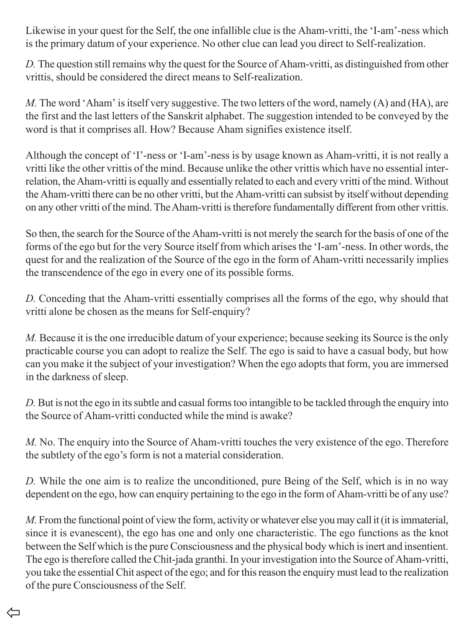Likewise in your quest for the Self, the one infallible clue is the Aham-vritti, the 'I-am'-ness which is the primary datum of your experience. No other clue can lead you direct to Self-realization.

*D.* The question still remains why the quest for the Source of Aham-vritti, as distinguished from other vrittis, should be considered the direct means to Self-realization.

*M*. The word 'Aham' is itself very suggestive. The two letters of the word, namely (A) and (HA), are the first and the last letters of the Sanskrit alphabet. The suggestion intended to be conveyed by the word is that it comprises all. How? Because Aham signifies existence itself.

Although the concept of 'I'-ness or 'I-am'-ness is by usage known as Aham-vritti, it is not really a vritti like the other vrittis of the mind. Because unlike the other vrittis which have no essential interrelation, the Aham-vritti is equally and essentially related to each and every vritti of the mind. Without the Aham-vritti there can be no other vritti, but the Aham-vritti can subsist by itself without depending on any other vritti of the mind. The Aham-vritti is therefore fundamentally different from other vrittis.

So then, the search for the Source of the Aham-vritti is not merely the search for the basis of one of the forms of the ego but for the very Source itself from which arises the 'I-am'-ness. In other words, the quest for and the realization of the Source of the ego in the form of Aham-vritti necessarily implies the transcendence of the ego in every one of its possible forms.

*D.* Conceding that the Aham-vritti essentially comprises all the forms of the ego, why should that vritti alone be chosen as the means for Self-enquiry?

*M.* Because it is the one irreducible datum of your experience; because seeking its Source is the only practicable course you can adopt to realize the Self. The ego is said to have a casual body, but how can you make it the subject of your investigation? When the ego adopts that form, you are immersed in the darkness of sleep.

*D.* But is not the ego in its subtle and casual forms too intangible to be tackled through the enquiry into the Source of Aham-vritti conducted while the mind is awake?

*M.* No. The enquiry into the Source of Aham-vritti touches the very existence of the ego. Therefore the subtlety of the ego's form is not a material consideration.

*D.* While the one aim is to realize the unconditioned, pure Being of the Self, which is in no way dependent on the ego, how can enquiry pertaining to the ego in the form of Aham-vritti be of any use?

*M.* From the functional point of view the form, activity or whatever else you may call it (it is immaterial, since it is evanescent), the ego has one and only one characteristic. The ego functions as the knot between the Self which is the pure Consciousness and the physical body which is inert and insentient. The ego is therefore called the Chit-jada granthi. In your investigation into the Source of Aham-vritti, you take the essential Chit aspect of the ego; and for this reason the enquiry must lead to the realization of the pure Consciousness of the Self.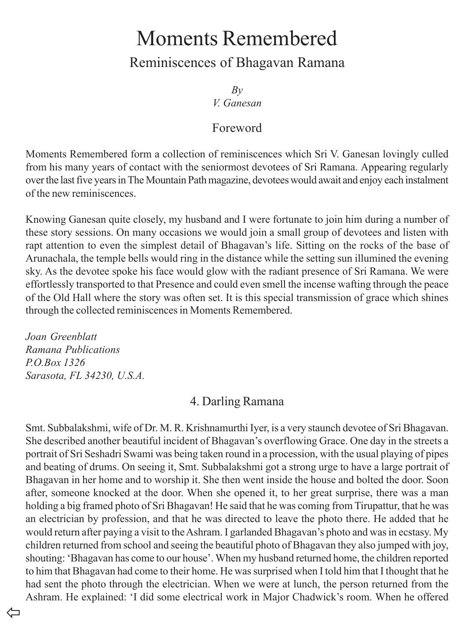# Moments Remembered Reminiscences of Bhagavan Ramana

*By V. Ganesan*

#### Foreword

Moments Remembered form a collection of reminiscences which Sri V. Ganesan lovingly culled from his many years of contact with the seniormost devotees of Sri Ramana. Appearing regularly over the last five years in The Mountain Path magazine, devotees would await and enjoy each instalment of the new reminiscences.

Knowing Ganesan quite closely, my husband and I were fortunate to join him during a number of these story sessions. On many occasions we would join a small group of devotees and listen with rapt attention to even the simplest detail of Bhagavan's life. Sitting on the rocks of the base of Arunachala, the temple bells would ring in the distance while the setting sun illumined the evening sky. As the devotee spoke his face would glow with the radiant presence of Sri Ramana. We were effortlessly transported to that Presence and could even smell the incense wafting through the peace of the Old Hall where the story was often set. It is this special transmission of grace which shines through the collected reminiscences in Moments Remembered.

*Joan Greenblatt Ramana Publications P.O.Box 1326 Sarasota, FL 34230, U.S.A.*

 $\Leftrightarrow$ 

### 4. Darling Ramana

Smt. Subbalakshmi, wife of Dr. M. R. Krishnamurthi Iyer, is a very staunch devotee of Sri Bhagavan. She described another beautiful incident of Bhagavan's overflowing Grace. One day in the streets a portrait of Sri Seshadri Swami was being taken round in a procession, with the usual playing of pipes and beating of drums. On seeing it, Smt. Subbalakshmi got a strong urge to have a large portrait of Bhagavan in her home and to worship it. She then went inside the house and bolted the door. Soon after, someone knocked at the door. When she opened it, to her great surprise, there was a man holding a big framed photo of Sri Bhagavan! He said that he was coming from Tirupattur, that he was an electrician by profession, and that he was directed to leave the photo there. He added that he would return after paying a visit to the Ashram. I garlanded Bhagavan's photo and was in ecstasy. My children returned from school and seeing the beautiful photo of Bhagavan they also jumped with joy, shouting: 'Bhagavan has come to our house'. When my husband returned home, the children reported to him that Bhagavan had come to their home. He was surprised when I told him that I thought that he had sent the photo through the electrician. When we were at lunch, the person returned from the Ashram. He explained: 'I did some electrical work in Major Chadwick's room. When he offered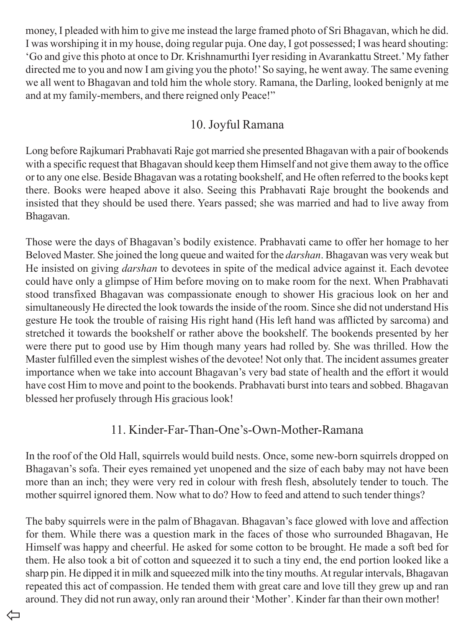money, I pleaded with him to give me instead the large framed photo of Sri Bhagavan, which he did. I was worshiping it in my house, doing regular puja. One day, I got possessed; I was heard shouting: 'Go and give this photo at once to Dr. Krishnamurthi Iyer residing in Avarankattu Street.' My father directed me to you and now I am giving you the photo!' So saying, he went away. The same evening we all went to Bhagavan and told him the whole story. Ramana, the Darling, looked benignly at me and at my family-members, and there reigned only Peace!"

## 10. Joyful Ramana

Long before Rajkumari Prabhavati Raje got married she presented Bhagavan with a pair of bookends with a specific request that Bhagavan should keep them Himself and not give them away to the office or to any one else. Beside Bhagavan was a rotating bookshelf, and He often referred to the books kept there. Books were heaped above it also. Seeing this Prabhavati Raje brought the bookends and insisted that they should be used there. Years passed; she was married and had to live away from Bhagavan.

Those were the days of Bhagavan's bodily existence. Prabhavati came to offer her homage to her Beloved Master. She joined the long queue and waited for the *darshan*. Bhagavan was very weak but He insisted on giving *darshan* to devotees in spite of the medical advice against it. Each devotee could have only a glimpse of Him before moving on to make room for the next. When Prabhavati stood transfixed Bhagavan was compassionate enough to shower His gracious look on her and simultaneously He directed the look towards the inside of the room. Since she did not understand His gesture He took the trouble of raising His right hand (His left hand was afflicted by sarcoma) and stretched it towards the bookshelf or rather above the bookshelf. The bookends presented by her were there put to good use by Him though many years had rolled by. She was thrilled. How the Master fulfilled even the simplest wishes of the devotee! Not only that. The incident assumes greater importance when we take into account Bhagavan's very bad state of health and the effort it would have cost Him to move and point to the bookends. Prabhavati burst into tears and sobbed. Bhagavan blessed her profusely through His gracious look!

### 11. Kinder-Far-Than-One's-Own-Mother-Ramana

In the roof of the Old Hall, squirrels would build nests. Once, some new-born squirrels dropped on Bhagavan's sofa. Their eyes remained yet unopened and the size of each baby may not have been more than an inch; they were very red in colour with fresh flesh, absolutely tender to touch. The mother squirrel ignored them. Now what to do? How to feed and attend to such tender things?

The baby squirrels were in the palm of Bhagavan. Bhagavan's face glowed with love and affection for them. While there was a question mark in the faces of those who surrounded Bhagavan, He Himself was happy and cheerful. He asked for some cotton to be brought. He made a soft bed for them. He also took a bit of cotton and squeezed it to such a tiny end, the end portion looked like a sharp pin. He dipped it in milk and squeezed milk into the tiny mouths. At regular intervals, Bhagavan repeated this act of compassion. He tended them with great care and love till they grew up and ran around. They did not run away, only ran around their 'Mother'. Kinder far than their own mother!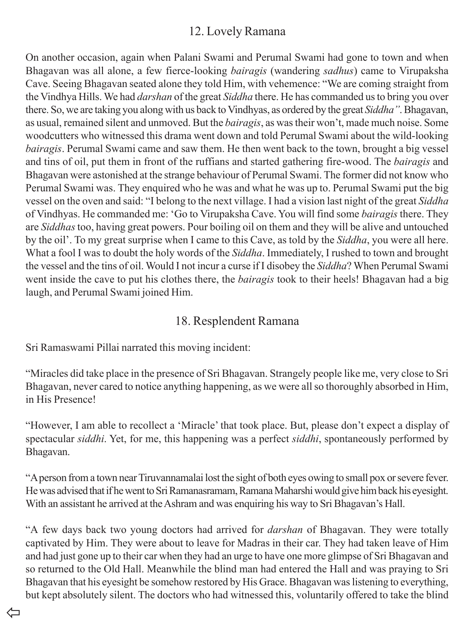#### 12. Lovely Ramana

On another occasion, again when Palani Swami and Perumal Swami had gone to town and when Bhagavan was all alone, a few fierce-looking *bairagis* (wandering *sadhus*) came to Virupaksha Cave. Seeing Bhagavan seated alone they told Him, with vehemence: "We are coming straight from the Vindhya Hills. We had *darshan* of the great *Siddha* there. He has commanded us to bring you over there. So, we are taking you along with us back to Vindhyas, as ordered by the great *Siddha"*. Bhagavan, as usual, remained silent and unmoved. But the *bairagis*, as was their won't, made much noise. Some woodcutters who witnessed this drama went down and told Perumal Swami about the wild-looking *bairagis*. Perumal Swami came and saw them. He then went back to the town, brought a big vessel and tins of oil, put them in front of the ruffians and started gathering fire-wood. The *bairagis* and Bhagavan were astonished at the strange behaviour of Perumal Swami. The former did not know who Perumal Swami was. They enquired who he was and what he was up to. Perumal Swami put the big vessel on the oven and said: "I belong to the next village. I had a vision last night of the great *Siddha* of Vindhyas. He commanded me: 'Go to Virupaksha Cave. You will find some *bairagis* there. They are *Siddhas* too, having great powers. Pour boiling oil on them and they will be alive and untouched by the oil'. To my great surprise when I came to this Cave, as told by the *Siddha*, you were all here. What a fool I was to doubt the holy words of the *Siddha*. Immediately, I rushed to town and brought the vessel and the tins of oil. Would I not incur a curse if I disobey the *Siddha*? When Perumal Swami went inside the cave to put his clothes there, the *bairagis* took to their heels! Bhagavan had a big laugh, and Perumal Swami joined Him.

### 18. Resplendent Ramana

Sri Ramaswami Pillai narrated this moving incident:

 $\Leftrightarrow$ 

"Miracles did take place in the presence of Sri Bhagavan. Strangely people like me, very close to Sri Bhagavan, never cared to notice anything happening, as we were all so thoroughly absorbed in Him, in His Presence!

"However, I am able to recollect a 'Miracle' that took place. But, please don't expect a display of spectacular *siddhi*. Yet, for me, this happening was a perfect *siddhi*, spontaneously performed by Bhagavan.

"A person from a town near Tiruvannamalai lost the sight of both eyes owing to small pox or severe fever. He was advised that if he went to Sri Ramanasramam, Ramana Maharshi would give him back his eyesight. With an assistant he arrived at the Ashram and was enquiring his way to Sri Bhagavan's Hall.

"A few days back two young doctors had arrived for *darshan* of Bhagavan. They were totally captivated by Him. They were about to leave for Madras in their car. They had taken leave of Him and had just gone up to their car when they had an urge to have one more glimpse of Sri Bhagavan and so returned to the Old Hall. Meanwhile the blind man had entered the Hall and was praying to Sri Bhagavan that his eyesight be somehow restored by His Grace. Bhagavan was listening to everything, but kept absolutely silent. The doctors who had witnessed this, voluntarily offered to take the blind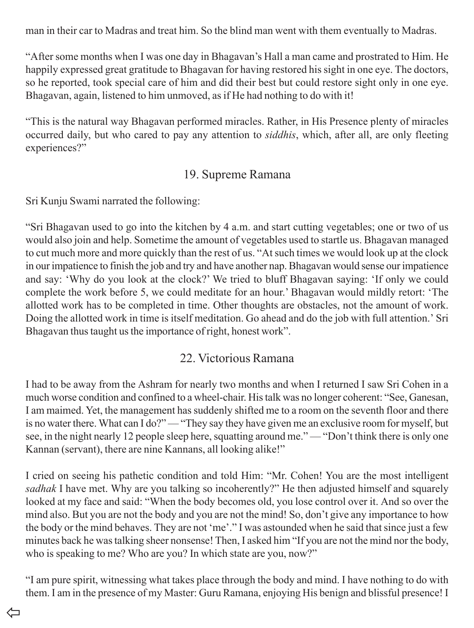man in their car to Madras and treat him. So the blind man went with them eventually to Madras.

"After some months when I was one day in Bhagavan's Hall a man came and prostrated to Him. He happily expressed great gratitude to Bhagavan for having restored his sight in one eye. The doctors, so he reported, took special care of him and did their best but could restore sight only in one eye. Bhagavan, again, listened to him unmoved, as if He had nothing to do with it!

"This is the natural way Bhagavan performed miracles. Rather, in His Presence plenty of miracles occurred daily, but who cared to pay any attention to *siddhis*, which, after all, are only fleeting experiences?"

#### 19. Supreme Ramana

Sri Kunju Swami narrated the following:

 $\Leftrightarrow$ 

"Sri Bhagavan used to go into the kitchen by 4 a.m. and start cutting vegetables; one or two of us would also join and help. Sometime the amount of vegetables used to startle us. Bhagavan managed to cut much more and more quickly than the rest of us. "At such times we would look up at the clock in our impatience to finish the job and try and have another nap. Bhagavan would sense our impatience and say: 'Why do you look at the clock?' We tried to bluff Bhagavan saying: 'If only we could complete the work before 5, we could meditate for an hour.' Bhagavan would mildly retort: 'The allotted work has to be completed in time. Other thoughts are obstacles, not the amount of work. Doing the allotted work in time is itself meditation. Go ahead and do the job with full attention.' Sri Bhagavan thus taught us the importance of right, honest work".

#### 22. Victorious Ramana

I had to be away from the Ashram for nearly two months and when I returned I saw Sri Cohen in a much worse condition and confined to a wheel-chair. His talk was no longer coherent: "See, Ganesan, I am maimed. Yet, the management has suddenly shifted me to a room on the seventh floor and there is no water there. What can I do?" — "They say they have given me an exclusive room for myself, but see, in the night nearly 12 people sleep here, squatting around me." — "Don't think there is only one Kannan (servant), there are nine Kannans, all looking alike!"

I cried on seeing his pathetic condition and told Him: "Mr. Cohen! You are the most intelligent *sadhak* I have met. Why are you talking so incoherently?" He then adjusted himself and squarely looked at my face and said: "When the body becomes old, you lose control over it. And so over the mind also. But you are not the body and you are not the mind! So, don't give any importance to how the body or the mind behaves. They are not 'me'." I was astounded when he said that since just a few minutes back he was talking sheer nonsense! Then, I asked him "If you are not the mind nor the body, who is speaking to me? Who are you? In which state are you, now?"

"I am pure spirit, witnessing what takes place through the body and mind. I have nothing to do with them. I am in the presence of my Master: Guru Ramana, enjoying His benign and blissful presence! I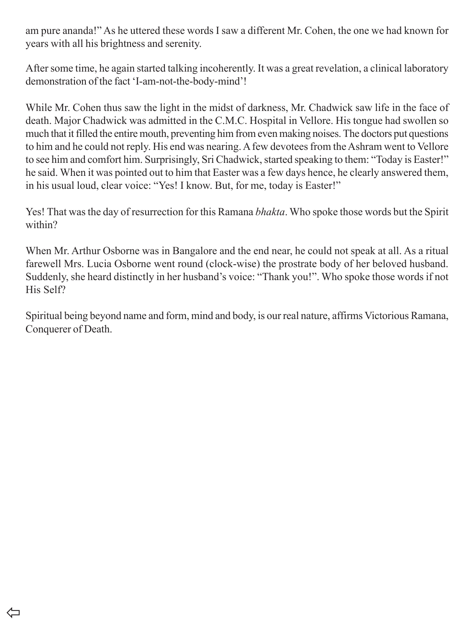am pure ananda!" As he uttered these words I saw a different Mr. Cohen, the one we had known for years with all his brightness and serenity.

After some time, he again started talking incoherently. It was a great revelation, a clinical laboratory demonstration of the fact 'I-am-not-the-body-mind'!

While Mr. Cohen thus saw the light in the midst of darkness, Mr. Chadwick saw life in the face of death. Major Chadwick was admitted in the C.M.C. Hospital in Vellore. His tongue had swollen so much that it filled the entire mouth, preventing him from even making noises. The doctors put questions to him and he could not reply. His end was nearing. A few devotees from the Ashram went to Vellore to see him and comfort him. Surprisingly, Sri Chadwick, started speaking to them: "Today is Easter!" he said. When it was pointed out to him that Easter was a few days hence, he clearly answered them, in his usual loud, clear voice: "Yes! I know. But, for me, today is Easter!"

Yes! That was the day of resurrection for this Ramana *bhakta*. Who spoke those words but the Spirit within?

When Mr. Arthur Osborne was in Bangalore and the end near, he could not speak at all. As a ritual farewell Mrs. Lucia Osborne went round (clock-wise) the prostrate body of her beloved husband. Suddenly, she heard distinctly in her husband's voice: "Thank you!". Who spoke those words if not His Self?

Spiritual being beyond name and form, mind and body, is our real nature, affirms Victorious Ramana, Conquerer of Death.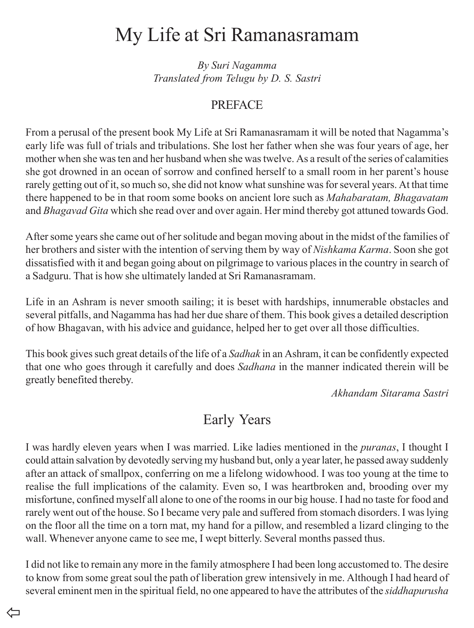# My Life at Sri Ramanasramam

*By Suri Nagamma Translated from Telugu by D. S. Sastri*

#### **PREFACE**

From a perusal of the present book My Life at Sri Ramanasramam it will be noted that Nagamma's early life was full of trials and tribulations. She lost her father when she was four years of age, her mother when she was ten and her husband when she was twelve. As a result of the series of calamities she got drowned in an ocean of sorrow and confined herself to a small room in her parent's house rarely getting out of it, so much so, she did not know what sunshine was for several years. At that time there happened to be in that room some books on ancient lore such as *Mahabaratam, Bhagavatam* and *Bhagavad Gita* which she read over and over again. Her mind thereby got attuned towards God.

After some years she came out of her solitude and began moving about in the midst of the families of her brothers and sister with the intention of serving them by way of *Nishkama Karma*. Soon she got dissatisfied with it and began going about on pilgrimage to various places in the country in search of a Sadguru. That is how she ultimately landed at Sri Ramanasramam.

Life in an Ashram is never smooth sailing; it is beset with hardships, innumerable obstacles and several pitfalls, and Nagamma has had her due share of them. This book gives a detailed description of how Bhagavan, with his advice and guidance, helped her to get over all those difficulties.

This book gives such great details of the life of a *Sadhak* in an Ashram, it can be confidently expected that one who goes through it carefully and does *Sadhana* in the manner indicated therein will be greatly benefited thereby.

*Akhandam Sitarama Sastri*

# Early Years

I was hardly eleven years when I was married. Like ladies mentioned in the *puranas*, I thought I could attain salvation by devotedly serving my husband but, only a year later, he passed away suddenly after an attack of smallpox, conferring on me a lifelong widowhood. I was too young at the time to realise the full implications of the calamity. Even so, I was heartbroken and, brooding over my misfortune, confined myself all alone to one of the rooms in our big house. I had no taste for food and rarely went out of the house. So I became very pale and suffered from stomach disorders. I was lying on the floor all the time on a torn mat, my hand for a pillow, and resembled a lizard clinging to the wall. Whenever anyone came to see me, I wept bitterly. Several months passed thus.

I did not like to remain any more in the family atmosphere I had been long accustomed to. The desire to know from some great soul the path of liberation grew intensively in me. Although I had heard of several eminent men in the spiritual field, no one appeared to have the attributes of the *siddhapurusha*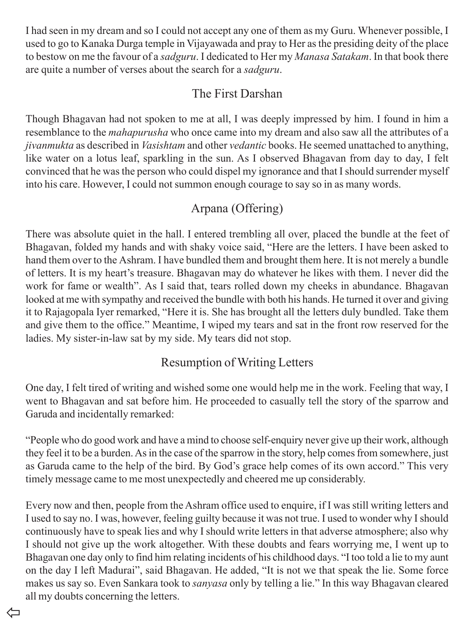I had seen in my dream and so I could not accept any one of them as my Guru. Whenever possible, I used to go to Kanaka Durga temple in Vijayawada and pray to Her as the presiding deity of the place to bestow on me the favour of a *sadguru*. I dedicated to Her my *Manasa Satakam*. In that book there are quite a number of verses about the search for a *sadguru*.

## The First Darshan

Though Bhagavan had not spoken to me at all, I was deeply impressed by him. I found in him a resemblance to the *mahapurusha* who once came into my dream and also saw all the attributes of a *jivanmukta* as described in *Vasishtam* and other *vedantic* books. He seemed unattached to anything, like water on a lotus leaf, sparkling in the sun. As I observed Bhagavan from day to day, I felt convinced that he was the person who could dispel my ignorance and that I should surrender myself into his care. However, I could not summon enough courage to say so in as many words.

## Arpana (Offering)

There was absolute quiet in the hall. I entered trembling all over, placed the bundle at the feet of Bhagavan, folded my hands and with shaky voice said, "Here are the letters. I have been asked to hand them over to the Ashram. I have bundled them and brought them here. It is not merely a bundle of letters. It is my heart's treasure. Bhagavan may do whatever he likes with them. I never did the work for fame or wealth". As I said that, tears rolled down my cheeks in abundance. Bhagavan looked at me with sympathy and received the bundle with both his hands. He turned it over and giving it to Rajagopala Iyer remarked, "Here it is. She has brought all the letters duly bundled. Take them and give them to the office." Meantime, I wiped my tears and sat in the front row reserved for the ladies. My sister-in-law sat by my side. My tears did not stop.

# Resumption of Writing Letters

One day, I felt tired of writing and wished some one would help me in the work. Feeling that way, I went to Bhagavan and sat before him. He proceeded to casually tell the story of the sparrow and Garuda and incidentally remarked:

"People who do good work and have a mind to choose self-enquiry never give up their work, although they feel it to be a burden. As in the case of the sparrow in the story, help comes from somewhere, just as Garuda came to the help of the bird. By God's grace help comes of its own accord." This very timely message came to me most unexpectedly and cheered me up considerably.

Every now and then, people from the Ashram office used to enquire, if I was still writing letters and I used to say no. I was, however, feeling guilty because it was not true. I used to wonder why I should continuously have to speak lies and why I should write letters in that adverse atmosphere; also why I should not give up the work altogether. With these doubts and fears worrying me, I went up to Bhagavan one day only to find him relating incidents of his childhood days. "I too told a lie to my aunt on the day I left Madurai", said Bhagavan. He added, "It is not we that speak the lie. Some force makes us say so. Even Sankara took to *sanyasa* only by telling a lie." In this way Bhagavan cleared all my doubts concerning the letters.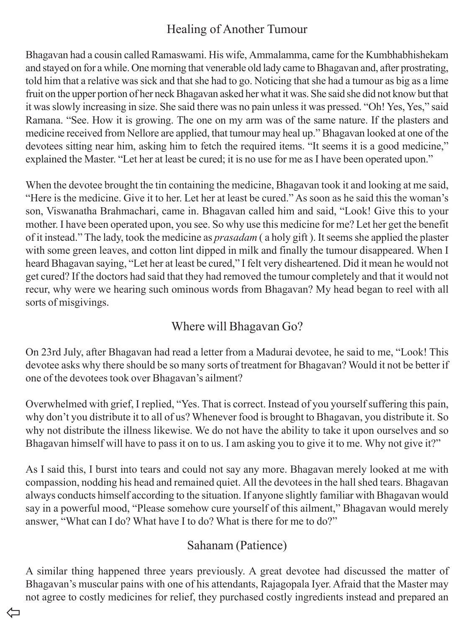## Healing of Another Tumour

Bhagavan had a cousin called Ramaswami. His wife, Ammalamma, came for the Kumbhabhishekam and stayed on for a while. One morning that venerable old lady came to Bhagavan and, after prostrating, told him that a relative was sick and that she had to go. Noticing that she had a tumour as big as a lime fruit on the upper portion of her neck Bhagavan asked her what it was. She said she did not know but that it was slowly increasing in size. She said there was no pain unless it was pressed. "Oh! Yes, Yes," said Ramana. "See. How it is growing. The one on my arm was of the same nature. If the plasters and medicine received from Nellore are applied, that tumour may heal up." Bhagavan looked at one of the devotees sitting near him, asking him to fetch the required items. "It seems it is a good medicine," explained the Master. "Let her at least be cured; it is no use for me as I have been operated upon."

When the devotee brought the tin containing the medicine, Bhagavan took it and looking at me said, "Here is the medicine. Give it to her. Let her at least be cured." As soon as he said this the woman's son, Viswanatha Brahmachari, came in. Bhagavan called him and said, "Look! Give this to your mother. I have been operated upon, you see. So why use this medicine for me? Let her get the benefit of it instead." The lady, took the medicine as *prasadam* ( a holy gift ). It seems she applied the plaster with some green leaves, and cotton lint dipped in milk and finally the tumour disappeared. When I heard Bhagavan saying, "Let her at least be cured," I felt very disheartened. Did it mean he would not get cured? If the doctors had said that they had removed the tumour completely and that it would not recur, why were we hearing such ominous words from Bhagavan? My head began to reel with all sorts of misgivings.

## Where will Bhagavan Go?

On 23rd July, after Bhagavan had read a letter from a Madurai devotee, he said to me, "Look! This devotee asks why there should be so many sorts of treatment for Bhagavan? Would it not be better if one of the devotees took over Bhagavan's ailment?

Overwhelmed with grief, I replied, "Yes. That is correct. Instead of you yourself suffering this pain, why don't you distribute it to all of us? Whenever food is brought to Bhagavan, you distribute it. So why not distribute the illness likewise. We do not have the ability to take it upon ourselves and so Bhagavan himself will have to pass it on to us. I am asking you to give it to me. Why not give it?"

As I said this, I burst into tears and could not say any more. Bhagavan merely looked at me with compassion, nodding his head and remained quiet. All the devotees in the hall shed tears. Bhagavan always conducts himself according to the situation. If anyone slightly familiar with Bhagavan would say in a powerful mood, "Please somehow cure yourself of this ailment," Bhagavan would merely answer, "What can I do? What have I to do? What is there for me to do?"

# Sahanam (Patience)

A similar thing happened three years previously. A great devotee had discussed the matter of Bhagavan's muscular pains with one of his attendants, Rajagopala Iyer. Afraid that the Master may not agree to costly medicines for relief, they purchased costly ingredients instead and prepared an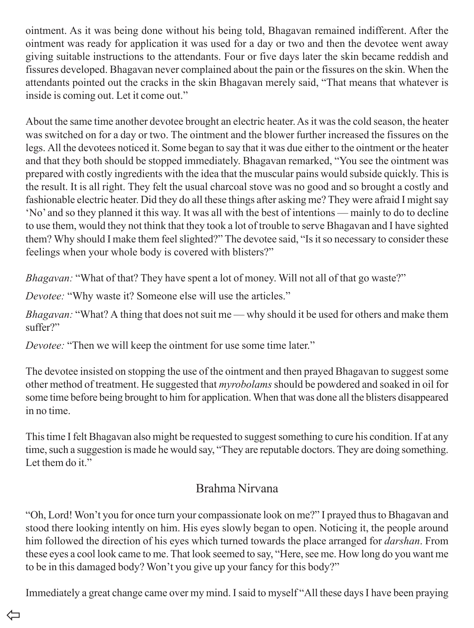ointment. As it was being done without his being told, Bhagavan remained indifferent. After the ointment was ready for application it was used for a day or two and then the devotee went away giving suitable instructions to the attendants. Four or five days later the skin became reddish and fissures developed. Bhagavan never complained about the pain or the fissures on the skin. When the attendants pointed out the cracks in the skin Bhagavan merely said, "That means that whatever is inside is coming out. Let it come out."

About the same time another devotee brought an electric heater. As it was the cold season, the heater was switched on for a day or two. The ointment and the blower further increased the fissures on the legs. All the devotees noticed it. Some began to say that it was due either to the ointment or the heater and that they both should be stopped immediately. Bhagavan remarked, "You see the ointment was prepared with costly ingredients with the idea that the muscular pains would subside quickly. This is the result. It is all right. They felt the usual charcoal stove was no good and so brought a costly and fashionable electric heater. Did they do all these things after asking me? They were afraid I might say 'No' and so they planned it this way. It was all with the best of intentions — mainly to do to decline to use them, would they not think that they took a lot of trouble to serve Bhagavan and I have sighted them? Why should I make them feel slighted?" The devotee said, "Is it so necessary to consider these feelings when your whole body is covered with blisters?"

*Bhagavan:* "What of that? They have spent a lot of money. Will not all of that go waste?"

*Devotee:* "Why waste it? Someone else will use the articles."

 $\Leftrightarrow$ 

*Bhagavan:* "What? A thing that does not suit me — why should it be used for others and make them suffer?"

*Devotee:* "Then we will keep the ointment for use some time later."

The devotee insisted on stopping the use of the ointment and then prayed Bhagavan to suggest some other method of treatment. He suggested that *myrobolams* should be powdered and soaked in oil for some time before being brought to him for application. When that was done all the blisters disappeared in no time.

This time I felt Bhagavan also might be requested to suggest something to cure his condition. If at any time, such a suggestion is made he would say, "They are reputable doctors. They are doing something. Let them do it."

#### Brahma Nirvana

"Oh, Lord! Won't you for once turn your compassionate look on me?" I prayed thus to Bhagavan and stood there looking intently on him. His eyes slowly began to open. Noticing it, the people around him followed the direction of his eyes which turned towards the place arranged for *darshan*. From these eyes a cool look came to me. That look seemed to say, "Here, see me. How long do you want me to be in this damaged body? Won't you give up your fancy for this body?"

Immediately a great change came over my mind. I said to myself "All these days I have been praying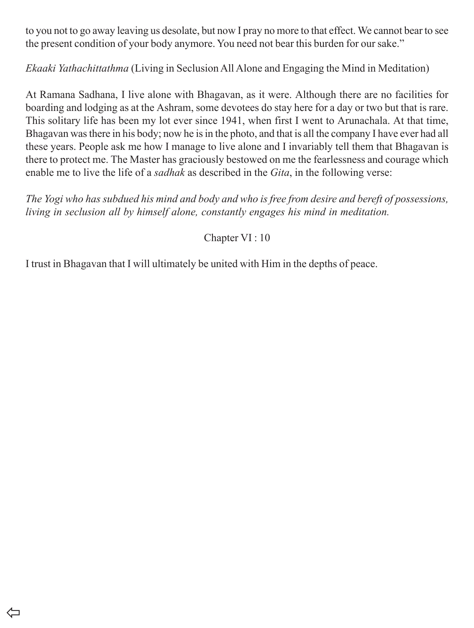to you not to go away leaving us desolate, but now I pray no more to that effect. We cannot bear to see the present condition of your body anymore. You need not bear this burden for our sake."

*Ekaaki Yathachittathma* (Living in Seclusion All Alone and Engaging the Mind in Meditation)

At Ramana Sadhana, I live alone with Bhagavan, as it were. Although there are no facilities for boarding and lodging as at the Ashram, some devotees do stay here for a day or two but that is rare. This solitary life has been my lot ever since 1941, when first I went to Arunachala. At that time, Bhagavan was there in his body; now he is in the photo, and that is all the company I have ever had all these years. People ask me how I manage to live alone and I invariably tell them that Bhagavan is there to protect me. The Master has graciously bestowed on me the fearlessness and courage which enable me to live the life of a *sadhak* as described in the *Gita*, in the following verse:

*The Yogi who has subdued his mind and body and who is free from desire and bereft of possessions, living in seclusion all by himself alone, constantly engages his mind in meditation.*

Chapter VI : 10

I trust in Bhagavan that I will ultimately be united with Him in the depths of peace.

[Õ](#page-0-0)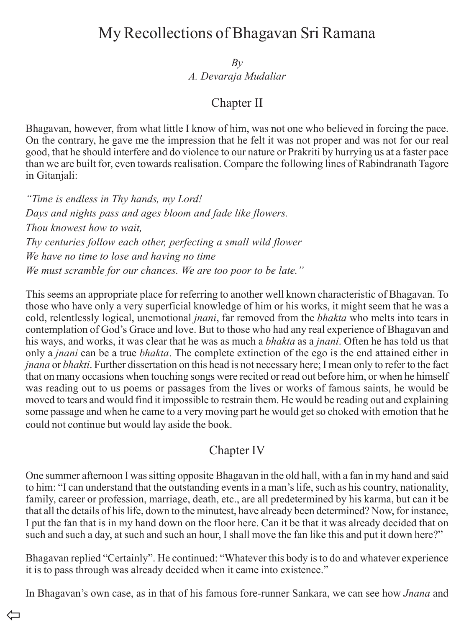# My Recollections of Bhagavan Sri Ramana

*By A. Devaraja Mudaliar*

#### Chapter II

Bhagavan, however, from what little I know of him, was not one who believed in forcing the pace. On the contrary, he gave me the impression that he felt it was not proper and was not for our real good, that he should interfere and do violence to our nature or Prakriti by hurrying us at a faster pace than we are built for, even towards realisation. Compare the following lines of Rabindranath Tagore in Gitanjali:

*"Time is endless in Thy hands, my Lord! Days and nights pass and ages bloom and fade like flowers. Thou knowest how to wait, Thy centuries follow each other, perfecting a small wild flower We have no time to lose and having no time We must scramble for our chances. We are too poor to be late."*

[Õ](#page-0-0)

This seems an appropriate place for referring to another well known characteristic of Bhagavan. To those who have only a very superficial knowledge of him or his works, it might seem that he was a cold, relentlessly logical, unemotional *jnani*, far removed from the *bhakta* who melts into tears in contemplation of God's Grace and love. But to those who had any real experience of Bhagavan and his ways, and works, it was clear that he was as much a *bhakta* as a *jnani*. Often he has told us that only a *jnani* can be a true *bhakta*. The complete extinction of the ego is the end attained either in *jnana* or *bhakti*. Further dissertation on this head is not necessary here; I mean only to refer to the fact that on many occasions when touching songs were recited or read out before him, or when he himself was reading out to us poems or passages from the lives or works of famous saints, he would be moved to tears and would find it impossible to restrain them. He would be reading out and explaining some passage and when he came to a very moving part he would get so choked with emotion that he could not continue but would lay aside the book.

#### Chapter IV

One summer afternoon I was sitting opposite Bhagavan in the old hall, with a fan in my hand and said to him: "I can understand that the outstanding events in a man's life, such as his country, nationality, family, career or profession, marriage, death, etc., are all predetermined by his karma, but can it be that all the details of his life, down to the minutest, have already been determined? Now, for instance, I put the fan that is in my hand down on the floor here. Can it be that it was already decided that on such and such a day, at such and such an hour, I shall move the fan like this and put it down here?"

Bhagavan replied "Certainly". He continued: "Whatever this body is to do and whatever experience it is to pass through was already decided when it came into existence."

In Bhagavan's own case, as in that of his famous fore-runner Sankara, we can see how *Jnana* and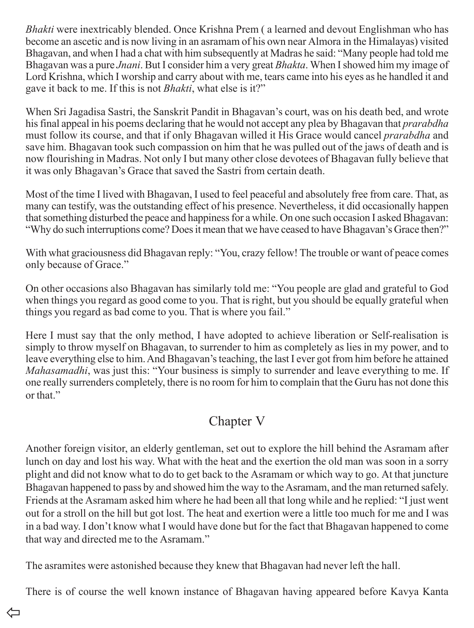*Bhakti* were inextricably blended. Once Krishna Prem ( a learned and devout Englishman who has become an ascetic and is now living in an asramam of his own near Almora in the Himalayas) visited Bhagavan, and when I had a chat with him subsequently at Madras he said: "Many people had told me Bhagavan was a pure *Jnani*. But I consider him a very great *Bhakta*. When I showed him my image of Lord Krishna, which I worship and carry about with me, tears came into his eyes as he handled it and gave it back to me. If this is not *Bhakti*, what else is it?"

When Sri Jagadisa Sastri, the Sanskrit Pandit in Bhagavan's court, was on his death bed, and wrote his final appeal in his poems declaring that he would not accept any plea by Bhagavan that *prarabdha* must follow its course, and that if only Bhagavan willed it His Grace would cancel *prarabdha* and save him. Bhagavan took such compassion on him that he was pulled out of the jaws of death and is now flourishing in Madras. Not only I but many other close devotees of Bhagavan fully believe that it was only Bhagavan's Grace that saved the Sastri from certain death.

Most of the time I lived with Bhagavan, I used to feel peaceful and absolutely free from care. That, as many can testify, was the outstanding effect of his presence. Nevertheless, it did occasionally happen that something disturbed the peace and happiness for a while. On one such occasion I asked Bhagavan: "Why do such interruptions come? Does it mean that we have ceased to have Bhagavan's Grace then?"

With what graciousness did Bhagavan reply: "You, crazy fellow! The trouble or want of peace comes only because of Grace."

On other occasions also Bhagavan has similarly told me: "You people are glad and grateful to God when things you regard as good come to you. That is right, but you should be equally grateful when things you regard as bad come to you. That is where you fail."

Here I must say that the only method, I have adopted to achieve liberation or Self-realisation is simply to throw myself on Bhagavan, to surrender to him as completely as lies in my power, and to leave everything else to him. And Bhagavan's teaching, the last I ever got from him before he attained *Mahasamadhi*, was just this: "Your business is simply to surrender and leave everything to me. If one really surrenders completely, there is no room for him to complain that the Guru has not done this or that."

# Chapter V

Another foreign visitor, an elderly gentleman, set out to explore the hill behind the Asramam after lunch on day and lost his way. What with the heat and the exertion the old man was soon in a sorry plight and did not know what to do to get back to the Asramam or which way to go. At that juncture Bhagavan happened to pass by and showed him the way to the Asramam, and the man returned safely. Friends at the Asramam asked him where he had been all that long while and he replied: "I just went out for a stroll on the hill but got lost. The heat and exertion were a little too much for me and I was in a bad way. I don't know what I would have done but for the fact that Bhagavan happened to come that way and directed me to the Asramam."

The asramites were astonished because they knew that Bhagavan had never left the hall.

 $\Leftrightarrow$ 

There is of course the well known instance of Bhagavan having appeared before Kavya Kanta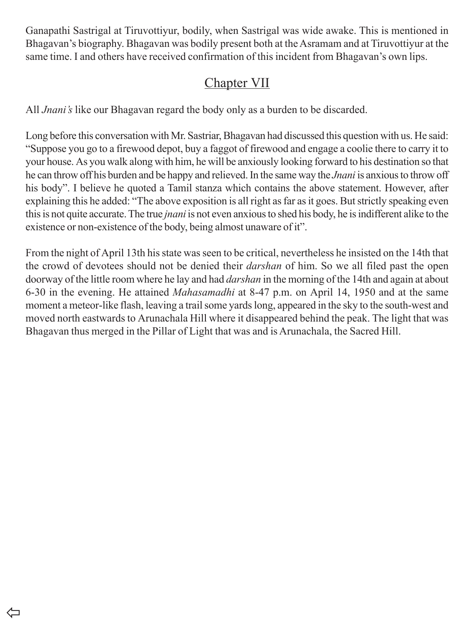Ganapathi Sastrigal at Tiruvottiyur, bodily, when Sastrigal was wide awake. This is mentioned in Bhagavan's biography. Bhagavan was bodily present both at the Asramam and at Tiruvottiyur at the same time. I and others have received confirmation of this incident from Bhagavan's own lips.

# Chapter VII

All *Jnani's* like our Bhagavan regard the body only as a burden to be discarded.

 $\Leftrightarrow$ 

Long before this conversation with Mr. Sastriar, Bhagavan had discussed this question with us. He said: "Suppose you go to a firewood depot, buy a faggot of firewood and engage a coolie there to carry it to your house. As you walk along with him, he will be anxiously looking forward to his destination so that he can throw off his burden and be happy and relieved. In the same way the *Jnani* is anxious to throw off his body". I believe he quoted a Tamil stanza which contains the above statement. However, after explaining this he added: "The above exposition is all right as far as it goes. But strictly speaking even this is not quite accurate. The true *jnani* is not even anxious to shed his body, he is indifferent alike to the existence or non-existence of the body, being almost unaware of it".

From the night of April 13th his state was seen to be critical, nevertheless he insisted on the 14th that the crowd of devotees should not be denied their *darshan* of him. So we all filed past the open doorway of the little room where he lay and had *darshan* in the morning of the 14th and again at about 6-30 in the evening. He attained *Mahasamadhi* at 8-47 p.m. on April 14, 1950 and at the same moment a meteor-like flash, leaving a trail some yards long, appeared in the sky to the south-west and moved north eastwards to Arunachala Hill where it disappeared behind the peak. The light that was Bhagavan thus merged in the Pillar of Light that was and is Arunachala, the Sacred Hill.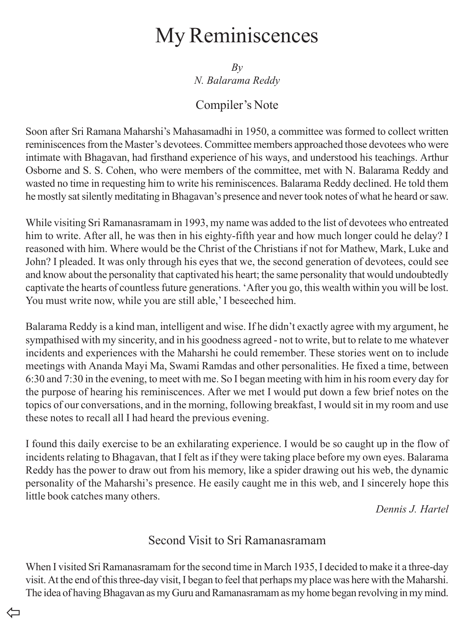# My Reminiscences

 $Bv$ *N. Balarama Reddy*

#### Compiler's Note

Soon after Sri Ramana Maharshi's Mahasamadhi in 1950, a committee was formed to collect written reminiscences from the Master's devotees. Committee members approached those devotees who were intimate with Bhagavan, had firsthand experience of his ways, and understood his teachings. Arthur Osborne and S. S. Cohen, who were members of the committee, met with N. Balarama Reddy and wasted no time in requesting him to write his reminiscences. Balarama Reddy declined. He told them he mostly sat silently meditating in Bhagavan's presence and never took notes of what he heard or saw.

While visiting Sri Ramanasramam in 1993, my name was added to the list of devotees who entreated him to write. After all, he was then in his eighty-fifth year and how much longer could he delay? I reasoned with him. Where would be the Christ of the Christians if not for Mathew, Mark, Luke and John? I pleaded. It was only through his eyes that we, the second generation of devotees, could see and know about the personality that captivated his heart; the same personality that would undoubtedly captivate the hearts of countless future generations. 'After you go, this wealth within you will be lost. You must write now, while you are still able,' I beseeched him.

Balarama Reddy is a kind man, intelligent and wise. If he didn't exactly agree with my argument, he sympathised with my sincerity, and in his goodness agreed - not to write, but to relate to me whatever incidents and experiences with the Maharshi he could remember. These stories went on to include meetings with Ananda Mayi Ma, Swami Ramdas and other personalities. He fixed a time, between 6:30 and 7:30 in the evening, to meet with me. So I began meeting with him in his room every day for the purpose of hearing his reminiscences. After we met I would put down a few brief notes on the topics of our conversations, and in the morning, following breakfast, I would sit in my room and use these notes to recall all I had heard the previous evening.

I found this daily exercise to be an exhilarating experience. I would be so caught up in the flow of incidents relating to Bhagavan, that I felt as if they were taking place before my own eyes. Balarama Reddy has the power to draw out from his memory, like a spider drawing out his web, the dynamic personality of the Maharshi's presence. He easily caught me in this web, and I sincerely hope this little book catches many others.

*Dennis J. Hartel*

### Second Visit to Sri Ramanasramam

When I visited Sri Ramanasramam for the second time in March 1935, I decided to make it a three-day visit. At the end of this three-day visit, I began to feel that perhaps my place was here with the Maharshi. The idea of having Bhagavan as my Guru and Ramanasramam as my home began revolving in my mind.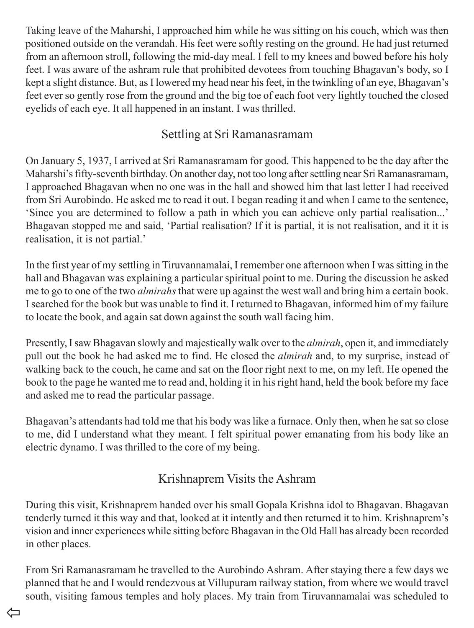Taking leave of the Maharshi, I approached him while he was sitting on his couch, which was then positioned outside on the verandah. His feet were softly resting on the ground. He had just returned from an afternoon stroll, following the mid-day meal. I fell to my knees and bowed before his holy feet. I was aware of the ashram rule that prohibited devotees from touching Bhagavan's body, so I kept a slight distance. But, as I lowered my head near his feet, in the twinkling of an eye, Bhagavan's feet ever so gently rose from the ground and the big toe of each foot very lightly touched the closed eyelids of each eye. It all happened in an instant. I was thrilled.

#### Settling at Sri Ramanasramam

On January 5, 1937, I arrived at Sri Ramanasramam for good. This happened to be the day after the Maharshi's fifty-seventh birthday. On another day, not too long after settling near Sri Ramanasramam, I approached Bhagavan when no one was in the hall and showed him that last letter I had received from Sri Aurobindo. He asked me to read it out. I began reading it and when I came to the sentence, 'Since you are determined to follow a path in which you can achieve only partial realisation...' Bhagavan stopped me and said, 'Partial realisation? If it is partial, it is not realisation, and it it is realisation, it is not partial.'

In the first year of my settling in Tiruvannamalai, I remember one afternoon when I was sitting in the hall and Bhagavan was explaining a particular spiritual point to me. During the discussion he asked me to go to one of the two *almirahs* that were up against the west wall and bring him a certain book. I searched for the book but was unable to find it. I returned to Bhagavan, informed him of my failure to locate the book, and again sat down against the south wall facing him.

Presently, I saw Bhagavan slowly and majestically walk over to the *almirah*, open it, and immediately pull out the book he had asked me to find. He closed the *almirah* and, to my surprise, instead of walking back to the couch, he came and sat on the floor right next to me, on my left. He opened the book to the page he wanted me to read and, holding it in his right hand, held the book before my face and asked me to read the particular passage.

Bhagavan's attendants had told me that his body was like a furnace. Only then, when he sat so close to me, did I understand what they meant. I felt spiritual power emanating from his body like an electric dynamo. I was thrilled to the core of my being.

### Krishnaprem Visits the Ashram

During this visit, Krishnaprem handed over his small Gopala Krishna idol to Bhagavan. Bhagavan tenderly turned it this way and that, looked at it intently and then returned it to him. Krishnaprem's vision and inner experiences while sitting before Bhagavan in the Old Hall has already been recorded in other places.

From Sri Ramanasramam he travelled to the Aurobindo Ashram. After staying there a few days we planned that he and I would rendezvous at Villupuram railway station, from where we would travel south, visiting famous temples and holy places. My train from Tiruvannamalai was scheduled to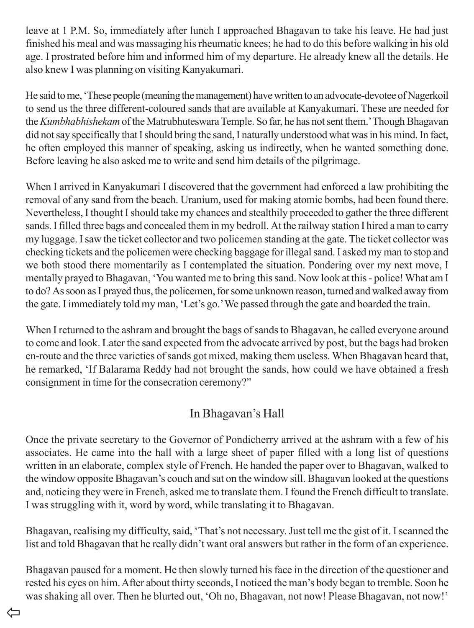leave at 1 P.M. So, immediately after lunch I approached Bhagavan to take his leave. He had just finished his meal and was massaging his rheumatic knees; he had to do this before walking in his old age. I prostrated before him and informed him of my departure. He already knew all the details. He also knew I was planning on visiting Kanyakumari.

He said to me, 'These people (meaning the management) have written to an advocate-devotee of Nagerkoil to send us the three different-coloured sands that are available at Kanyakumari. These are needed for the *Kumbhabhishekam* of the Matrubhuteswara Temple. So far, he has not sent them.' Though Bhagavan did not say specifically that I should bring the sand, I naturally understood what was in his mind. In fact, he often employed this manner of speaking, asking us indirectly, when he wanted something done. Before leaving he also asked me to write and send him details of the pilgrimage.

When I arrived in Kanyakumari I discovered that the government had enforced a law prohibiting the removal of any sand from the beach. Uranium, used for making atomic bombs, had been found there. Nevertheless, I thought I should take my chances and stealthily proceeded to gather the three different sands. I filled three bags and concealed them in my bedroll. At the railway station I hired a man to carry my luggage. I saw the ticket collector and two policemen standing at the gate. The ticket collector was checking tickets and the policemen were checking baggage for illegal sand. I asked my man to stop and we both stood there momentarily as I contemplated the situation. Pondering over my next move, I mentally prayed to Bhagavan, 'You wanted me to bring this sand. Now look at this - police! What am I to do? As soon as I prayed thus, the policemen, for some unknown reason, turned and walked away from the gate. I immediately told my man, 'Let's go.' We passed through the gate and boarded the train.

When I returned to the ashram and brought the bags of sands to Bhagavan, he called everyone around to come and look. Later the sand expected from the advocate arrived by post, but the bags had broken en-route and the three varieties of sands got mixed, making them useless. When Bhagavan heard that, he remarked, 'If Balarama Reddy had not brought the sands, how could we have obtained a fresh consignment in time for the consecration ceremony?"

### In Bhagavan's Hall

Once the private secretary to the Governor of Pondicherry arrived at the ashram with a few of his associates. He came into the hall with a large sheet of paper filled with a long list of questions written in an elaborate, complex style of French. He handed the paper over to Bhagavan, walked to the window opposite Bhagavan's couch and sat on the window sill. Bhagavan looked at the questions and, noticing they were in French, asked me to translate them. I found the French difficult to translate. I was struggling with it, word by word, while translating it to Bhagavan.

Bhagavan, realising my difficulty, said, 'That's not necessary. Just tell me the gist of it. I scanned the list and told Bhagavan that he really didn't want oral answers but rather in the form of an experience.

Bhagavan paused for a moment. He then slowly turned his face in the direction of the questioner and rested his eyes on him. After about thirty seconds, I noticed the man's body began to tremble. Soon he was shaking all over. Then he blurted out, 'Oh no, Bhagavan, not now! Please Bhagavan, not now!'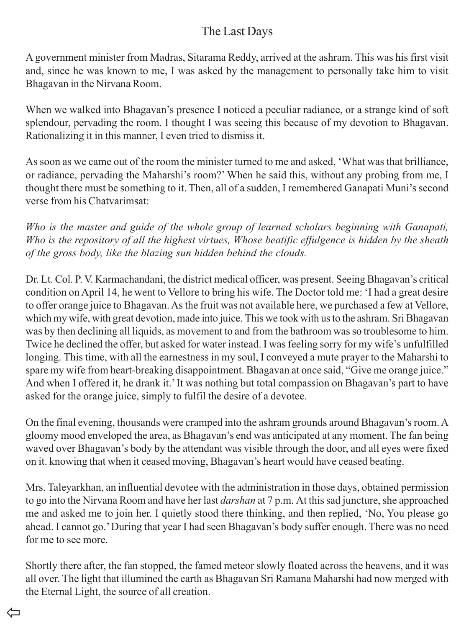#### The Last Days

A government minister from Madras, Sitarama Reddy, arrived at the ashram. This was his first visit and, since he was known to me, I was asked by the management to personally take him to visit Bhagavan in the Nirvana Room.

When we walked into Bhagavan's presence I noticed a peculiar radiance, or a strange kind of soft splendour, pervading the room. I thought I was seeing this because of my devotion to Bhagavan. Rationalizing it in this manner, I even tried to dismiss it.

As soon as we came out of the room the minister turned to me and asked, 'What was that brilliance, or radiance, pervading the Maharshi's room?' When he said this, without any probing from me, I thought there must be something to it. Then, all of a sudden, I remembered Ganapati Muni's second verse from his Chatvarimsat:

*Who is the master and guide of the whole group of learned scholars beginning with Ganapati, Who is the repository of all the highest virtues, Whose beatific effulgence is hidden by the sheath of the gross body, like the blazing sun hidden behind the clouds.*

Dr. Lt. Col. P. V. Karmachandani, the district medical officer, was present. Seeing Bhagavan's critical condition on April 14, he went to Vellore to bring his wife. The Doctor told me: 'I had a great desire to offer orange juice to Bhagavan. As the fruit was not available here, we purchased a few at Vellore, which my wife, with great devotion, made into juice. This we took with us to the ashram. Sri Bhagavan was by then declining all liquids, as movement to and from the bathroom was so troublesome to him. Twice he declined the offer, but asked for water instead. I was feeling sorry for my wife's unfulfilled longing. This time, with all the earnestness in my soul, I conveyed a mute prayer to the Maharshi to spare my wife from heart-breaking disappointment. Bhagavan at once said, "Give me orange juice." And when I offered it, he drank it.' It was nothing but total compassion on Bhagavan's part to have asked for the orange juice, simply to fulfil the desire of a devotee.

On the final evening, thousands were cramped into the ashram grounds around Bhagavan's room. A gloomy mood enveloped the area, as Bhagavan's end was anticipated at any moment. The fan being waved over Bhagavan's body by the attendant was visible through the door, and all eyes were fixed on it. knowing that when it ceased moving, Bhagavan's heart would have ceased beating.

Mrs. Taleyarkhan, an influential devotee with the administration in those days, obtained permission to go into the Nirvana Room and have her last *darshan* at 7 p.m. At this sad juncture, she approached me and asked me to join her. I quietly stood there thinking, and then replied, 'No, You please go ahead. I cannot go.' During that year I had seen Bhagavan's body suffer enough. There was no need for me to see more.

Shortly there after, the fan stopped, the famed meteor slowly floated across the heavens, and it was all over. The light that illumined the earth as Bhagavan Sri Ramana Maharshi had now merged with the Eternal Light, the source of all creation.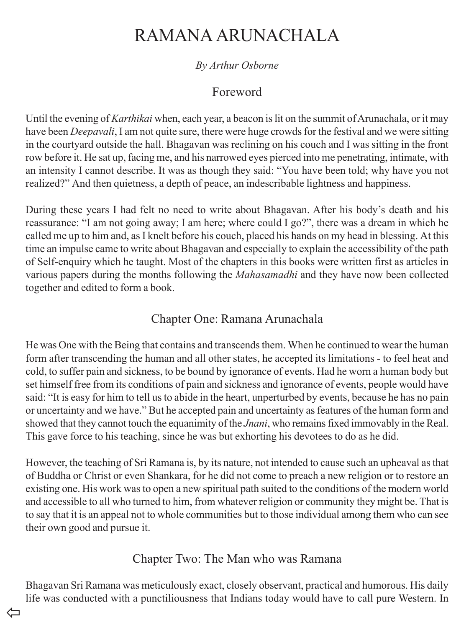# RAMANA ARUNACHALA

#### *By Arthur Osborne*

#### Foreword

Until the evening of *Karthikai* when, each year, a beacon is lit on the summit of Arunachala, or it may have been *Deepavali*, I am not quite sure, there were huge crowds for the festival and we were sitting in the courtyard outside the hall. Bhagavan was reclining on his couch and I was sitting in the front row before it. He sat up, facing me, and his narrowed eyes pierced into me penetrating, intimate, with an intensity I cannot describe. It was as though they said: "You have been told; why have you not realized?" And then quietness, a depth of peace, an indescribable lightness and happiness.

During these years I had felt no need to write about Bhagavan. After his body's death and his reassurance: "I am not going away; I am here; where could I go?", there was a dream in which he called me up to him and, as I knelt before his couch, placed his hands on my head in blessing. At this time an impulse came to write about Bhagavan and especially to explain the accessibility of the path of Self-enquiry which he taught. Most of the chapters in this books were written first as articles in various papers during the months following the *Mahasamadhi* and they have now been collected together and edited to form a book.

#### Chapter One: Ramana Arunachala

He was One with the Being that contains and transcends them. When he continued to wear the human form after transcending the human and all other states, he accepted its limitations - to feel heat and cold, to suffer pain and sickness, to be bound by ignorance of events. Had he worn a human body but set himself free from its conditions of pain and sickness and ignorance of events, people would have said: "It is easy for him to tell us to abide in the heart, unperturbed by events, because he has no pain or uncertainty and we have." But he accepted pain and uncertainty as features of the human form and showed that they cannot touch the equanimity of the *Jnani*, who remains fixed immovably in the Real. This gave force to his teaching, since he was but exhorting his devotees to do as he did.

However, the teaching of Sri Ramana is, by its nature, not intended to cause such an upheaval as that of Buddha or Christ or even Shankara, for he did not come to preach a new religion or to restore an existing one. His work was to open a new spiritual path suited to the conditions of the modern world and accessible to all who turned to him, from whatever religion or community they might be. That is to say that it is an appeal not to whole communities but to those individual among them who can see their own good and pursue it.

#### Chapter Two: The Man who was Ramana

Bhagavan Sri Ramana was meticulously exact, closely observant, practical and humorous. His daily life was conducted with a punctiliousness that Indians today would have to call pure Western. In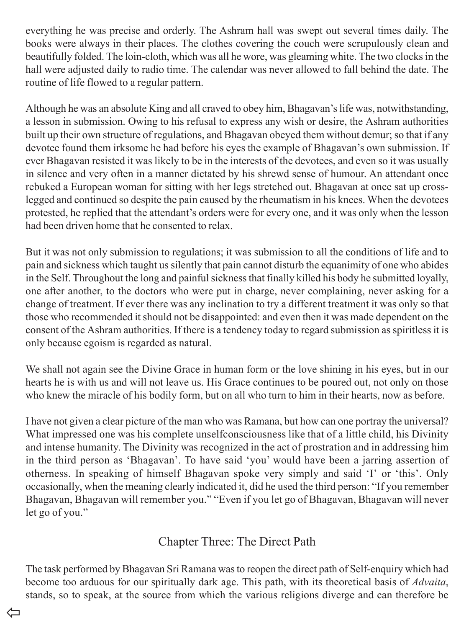everything he was precise and orderly. The Ashram hall was swept out several times daily. The books were always in their places. The clothes covering the couch were scrupulously clean and beautifully folded. The loin-cloth, which was all he wore, was gleaming white. The two clocks in the hall were adjusted daily to radio time. The calendar was never allowed to fall behind the date. The routine of life flowed to a regular pattern.

Although he was an absolute King and all craved to obey him, Bhagavan's life was, notwithstanding, a lesson in submission. Owing to his refusal to express any wish or desire, the Ashram authorities built up their own structure of regulations, and Bhagavan obeyed them without demur; so that if any devotee found them irksome he had before his eyes the example of Bhagavan's own submission. If ever Bhagavan resisted it was likely to be in the interests of the devotees, and even so it was usually in silence and very often in a manner dictated by his shrewd sense of humour. An attendant once rebuked a European woman for sitting with her legs stretched out. Bhagavan at once sat up crosslegged and continued so despite the pain caused by the rheumatism in his knees. When the devotees protested, he replied that the attendant's orders were for every one, and it was only when the lesson had been driven home that he consented to relax.

But it was not only submission to regulations; it was submission to all the conditions of life and to pain and sickness which taught us silently that pain cannot disturb the equanimity of one who abides in the Self. Throughout the long and painful sickness that finally killed his body he submitted loyally, one after another, to the doctors who were put in charge, never complaining, never asking for a change of treatment. If ever there was any inclination to try a different treatment it was only so that those who recommended it should not be disappointed: and even then it was made dependent on the consent of the Ashram authorities. If there is a tendency today to regard submission as spiritless it is only because egoism is regarded as natural.

We shall not again see the Divine Grace in human form or the love shining in his eyes, but in our hearts he is with us and will not leave us. His Grace continues to be poured out, not only on those who knew the miracle of his bodily form, but on all who turn to him in their hearts, now as before.

I have not given a clear picture of the man who was Ramana, but how can one portray the universal? What impressed one was his complete unselfconsciousness like that of a little child, his Divinity and intense humanity. The Divinity was recognized in the act of prostration and in addressing him in the third person as 'Bhagavan'. To have said 'you' would have been a jarring assertion of otherness. In speaking of himself Bhagavan spoke very simply and said 'I' or 'this'. Only occasionally, when the meaning clearly indicated it, did he used the third person: "If you remember Bhagavan, Bhagavan will remember you." "Even if you let go of Bhagavan, Bhagavan will never let go of you."

#### Chapter Three: The Direct Path

The task performed by Bhagavan Sri Ramana was to reopen the direct path of Self-enquiry which had become too arduous for our spiritually dark age. This path, with its theoretical basis of *Advaita*, stands, so to speak, at the source from which the various religions diverge and can therefore be

[Õ](#page-0-0)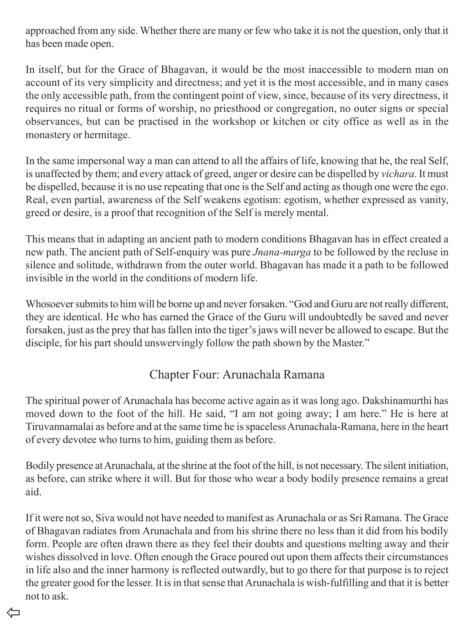approached from any side. Whether there are many or few who take it is not the question, only that it has been made open.

In itself, but for the Grace of Bhagavan, it would be the most inaccessible to modern man on account of its very simplicity and directness; and yet it is the most accessible, and in many cases the only accessible path, from the contingent point of view, since, because of its very directness, it requires no ritual or forms of worship, no priesthood or congregation, no outer signs or special observances, but can be practised in the workshop or kitchen or city office as well as in the monastery or hermitage.

In the same impersonal way a man can attend to all the affairs of life, knowing that he, the real Self, is unaffected by them; and every attack of greed, anger or desire can be dispelled by *vichara*. It must be dispelled, because it is no use repeating that one is the Self and acting as though one were the ego. Real, even partial, awareness of the Self weakens egotism: egotism, whether expressed as vanity, greed or desire, is a proof that recognition of the Self is merely mental.

This means that in adapting an ancient path to modern conditions Bhagavan has in effect created a new path. The ancient path of Self-enquiry was pure *Jnana-marga* to be followed by the recluse in silence and solitude, withdrawn from the outer world. Bhagavan has made it a path to be followed invisible in the world in the conditions of modern life.

Whosoever submits to him will be borne up and never forsaken. "God and Guru are not really different, they are identical. He who has earned the Grace of the Guru will undoubtedly be saved and never forsaken, just as the prey that has fallen into the tiger's jaws will never be allowed to escape. But the disciple, for his part should unswervingly follow the path shown by the Master."

### Chapter Four: Arunachala Ramana

The spiritual power of Arunachala has become active again as it was long ago. Dakshinamurthi has moved down to the foot of the hill. He said, "I am not going away; I am here." He is here at Tiruvannamalai as before and at the same time he is spaceless Arunachala-Ramana, here in the heart of every devotee who turns to him, guiding them as before.

Bodily presence at Arunachala, at the shrine at the foot of the hill, is not necessary. The silent initiation, as before, can strike where it will. But for those who wear a body bodily presence remains a great aid.

If it were not so, Siva would not have needed to manifest as Arunachala or as Sri Ramana. The Grace of Bhagavan radiates from Arunachala and from his shrine there no less than it did from his bodily form. People are often drawn there as they feel their doubts and questions melting away and their wishes dissolved in love. Often enough the Grace poured out upon them affects their circumstances in life also and the inner harmony is reflected outwardly, but to go there for that purpose is to reject the greater good for the lesser. It is in that sense that Arunachala is wish-fulfilling and that it is better not to ask.

[Õ](#page-0-0)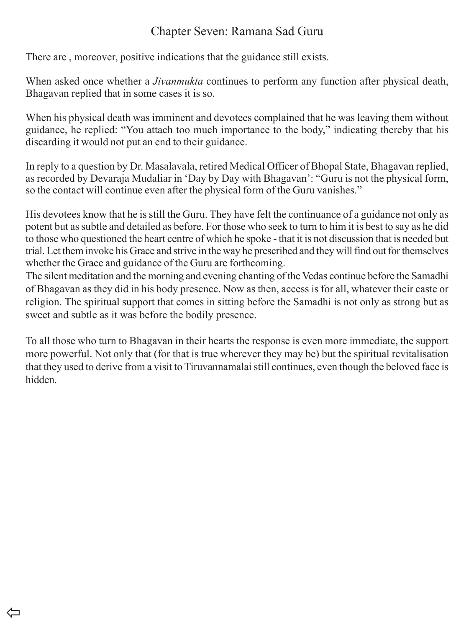#### Chapter Seven: Ramana Sad Guru

There are , moreover, positive indications that the guidance still exists.

[Õ](#page-0-0)

When asked once whether a *Jivanmukta* continues to perform any function after physical death, Bhagavan replied that in some cases it is so.

When his physical death was imminent and devotees complained that he was leaving them without guidance, he replied: "You attach too much importance to the body," indicating thereby that his discarding it would not put an end to their guidance.

In reply to a question by Dr. Masalavala, retired Medical Officer of Bhopal State, Bhagavan replied, as recorded by Devaraja Mudaliar in 'Day by Day with Bhagavan': "Guru is not the physical form, so the contact will continue even after the physical form of the Guru vanishes."

His devotees know that he is still the Guru. They have felt the continuance of a guidance not only as potent but as subtle and detailed as before. For those who seek to turn to him it is best to say as he did to those who questioned the heart centre of which he spoke - that it is not discussion that is needed but trial. Let them invoke his Grace and strive in the way he prescribed and they will find out for themselves whether the Grace and guidance of the Guru are forthcoming.

The silent meditation and the morning and evening chanting of the Vedas continue before the Samadhi of Bhagavan as they did in his body presence. Now as then, access is for all, whatever their caste or religion. The spiritual support that comes in sitting before the Samadhi is not only as strong but as sweet and subtle as it was before the bodily presence.

To all those who turn to Bhagavan in their hearts the response is even more immediate, the support more powerful. Not only that (for that is true wherever they may be) but the spiritual revitalisation that they used to derive from a visit to Tiruvannamalai still continues, even though the beloved face is hidden.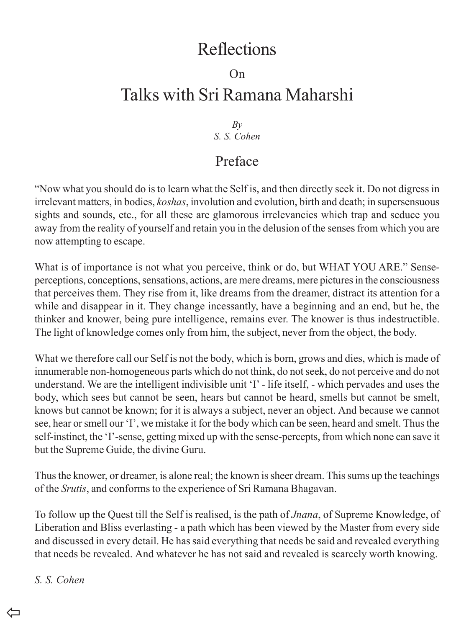# **Reflections**

# On Talks with Sri Ramana Maharshi

#### *By S. S. Cohen*

# Preface

"Now what you should do is to learn what the Self is, and then directly seek it. Do not digress in irrelevant matters, in bodies, *koshas*, involution and evolution, birth and death; in supersensuous sights and sounds, etc., for all these are glamorous irrelevancies which trap and seduce you away from the reality of yourself and retain you in the delusion of the senses from which you are now attempting to escape.

What is of importance is not what you perceive, think or do, but WHAT YOU ARE." Senseperceptions, conceptions, sensations, actions, are mere dreams, mere pictures in the consciousness that perceives them. They rise from it, like dreams from the dreamer, distract its attention for a while and disappear in it. They change incessantly, have a beginning and an end, but he, the thinker and knower, being pure intelligence, remains ever. The knower is thus indestructible. The light of knowledge comes only from him, the subject, never from the object, the body.

What we therefore call our Self is not the body, which is born, grows and dies, which is made of innumerable non-homogeneous parts which do not think, do not seek, do not perceive and do not understand. We are the intelligent indivisible unit 'I' - life itself, - which pervades and uses the body, which sees but cannot be seen, hears but cannot be heard, smells but cannot be smelt, knows but cannot be known; for it is always a subject, never an object. And because we cannot see, hear or smell our 'I', we mistake it for the body which can be seen, heard and smelt. Thus the self-instinct, the 'I'-sense, getting mixed up with the sense-percepts, from which none can save it but the Supreme Guide, the divine Guru.

Thus the knower, or dreamer, is alone real; the known is sheer dream. This sums up the teachings of the *Srutis*, and conforms to the experience of Sri Ramana Bhagavan.

To follow up the Quest till the Self is realised, is the path of *Jnana*, of Supreme Knowledge, of Liberation and Bliss everlasting - a path which has been viewed by the Master from every side and discussed in every detail. He has said everything that needs be said and revealed everything that needs be revealed. And whatever he has not said and revealed is scarcely worth knowing.

*S. S. Cohen*

[Õ](#page-0-0)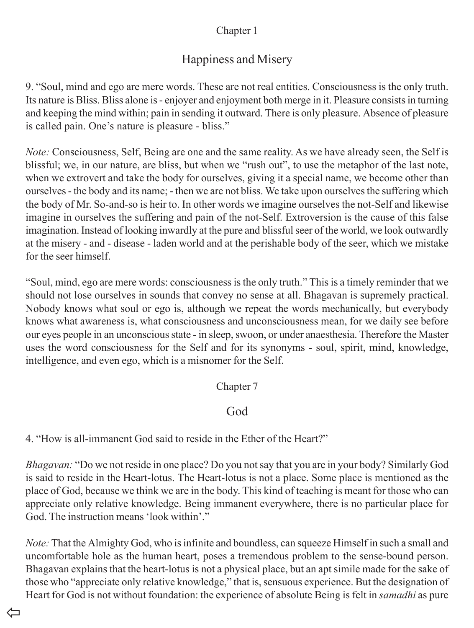#### Chapter 1

## Happiness and Misery

9. "Soul, mind and ego are mere words. These are not real entities. Consciousness is the only truth. Its nature is Bliss. Bliss alone is - enjoyer and enjoyment both merge in it. Pleasure consists in turning and keeping the mind within; pain in sending it outward. There is only pleasure. Absence of pleasure is called pain. One's nature is pleasure - bliss."

*Note:* Consciousness, Self, Being are one and the same reality. As we have already seen, the Self is blissful; we, in our nature, are bliss, but when we "rush out", to use the metaphor of the last note, when we extrovert and take the body for ourselves, giving it a special name, we become other than ourselves - the body and its name; - then we are not bliss. We take upon ourselves the suffering which the body of Mr. So-and-so is heir to. In other words we imagine ourselves the not-Self and likewise imagine in ourselves the suffering and pain of the not-Self. Extroversion is the cause of this false imagination. Instead of looking inwardly at the pure and blissful seer of the world, we look outwardly at the misery - and - disease - laden world and at the perishable body of the seer, which we mistake for the seer himself.

"Soul, mind, ego are mere words: consciousness is the only truth." This is a timely reminder that we should not lose ourselves in sounds that convey no sense at all. Bhagavan is supremely practical. Nobody knows what soul or ego is, although we repeat the words mechanically, but everybody knows what awareness is, what consciousness and unconsciousness mean, for we daily see before our eyes people in an unconscious state - in sleep, swoon, or under anaesthesia. Therefore the Master uses the word consciousness for the Self and for its synonyms - soul, spirit, mind, knowledge, intelligence, and even ego, which is a misnomer for the Self.

#### Chapter 7

#### God

4. "How is all-immanent God said to reside in the Ether of the Heart?"

 $\Leftrightarrow$ 

*Bhagavan:* "Do we not reside in one place? Do you not say that you are in your body? Similarly God is said to reside in the Heart-lotus. The Heart-lotus is not a place. Some place is mentioned as the place of God, because we think we are in the body. This kind of teaching is meant for those who can appreciate only relative knowledge. Being immanent everywhere, there is no particular place for God. The instruction means 'look within'."

*Note:* That the Almighty God, who is infinite and boundless, can squeeze Himself in such a small and uncomfortable hole as the human heart, poses a tremendous problem to the sense-bound person. Bhagavan explains that the heart-lotus is not a physical place, but an apt simile made for the sake of those who "appreciate only relative knowledge," that is, sensuous experience. But the designation of Heart for God is not without foundation: the experience of absolute Being is felt in *samadhi* as pure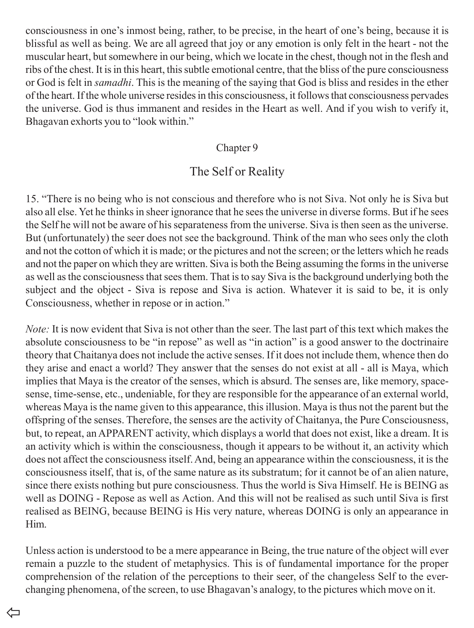consciousness in one's inmost being, rather, to be precise, in the heart of one's being, because it is blissful as well as being. We are all agreed that joy or any emotion is only felt in the heart - not the muscular heart, but somewhere in our being, which we locate in the chest, though not in the flesh and ribs of the chest. It is in this heart, this subtle emotional centre, that the bliss of the pure consciousness or God is felt in *samadhi*. This is the meaning of the saying that God is bliss and resides in the ether of the heart. If the whole universe resides in this consciousness, it follows that consciousness pervades the universe. God is thus immanent and resides in the Heart as well. And if you wish to verify it, Bhagavan exhorts you to "look within."

#### Chapter 9

#### The Self or Reality

15. "There is no being who is not conscious and therefore who is not Siva. Not only he is Siva but also all else. Yet he thinks in sheer ignorance that he sees the universe in diverse forms. But if he sees the Self he will not be aware of his separateness from the universe. Siva is then seen as the universe. But (unfortunately) the seer does not see the background. Think of the man who sees only the cloth and not the cotton of which it is made; or the pictures and not the screen; or the letters which he reads and not the paper on which they are written. Siva is both the Being assuming the forms in the universe as well as the consciousness that sees them. That is to say Siva is the background underlying both the subject and the object - Siva is repose and Siva is action. Whatever it is said to be, it is only Consciousness, whether in repose or in action."

*Note:* It is now evident that Siva is not other than the seer. The last part of this text which makes the absolute consciousness to be "in repose" as well as "in action" is a good answer to the doctrinaire theory that Chaitanya does not include the active senses. If it does not include them, whence then do they arise and enact a world? They answer that the senses do not exist at all - all is Maya, which implies that Maya is the creator of the senses, which is absurd. The senses are, like memory, spacesense, time-sense, etc., undeniable, for they are responsible for the appearance of an external world, whereas Maya is the name given to this appearance, this illusion. Maya is thus not the parent but the offspring of the senses. Therefore, the senses are the activity of Chaitanya, the Pure Consciousness, but, to repeat, an APPARENT activity, which displays a world that does not exist, like a dream. It is an activity which is within the consciousness, though it appears to be without it, an activity which does not affect the consciousness itself. And, being an appearance within the consciousness, it is the consciousness itself, that is, of the same nature as its substratum; for it cannot be of an alien nature, since there exists nothing but pure consciousness. Thus the world is Siva Himself. He is BEING as well as DOING - Repose as well as Action. And this will not be realised as such until Siva is first realised as BEING, because BEING is His very nature, whereas DOING is only an appearance in Him.

Unless action is understood to be a mere appearance in Being, the true nature of the object will ever remain a puzzle to the student of metaphysics. This is of fundamental importance for the proper comprehension of the relation of the perceptions to their seer, of the changeless Self to the everchanging phenomena, of the screen, to use Bhagavan's analogy, to the pictures which move on it.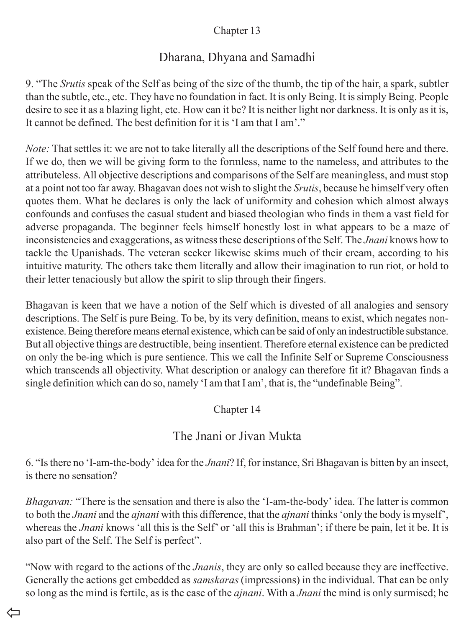#### Chapter 13

## Dharana, Dhyana and Samadhi

9. "The *Srutis* speak of the Self as being of the size of the thumb, the tip of the hair, a spark, subtler than the subtle, etc., etc. They have no foundation in fact. It is only Being. It is simply Being. People desire to see it as a blazing light, etc. How can it be? It is neither light nor darkness. It is only as it is, It cannot be defined. The best definition for it is 'I am that I am'."

*Note:* That settles it: we are not to take literally all the descriptions of the Self found here and there. If we do, then we will be giving form to the formless, name to the nameless, and attributes to the attributeless. All objective descriptions and comparisons of the Self are meaningless, and must stop at a point not too far away. Bhagavan does not wish to slight the *Srutis*, because he himself very often quotes them. What he declares is only the lack of uniformity and cohesion which almost always confounds and confuses the casual student and biased theologian who finds in them a vast field for adverse propaganda. The beginner feels himself honestly lost in what appears to be a maze of inconsistencies and exaggerations, as witness these descriptions of the Self. The *Jnani* knows how to tackle the Upanishads. The veteran seeker likewise skims much of their cream, according to his intuitive maturity. The others take them literally and allow their imagination to run riot, or hold to their letter tenaciously but allow the spirit to slip through their fingers.

Bhagavan is keen that we have a notion of the Self which is divested of all analogies and sensory descriptions. The Self is pure Being. To be, by its very definition, means to exist, which negates nonexistence. Being therefore means eternal existence, which can be said of only an indestructible substance. But all objective things are destructible, being insentient. Therefore eternal existence can be predicted on only the be-ing which is pure sentience. This we call the Infinite Self or Supreme Consciousness which transcends all objectivity. What description or analogy can therefore fit it? Bhagavan finds a single definition which can do so, namely 'I am that I am', that is, the "undefinable Being".

#### Chapter 14

## The Jnani or Jivan Mukta

6. "Is there no 'I-am-the-body' idea for the *Jnani*? If, for instance, Sri Bhagavan is bitten by an insect, is there no sensation?

*Bhagavan:* "There is the sensation and there is also the 'I-am-the-body' idea. The latter is common to both the *Jnani* and the *ajnani* with this difference, that the *ajnani* thinks 'only the body is myself', whereas the *Jnani* knows 'all this is the Self' or 'all this is Brahman'; if there be pain, let it be. It is also part of the Self. The Self is perfect".

"Now with regard to the actions of the *Jnanis*, they are only so called because they are ineffective. Generally the actions get embedded as *samskaras* (impressions) in the individual. That can be only so long as the mind is fertile, as is the case of the *ajnani*. With a *Jnani* the mind is only surmised; he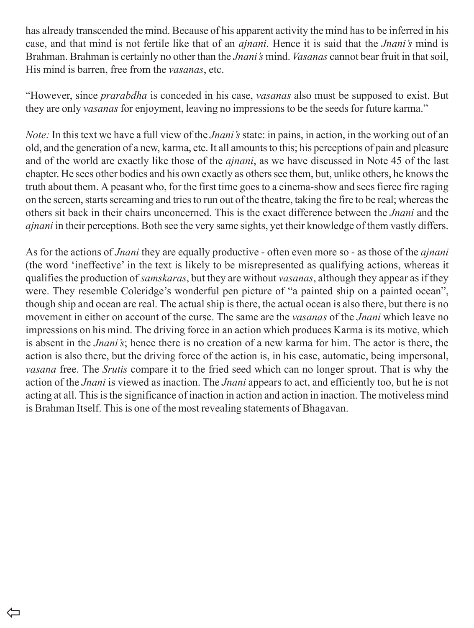has already transcended the mind. Because of his apparent activity the mind has to be inferred in his case, and that mind is not fertile like that of an *ajnani*. Hence it is said that the *Jnani's* mind is Brahman. Brahman is certainly no other than the *Jnani's* mind. *Vasanas* cannot bear fruit in that soil, His mind is barren, free from the *vasanas*, etc.

"However, since *prarabdha* is conceded in his case, *vasanas* also must be supposed to exist. But they are only *vasanas* for enjoyment, leaving no impressions to be the seeds for future karma."

*Note:* In this text we have a full view of the *Jnani's* state: in pains, in action, in the working out of an old, and the generation of a new, karma, etc. It all amounts to this; his perceptions of pain and pleasure and of the world are exactly like those of the *ajnani*, as we have discussed in Note 45 of the last chapter. He sees other bodies and his own exactly as others see them, but, unlike others, he knows the truth about them. A peasant who, for the first time goes to a cinema-show and sees fierce fire raging on the screen, starts screaming and tries to run out of the theatre, taking the fire to be real; whereas the others sit back in their chairs unconcerned. This is the exact difference between the *Jnani* and the *ajnani* in their perceptions. Both see the very same sights, yet their knowledge of them vastly differs.

As for the actions of *Jnani* they are equally productive - often even more so - as those of the *ajnani* (the word 'ineffective' in the text is likely to be misrepresented as qualifying actions, whereas it qualifies the production of *samskaras*, but they are without *vasanas*, although they appear as if they were. They resemble Coleridge's wonderful pen picture of "a painted ship on a painted ocean", though ship and ocean are real. The actual ship is there, the actual ocean is also there, but there is no movement in either on account of the curse. The same are the *vasanas* of the *Jnani* which leave no impressions on his mind. The driving force in an action which produces Karma is its motive, which is absent in the *Jnani's*; hence there is no creation of a new karma for him. The actor is there, the action is also there, but the driving force of the action is, in his case, automatic, being impersonal, *vasana* free. The *Srutis* compare it to the fried seed which can no longer sprout. That is why the action of the *Jnani* is viewed as inaction. The *Jnani* appears to act, and efficiently too, but he is not acting at all. This is the significance of inaction in action and action in inaction. The motiveless mind is Brahman Itself. This is one of the most revealing statements of Bhagavan.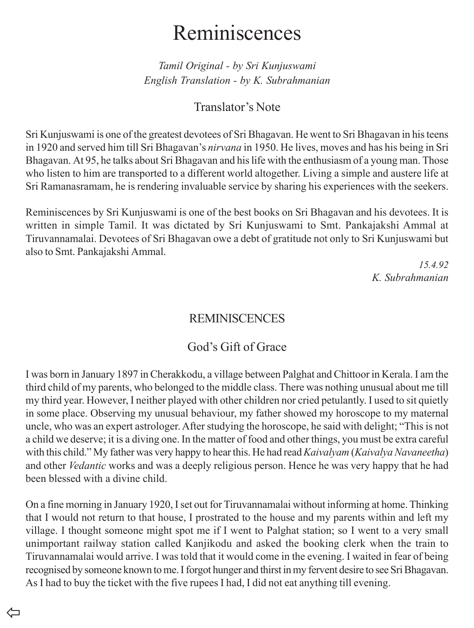# Reminiscences

*Tamil Original - by Sri Kunjuswami English Translation - by K. Subrahmanian*

#### Translator's Note

Sri Kunjuswami is one of the greatest devotees of Sri Bhagavan. He went to Sri Bhagavan in his teens in 1920 and served him till Sri Bhagavan's *nirvana* in 1950. He lives, moves and has his being in Sri Bhagavan. At 95, he talks about Sri Bhagavan and his life with the enthusiasm of a young man. Those who listen to him are transported to a different world altogether. Living a simple and austere life at Sri Ramanasramam, he is rendering invaluable service by sharing his experiences with the seekers.

Reminiscences by Sri Kunjuswami is one of the best books on Sri Bhagavan and his devotees. It is written in simple Tamil. It was dictated by Sri Kunjuswami to Smt. Pankajakshi Ammal at Tiruvannamalai. Devotees of Sri Bhagavan owe a debt of gratitude not only to Sri Kunjuswami but also to Smt. Pankajakshi Ammal.

> *15.4.92 K. Subrahmanian*

#### REMINISCENCES

#### God's Gift of Grace

I was born in January 1897 in Cherakkodu, a village between Palghat and Chittoor in Kerala. I am the third child of my parents, who belonged to the middle class. There was nothing unusual about me till my third year. However, I neither played with other children nor cried petulantly. I used to sit quietly in some place. Observing my unusual behaviour, my father showed my horoscope to my maternal uncle, who was an expert astrologer. After studying the horoscope, he said with delight; "This is not a child we deserve; it is a diving one. In the matter of food and other things, you must be extra careful with this child." My father was very happy to hear this. He had read *Kaivalyam* (*Kaivalya Navaneetha*) and other *Vedantic* works and was a deeply religious person. Hence he was very happy that he had been blessed with a divine child.

On a fine morning in January 1920, I set out for Tiruvannamalai without informing at home. Thinking that I would not return to that house, I prostrated to the house and my parents within and left my village. I thought someone might spot me if I went to Palghat station; so I went to a very small unimportant railway station called Kanjikodu and asked the booking clerk when the train to Tiruvannamalai would arrive. I was told that it would come in the evening. I waited in fear of being recognised by someone known to me. I forgot hunger and thirst in my fervent desire to see Sri Bhagavan. As I had to buy the ticket with the five rupees I had, I did not eat anything till evening.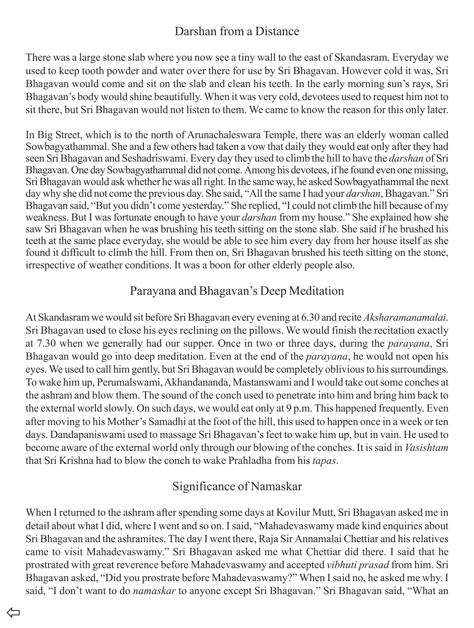### Darshan from a Distance

There was a large stone slab where you now see a tiny wall to the east of Skandasram. Everyday we used to keep tooth powder and water over there for use by Sri Bhagavan. However cold it was, Sri Bhagavan would come and sit on the slab and clean his teeth. In the early morning sun's rays, Sri Bhagavan's body would shine beautifully. When it was very cold, devotees used to request him not to sit there, but Sri Bhagavan would not listen to them. We came to know the reason for this only later.

In Big Street, which is to the north of Arunachaleswara Temple, there was an elderly woman called Sowbagyathammal. She and a few others had taken a vow that daily they would eat only after they had seen Sri Bhagavan and Seshadriswami. Every day they used to climb the hill to have the *darshan* of Sri Bhagavan. One day Sowbagyathammal did not come. Among his devotees, if he found even one missing, Sri Bhagavan would ask whether he was all right. In the same way, he asked Sowbagyathammal the next day why she did not come the previous day. She said, "All the same I had your *darshan*, Bhagavan." Sri Bhagavan said, "But you didn't come yesterday." She replied, "I could not climb the hill because of my weakness. But I was fortunate enough to have your *darshan* from my house." She explained how she saw Sri Bhagavan when he was brushing his teeth sitting on the stone slab. She said if he brushed his teeth at the same place everyday, she would be able to see him every day from her house itself as she found it difficult to climb the hill. From then on, Sri Bhagavan brushed his teeth sitting on the stone, irrespective of weather conditions. It was a boon for other elderly people also.

#### Parayana and Bhagavan's Deep Meditation

At Skandasram we would sit before Sri Bhagavan every evening at 6.30 and recite *Aksharamanamalai*. Sri Bhagavan used to close his eyes reclining on the pillows. We would finish the recitation exactly at 7.30 when we generally had our supper. Once in two or three days, during the *parayana*, Sri Bhagavan would go into deep meditation. Even at the end of the *parayana*, he would not open his eyes. We used to call him gently, but Sri Bhagavan would be completely oblivious to his surroundings. To wake him up, Perumalswami, Akhandananda, Mastanswami and I would take out some conches at the ashram and blow them. The sound of the conch used to penetrate into him and bring him back to the external world slowly. On such days, we would eat only at 9 p.m. This happened frequently. Even after moving to his Mother's Samadhi at the foot of the hill, this used to happen once in a week or ten days. Dandapaniswami used to massage Sri Bhagavan's feet to wake him up, but in vain. He used to become aware of the external world only through our blowing of the conches. It is said in *Vasishtam* that Sri Krishna had to blow the conch to wake Prahladha from his *tapas*.

### Significance of Namaskar

When I returned to the ashram after spending some days at Kovilur Mutt, Sri Bhagavan asked me in detail about what I did, where I went and so on. I said, "Mahadevaswamy made kind enquiries about Sri Bhagavan and the ashramites. The day I went there, Raja Sir Annamalai Chettiar and his relatives came to visit Mahadevaswamy." Sri Bhagavan asked me what Chettiar did there. I said that he prostrated with great reverence before Mahadevaswamy and accepted *vibhuti prasad* from him. Sri Bhagavan asked, "Did you prostrate before Mahadevaswamy?" When I said no, he asked me why. I said, "I don't want to do *namaskar* to anyone except Sri Bhagavan." Sri Bhagavan said, "What an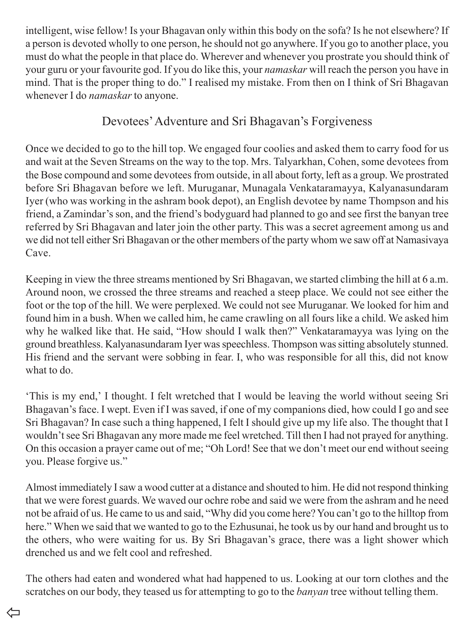intelligent, wise fellow! Is your Bhagavan only within this body on the sofa? Is he not elsewhere? If a person is devoted wholly to one person, he should not go anywhere. If you go to another place, you must do what the people in that place do. Wherever and whenever you prostrate you should think of your guru or your favourite god. If you do like this, your *namaskar* will reach the person you have in mind. That is the proper thing to do." I realised my mistake. From then on I think of Sri Bhagavan whenever I do *namaskar* to anyone.

#### Devotees' Adventure and Sri Bhagavan's Forgiveness

Once we decided to go to the hill top. We engaged four coolies and asked them to carry food for us and wait at the Seven Streams on the way to the top. Mrs. Talyarkhan, Cohen, some devotees from the Bose compound and some devotees from outside, in all about forty, left as a group. We prostrated before Sri Bhagavan before we left. Muruganar, Munagala Venkataramayya, Kalyanasundaram Iyer (who was working in the ashram book depot), an English devotee by name Thompson and his friend, a Zamindar's son, and the friend's bodyguard had planned to go and see first the banyan tree referred by Sri Bhagavan and later join the other party. This was a secret agreement among us and we did not tell either Sri Bhagavan or the other members of the party whom we saw off at Namasivaya Cave.

Keeping in view the three streams mentioned by Sri Bhagavan, we started climbing the hill at 6 a.m. Around noon, we crossed the three streams and reached a steep place. We could not see either the foot or the top of the hill. We were perplexed. We could not see Muruganar. We looked for him and found him in a bush. When we called him, he came crawling on all fours like a child. We asked him why he walked like that. He said, "How should I walk then?" Venkataramayya was lying on the ground breathless. Kalyanasundaram Iyer was speechless. Thompson was sitting absolutely stunned. His friend and the servant were sobbing in fear. I, who was responsible for all this, did not know what to do.

'This is my end,' I thought. I felt wretched that I would be leaving the world without seeing Sri Bhagavan's face. I wept. Even if I was saved, if one of my companions died, how could I go and see Sri Bhagavan? In case such a thing happened, I felt I should give up my life also. The thought that I wouldn't see Sri Bhagavan any more made me feel wretched. Till then I had not prayed for anything. On this occasion a prayer came out of me; "Oh Lord! See that we don't meet our end without seeing you. Please forgive us."

Almost immediately I saw a wood cutter at a distance and shouted to him. He did not respond thinking that we were forest guards. We waved our ochre robe and said we were from the ashram and he need not be afraid of us. He came to us and said, "Why did you come here? You can't go to the hilltop from here." When we said that we wanted to go to the Ezhusunai, he took us by our hand and brought us to the others, who were waiting for us. By Sri Bhagavan's grace, there was a light shower which drenched us and we felt cool and refreshed.

The others had eaten and wondered what had happened to us. Looking at our torn clothes and the scratches on our body, they teased us for attempting to go to the *banyan* tree without telling them.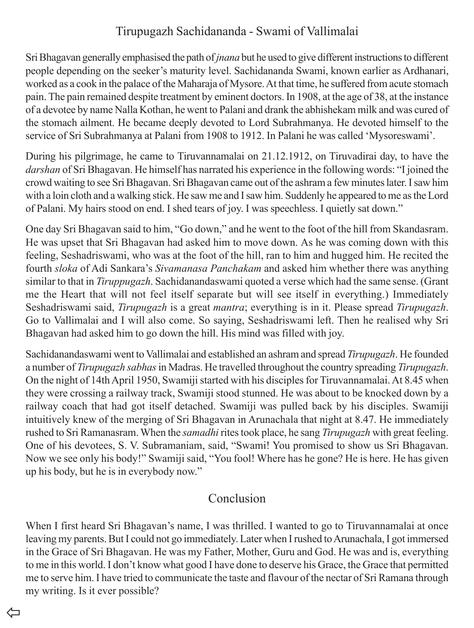## Tirupugazh Sachidananda - Swami of Vallimalai

Sri Bhagavan generally emphasised the path of *jnana* but he used to give different instructions to different people depending on the seeker's maturity level. Sachidananda Swami, known earlier as Ardhanari, worked as a cook in the palace of the Maharaja of Mysore. At that time, he suffered from acute stomach pain. The pain remained despite treatment by eminent doctors. In 1908, at the age of 38, at the instance of a devotee by name Nalla Kothan, he went to Palani and drank the abhishekam milk and was cured of the stomach ailment. He became deeply devoted to Lord Subrahmanya. He devoted himself to the service of Sri Subrahmanya at Palani from 1908 to 1912. In Palani he was called 'Mysoreswami'.

During his pilgrimage, he came to Tiruvannamalai on 21.12.1912, on Tiruvadirai day, to have the *darshan* of Sri Bhagavan. He himself has narrated his experience in the following words: "I joined the crowd waiting to see Sri Bhagavan. Sri Bhagavan came out of the ashram a few minutes later. I saw him with a loin cloth and a walking stick. He saw me and I saw him. Suddenly he appeared to me as the Lord of Palani. My hairs stood on end. I shed tears of joy. I was speechless. I quietly sat down."

One day Sri Bhagavan said to him, "Go down," and he went to the foot of the hill from Skandasram. He was upset that Sri Bhagavan had asked him to move down. As he was coming down with this feeling, Seshadriswami, who was at the foot of the hill, ran to him and hugged him. He recited the fourth *sloka* of Adi Sankara's *Sivamanasa Panchakam* and asked him whether there was anything similar to that in *Tiruppugazh*. Sachidanandaswami quoted a verse which had the same sense. (Grant me the Heart that will not feel itself separate but will see itself in everything.) Immediately Seshadriswami said, *Tirupugazh* is a great *mantra*; everything is in it. Please spread *Tirupugazh*. Go to Vallimalai and I will also come. So saying, Seshadriswami left. Then he realised why Sri Bhagavan had asked him to go down the hill. His mind was filled with joy.

Sachidanandaswami went to Vallimalai and established an ashram and spread *Tirupugazh*. He founded a number of *Tirupugazh sabhas* in Madras. He travelled throughout the country spreading *Tirupugazh*. On the night of 14th April 1950, Swamiji started with his disciples for Tiruvannamalai. At 8.45 when they were crossing a railway track, Swamiji stood stunned. He was about to be knocked down by a railway coach that had got itself detached. Swamiji was pulled back by his disciples. Swamiji intuitively knew of the merging of Sri Bhagavan in Arunachala that night at 8.47. He immediately rushed to Sri Ramanasram. When the *samadhi* rites took place, he sang *Tirupugazh* with great feeling. One of his devotees, S. V. Subramaniam, said, "Swami! You promised to show us Sri Bhagavan. Now we see only his body!" Swamiji said, "You fool! Where has he gone? He is here. He has given up his body, but he is in everybody now."

### Conclusion

When I first heard Sri Bhagavan's name, I was thrilled. I wanted to go to Tiruvannamalai at once leaving my parents. But I could not go immediately. Later when I rushed to Arunachala, I got immersed in the Grace of Sri Bhagavan. He was my Father, Mother, Guru and God. He was and is, everything to me in this world. I don't know what good I have done to deserve his Grace, the Grace that permitted me to serve him. I have tried to communicate the taste and flavour of the nectar of Sri Ramana through my writing. Is it ever possible?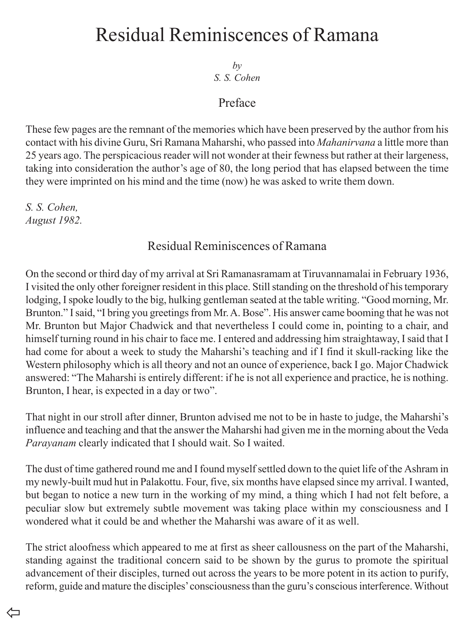## Residual Reminiscences of Ramana

*by S. S. Cohen*

#### Preface

These few pages are the remnant of the memories which have been preserved by the author from his contact with his divine Guru, Sri Ramana Maharshi, who passed into *Mahanirvana* a little more than 25 years ago. The perspicacious reader will not wonder at their fewness but rather at their largeness, taking into consideration the author's age of 80, the long period that has elapsed between the time they were imprinted on his mind and the time (now) he was asked to write them down.

*S. S. Cohen, August 1982.*

 $\Leftrightarrow$ 

#### Residual Reminiscences of Ramana

On the second or third day of my arrival at Sri Ramanasramam at Tiruvannamalai in February 1936, I visited the only other foreigner resident in this place. Still standing on the threshold of his temporary lodging, I spoke loudly to the big, hulking gentleman seated at the table writing. "Good morning, Mr. Brunton." I said, "I bring you greetings from Mr. A. Bose". His answer came booming that he was not Mr. Brunton but Major Chadwick and that nevertheless I could come in, pointing to a chair, and himself turning round in his chair to face me. I entered and addressing him straightaway, I said that I had come for about a week to study the Maharshi's teaching and if I find it skull-racking like the Western philosophy which is all theory and not an ounce of experience, back I go. Major Chadwick answered: "The Maharshi is entirely different: if he is not all experience and practice, he is nothing. Brunton, I hear, is expected in a day or two".

That night in our stroll after dinner, Brunton advised me not to be in haste to judge, the Maharshi's influence and teaching and that the answer the Maharshi had given me in the morning about the Veda *Parayanam* clearly indicated that I should wait. So I waited.

The dust of time gathered round me and I found myself settled down to the quiet life of the Ashram in my newly-built mud hut in Palakottu. Four, five, six months have elapsed since my arrival. I wanted, but began to notice a new turn in the working of my mind, a thing which I had not felt before, a peculiar slow but extremely subtle movement was taking place within my consciousness and I wondered what it could be and whether the Maharshi was aware of it as well.

The strict aloofness which appeared to me at first as sheer callousness on the part of the Maharshi, standing against the traditional concern said to be shown by the gurus to promote the spiritual advancement of their disciples, turned out across the years to be more potent in its action to purify, reform, guide and mature the disciples' consciousness than the guru's conscious interference. Without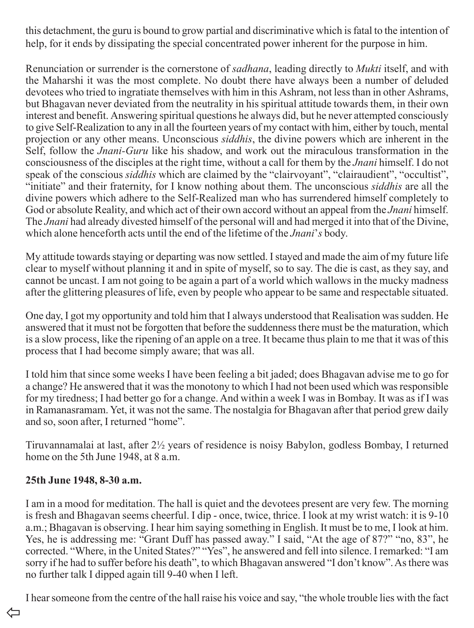this detachment, the guru is bound to grow partial and discriminative which is fatal to the intention of help, for it ends by dissipating the special concentrated power inherent for the purpose in him.

Renunciation or surrender is the cornerstone of *sadhana*, leading directly to *Mukti* itself, and with the Maharshi it was the most complete. No doubt there have always been a number of deluded devotees who tried to ingratiate themselves with him in this Ashram, not less than in other Ashrams, but Bhagavan never deviated from the neutrality in his spiritual attitude towards them, in their own interest and benefit. Answering spiritual questions he always did, but he never attempted consciously to give Self-Realization to any in all the fourteen years of my contact with him, either by touch, mental projection or any other means. Unconscious *siddhis*, the divine powers which are inherent in the Self, follow the *Jnani-Guru* like his shadow, and work out the miraculous transformation in the consciousness of the disciples at the right time, without a call for them by the *Jnani* himself. I do not speak of the conscious *siddhis* which are claimed by the "clairvoyant", "clairaudient", "occultist", "initiate" and their fraternity, for I know nothing about them. The unconscious *siddhis* are all the divine powers which adhere to the Self-Realized man who has surrendered himself completely to God or absolute Reality, and which act of their own accord without an appeal from the *Jnani* himself. The *Jnani* had already divested himself of the personal will and had merged it into that of the Divine, which alone henceforth acts until the end of the lifetime of the *Jnani*'*s* body.

My attitude towards staying or departing was now settled. I stayed and made the aim of my future life clear to myself without planning it and in spite of myself, so to say. The die is cast, as they say, and cannot be uncast. I am not going to be again a part of a world which wallows in the mucky madness after the glittering pleasures of life, even by people who appear to be same and respectable situated.

One day, I got my opportunity and told him that I always understood that Realisation was sudden. He answered that it must not be forgotten that before the suddenness there must be the maturation, which is a slow process, like the ripening of an apple on a tree. It became thus plain to me that it was of this process that I had become simply aware; that was all.

I told him that since some weeks I have been feeling a bit jaded; does Bhagavan advise me to go for a change? He answered that it was the monotony to which I had not been used which was responsible for my tiredness; I had better go for a change. And within a week I was in Bombay. It was as if I was in Ramanasramam. Yet, it was not the same. The nostalgia for Bhagavan after that period grew daily and so, soon after, I returned "home".

Tiruvannamalai at last, after 2½ years of residence is noisy Babylon, godless Bombay, I returned home on the 5th June 1948, at 8 a.m.

#### **25th June 1948, 8-30 a.m.**

 $\Leftrightarrow$ 

I am in a mood for meditation. The hall is quiet and the devotees present are very few. The morning is fresh and Bhagavan seems cheerful. I dip - once, twice, thrice. I look at my wrist watch: it is 9-10 a.m.; Bhagavan is observing. I hear him saying something in English. It must be to me, I look at him. Yes, he is addressing me: "Grant Duff has passed away." I said, "At the age of 87?" "no, 83", he corrected. "Where, in the United States?" "Yes", he answered and fell into silence. I remarked: "I am sorry if he had to suffer before his death", to which Bhagavan answered "I don't know". As there was no further talk I dipped again till 9-40 when I left.

I hear someone from the centre of the hall raise his voice and say, "the whole trouble lies with the fact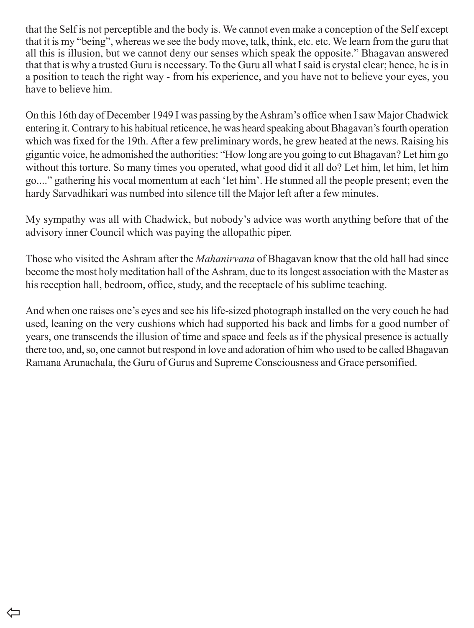that the Self is not perceptible and the body is. We cannot even make a conception of the Self except that it is my "being", whereas we see the body move, talk, think, etc. etc. We learn from the guru that all this is illusion, but we cannot deny our senses which speak the opposite." Bhagavan answered that that is why a trusted Guru is necessary. To the Guru all what I said is crystal clear; hence, he is in a position to teach the right way - from his experience, and you have not to believe your eyes, you have to believe him.

On this 16th day of December 1949 I was passing by the Ashram's office when I saw Major Chadwick entering it. Contrary to his habitual reticence, he was heard speaking about Bhagavan's fourth operation which was fixed for the 19th. After a few preliminary words, he grew heated at the news. Raising his gigantic voice, he admonished the authorities: "How long are you going to cut Bhagavan? Let him go without this torture. So many times you operated, what good did it all do? Let him, let him, let him go...." gathering his vocal momentum at each 'let him'. He stunned all the people present; even the hardy Sarvadhikari was numbed into silence till the Major left after a few minutes.

My sympathy was all with Chadwick, but nobody's advice was worth anything before that of the advisory inner Council which was paying the allopathic piper.

Those who visited the Ashram after the *Mahanirvana* of Bhagavan know that the old hall had since become the most holy meditation hall of the Ashram, due to its longest association with the Master as his reception hall, bedroom, office, study, and the receptacle of his sublime teaching.

And when one raises one's eyes and see his life-sized photograph installed on the very couch he had used, leaning on the very cushions which had supported his back and limbs for a good number of years, one transcends the illusion of time and space and feels as if the physical presence is actually there too, and, so, one cannot but respond in love and adoration of him who used to be called Bhagavan Ramana Arunachala, the Guru of Gurus and Supreme Consciousness and Grace personified.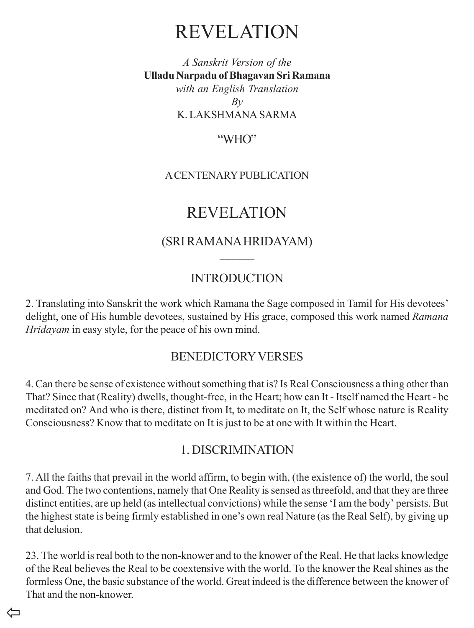## REVELATION

#### *A Sanskrit Version of the* **Ulladu Narpadu of Bhagavan Sri Ramana** *with an English Translation By* K. LAKSHMANA SARMA

#### "WHO"

#### A CENTENARY PUBLICATION

## REVELATION

#### (SRI RAMANA HRIDAYAM)  $\mathcal{L}_\mathrm{max}$

## **INTRODUCTION**

2. Translating into Sanskrit the work which Ramana the Sage composed in Tamil for His devotees' delight, one of His humble devotees, sustained by His grace, composed this work named *Ramana Hridayam* in easy style, for the peace of his own mind.

## BENEDICTORY VERSES

4. Can there be sense of existence without something that is? Is Real Consciousness a thing other than That? Since that (Reality) dwells, thought-free, in the Heart; how can It - Itself named the Heart - be meditated on? And who is there, distinct from It, to meditate on It, the Self whose nature is Reality Consciousness? Know that to meditate on It is just to be at one with It within the Heart.

## 1. DISCRIMINATION

7. All the faiths that prevail in the world affirm, to begin with, (the existence of) the world, the soul and God. The two contentions, namely that One Reality is sensed as threefold, and that they are three distinct entities, are up held (as intellectual convictions) while the sense 'I am the body' persists. But the highest state is being firmly established in one's own real Nature (as the Real Self), by giving up that delusion.

23. The world is real both to the non-knower and to the knower of the Real. He that lacks knowledge of the Real believes the Real to be coextensive with the world. To the knower the Real shines as the formless One, the basic substance of the world. Great indeed is the difference between the knower of That and the non-knower.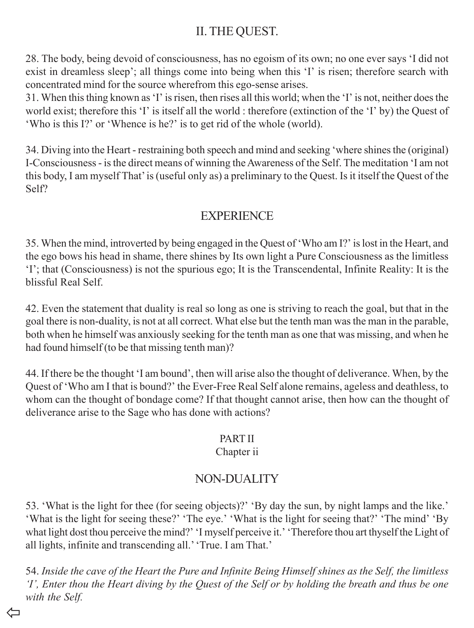## II. THE QUEST.

28. The body, being devoid of consciousness, has no egoism of its own; no one ever says 'I did not exist in dreamless sleep'; all things come into being when this 'I' is risen; therefore search with concentrated mind for the source wherefrom this ego-sense arises.

31. When this thing known as 'I' is risen, then rises all this world; when the 'I' is not, neither does the world exist; therefore this 'I' is itself all the world : therefore (extinction of the 'I' by) the Quest of 'Who is this I?' or 'Whence is he?' is to get rid of the whole (world).

34. Diving into the Heart - restraining both speech and mind and seeking 'where shines the (original) I-Consciousness - is the direct means of winning the Awareness of the Self. The meditation 'I am not this body, I am myself That' is (useful only as) a preliminary to the Quest. Is it itself the Quest of the Self?

## **EXPERIENCE**

35. When the mind, introverted by being engaged in the Quest of 'Who am I?' is lost in the Heart, and the ego bows his head in shame, there shines by Its own light a Pure Consciousness as the limitless 'I'; that (Consciousness) is not the spurious ego; It is the Transcendental, Infinite Reality: It is the blissful Real Self.

42. Even the statement that duality is real so long as one is striving to reach the goal, but that in the goal there is non-duality, is not at all correct. What else but the tenth man was the man in the parable, both when he himself was anxiously seeking for the tenth man as one that was missing, and when he had found himself (to be that missing tenth man)?

44. If there be the thought 'I am bound', then will arise also the thought of deliverance. When, by the Quest of 'Who am I that is bound?' the Ever-Free Real Self alone remains, ageless and deathless, to whom can the thought of bondage come? If that thought cannot arise, then how can the thought of deliverance arise to the Sage who has done with actions?

#### PART II

#### Chapter ii

## NON-DUALITY

53. 'What is the light for thee (for seeing objects)?' 'By day the sun, by night lamps and the like.' 'What is the light for seeing these?' 'The eye.' 'What is the light for seeing that?' 'The mind' 'By what light dost thou perceive the mind?' 'I myself perceive it.' 'Therefore thou art thyself the Light of all lights, infinite and transcending all.' 'True. I am That.'

54. *Inside the cave of the Heart the Pure and Infinite Being Himself shines as the Self, the limitless 'I', Enter thou the Heart diving by the Quest of the Self or by holding the breath and thus be one with the Self.*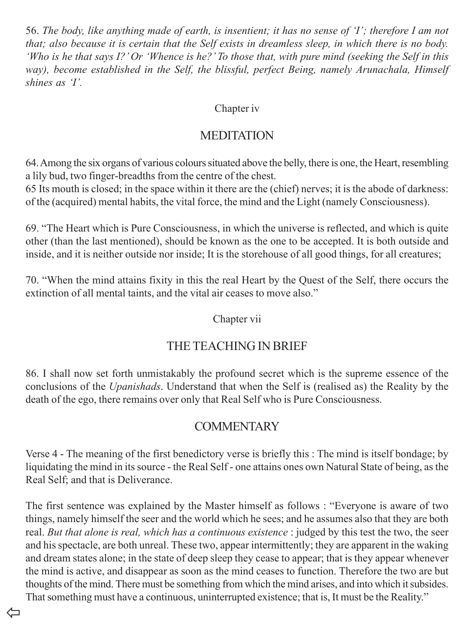56. *The body, like anything made of earth, is insentient; it has no sense of 'I'; therefore I am not that; also because it is certain that the Self exists in dreamless sleep, in which there is no body. 'Who is he that says I?' Or 'Whence is he?' To those that, with pure mind (seeking the Self in this way), become established in the Self, the blissful, perfect Being, namely Arunachala, Himself shines as 'I'.*

#### Chapter iv

## MEDITATION

64. Among the six organs of various colours situated above the belly, there is one, the Heart, resembling a lily bud, two finger-breadths from the centre of the chest.

65 Its mouth is closed; in the space within it there are the (chief) nerves; it is the abode of darkness: of the (acquired) mental habits, the vital force, the mind and the Light (namely Consciousness).

69. "The Heart which is Pure Consciousness, in which the universe is reflected, and which is quite other (than the last mentioned), should be known as the one to be accepted. It is both outside and inside, and it is neither outside nor inside; It is the storehouse of all good things, for all creatures;

70. "When the mind attains fixity in this the real Heart by the Quest of the Self, there occurs the extinction of all mental taints, and the vital air ceases to move also."

#### Chapter vii

## THE TEACHING IN BRIEF

86. I shall now set forth unmistakably the profound secret which is the supreme essence of the conclusions of the *Upanishads*. Understand that when the Self is (realised as) the Reality by the death of the ego, there remains over only that Real Self who is Pure Consciousness.

## **COMMENTARY**

Verse 4 - The meaning of the first benedictory verse is briefly this : The mind is itself bondage; by liquidating the mind in its source - the Real Self - one attains ones own Natural State of being, as the Real Self; and that is Deliverance.

The first sentence was explained by the Master himself as follows : "Everyone is aware of two things, namely himself the seer and the world which he sees; and he assumes also that they are both real. *But that alone is real, which has a continuous existence* : judged by this test the two, the seer and his spectacle, are both unreal. These two, appear intermittently; they are apparent in the waking and dream states alone; in the state of deep sleep they cease to appear; that is they appear whenever the mind is active, and disappear as soon as the mind ceases to function. Therefore the two are but thoughts of the mind. There must be something from which the mind arises, and into which it subsides. That something must have a continuous, uninterrupted existence; that is, It must be the Reality."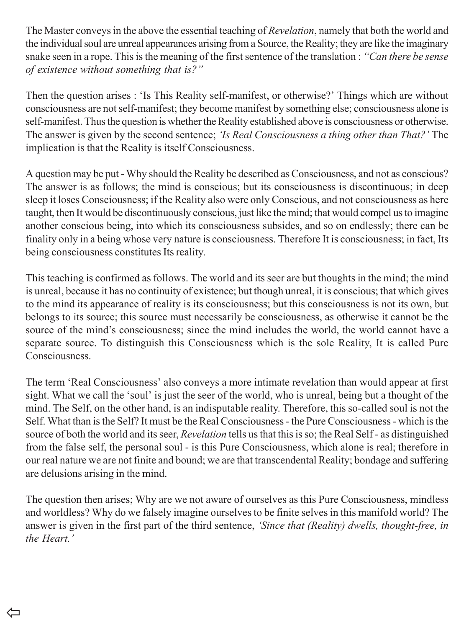The Master conveys in the above the essential teaching of *Revelation*, namely that both the world and the individual soul are unreal appearances arising from a Source, the Reality; they are like the imaginary snake seen in a rope. This is the meaning of the first sentence of the translation : *"Can there be sense of existence without something that is?"*

Then the question arises : 'Is This Reality self-manifest, or otherwise?' Things which are without consciousness are not self-manifest; they become manifest by something else; consciousness alone is self-manifest. Thus the question is whether the Reality established above is consciousness or otherwise. The answer is given by the second sentence; *'Is Real Consciousness a thing other than That?'* The implication is that the Reality is itself Consciousness.

A question may be put - Why should the Reality be described as Consciousness, and not as conscious? The answer is as follows; the mind is conscious; but its consciousness is discontinuous; in deep sleep it loses Consciousness; if the Reality also were only Conscious, and not consciousness as here taught, then It would be discontinuously conscious, just like the mind; that would compel us to imagine another conscious being, into which its consciousness subsides, and so on endlessly; there can be finality only in a being whose very nature is consciousness. Therefore It is consciousness; in fact, Its being consciousness constitutes Its reality.

This teaching is confirmed as follows. The world and its seer are but thoughts in the mind; the mind is unreal, because it has no continuity of existence; but though unreal, it is conscious; that which gives to the mind its appearance of reality is its consciousness; but this consciousness is not its own, but belongs to its source; this source must necessarily be consciousness, as otherwise it cannot be the source of the mind's consciousness; since the mind includes the world, the world cannot have a separate source. To distinguish this Consciousness which is the sole Reality, It is called Pure Consciousness.

The term 'Real Consciousness' also conveys a more intimate revelation than would appear at first sight. What we call the 'soul' is just the seer of the world, who is unreal, being but a thought of the mind. The Self, on the other hand, is an indisputable reality. Therefore, this so-called soul is not the Self. What than is the Self? It must be the Real Consciousness - the Pure Consciousness - which is the source of both the world and its seer, *Revelation* tells us that this is so; the Real Self - as distinguished from the false self, the personal soul - is this Pure Consciousness, which alone is real; therefore in our real nature we are not finite and bound; we are that transcendental Reality; bondage and suffering are delusions arising in the mind.

The question then arises; Why are we not aware of ourselves as this Pure Consciousness, mindless and worldless? Why do we falsely imagine ourselves to be finite selves in this manifold world? The answer is given in the first part of the third sentence, *'Since that (Reality) dwells, thought-free, in the Heart.'*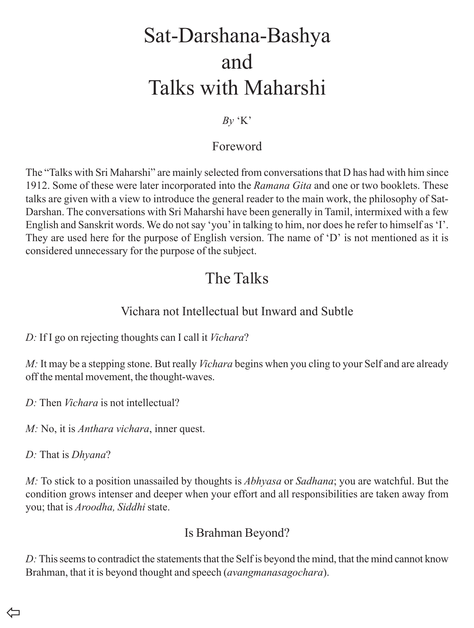# Sat-Darshana-Bashya and Talks with Maharshi

#### *By* 'K'

### Foreword

The "Talks with Sri Maharshi" are mainly selected from conversations that D has had with him since 1912. Some of these were later incorporated into the *Ramana Gita* and one or two booklets. These talks are given with a view to introduce the general reader to the main work, the philosophy of Sat-Darshan. The conversations with Sri Maharshi have been generally in Tamil, intermixed with a few English and Sanskrit words. We do not say 'you' in talking to him, nor does he refer to himself as 'I'. They are used here for the purpose of English version. The name of 'D' is not mentioned as it is considered unnecessary for the purpose of the subject.

## The Talks

## Vichara not Intellectual but Inward and Subtle

*D:* If I go on rejecting thoughts can I call it *Vichara*?

*M:* It may be a stepping stone. But really *Vichara* begins when you cling to your Self and are already off the mental movement, the thought-waves.

*D:* Then *Vichara* is not intellectual?

*M:* No, it is *Anthara vichara*, inner quest.

*D:* That is *Dhyana*?

 $\Leftrightarrow$ 

*M:* To stick to a position unassailed by thoughts is *Abhyasa* or *Sadhana*; you are watchful. But the condition grows intenser and deeper when your effort and all responsibilities are taken away from you; that is *Aroodha, Siddhi* state.

## Is Brahman Beyond?

*D:* This seems to contradict the statements that the Self is beyond the mind, that the mind cannot know Brahman, that it is beyond thought and speech (*avangmanasagochara*).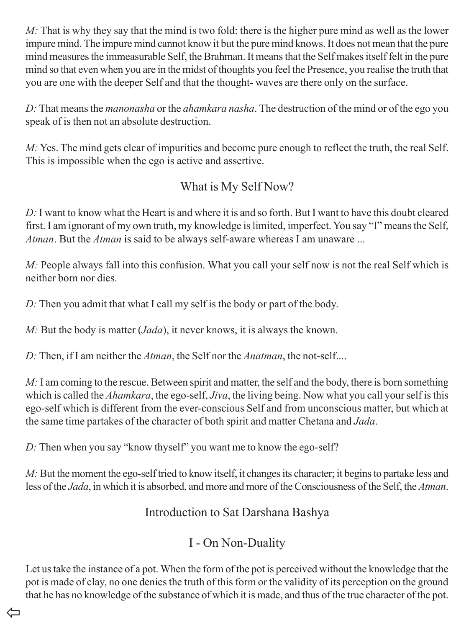*M:* That is why they say that the mind is two fold: there is the higher pure mind as well as the lower impure mind. The impure mind cannot know it but the pure mind knows. It does not mean that the pure mind measures the immeasurable Self, the Brahman. It means that the Self makes itself felt in the pure mind so that even when you are in the midst of thoughts you feel the Presence, you realise the truth that you are one with the deeper Self and that the thought- waves are there only on the surface.

*D:* That means the *manonasha* or the *ahamkara nasha*. The destruction of the mind or of the ego you speak of is then not an absolute destruction.

*M*: Yes. The mind gets clear of impurities and become pure enough to reflect the truth, the real Self. This is impossible when the ego is active and assertive.

## What is My Self Now?

*D:* I want to know what the Heart is and where it is and so forth. But I want to have this doubt cleared first. I am ignorant of my own truth, my knowledge is limited, imperfect. You say "I" means the Self, *Atman*. But the *Atman* is said to be always self-aware whereas I am unaware ...

*M*: People always fall into this confusion. What you call your self now is not the real Self which is neither born nor dies.

*D:* Then you admit that what I call my self is the body or part of the body.

*M:* But the body is matter (*Jada*), it never knows, it is always the known.

*D:* Then, if I am neither the *Atman*, the Self nor the *Anatman*, the not-self....

*M*: I am coming to the rescue. Between spirit and matter, the self and the body, there is born something which is called the *Ahamkara*, the ego-self, *Jiva*, the living being. Now what you call your self is this ego-self which is different from the ever-conscious Self and from unconscious matter, but which at the same time partakes of the character of both spirit and matter Chetana and *Jada*.

*D:* Then when you say "know thyself" you want me to know the ego-self?

 $\Leftrightarrow$ 

*M:* But the moment the ego-self tried to know itself, it changes its character; it begins to partake less and less of the *Jada*, in which it is absorbed, and more and more of the Consciousness of the Self, the *Atman*.

## Introduction to Sat Darshana Bashya

## I - On Non-Duality

Let us take the instance of a pot. When the form of the pot is perceived without the knowledge that the pot is made of clay, no one denies the truth of this form or the validity of its perception on the ground that he has no knowledge of the substance of which it is made, and thus of the true character of the pot.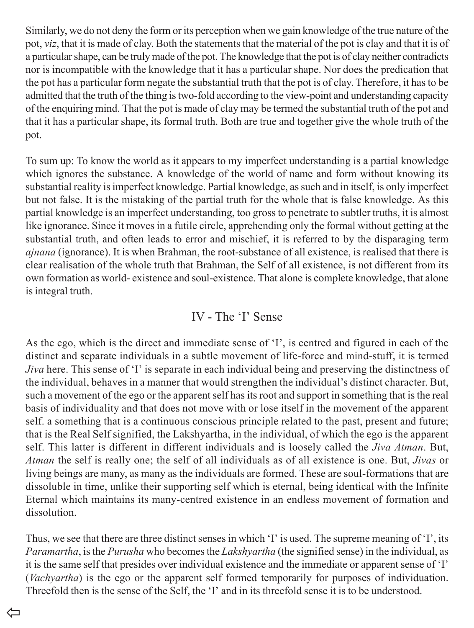Similarly, we do not deny the form or its perception when we gain knowledge of the true nature of the pot, *viz*, that it is made of clay. Both the statements that the material of the pot is clay and that it is of a particular shape, can be truly made of the pot. The knowledge that the pot is of clay neither contradicts nor is incompatible with the knowledge that it has a particular shape. Nor does the predication that the pot has a particular form negate the substantial truth that the pot is of clay. Therefore, it has to be admitted that the truth of the thing is two-fold according to the view-point and understanding capacity of the enquiring mind. That the pot is made of clay may be termed the substantial truth of the pot and that it has a particular shape, its formal truth. Both are true and together give the whole truth of the pot.

To sum up: To know the world as it appears to my imperfect understanding is a partial knowledge which ignores the substance. A knowledge of the world of name and form without knowing its substantial reality is imperfect knowledge. Partial knowledge, as such and in itself, is only imperfect but not false. It is the mistaking of the partial truth for the whole that is false knowledge. As this partial knowledge is an imperfect understanding, too gross to penetrate to subtler truths, it is almost like ignorance. Since it moves in a futile circle, apprehending only the formal without getting at the substantial truth, and often leads to error and mischief, it is referred to by the disparaging term *ajnana* (ignorance). It is when Brahman, the root-substance of all existence, is realised that there is clear realisation of the whole truth that Brahman, the Self of all existence, is not different from its own formation as world- existence and soul-existence. That alone is complete knowledge, that alone is integral truth.

#### IV - The 'I' Sense

As the ego, which is the direct and immediate sense of 'I', is centred and figured in each of the distinct and separate individuals in a subtle movement of life-force and mind-stuff, it is termed *Jiva* here. This sense of 'I' is separate in each individual being and preserving the distinctness of the individual, behaves in a manner that would strengthen the individual's distinct character. But, such a movement of the ego or the apparent self has its root and support in something that is the real basis of individuality and that does not move with or lose itself in the movement of the apparent self. a something that is a continuous conscious principle related to the past, present and future; that is the Real Self signified, the Lakshyartha, in the individual, of which the ego is the apparent self. This latter is different in different individuals and is loosely called the *Jiva Atman*. But, *Atman* the self is really one; the self of all individuals as of all existence is one. But, *Jivas* or living beings are many, as many as the individuals are formed. These are soul-formations that are dissoluble in time, unlike their supporting self which is eternal, being identical with the Infinite Eternal which maintains its many-centred existence in an endless movement of formation and dissolution.

Thus, we see that there are three distinct senses in which 'I' is used. The supreme meaning of 'I', its *Paramartha*, is the *Purusha* who becomes the *Lakshyartha* (the signified sense) in the individual, as it is the same self that presides over individual existence and the immediate or apparent sense of 'I' (*Vachyartha*) is the ego or the apparent self formed temporarily for purposes of individuation. Threefold then is the sense of the Self, the 'I' and in its threefold sense it is to be understood.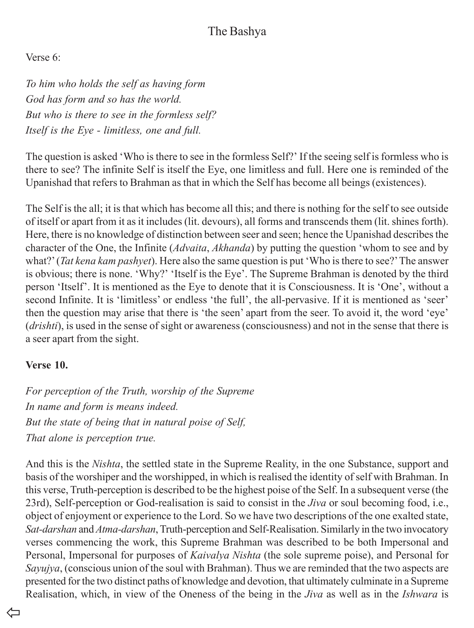## The Bashya

Verse 6:

*To him who holds the self as having form God has form and so has the world. But who is there to see in the formless self? Itself is the Eye - limitless, one and full.*

The question is asked 'Who is there to see in the formless Self?' If the seeing self is formless who is there to see? The infinite Self is itself the Eye, one limitless and full. Here one is reminded of the Upanishad that refers to Brahman as that in which the Self has become all beings (existences).

The Self is the all; it is that which has become all this; and there is nothing for the self to see outside of itself or apart from it as it includes (lit. devours), all forms and transcends them (lit. shines forth). Here, there is no knowledge of distinction between seer and seen; hence the Upanishad describes the character of the One, the Infinite (*Advaita*, *Akhanda*) by putting the question 'whom to see and by what?' (*Tat kena kam pashyet*). Here also the same question is put 'Who is there to see?' The answer is obvious; there is none. 'Why?' 'Itself is the Eye'. The Supreme Brahman is denoted by the third person 'Itself'. It is mentioned as the Eye to denote that it is Consciousness. It is 'One', without a second Infinite. It is 'limitless' or endless 'the full', the all-pervasive. If it is mentioned as 'seer' then the question may arise that there is 'the seen' apart from the seer. To avoid it, the word 'eye' (*drishti*), is used in the sense of sight or awareness (consciousness) and not in the sense that there is a seer apart from the sight.

#### **Verse 10.**

 $\Leftrightarrow$ 

*For perception of the Truth, worship of the Supreme In name and form is means indeed. But the state of being that in natural poise of Self, That alone is perception true.*

And this is the *Nishta*, the settled state in the Supreme Reality, in the one Substance, support and basis of the worshiper and the worshipped, in which is realised the identity of self with Brahman. In this verse, Truth-perception is described to be the highest poise of the Self. In a subsequent verse (the 23rd), Self-perception or God-realisation is said to consist in the *Jiva* or soul becoming food, i.e., object of enjoyment or experience to the Lord. So we have two descriptions of the one exalted state, *Sat-darshan* and *Atma-darshan*, Truth-perception and Self-Realisation. Similarly in the two invocatory verses commencing the work, this Supreme Brahman was described to be both Impersonal and Personal, Impersonal for purposes of *Kaivalya Nishta* (the sole supreme poise), and Personal for *Sayujya*, (conscious union of the soul with Brahman). Thus we are reminded that the two aspects are presented for the two distinct paths of knowledge and devotion, that ultimately culminate in a Supreme Realisation, which, in view of the Oneness of the being in the *Jiva* as well as in the *Ishwara* is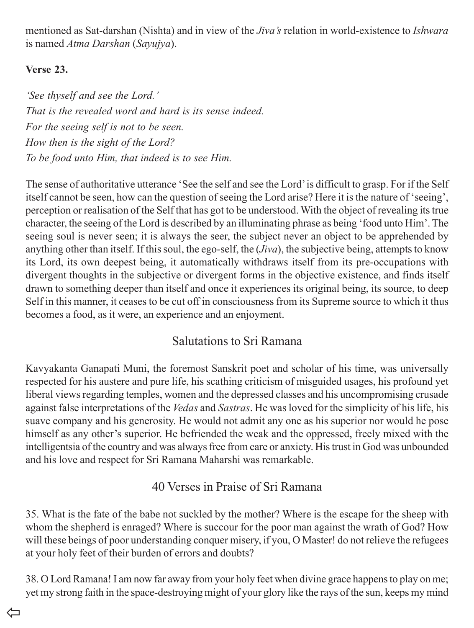mentioned as Sat-darshan (Nishta) and in view of the *Jiva's* relation in world-existence to *Ishwara* is named *Atma Darshan* (*Sayujya*).

#### **Verse 23.**

 $\Leftrightarrow$ 

*'See thyself and see the Lord.' That is the revealed word and hard is its sense indeed. For the seeing self is not to be seen. How then is the sight of the Lord? To be food unto Him, that indeed is to see Him.*

The sense of authoritative utterance 'See the self and see the Lord' is difficult to grasp. For if the Self itself cannot be seen, how can the question of seeing the Lord arise? Here it is the nature of 'seeing', perception or realisation of the Self that has got to be understood. With the object of revealing its true character, the seeing of the Lord is described by an illuminating phrase as being 'food unto Him'. The seeing soul is never seen; it is always the seer, the subject never an object to be apprehended by anything other than itself. If this soul, the ego-self, the (*Jiva*), the subjective being, attempts to know its Lord, its own deepest being, it automatically withdraws itself from its pre-occupations with divergent thoughts in the subjective or divergent forms in the objective existence, and finds itself drawn to something deeper than itself and once it experiences its original being, its source, to deep Self in this manner, it ceases to be cut off in consciousness from its Supreme source to which it thus becomes a food, as it were, an experience and an enjoyment.

## Salutations to Sri Ramana

Kavyakanta Ganapati Muni, the foremost Sanskrit poet and scholar of his time, was universally respected for his austere and pure life, his scathing criticism of misguided usages, his profound yet liberal views regarding temples, women and the depressed classes and his uncompromising crusade against false interpretations of the *Vedas* and *Sastras*. He was loved for the simplicity of his life, his suave company and his generosity. He would not admit any one as his superior nor would he pose himself as any other's superior. He befriended the weak and the oppressed, freely mixed with the intelligentsia of the country and was always free from care or anxiety. His trust in God was unbounded and his love and respect for Sri Ramana Maharshi was remarkable.

## 40 Verses in Praise of Sri Ramana

35. What is the fate of the babe not suckled by the mother? Where is the escape for the sheep with whom the shepherd is enraged? Where is succour for the poor man against the wrath of God? How will these beings of poor understanding conquer misery, if you, O Master! do not relieve the refugees at your holy feet of their burden of errors and doubts?

38. O Lord Ramana! I am now far away from your holy feet when divine grace happens to play on me; yet my strong faith in the space-destroying might of your glory like the rays of the sun, keeps my mind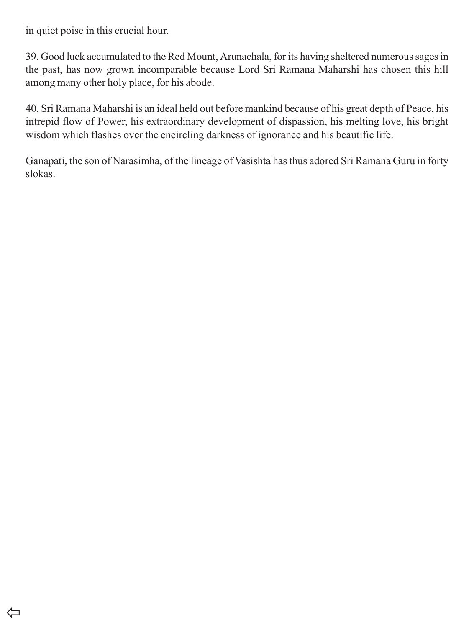in quiet poise in this crucial hour.

 $\Leftrightarrow$ 

39. Good luck accumulated to the Red Mount, Arunachala, for its having sheltered numerous sages in the past, has now grown incomparable because Lord Sri Ramana Maharshi has chosen this hill among many other holy place, for his abode.

40. Sri Ramana Maharshi is an ideal held out before mankind because of his great depth of Peace, his intrepid flow of Power, his extraordinary development of dispassion, his melting love, his bright wisdom which flashes over the encircling darkness of ignorance and his beautific life.

Ganapati, the son of Narasimha, of the lineage of Vasishta has thus adored Sri Ramana Guru in forty slokas.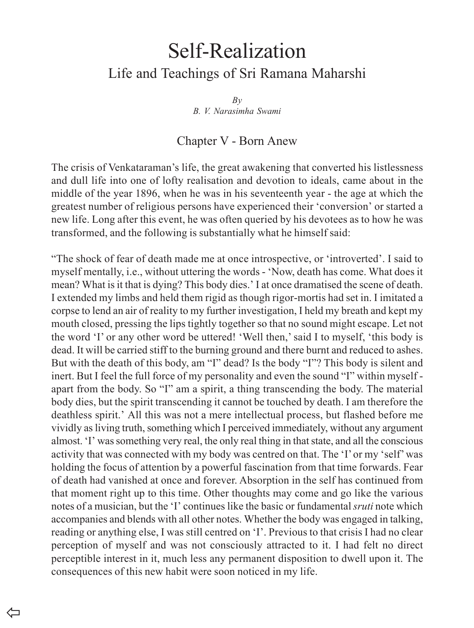## Self-Realization Life and Teachings of Sri Ramana Maharshi

*By B. V. Narasimha Swami*

#### Chapter V - Born Anew

The crisis of Venkataraman's life, the great awakening that converted his listlessness and dull life into one of lofty realisation and devotion to ideals, came about in the middle of the year 1896, when he was in his seventeenth year - the age at which the greatest number of religious persons have experienced their 'conversion' or started a new life. Long after this event, he was often queried by his devotees as to how he was transformed, and the following is substantially what he himself said:

"The shock of fear of death made me at once introspective, or 'introverted'. I said to myself mentally, i.e., without uttering the words - 'Now, death has come. What does it mean? What is it that is dying? This body dies.' I at once dramatised the scene of death. I extended my limbs and held them rigid as though rigor-mortis had set in. I imitated a corpse to lend an air of reality to my further investigation, I held my breath and kept my mouth closed, pressing the lips tightly together so that no sound might escape. Let not the word 'I' or any other word be uttered! 'Well then,' said I to myself, 'this body is dead. It will be carried stiff to the burning ground and there burnt and reduced to ashes. But with the death of this body, am "I" dead? Is the body "I"? This body is silent and inert. But I feel the full force of my personality and even the sound "I" within myself apart from the body. So "I" am a spirit, a thing transcending the body. The material body dies, but the spirit transcending it cannot be touched by death. I am therefore the deathless spirit.' All this was not a mere intellectual process, but flashed before me vividly as living truth, something which I perceived immediately, without any argument almost. 'I' was something very real, the only real thing in that state, and all the conscious activity that was connected with my body was centred on that. The 'I' or my 'self' was holding the focus of attention by a powerful fascination from that time forwards. Fear of death had vanished at once and forever. Absorption in the self has continued from that moment right up to this time. Other thoughts may come and go like the various notes of a musician, but the 'I' continues like the basic or fundamental *sruti* note which accompanies and blends with all other notes. Whether the body was engaged in talking, reading or anything else, I was still centred on 'I'. Previous to that crisis I had no clear perception of myself and was not consciously attracted to it. I had felt no direct perceptible interest in it, much less any permanent disposition to dwell upon it. The consequences of this new habit were soon noticed in my life.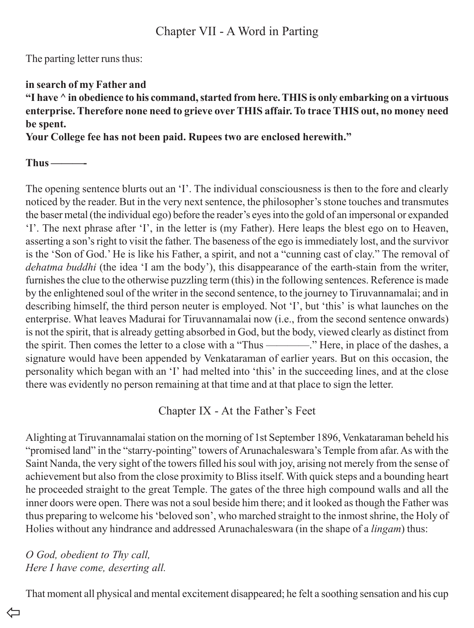The parting letter runs thus:

#### **in search of my Father and**

**"I have ^ in obedience to his command, started from here. THIS is only embarking on a virtuous enterprise. Therefore none need to grieve over THIS affair. To trace THIS out, no money need be spent.**

**Your College fee has not been paid. Rupees two are enclosed herewith."**

**Thus ———-**

The opening sentence blurts out an 'I'. The individual consciousness is then to the fore and clearly noticed by the reader. But in the very next sentence, the philosopher's stone touches and transmutes the baser metal (the individual ego) before the reader's eyes into the gold of an impersonal or expanded 'I'. The next phrase after 'I', in the letter is (my Father). Here leaps the blest ego on to Heaven, asserting a son's right to visit the father. The baseness of the ego is immediately lost, and the survivor is the 'Son of God.' He is like his Father, a spirit, and not a "cunning cast of clay." The removal of *dehatma buddhi* (the idea 'I am the body'), this disappearance of the earth-stain from the writer, furnishes the clue to the otherwise puzzling term (this) in the following sentences. Reference is made by the enlightened soul of the writer in the second sentence, to the journey to Tiruvannamalai; and in describing himself, the third person neuter is employed. Not 'I', but 'this' is what launches on the enterprise. What leaves Madurai for Tiruvannamalai now (i.e., from the second sentence onwards) is not the spirit, that is already getting absorbed in God, but the body, viewed clearly as distinct from the spirit. Then comes the letter to a close with a "Thus ————." Here, in place of the dashes, a signature would have been appended by Venkataraman of earlier years. But on this occasion, the personality which began with an 'I' had melted into 'this' in the succeeding lines, and at the close there was evidently no person remaining at that time and at that place to sign the letter.

Chapter IX - At the Father's Feet

Alighting at Tiruvannamalai station on the morning of 1st September 1896, Venkataraman beheld his "promised land" in the "starry-pointing" towers of Arunachaleswara's Temple from afar. As with the Saint Nanda, the very sight of the towers filled his soul with joy, arising not merely from the sense of achievement but also from the close proximity to Bliss itself. With quick steps and a bounding heart he proceeded straight to the great Temple. The gates of the three high compound walls and all the inner doors were open. There was not a soul beside him there; and it looked as though the Father was thus preparing to welcome his 'beloved son', who marched straight to the inmost shrine, the Holy of Holies without any hindrance and addressed Arunachaleswara (in the shape of a *lingam*) thus:

*O God, obedient to Thy call, Here I have come, deserting all.*

 $\Leftrightarrow$ 

That moment all physical and mental excitement disappeared; he felt a soothing sensation and his cup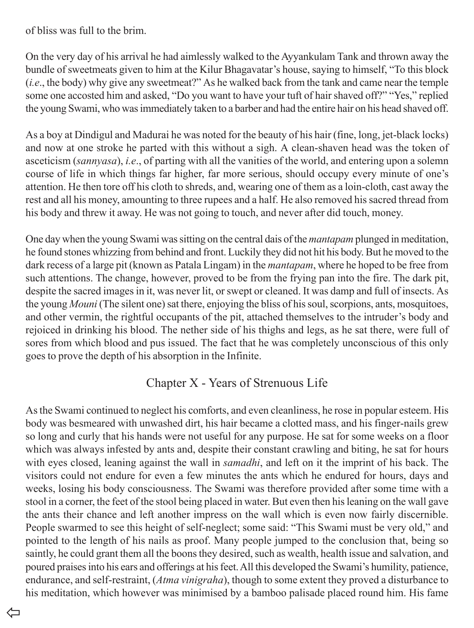of bliss was full to the brim.

 $\Leftrightarrow$ 

On the very day of his arrival he had aimlessly walked to the Ayyankulam Tank and thrown away the bundle of sweetmeats given to him at the Kilur Bhagavatar's house, saying to himself, "To this block (*i.e*., the body) why give any sweetmeat?" As he walked back from the tank and came near the temple some one accosted him and asked, "Do you want to have your tuft of hair shaved off?" "Yes," replied the young Swami, who was immediately taken to a barber and had the entire hair on his head shaved off.

As a boy at Dindigul and Madurai he was noted for the beauty of his hair (fine, long, jet-black locks) and now at one stroke he parted with this without a sigh. A clean-shaven head was the token of asceticism (*sannyasa*), *i.e*., of parting with all the vanities of the world, and entering upon a solemn course of life in which things far higher, far more serious, should occupy every minute of one's attention. He then tore off his cloth to shreds, and, wearing one of them as a loin-cloth, cast away the rest and all his money, amounting to three rupees and a half. He also removed his sacred thread from his body and threw it away. He was not going to touch, and never after did touch, money.

One day when the young Swami was sitting on the central dais of the *mantapam* plunged in meditation, he found stones whizzing from behind and front. Luckily they did not hit his body. But he moved to the dark recess of a large pit (known as Patala Lingam) in the *mantapam*, where he hoped to be free from such attentions. The change, however, proved to be from the frying pan into the fire. The dark pit, despite the sacred images in it, was never lit, or swept or cleaned. It was damp and full of insects. As the young *Mouni* (The silent one) sat there, enjoying the bliss of his soul, scorpions, ants, mosquitoes, and other vermin, the rightful occupants of the pit, attached themselves to the intruder's body and rejoiced in drinking his blood. The nether side of his thighs and legs, as he sat there, were full of sores from which blood and pus issued. The fact that he was completely unconscious of this only goes to prove the depth of his absorption in the Infinite.

## Chapter X - Years of Strenuous Life

As the Swami continued to neglect his comforts, and even cleanliness, he rose in popular esteem. His body was besmeared with unwashed dirt, his hair became a clotted mass, and his finger-nails grew so long and curly that his hands were not useful for any purpose. He sat for some weeks on a floor which was always infested by ants and, despite their constant crawling and biting, he sat for hours with eyes closed, leaning against the wall in *samadhi*, and left on it the imprint of his back. The visitors could not endure for even a few minutes the ants which he endured for hours, days and weeks, losing his body consciousness. The Swami was therefore provided after some time with a stool in a corner, the feet of the stool being placed in water. But even then his leaning on the wall gave the ants their chance and left another impress on the wall which is even now fairly discernible. People swarmed to see this height of self-neglect; some said: "This Swami must be very old," and pointed to the length of his nails as proof. Many people jumped to the conclusion that, being so saintly, he could grant them all the boons they desired, such as wealth, health issue and salvation, and poured praises into his ears and offerings at his feet. All this developed the Swami's humility, patience, endurance, and self-restraint, (*Atma vinigraha*), though to some extent they proved a disturbance to his meditation, which however was minimised by a bamboo palisade placed round him. His fame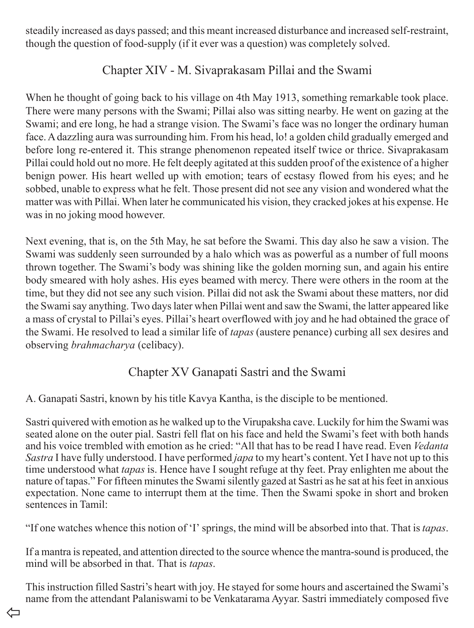steadily increased as days passed; and this meant increased disturbance and increased self-restraint, though the question of food-supply (if it ever was a question) was completely solved.

## Chapter XIV - M. Sivaprakasam Pillai and the Swami

When he thought of going back to his village on 4th May 1913, something remarkable took place. There were many persons with the Swami; Pillai also was sitting nearby. He went on gazing at the Swami; and ere long, he had a strange vision. The Swami's face was no longer the ordinary human face. A dazzling aura was surrounding him. From his head, lo! a golden child gradually emerged and before long re-entered it. This strange phenomenon repeated itself twice or thrice. Sivaprakasam Pillai could hold out no more. He felt deeply agitated at this sudden proof of the existence of a higher benign power. His heart welled up with emotion; tears of ecstasy flowed from his eyes; and he sobbed, unable to express what he felt. Those present did not see any vision and wondered what the matter was with Pillai. When later he communicated his vision, they cracked jokes at his expense. He was in no joking mood however.

Next evening, that is, on the 5th May, he sat before the Swami. This day also he saw a vision. The Swami was suddenly seen surrounded by a halo which was as powerful as a number of full moons thrown together. The Swami's body was shining like the golden morning sun, and again his entire body smeared with holy ashes. His eyes beamed with mercy. There were others in the room at the time, but they did not see any such vision. Pillai did not ask the Swami about these matters, nor did the Swami say anything. Two days later when Pillai went and saw the Swami, the latter appeared like a mass of crystal to Pillai's eyes. Pillai's heart overflowed with joy and he had obtained the grace of the Swami. He resolved to lead a similar life of *tapas* (austere penance) curbing all sex desires and observing *brahmacharya* (celibacy).

## Chapter XV Ganapati Sastri and the Swami

A. Ganapati Sastri, known by his title Kavya Kantha, is the disciple to be mentioned.

Sastri quivered with emotion as he walked up to the Virupaksha cave. Luckily for him the Swami was seated alone on the outer pial. Sastri fell flat on his face and held the Swami's feet with both hands and his voice trembled with emotion as he cried: "All that has to be read I have read. Even *Vedanta Sastra* I have fully understood. I have performed *japa* to my heart's content. Yet I have not up to this time understood what *tapas* is. Hence have I sought refuge at thy feet. Pray enlighten me about the nature of tapas." For fifteen minutes the Swami silently gazed at Sastri as he sat at his feet in anxious expectation. None came to interrupt them at the time. Then the Swami spoke in short and broken sentences in Tamil:

"If one watches whence this notion of 'I' springs, the mind will be absorbed into that. That is *tapas*.

If a mantra is repeated, and attention directed to the source whence the mantra-sound is produced, the mind will be absorbed in that. That is *tapas*.

This instruction filled Sastri's heart with joy. He stayed for some hours and ascertained the Swami's name from the attendant Palaniswami to be Venkatarama Ayyar. Sastri immediately composed five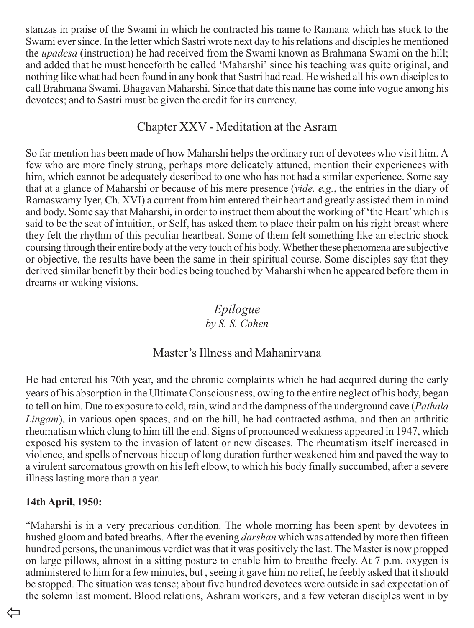stanzas in praise of the Swami in which he contracted his name to Ramana which has stuck to the Swami ever since. In the letter which Sastri wrote next day to his relations and disciples he mentioned the *upadesa* (instruction) he had received from the Swami known as Brahmana Swami on the hill; and added that he must henceforth be called 'Maharshi' since his teaching was quite original, and nothing like what had been found in any book that Sastri had read. He wished all his own disciples to call Brahmana Swami, Bhagavan Maharshi. Since that date this name has come into vogue among his devotees; and to Sastri must be given the credit for its currency.

#### Chapter XXV - Meditation at the Asram

So far mention has been made of how Maharshi helps the ordinary run of devotees who visit him. A few who are more finely strung, perhaps more delicately attuned, mention their experiences with him, which cannot be adequately described to one who has not had a similar experience. Some say that at a glance of Maharshi or because of his mere presence (*vide. e.g.*, the entries in the diary of Ramaswamy Iyer, Ch. XVI) a current from him entered their heart and greatly assisted them in mind and body. Some say that Maharshi, in order to instruct them about the working of 'the Heart' which is said to be the seat of intuition, or Self, has asked them to place their palm on his right breast where they felt the rhythm of this peculiar heartbeat. Some of them felt something like an electric shock coursing through their entire body at the very touch of his body. Whether these phenomena are subjective or objective, the results have been the same in their spiritual course. Some disciples say that they derived similar benefit by their bodies being touched by Maharshi when he appeared before them in dreams or waking visions.

#### *Epilogue by S. S. Cohen*

## Master's Illness and Mahanirvana

He had entered his 70th year, and the chronic complaints which he had acquired during the early years of his absorption in the Ultimate Consciousness, owing to the entire neglect of his body, began to tell on him. Due to exposure to cold, rain, wind and the dampness of the underground cave (*Pathala Lingam*), in various open spaces, and on the hill, he had contracted asthma, and then an arthritic rheumatism which clung to him till the end. Signs of pronounced weakness appeared in 1947, which exposed his system to the invasion of latent or new diseases. The rheumatism itself increased in violence, and spells of nervous hiccup of long duration further weakened him and paved the way to a virulent sarcomatous growth on his left elbow, to which his body finally succumbed, after a severe illness lasting more than a year.

#### **14th April, 1950:**

 $\Leftrightarrow$ 

"Maharshi is in a very precarious condition. The whole morning has been spent by devotees in hushed gloom and bated breaths. After the evening *darshan* which was attended by more then fifteen hundred persons, the unanimous verdict was that it was positively the last. The Master is now propped on large pillows, almost in a sitting posture to enable him to breathe freely. At 7 p.m. oxygen is administered to him for a few minutes, but , seeing it gave him no relief, he feebly asked that it should be stopped. The situation was tense; about five hundred devotees were outside in sad expectation of the solemn last moment. Blood relations, Ashram workers, and a few veteran disciples went in by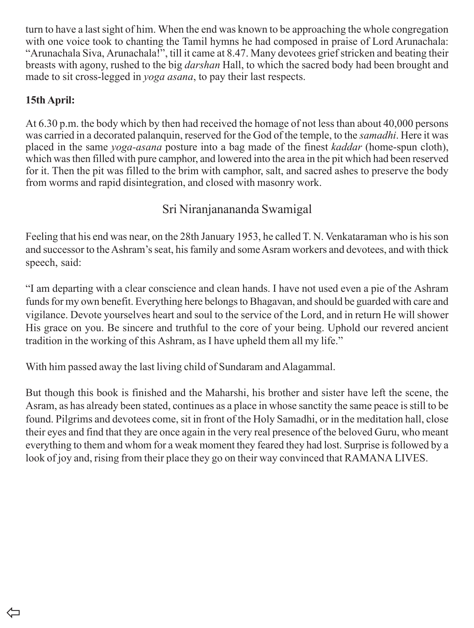turn to have a last sight of him. When the end was known to be approaching the whole congregation with one voice took to chanting the Tamil hymns he had composed in praise of Lord Arunachala: "Arunachala Siva, Arunachala!", till it came at 8.47. Many devotees grief stricken and beating their breasts with agony, rushed to the big *darshan* Hall, to which the sacred body had been brought and made to sit cross-legged in *yoga asana*, to pay their last respects.

#### **15th April:**

 $\Leftrightarrow$ 

At 6.30 p.m. the body which by then had received the homage of not less than about 40,000 persons was carried in a decorated palanquin, reserved for the God of the temple, to the *samadhi*. Here it was placed in the same *yoga-asana* posture into a bag made of the finest *kaddar* (home-spun cloth), which was then filled with pure camphor, and lowered into the area in the pit which had been reserved for it. Then the pit was filled to the brim with camphor, salt, and sacred ashes to preserve the body from worms and rapid disintegration, and closed with masonry work.

## Sri Niranjanananda Swamigal

Feeling that his end was near, on the 28th January 1953, he called T. N. Venkataraman who is his son and successor to the Ashram's seat, his family and some Asram workers and devotees, and with thick speech, said:

"I am departing with a clear conscience and clean hands. I have not used even a pie of the Ashram funds for my own benefit. Everything here belongs to Bhagavan, and should be guarded with care and vigilance. Devote yourselves heart and soul to the service of the Lord, and in return He will shower His grace on you. Be sincere and truthful to the core of your being. Uphold our revered ancient tradition in the working of this Ashram, as I have upheld them all my life."

With him passed away the last living child of Sundaram and Alagammal.

But though this book is finished and the Maharshi, his brother and sister have left the scene, the Asram, as has already been stated, continues as a place in whose sanctity the same peace is still to be found. Pilgrims and devotees come, sit in front of the Holy Samadhi, or in the meditation hall, close their eyes and find that they are once again in the very real presence of the beloved Guru, who meant everything to them and whom for a weak moment they feared they had lost. Surprise is followed by a look of joy and, rising from their place they go on their way convinced that RAMANA LIVES.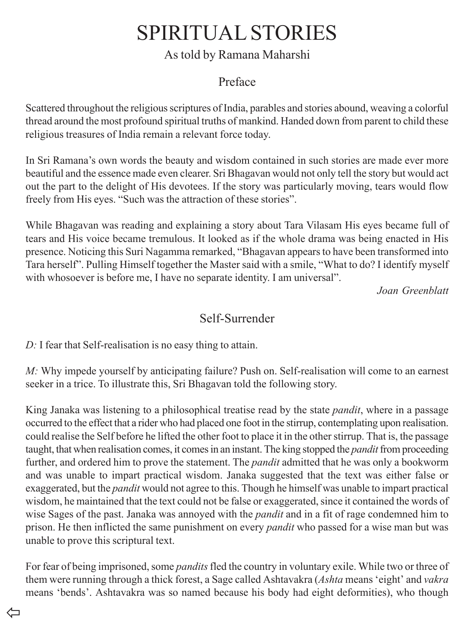# SPIRITUAL STORIES

## As told by Ramana Maharshi

## Preface

Scattered throughout the religious scriptures of India, parables and stories abound, weaving a colorful thread around the most profound spiritual truths of mankind. Handed down from parent to child these religious treasures of India remain a relevant force today.

In Sri Ramana's own words the beauty and wisdom contained in such stories are made ever more beautiful and the essence made even clearer. Sri Bhagavan would not only tell the story but would act out the part to the delight of His devotees. If the story was particularly moving, tears would flow freely from His eyes. "Such was the attraction of these stories".

While Bhagavan was reading and explaining a story about Tara Vilasam His eyes became full of tears and His voice became tremulous. It looked as if the whole drama was being enacted in His presence. Noticing this Suri Nagamma remarked, "Bhagavan appears to have been transformed into Tara herself". Pulling Himself together the Master said with a smile, "What to do? I identify myself with whosoever is before me, I have no separate identity. I am universal".

*Joan Greenblatt*

## Self-Surrender

*D:* I fear that Self-realisation is no easy thing to attain.

 $\Leftrightarrow$ 

*M*: Why impede yourself by anticipating failure? Push on. Self-realisation will come to an earnest seeker in a trice. To illustrate this, Sri Bhagavan told the following story.

King Janaka was listening to a philosophical treatise read by the state *pandit*, where in a passage occurred to the effect that a rider who had placed one foot in the stirrup, contemplating upon realisation. could realise the Self before he lifted the other foot to place it in the other stirrup. That is, the passage taught, that when realisation comes, it comes in an instant. The king stopped the *pandit* from proceeding further, and ordered him to prove the statement. The *pandit* admitted that he was only a bookworm and was unable to impart practical wisdom. Janaka suggested that the text was either false or exaggerated, but the *pandit* would not agree to this. Though he himself was unable to impart practical wisdom, he maintained that the text could not be false or exaggerated, since it contained the words of wise Sages of the past. Janaka was annoyed with the *pandit* and in a fit of rage condemned him to prison. He then inflicted the same punishment on every *pandit* who passed for a wise man but was unable to prove this scriptural text.

For fear of being imprisoned, some *pandits* fled the country in voluntary exile. While two or three of them were running through a thick forest, a Sage called Ashtavakra (*Ashta* means 'eight' and *vakra* means 'bends'. Ashtavakra was so named because his body had eight deformities), who though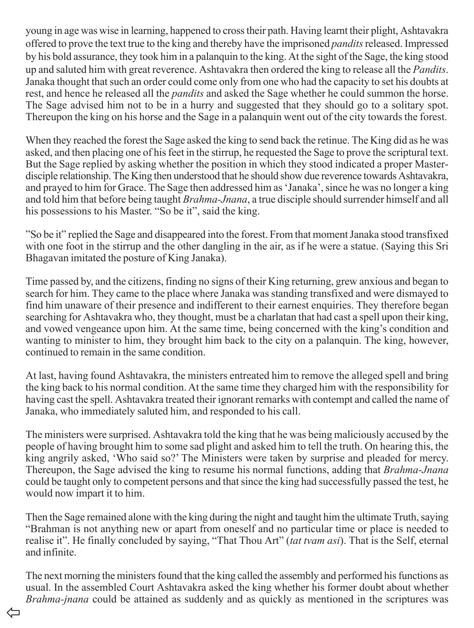young in age was wise in learning, happened to cross their path. Having learnt their plight, Ashtavakra offered to prove the text true to the king and thereby have the imprisoned *pandits* released. Impressed by his bold assurance, they took him in a palanquin to the king. At the sight of the Sage, the king stood up and saluted him with great reverence. Ashtavakra then ordered the king to release all the *Pandits*. Janaka thought that such an order could come only from one who had the capacity to set his doubts at rest, and hence he released all the *pandits* and asked the Sage whether he could summon the horse. The Sage advised him not to be in a hurry and suggested that they should go to a solitary spot. Thereupon the king on his horse and the Sage in a palanquin went out of the city towards the forest.

When they reached the forest the Sage asked the king to send back the retinue. The King did as he was asked, and then placing one of his feet in the stirrup, he requested the Sage to prove the scriptural text. But the Sage replied by asking whether the position in which they stood indicated a proper Masterdisciple relationship. The King then understood that he should show due reverence towards Ashtavakra, and prayed to him for Grace. The Sage then addressed him as 'Janaka', since he was no longer a king and told him that before being taught *Brahma-Jnana*, a true disciple should surrender himself and all his possessions to his Master. "So be it", said the king.

"So be it" replied the Sage and disappeared into the forest. From that moment Janaka stood transfixed with one foot in the stirrup and the other dangling in the air, as if he were a statue. (Saying this Sri Bhagavan imitated the posture of King Janaka).

Time passed by, and the citizens, finding no signs of their King returning, grew anxious and began to search for him. They came to the place where Janaka was standing transfixed and were dismayed to find him unaware of their presence and indifferent to their earnest enquiries. They therefore began searching for Ashtavakra who, they thought, must be a charlatan that had cast a spell upon their king, and vowed vengeance upon him. At the same time, being concerned with the king's condition and wanting to minister to him, they brought him back to the city on a palanquin. The king, however, continued to remain in the same condition.

At last, having found Ashtavakra, the ministers entreated him to remove the alleged spell and bring the king back to his normal condition. At the same time they charged him with the responsibility for having cast the spell. Ashtavakra treated their ignorant remarks with contempt and called the name of Janaka, who immediately saluted him, and responded to his call.

The ministers were surprised. Ashtavakra told the king that he was being maliciously accused by the people of having brought him to some sad plight and asked him to tell the truth. On hearing this, the king angrily asked, 'Who said so?' The Ministers were taken by surprise and pleaded for mercy. Thereupon, the Sage advised the king to resume his normal functions, adding that *Brahma-Jnana* could be taught only to competent persons and that since the king had successfully passed the test, he would now impart it to him.

Then the Sage remained alone with the king during the night and taught him the ultimate Truth, saying "Brahman is not anything new or apart from oneself and no particular time or place is needed to realise it". He finally concluded by saying, "That Thou Art" (*tat tvam asi*). That is the Self, eternal and infinite.

The next morning the ministers found that the king called the assembly and performed his functions as usual. In the assembled Court Ashtavakra asked the king whether his former doubt about whether *Brahma-jnana* could be attained as suddenly and as quickly as mentioned in the scriptures was

[Õ](#page-0-0)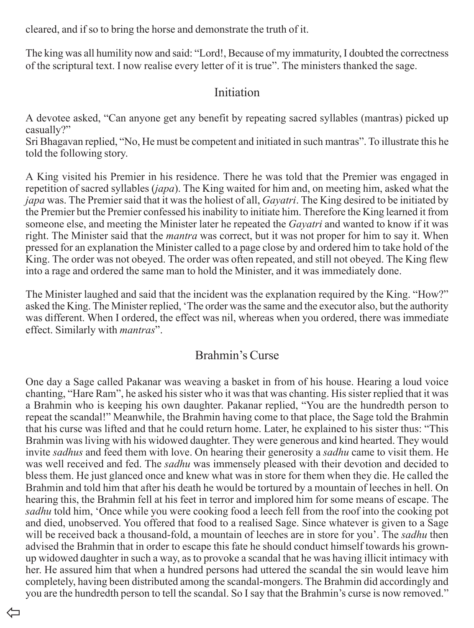cleared, and if so to bring the horse and demonstrate the truth of it.

The king was all humility now and said: "Lord!, Because of my immaturity, I doubted the correctness of the scriptural text. I now realise every letter of it is true". The ministers thanked the sage.

### Initiation

A devotee asked, "Can anyone get any benefit by repeating sacred syllables (mantras) picked up casually?"

Sri Bhagavan replied, "No, He must be competent and initiated in such mantras". To illustrate this he told the following story.

A King visited his Premier in his residence. There he was told that the Premier was engaged in repetition of sacred syllables (*japa*). The King waited for him and, on meeting him, asked what the *japa* was. The Premier said that it was the holiest of all, *Gayatri*. The King desired to be initiated by the Premier but the Premier confessed his inability to initiate him. Therefore the King learned it from someone else, and meeting the Minister later he repeated the *Gayatri* and wanted to know if it was right. The Minister said that the *mantra* was correct, but it was not proper for him to say it. When pressed for an explanation the Minister called to a page close by and ordered him to take hold of the King. The order was not obeyed. The order was often repeated, and still not obeyed. The King flew into a rage and ordered the same man to hold the Minister, and it was immediately done.

The Minister laughed and said that the incident was the explanation required by the King. "How?" asked the King. The Minister replied, 'The order was the same and the executor also, but the authority was different. When I ordered, the effect was nil, whereas when you ordered, there was immediate effect. Similarly with *mantras*".

## Brahmin's Curse

One day a Sage called Pakanar was weaving a basket in from of his house. Hearing a loud voice chanting, "Hare Ram", he asked his sister who it was that was chanting. His sister replied that it was a Brahmin who is keeping his own daughter. Pakanar replied, "You are the hundredth person to repeat the scandal!" Meanwhile, the Brahmin having come to that place, the Sage told the Brahmin that his curse was lifted and that he could return home. Later, he explained to his sister thus: "This Brahmin was living with his widowed daughter. They were generous and kind hearted. They would invite *sadhus* and feed them with love. On hearing their generosity a *sadhu* came to visit them. He was well received and fed. The *sadhu* was immensely pleased with their devotion and decided to bless them. He just glanced once and knew what was in store for them when they die. He called the Brahmin and told him that after his death he would be tortured by a mountain of leeches in hell. On hearing this, the Brahmin fell at his feet in terror and implored him for some means of escape. The *sadhu* told him, 'Once while you were cooking food a leech fell from the roof into the cooking pot and died, unobserved. You offered that food to a realised Sage. Since whatever is given to a Sage will be received back a thousand-fold, a mountain of leeches are in store for you'. The *sadhu* then advised the Brahmin that in order to escape this fate he should conduct himself towards his grownup widowed daughter in such a way, as to provoke a scandal that he was having illicit intimacy with her. He assured him that when a hundred persons had uttered the scandal the sin would leave him completely, having been distributed among the scandal-mongers. The Brahmin did accordingly and you are the hundredth person to tell the scandal. So I say that the Brahmin's curse is now removed."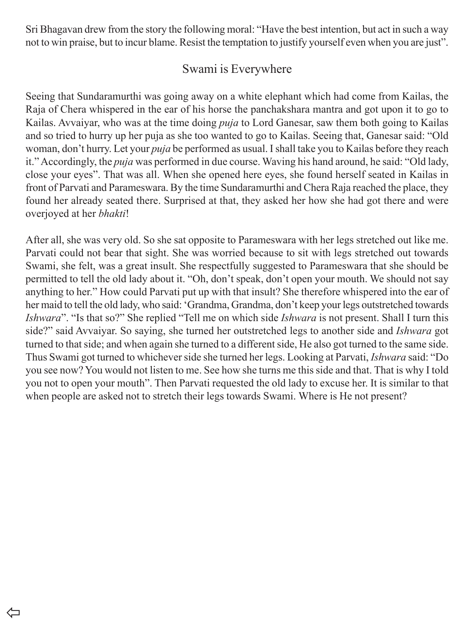Sri Bhagavan drew from the story the following moral: "Have the best intention, but act in such a way not to win praise, but to incur blame. Resist the temptation to justify yourself even when you are just".

#### Swami is Everywhere

Seeing that Sundaramurthi was going away on a white elephant which had come from Kailas, the Raja of Chera whispered in the ear of his horse the panchakshara mantra and got upon it to go to Kailas. Avvaiyar, who was at the time doing *puja* to Lord Ganesar, saw them both going to Kailas and so tried to hurry up her puja as she too wanted to go to Kailas. Seeing that, Ganesar said: "Old woman, don't hurry. Let your *puja* be performed as usual. I shall take you to Kailas before they reach it." Accordingly, the *puja* was performed in due course. Waving his hand around, he said: "Old lady, close your eyes". That was all. When she opened here eyes, she found herself seated in Kailas in front of Parvati and Parameswara. By the time Sundaramurthi and Chera Raja reached the place, they found her already seated there. Surprised at that, they asked her how she had got there and were overjoyed at her *bhakti*!

After all, she was very old. So she sat opposite to Parameswara with her legs stretched out like me. Parvati could not bear that sight. She was worried because to sit with legs stretched out towards Swami, she felt, was a great insult. She respectfully suggested to Parameswara that she should be permitted to tell the old lady about it. "Oh, don't speak, don't open your mouth. We should not say anything to her." How could Parvati put up with that insult? She therefore whispered into the ear of her maid to tell the old lady, who said: 'Grandma, Grandma, don't keep your legs outstretched towards *Ishwara*". "Is that so?" She replied "Tell me on which side *Ishwara* is not present. Shall I turn this side?" said Avvaiyar. So saying, she turned her outstretched legs to another side and *Ishwara* got turned to that side; and when again she turned to a different side, He also got turned to the same side. Thus Swami got turned to whichever side she turned her legs. Looking at Parvati, *Ishwara* said: "Do you see now? You would not listen to me. See how she turns me this side and that. That is why I told you not to open your mouth". Then Parvati requested the old lady to excuse her. It is similar to that when people are asked not to stretch their legs towards Swami. Where is He not present?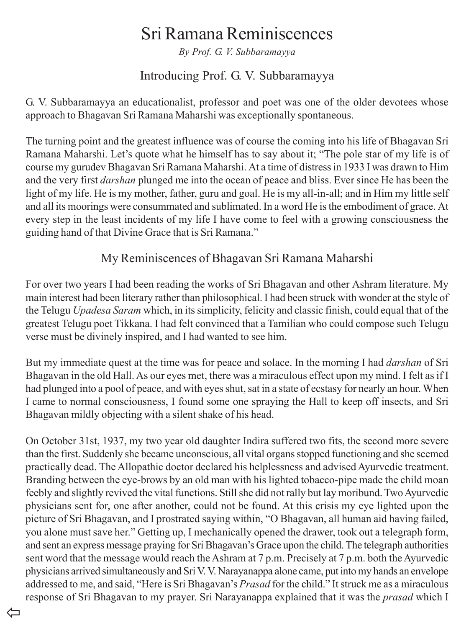## Sri Ramana Reminiscences

*By Prof. G. V. Subbaramayya*

## Introducing Prof. G. V. Subbaramayya

G. V. Subbaramayya an educationalist, professor and poet was one of the older devotees whose approach to Bhagavan Sri Ramana Maharshi was exceptionally spontaneous.

The turning point and the greatest influence was of course the coming into his life of Bhagavan Sri Ramana Maharshi. Let's quote what he himself has to say about it; "The pole star of my life is of course my gurudev Bhagavan Sri Ramana Maharshi. At a time of distress in 1933 I was drawn to Him and the very first *darshan* plunged me into the ocean of peace and bliss. Ever since He has been the light of my life. He is my mother, father, guru and goal. He is my all-in-all; and in Him my little self and all its moorings were consummated and sublimated. In a word He is the embodiment of grace. At every step in the least incidents of my life I have come to feel with a growing consciousness the guiding hand of that Divine Grace that is Sri Ramana."

## My Reminiscences of Bhagavan Sri Ramana Maharshi

For over two years I had been reading the works of Sri Bhagavan and other Ashram literature. My main interest had been literary rather than philosophical. I had been struck with wonder at the style of the Telugu *Upadesa Saram* which, in its simplicity, felicity and classic finish, could equal that of the greatest Telugu poet Tikkana. I had felt convinced that a Tamilian who could compose such Telugu verse must be divinely inspired, and I had wanted to see him.

But my immediate quest at the time was for peace and solace. In the morning I had *darshan* of Sri Bhagavan in the old Hall. As our eyes met, there was a miraculous effect upon my mind. I felt as if I had plunged into a pool of peace, and with eyes shut, sat in a state of ecstasy for nearly an hour. When I came to normal consciousness, I found some one spraying the Hall to keep off insects, and Sri Bhagavan mildly objecting with a silent shake of his head.

On October 31st, 1937, my two year old daughter Indira suffered two fits, the second more severe than the first. Suddenly she became unconscious, all vital organs stopped functioning and she seemed practically dead. The Allopathic doctor declared his helplessness and advised Ayurvedic treatment. Branding between the eye-brows by an old man with his lighted tobacco-pipe made the child moan feebly and slightly revived the vital functions. Still she did not rally but lay moribund. Two Ayurvedic physicians sent for, one after another, could not be found. At this crisis my eye lighted upon the picture of Sri Bhagavan, and I prostrated saying within, "O Bhagavan, all human aid having failed, you alone must save her." Getting up, I mechanically opened the drawer, took out a telegraph form, and sent an express message praying for Sri Bhagavan's Grace upon the child. The telegraph authorities sent word that the message would reach the Ashram at 7 p.m. Precisely at 7 p.m. both the Ayurvedic physicians arrived simultaneously and Sri V. V. Narayanappa alone came, put into my hands an envelope addressed to me, and said, "Here is Sri Bhagavan's *Prasad* for the child." It struck me as a miraculous response of Sri Bhagavan to my prayer. Sri Narayanappa explained that it was the *prasad* which I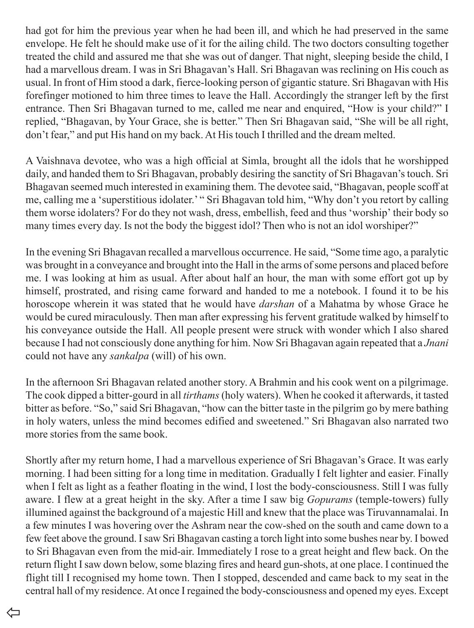had got for him the previous year when he had been ill, and which he had preserved in the same envelope. He felt he should make use of it for the ailing child. The two doctors consulting together treated the child and assured me that she was out of danger. That night, sleeping beside the child, I had a marvellous dream. I was in Sri Bhagavan's Hall. Sri Bhagavan was reclining on His couch as usual. In front of Him stood a dark, fierce-looking person of gigantic stature. Sri Bhagavan with His forefinger motioned to him three times to leave the Hall. Accordingly the stranger left by the first entrance. Then Sri Bhagavan turned to me, called me near and enquired, "How is your child?" I replied, "Bhagavan, by Your Grace, she is better." Then Sri Bhagavan said, "She will be all right, don't fear," and put His hand on my back. At His touch I thrilled and the dream melted.

A Vaishnava devotee, who was a high official at Simla, brought all the idols that he worshipped daily, and handed them to Sri Bhagavan, probably desiring the sanctity of Sri Bhagavan's touch. Sri Bhagavan seemed much interested in examining them. The devotee said, "Bhagavan, people scoff at me, calling me a 'superstitious idolater.' " Sri Bhagavan told him, "Why don't you retort by calling them worse idolaters? For do they not wash, dress, embellish, feed and thus 'worship' their body so many times every day. Is not the body the biggest idol? Then who is not an idol worshiper?"

In the evening Sri Bhagavan recalled a marvellous occurrence. He said, "Some time ago, a paralytic was brought in a conveyance and brought into the Hall in the arms of some persons and placed before me. I was looking at him as usual. After about half an hour, the man with some effort got up by himself, prostrated, and rising came forward and handed to me a notebook. I found it to be his horoscope wherein it was stated that he would have *darshan* of a Mahatma by whose Grace he would be cured miraculously. Then man after expressing his fervent gratitude walked by himself to his conveyance outside the Hall. All people present were struck with wonder which I also shared because I had not consciously done anything for him. Now Sri Bhagavan again repeated that a *Jnani* could not have any *sankalpa* (will) of his own.

In the afternoon Sri Bhagavan related another story. A Brahmin and his cook went on a pilgrimage. The cook dipped a bitter-gourd in all *tirthams* (holy waters). When he cooked it afterwards, it tasted bitter as before. "So," said Sri Bhagavan, "how can the bitter taste in the pilgrim go by mere bathing in holy waters, unless the mind becomes edified and sweetened." Sri Bhagavan also narrated two more stories from the same book.

Shortly after my return home, I had a marvellous experience of Sri Bhagavan's Grace. It was early morning. I had been sitting for a long time in meditation. Gradually I felt lighter and easier. Finally when I felt as light as a feather floating in the wind, I lost the body-consciousness. Still I was fully aware. I flew at a great height in the sky. After a time I saw big *Gopurams* (temple-towers) fully illumined against the background of a majestic Hill and knew that the place was Tiruvannamalai. In a few minutes I was hovering over the Ashram near the cow-shed on the south and came down to a few feet above the ground. I saw Sri Bhagavan casting a torch light into some bushes near by. I bowed to Sri Bhagavan even from the mid-air. Immediately I rose to a great height and flew back. On the return flight I saw down below, some blazing fires and heard gun-shots, at one place. I continued the flight till I recognised my home town. Then I stopped, descended and came back to my seat in the central hall of my residence. At once I regained the body-consciousness and opened my eyes. Except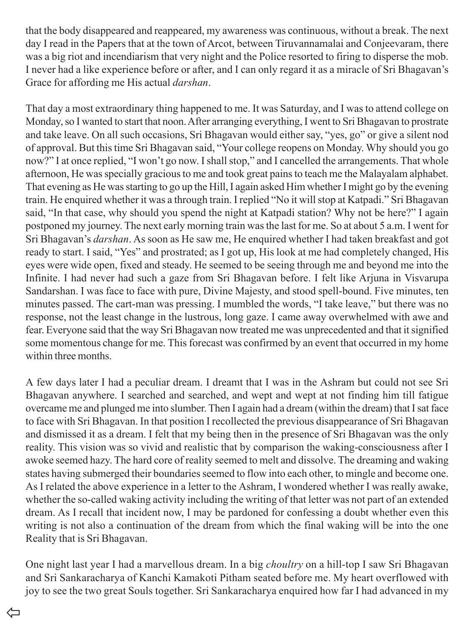that the body disappeared and reappeared, my awareness was continuous, without a break. The next day I read in the Papers that at the town of Arcot, between Tiruvannamalai and Conjeevaram, there was a big riot and incendiarism that very night and the Police resorted to firing to disperse the mob. I never had a like experience before or after, and I can only regard it as a miracle of Sri Bhagavan's Grace for affording me His actual *darshan*.

That day a most extraordinary thing happened to me. It was Saturday, and I was to attend college on Monday, so I wanted to start that noon. After arranging everything, I went to Sri Bhagavan to prostrate and take leave. On all such occasions, Sri Bhagavan would either say, "yes, go" or give a silent nod of approval. But this time Sri Bhagavan said, "Your college reopens on Monday. Why should you go now?" I at once replied, "I won't go now. I shall stop," and I cancelled the arrangements. That whole afternoon, He was specially gracious to me and took great pains to teach me the Malayalam alphabet. That evening as He was starting to go up the Hill, I again asked Him whether I might go by the evening train. He enquired whether it was a through train. I replied "No it will stop at Katpadi." Sri Bhagavan said, "In that case, why should you spend the night at Katpadi station? Why not be here?" I again postponed my journey. The next early morning train was the last for me. So at about 5 a.m. I went for Sri Bhagavan's *darshan*. As soon as He saw me, He enquired whether I had taken breakfast and got ready to start. I said, "Yes" and prostrated; as I got up, His look at me had completely changed, His eyes were wide open, fixed and steady. He seemed to be seeing through me and beyond me into the Infinite. I had never had such a gaze from Sri Bhagavan before. I felt like Arjuna in Visvarupa Sandarshan. I was face to face with pure, Divine Majesty, and stood spell-bound. Five minutes, ten minutes passed. The cart-man was pressing. I mumbled the words, "I take leave," but there was no response, not the least change in the lustrous, long gaze. I came away overwhelmed with awe and fear. Everyone said that the way Sri Bhagavan now treated me was unprecedented and that it signified some momentous change for me. This forecast was confirmed by an event that occurred in my home within three months.

A few days later I had a peculiar dream. I dreamt that I was in the Ashram but could not see Sri Bhagavan anywhere. I searched and searched, and wept and wept at not finding him till fatigue overcame me and plunged me into slumber. Then I again had a dream (within the dream) that I sat face to face with Sri Bhagavan. In that position I recollected the previous disappearance of Sri Bhagavan and dismissed it as a dream. I felt that my being then in the presence of Sri Bhagavan was the only reality. This vision was so vivid and realistic that by comparison the waking-consciousness after I awoke seemed hazy. The hard core of reality seemed to melt and dissolve. The dreaming and waking states having submerged their boundaries seemed to flow into each other, to mingle and become one. As I related the above experience in a letter to the Ashram, I wondered whether I was really awake, whether the so-called waking activity including the writing of that letter was not part of an extended dream. As I recall that incident now, I may be pardoned for confessing a doubt whether even this writing is not also a continuation of the dream from which the final waking will be into the one Reality that is Sri Bhagavan.

One night last year I had a marvellous dream. In a big *choultry* on a hill-top I saw Sri Bhagavan and Sri Sankaracharya of Kanchi Kamakoti Pitham seated before me. My heart overflowed with joy to see the two great Souls together. Sri Sankaracharya enquired how far I had advanced in my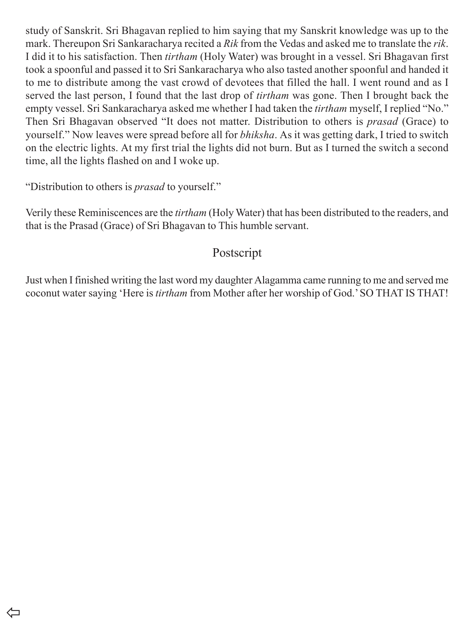study of Sanskrit. Sri Bhagavan replied to him saying that my Sanskrit knowledge was up to the mark. Thereupon Sri Sankaracharya recited a *Rik* from the Vedas and asked me to translate the *rik*. I did it to his satisfaction. Then *tirtham* (Holy Water) was brought in a vessel. Sri Bhagavan first took a spoonful and passed it to Sri Sankaracharya who also tasted another spoonful and handed it to me to distribute among the vast crowd of devotees that filled the hall. I went round and as I served the last person, I found that the last drop of *tirtham* was gone. Then I brought back the empty vessel. Sri Sankaracharya asked me whether I had taken the *tirtham* myself, I replied "No." Then Sri Bhagavan observed "It does not matter. Distribution to others is *prasad* (Grace) to yourself." Now leaves were spread before all for *bhiksha*. As it was getting dark, I tried to switch on the electric lights. At my first trial the lights did not burn. But as I turned the switch a second time, all the lights flashed on and I woke up.

"Distribution to others is *prasad* to yourself."

 $\Leftrightarrow$ 

Verily these Reminiscences are the *tirtham* (Holy Water) that has been distributed to the readers, and that is the Prasad (Grace) of Sri Bhagavan to This humble servant.

#### Postscript

Just when I finished writing the last word my daughter Alagamma came running to me and served me coconut water saying 'Here is *tirtham* from Mother after her worship of God.' SO THAT IS THAT!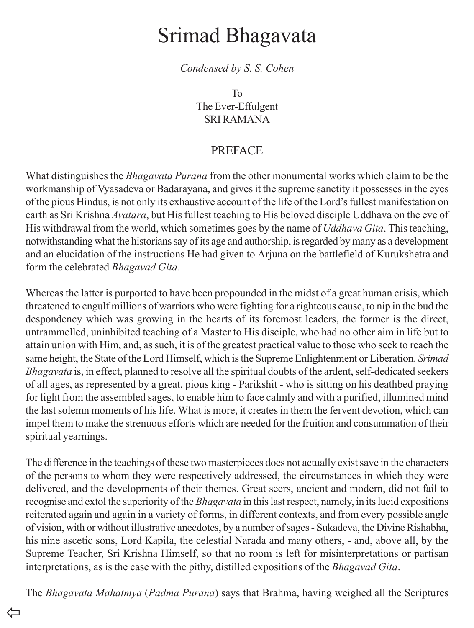# Srimad Bhagavata

*Condensed by S. S. Cohen*

To The Ever-Effulgent **SRI RAMANA** 

#### **PREFACE**

What distinguishes the *Bhagavata Purana* from the other monumental works which claim to be the workmanship of Vyasadeva or Badarayana, and gives it the supreme sanctity it possesses in the eyes of the pious Hindus, is not only its exhaustive account of the life of the Lord's fullest manifestation on earth as Sri Krishna *Avatara*, but His fullest teaching to His beloved disciple Uddhava on the eve of His withdrawal from the world, which sometimes goes by the name of *Uddhava Gita*. This teaching, notwithstanding what the historians say of its age and authorship, is regarded by many as a development and an elucidation of the instructions He had given to Arjuna on the battlefield of Kurukshetra and form the celebrated *Bhagavad Gita*.

Whereas the latter is purported to have been propounded in the midst of a great human crisis, which threatened to engulf millions of warriors who were fighting for a righteous cause, to nip in the bud the despondency which was growing in the hearts of its foremost leaders, the former is the direct, untrammelled, uninhibited teaching of a Master to His disciple, who had no other aim in life but to attain union with Him, and, as such, it is of the greatest practical value to those who seek to reach the same height, the State of the Lord Himself, which is the Supreme Enlightenment or Liberation. *Srimad Bhagavata* is, in effect, planned to resolve all the spiritual doubts of the ardent, self-dedicated seekers of all ages, as represented by a great, pious king - Parikshit - who is sitting on his deathbed praying for light from the assembled sages, to enable him to face calmly and with a purified, illumined mind the last solemn moments of his life. What is more, it creates in them the fervent devotion, which can impel them to make the strenuous efforts which are needed for the fruition and consummation of their spiritual yearnings.

The difference in the teachings of these two masterpieces does not actually exist save in the characters of the persons to whom they were respectively addressed, the circumstances in which they were delivered, and the developments of their themes. Great seers, ancient and modern, did not fail to recognise and extol the superiority of the *Bhagavata* in this last respect, namely, in its lucid expositions reiterated again and again in a variety of forms, in different contexts, and from every possible angle of vision, with or without illustrative anecdotes, by a number of sages - Sukadeva, the Divine Rishabha, his nine ascetic sons, Lord Kapila, the celestial Narada and many others, - and, above all, by the Supreme Teacher, Sri Krishna Himself, so that no room is left for misinterpretations or partisan interpretations, as is the case with the pithy, distilled expositions of the *Bhagavad Gita*.

The *Bhagavata Mahatmya* (*Padma Purana*) says that Brahma, having weighed all the Scriptures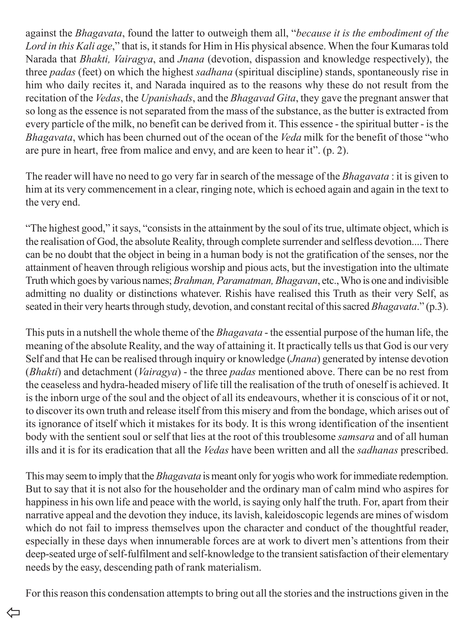against the *Bhagavata*, found the latter to outweigh them all, "*because it is the embodiment of the Lord in this Kali age*," that is, it stands for Him in His physical absence. When the four Kumaras told Narada that *Bhakti, Vairagya*, and *Jnana* (devotion, dispassion and knowledge respectively), the three *padas* (feet) on which the highest *sadhana* (spiritual discipline) stands, spontaneously rise in him who daily recites it, and Narada inquired as to the reasons why these do not result from the recitation of the *Vedas*, the *Upanishads*, and the *Bhagavad Gita*, they gave the pregnant answer that so long as the essence is not separated from the mass of the substance, as the butter is extracted from every particle of the milk, no benefit can be derived from it. This essence - the spiritual butter - is the *Bhagavata*, which has been churned out of the ocean of the *Veda* milk for the benefit of those "who are pure in heart, free from malice and envy, and are keen to hear it". (p. 2).

The reader will have no need to go very far in search of the message of the *Bhagavata* : it is given to him at its very commencement in a clear, ringing note, which is echoed again and again in the text to the very end.

"The highest good," it says, "consists in the attainment by the soul of its true, ultimate object, which is the realisation of God, the absolute Reality, through complete surrender and selfless devotion.... There can be no doubt that the object in being in a human body is not the gratification of the senses, nor the attainment of heaven through religious worship and pious acts, but the investigation into the ultimate Truth which goes by various names; *Brahman, Paramatman, Bhagavan*, etc., Who is one and indivisible admitting no duality or distinctions whatever. Rishis have realised this Truth as their very Self, as seated in their very hearts through study, devotion, and constant recital of this sacred *Bhagavata*." (p.3).

This puts in a nutshell the whole theme of the *Bhagavata* - the essential purpose of the human life, the meaning of the absolute Reality, and the way of attaining it. It practically tells us that God is our very Self and that He can be realised through inquiry or knowledge (*Jnana*) generated by intense devotion (*Bhakti*) and detachment (*Vairagya*) - the three *padas* mentioned above. There can be no rest from the ceaseless and hydra-headed misery of life till the realisation of the truth of oneself is achieved. It is the inborn urge of the soul and the object of all its endeavours, whether it is conscious of it or not, to discover its own truth and release itself from this misery and from the bondage, which arises out of its ignorance of itself which it mistakes for its body. It is this wrong identification of the insentient body with the sentient soul or self that lies at the root of this troublesome *samsara* and of all human ills and it is for its eradication that all the *Vedas* have been written and all the *sadhanas* prescribed.

This may seem to imply that the *Bhagavata* is meant only for yogis who work for immediate redemption. But to say that it is not also for the householder and the ordinary man of calm mind who aspires for happiness in his own life and peace with the world, is saying only half the truth. For, apart from their narrative appeal and the devotion they induce, its lavish, kaleidoscopic legends are mines of wisdom which do not fail to impress themselves upon the character and conduct of the thoughtful reader, especially in these days when innumerable forces are at work to divert men's attentions from their deep-seated urge of self-fulfilment and self-knowledge to the transient satisfaction of their elementary needs by the easy, descending path of rank materialism.

For this reason this condensation attempts to bring out all the stories and the instructions given in the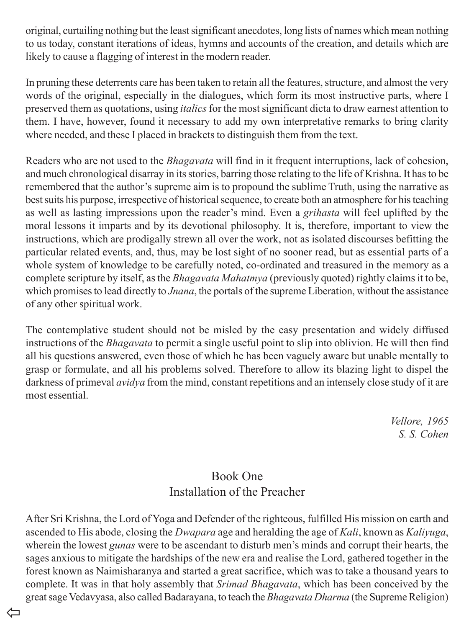original, curtailing nothing but the least significant anecdotes, long lists of names which mean nothing to us today, constant iterations of ideas, hymns and accounts of the creation, and details which are likely to cause a flagging of interest in the modern reader.

In pruning these deterrents care has been taken to retain all the features, structure, and almost the very words of the original, especially in the dialogues, which form its most instructive parts, where I preserved them as quotations, using *italics* for the most significant dicta to draw earnest attention to them. I have, however, found it necessary to add my own interpretative remarks to bring clarity where needed, and these I placed in brackets to distinguish them from the text.

Readers who are not used to the *Bhagavata* will find in it frequent interruptions, lack of cohesion, and much chronological disarray in its stories, barring those relating to the life of Krishna. It has to be remembered that the author's supreme aim is to propound the sublime Truth, using the narrative as best suits his purpose, irrespective of historical sequence, to create both an atmosphere for his teaching as well as lasting impressions upon the reader's mind. Even a *grihasta* will feel uplifted by the moral lessons it imparts and by its devotional philosophy. It is, therefore, important to view the instructions, which are prodigally strewn all over the work, not as isolated discourses befitting the particular related events, and, thus, may be lost sight of no sooner read, but as essential parts of a whole system of knowledge to be carefully noted, co-ordinated and treasured in the memory as a complete scripture by itself, as the *Bhagavata Mahatmya* (previously quoted) rightly claims it to be, which promises to lead directly to *Jnana*, the portals of the supreme Liberation, without the assistance of any other spiritual work.

The contemplative student should not be misled by the easy presentation and widely diffused instructions of the *Bhagavata* to permit a single useful point to slip into oblivion. He will then find all his questions answered, even those of which he has been vaguely aware but unable mentally to grasp or formulate, and all his problems solved. Therefore to allow its blazing light to dispel the darkness of primeval *avidya* from the mind, constant repetitions and an intensely close study of it are most essential.

> *Vellore, 1965 S. S. Cohen*

## Book One Installation of the Preacher

After Sri Krishna, the Lord of Yoga and Defender of the righteous, fulfilled His mission on earth and ascended to His abode, closing the *Dwapara* age and heralding the age of *Kali*, known as *Kaliyuga*, wherein the lowest *gunas* were to be ascendant to disturb men's minds and corrupt their hearts, the sages anxious to mitigate the hardships of the new era and realise the Lord, gathered together in the forest known as Naimisharanya and started a great sacrifice, which was to take a thousand years to complete. It was in that holy assembly that *Srimad Bhagavata*, which has been conceived by the great sage Vedavyasa, also called Badarayana, to teach the *Bhagavata Dharma* (the Supreme Religion)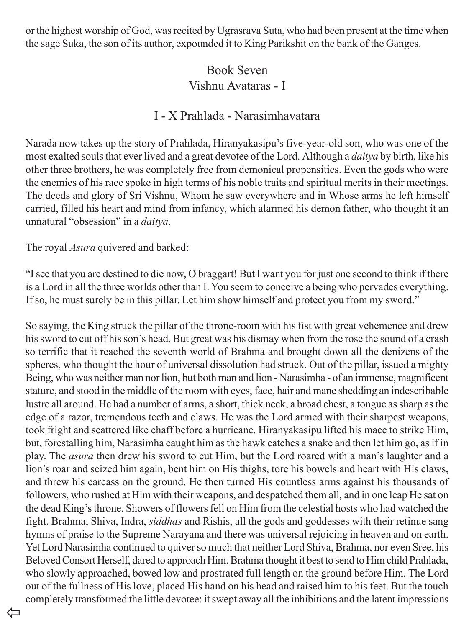or the highest worship of God, was recited by Ugrasrava Suta, who had been present at the time when the sage Suka, the son of its author, expounded it to King Parikshit on the bank of the Ganges.

## Book Seven Vishnu Avataras - I

## I - X Prahlada - Narasimhavatara

Narada now takes up the story of Prahlada, Hiranyakasipu's five-year-old son, who was one of the most exalted souls that ever lived and a great devotee of the Lord. Although a *daitya* by birth, like his other three brothers, he was completely free from demonical propensities. Even the gods who were the enemies of his race spoke in high terms of his noble traits and spiritual merits in their meetings. The deeds and glory of Sri Vishnu, Whom he saw everywhere and in Whose arms he left himself carried, filled his heart and mind from infancy, which alarmed his demon father, who thought it an unnatural "obsession" in a *daitya*.

The royal *Asura* quivered and barked:

 $\Leftrightarrow$ 

"I see that you are destined to die now, O braggart! But I want you for just one second to think if there is a Lord in all the three worlds other than I. You seem to conceive a being who pervades everything. If so, he must surely be in this pillar. Let him show himself and protect you from my sword."

So saying, the King struck the pillar of the throne-room with his fist with great vehemence and drew his sword to cut off his son's head. But great was his dismay when from the rose the sound of a crash so terrific that it reached the seventh world of Brahma and brought down all the denizens of the spheres, who thought the hour of universal dissolution had struck. Out of the pillar, issued a mighty Being, who was neither man nor lion, but both man and lion - Narasimha - of an immense, magnificent stature, and stood in the middle of the room with eyes, face, hair and mane shedding an indescribable lustre all around. He had a number of arms, a short, thick neck, a broad chest, a tongue as sharp as the edge of a razor, tremendous teeth and claws. He was the Lord armed with their sharpest weapons, took fright and scattered like chaff before a hurricane. Hiranyakasipu lifted his mace to strike Him, but, forestalling him, Narasimha caught him as the hawk catches a snake and then let him go, as if in play. The *asura* then drew his sword to cut Him, but the Lord roared with a man's laughter and a lion's roar and seized him again, bent him on His thighs, tore his bowels and heart with His claws, and threw his carcass on the ground. He then turned His countless arms against his thousands of followers, who rushed at Him with their weapons, and despatched them all, and in one leap He sat on the dead King's throne. Showers of flowers fell on Him from the celestial hosts who had watched the fight. Brahma, Shiva, Indra, *siddhas* and Rishis, all the gods and goddesses with their retinue sang hymns of praise to the Supreme Narayana and there was universal rejoicing in heaven and on earth. Yet Lord Narasimha continued to quiver so much that neither Lord Shiva, Brahma, nor even Sree, his Beloved Consort Herself, dared to approach Him. Brahma thought it best to send to Him child Prahlada, who slowly approached, bowed low and prostrated full length on the ground before Him. The Lord out of the fullness of His love, placed His hand on his head and raised him to his feet. But the touch completely transformed the little devotee: it swept away all the inhibitions and the latent impressions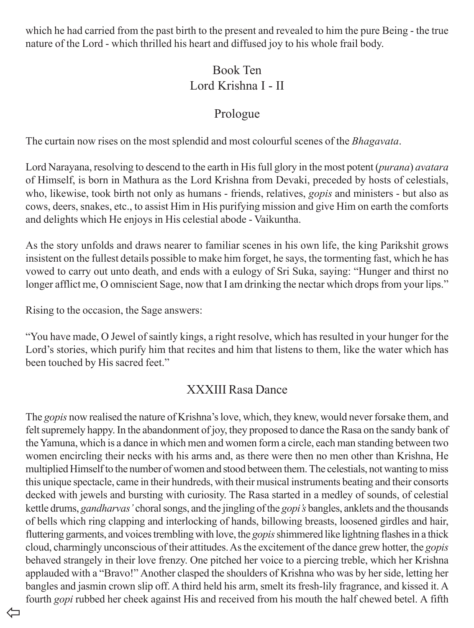which he had carried from the past birth to the present and revealed to him the pure Being - the true nature of the Lord - which thrilled his heart and diffused joy to his whole frail body.

## Book Ten Lord Krishna I - II

### Prologue

The curtain now rises on the most splendid and most colourful scenes of the *Bhagavata*.

Lord Narayana, resolving to descend to the earth in His full glory in the most potent (*purana*) *avatara* of Himself, is born in Mathura as the Lord Krishna from Devaki, preceded by hosts of celestials, who, likewise, took birth not only as humans - friends, relatives, *gopis* and ministers - but also as cows, deers, snakes, etc., to assist Him in His purifying mission and give Him on earth the comforts and delights which He enjoys in His celestial abode - Vaikuntha.

As the story unfolds and draws nearer to familiar scenes in his own life, the king Parikshit grows insistent on the fullest details possible to make him forget, he says, the tormenting fast, which he has vowed to carry out unto death, and ends with a eulogy of Sri Suka, saying: "Hunger and thirst no longer afflict me, O omniscient Sage, now that I am drinking the nectar which drops from your lips."

Rising to the occasion, the Sage answers:

 $\Leftrightarrow$ 

"You have made, O Jewel of saintly kings, a right resolve, which has resulted in your hunger for the Lord's stories, which purify him that recites and him that listens to them, like the water which has been touched by His sacred feet."

## XXXIII Rasa Dance

The *gopis* now realised the nature of Krishna's love, which, they knew, would never forsake them, and felt supremely happy. In the abandonment of joy, they proposed to dance the Rasa on the sandy bank of the Yamuna, which is a dance in which men and women form a circle, each man standing between two women encircling their necks with his arms and, as there were then no men other than Krishna, He multiplied Himself to the number of women and stood between them. The celestials, not wanting to miss this unique spectacle, came in their hundreds, with their musical instruments beating and their consorts decked with jewels and bursting with curiosity. The Rasa started in a medley of sounds, of celestial kettle drums, *gandharvas'* choral songs, and the jingling of the *gopi's* bangles, anklets and the thousands of bells which ring clapping and interlocking of hands, billowing breasts, loosened girdles and hair, fluttering garments, and voices trembling with love, the *gopis* shimmered like lightning flashes in a thick cloud, charmingly unconscious of their attitudes. As the excitement of the dance grew hotter, the *gopis* behaved strangely in their love frenzy. One pitched her voice to a piercing treble, which her Krishna applauded with a "Bravo!" Another clasped the shoulders of Krishna who was by her side, letting her bangles and jasmin crown slip off. A third held his arm, smelt its fresh-lily fragrance, and kissed it. A fourth *gopi* rubbed her cheek against His and received from his mouth the half chewed betel. A fifth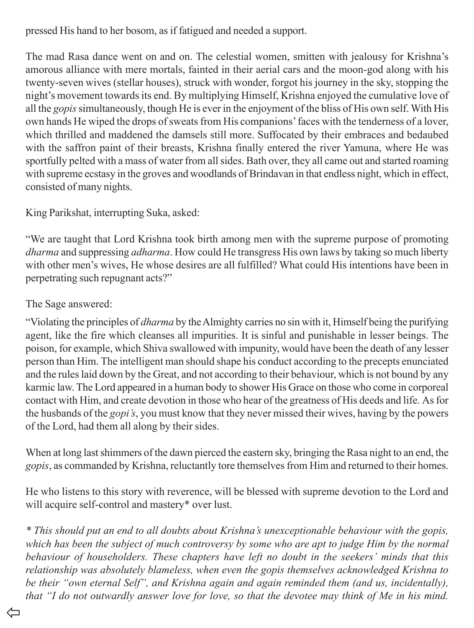pressed His hand to her bosom, as if fatigued and needed a support.

The mad Rasa dance went on and on. The celestial women, smitten with jealousy for Krishna's amorous alliance with mere mortals, fainted in their aerial cars and the moon-god along with his twenty-seven wives (stellar houses), struck with wonder, forgot his journey in the sky, stopping the night's movement towards its end. By multiplying Himself, Krishna enjoyed the cumulative love of all the *gopis* simultaneously, though He is ever in the enjoyment of the bliss of His own self. With His own hands He wiped the drops of sweats from His companions' faces with the tenderness of a lover, which thrilled and maddened the damsels still more. Suffocated by their embraces and bedaubed with the saffron paint of their breasts, Krishna finally entered the river Yamuna, where He was sportfully pelted with a mass of water from all sides. Bath over, they all came out and started roaming with supreme ecstasy in the groves and woodlands of Brindavan in that endless night, which in effect, consisted of many nights.

King Parikshat, interrupting Suka, asked:

"We are taught that Lord Krishna took birth among men with the supreme purpose of promoting *dharma* and suppressing *adharma*. How could He transgress His own laws by taking so much liberty with other men's wives, He whose desires are all fulfilled? What could His intentions have been in perpetrating such repugnant acts?"

#### The Sage answered:

 $\Leftrightarrow$ 

"Violating the principles of *dharma* by the Almighty carries no sin with it, Himself being the purifying agent, like the fire which cleanses all impurities. It is sinful and punishable in lesser beings. The poison, for example, which Shiva swallowed with impunity, would have been the death of any lesser person than Him. The intelligent man should shape his conduct according to the precepts enunciated and the rules laid down by the Great, and not according to their behaviour, which is not bound by any karmic law. The Lord appeared in a human body to shower His Grace on those who come in corporeal contact with Him, and create devotion in those who hear of the greatness of His deeds and life. As for the husbands of the *gopi's*, you must know that they never missed their wives, having by the powers of the Lord, had them all along by their sides.

When at long last shimmers of the dawn pierced the eastern sky, bringing the Rasa night to an end, the *gopis*, as commanded by Krishna, reluctantly tore themselves from Him and returned to their homes.

He who listens to this story with reverence, will be blessed with supreme devotion to the Lord and will acquire self-control and mastery\* over lust.

*\* This should put an end to all doubts about Krishna's unexceptionable behaviour with the gopis, which has been the subject of much controversy by some who are apt to judge Him by the normal behaviour of householders. These chapters have left no doubt in the seekers' minds that this relationship was absolutely blameless, when even the gopis themselves acknowledged Krishna to be their "own eternal Self", and Krishna again and again reminded them (and us, incidentally), that "I do not outwardly answer love for love, so that the devotee may think of Me in his mind.*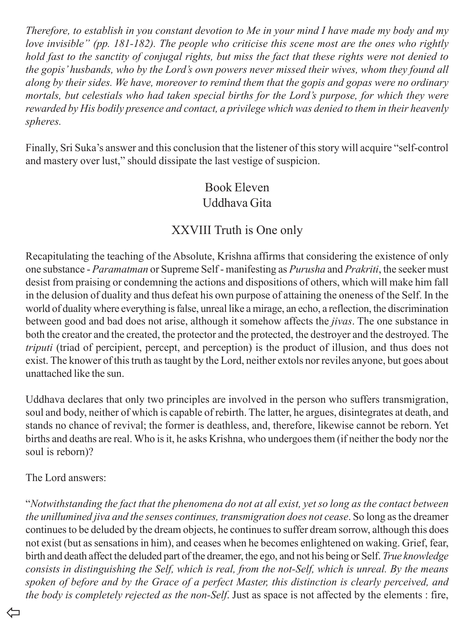*Therefore, to establish in you constant devotion to Me in your mind I have made my body and my love invisible" (pp. 181-182). The people who criticise this scene most are the ones who rightly hold fast to the sanctity of conjugal rights, but miss the fact that these rights were not denied to the gopis' husbands, who by the Lord's own powers never missed their wives, whom they found all along by their sides. We have, moreover to remind them that the gopis and gopas were no ordinary mortals, but celestials who had taken special births for the Lord's purpose, for which they were rewarded by His bodily presence and contact, a privilege which was denied to them in their heavenly spheres.*

Finally, Sri Suka's answer and this conclusion that the listener of this story will acquire "self-control and mastery over lust," should dissipate the last vestige of suspicion.

## Book Eleven Uddhava Gita

## XXVIII Truth is One only

Recapitulating the teaching of the Absolute, Krishna affirms that considering the existence of only one substance - *Paramatman* or Supreme Self - manifesting as *Purusha* and *Prakriti*, the seeker must desist from praising or condemning the actions and dispositions of others, which will make him fall in the delusion of duality and thus defeat his own purpose of attaining the oneness of the Self. In the world of duality where everything is false, unreal like a mirage, an echo, a reflection, the discrimination between good and bad does not arise, although it somehow affects the *jivas*. The one substance in both the creator and the created, the protector and the protected, the destroyer and the destroyed. The *triputi* (triad of percipient, percept, and perception) is the product of illusion, and thus does not exist. The knower of this truth as taught by the Lord, neither extols nor reviles anyone, but goes about unattached like the sun.

Uddhava declares that only two principles are involved in the person who suffers transmigration, soul and body, neither of which is capable of rebirth. The latter, he argues, disintegrates at death, and stands no chance of revival; the former is deathless, and, therefore, likewise cannot be reborn. Yet births and deaths are real. Who is it, he asks Krishna, who undergoes them (if neither the body nor the soul is reborn)?

#### The Lord answers:

 $\Leftrightarrow$ 

"*Notwithstanding the fact that the phenomena do not at all exist, yet so long as the contact between the unillumined jiva and the senses continues, transmigration does not cease*. So long as the dreamer continues to be deluded by the dream objects, he continues to suffer dream sorrow, although this does not exist (but as sensations in him), and ceases when he becomes enlightened on waking. Grief, fear, birth and death affect the deluded part of the dreamer, the ego, and not his being or Self. *True knowledge consists in distinguishing the Self, which is real, from the not-Self, which is unreal. By the means spoken of before and by the Grace of a perfect Master, this distinction is clearly perceived, and the body is completely rejected as the non-Self*. Just as space is not affected by the elements : fire,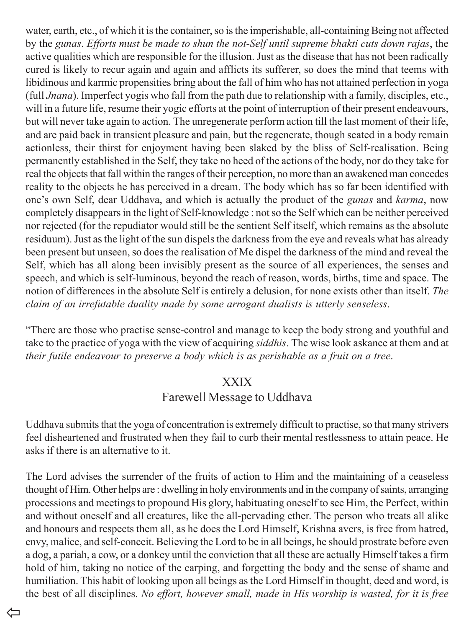water, earth, etc., of which it is the container, so is the imperishable, all-containing Being not affected by the *gunas*. *Efforts must be made to shun the not-Self until supreme bhakti cuts down rajas*, the active qualities which are responsible for the illusion. Just as the disease that has not been radically cured is likely to recur again and again and afflicts its sufferer, so does the mind that teems with libidinous and karmic propensities bring about the fall of him who has not attained perfection in yoga (full *Jnana*). Imperfect yogis who fall from the path due to relationship with a family, disciples, etc., will in a future life, resume their yogic efforts at the point of interruption of their present endeavours, but will never take again to action. The unregenerate perform action till the last moment of their life, and are paid back in transient pleasure and pain, but the regenerate, though seated in a body remain actionless, their thirst for enjoyment having been slaked by the bliss of Self-realisation. Being permanently established in the Self, they take no heed of the actions of the body, nor do they take for real the objects that fall within the ranges of their perception, no more than an awakened man concedes reality to the objects he has perceived in a dream. The body which has so far been identified with one's own Self, dear Uddhava, and which is actually the product of the *gunas* and *karma*, now completely disappears in the light of Self-knowledge : not so the Self which can be neither perceived nor rejected (for the repudiator would still be the sentient Self itself, which remains as the absolute residuum). Just as the light of the sun dispels the darkness from the eye and reveals what has already been present but unseen, so does the realisation of Me dispel the darkness of the mind and reveal the Self, which has all along been invisibly present as the source of all experiences, the senses and speech, and which is self-luminous, beyond the reach of reason, words, births, time and space. The notion of differences in the absolute Self is entirely a delusion, for none exists other than itself. *The claim of an irrefutable duality made by some arrogant dualists is utterly senseless*.

"There are those who practise sense-control and manage to keep the body strong and youthful and take to the practice of yoga with the view of acquiring *siddhis*. The wise look askance at them and at *their futile endeavour to preserve a body which is as perishable as a fruit on a tree*.

#### XXIX

## Farewell Message to Uddhava

Uddhava submits that the yoga of concentration is extremely difficult to practise, so that many strivers feel disheartened and frustrated when they fail to curb their mental restlessness to attain peace. He asks if there is an alternative to it.

The Lord advises the surrender of the fruits of action to Him and the maintaining of a ceaseless thought of Him. Other helps are : dwelling in holy environments and in the company of saints, arranging processions and meetings to propound His glory, habituating oneself to see Him, the Perfect, within and without oneself and all creatures, like the all-pervading ether. The person who treats all alike and honours and respects them all, as he does the Lord Himself, Krishna avers, is free from hatred, envy, malice, and self-conceit. Believing the Lord to be in all beings, he should prostrate before even a dog, a pariah, a cow, or a donkey until the conviction that all these are actually Himself takes a firm hold of him, taking no notice of the carping, and forgetting the body and the sense of shame and humiliation. This habit of looking upon all beings as the Lord Himself in thought, deed and word, is the best of all disciplines. *No effort, however small, made in His worship is wasted, for it is free*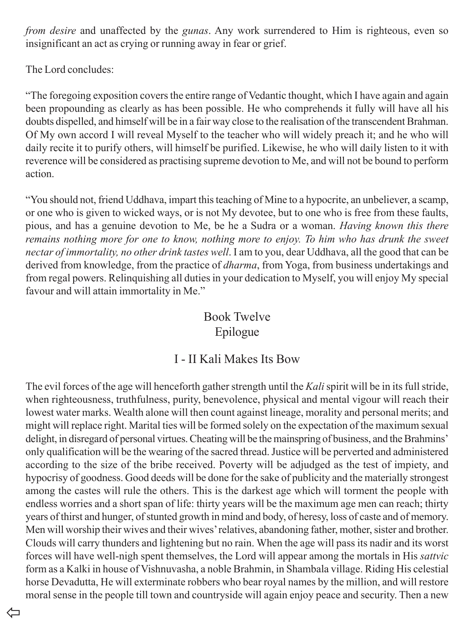*from desire* and unaffected by the *gunas*. Any work surrendered to Him is righteous, even so insignificant an act as crying or running away in fear or grief.

The Lord concludes:

 $\Leftrightarrow$ 

"The foregoing exposition covers the entire range of Vedantic thought, which I have again and again been propounding as clearly as has been possible. He who comprehends it fully will have all his doubts dispelled, and himself will be in a fair way close to the realisation of the transcendent Brahman. Of My own accord I will reveal Myself to the teacher who will widely preach it; and he who will daily recite it to purify others, will himself be purified. Likewise, he who will daily listen to it with reverence will be considered as practising supreme devotion to Me, and will not be bound to perform action.

"You should not, friend Uddhava, impart this teaching of Mine to a hypocrite, an unbeliever, a scamp, or one who is given to wicked ways, or is not My devotee, but to one who is free from these faults, pious, and has a genuine devotion to Me, be he a Sudra or a woman. *Having known this there remains nothing more for one to know, nothing more to enjoy. To him who has drunk the sweet nectar of immortality, no other drink tastes well*. I am to you, dear Uddhava, all the good that can be derived from knowledge, from the practice of *dharma*, from Yoga, from business undertakings and from regal powers. Relinquishing all duties in your dedication to Myself, you will enjoy My special favour and will attain immortality in Me."

## Book Twelve Epilogue

## I - II Kali Makes Its Bow

The evil forces of the age will henceforth gather strength until the *Kali* spirit will be in its full stride, when righteousness, truthfulness, purity, benevolence, physical and mental vigour will reach their lowest water marks. Wealth alone will then count against lineage, morality and personal merits; and might will replace right. Marital ties will be formed solely on the expectation of the maximum sexual delight, in disregard of personal virtues. Cheating will be the mainspring of business, and the Brahmins' only qualification will be the wearing of the sacred thread. Justice will be perverted and administered according to the size of the bribe received. Poverty will be adjudged as the test of impiety, and hypocrisy of goodness. Good deeds will be done for the sake of publicity and the materially strongest among the castes will rule the others. This is the darkest age which will torment the people with endless worries and a short span of life: thirty years will be the maximum age men can reach; thirty years of thirst and hunger, of stunted growth in mind and body, of heresy, loss of caste and of memory. Men will worship their wives and their wives' relatives, abandoning father, mother, sister and brother. Clouds will carry thunders and lightening but no rain. When the age will pass its nadir and its worst forces will have well-nigh spent themselves, the Lord will appear among the mortals in His *sattvic* form as a Kalki in house of Vishnuvasha, a noble Brahmin, in Shambala village. Riding His celestial horse Devadutta, He will exterminate robbers who bear royal names by the million, and will restore moral sense in the people till town and countryside will again enjoy peace and security. Then a new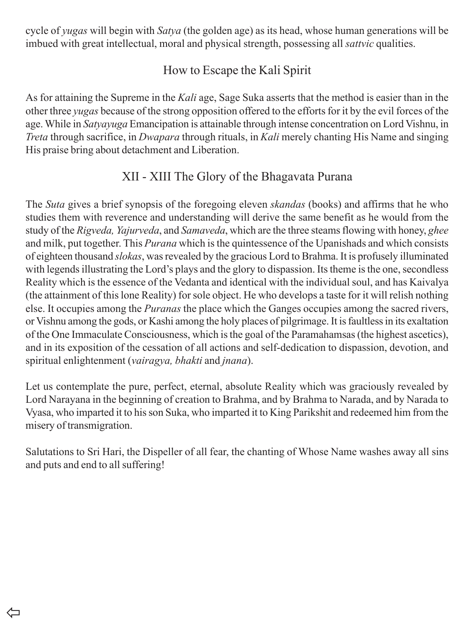cycle of *yugas* will begin with *Satya* (the golden age) as its head, whose human generations will be imbued with great intellectual, moral and physical strength, possessing all *sattvic* qualities.

# How to Escape the Kali Spirit

As for attaining the Supreme in the *Kali* age, Sage Suka asserts that the method is easier than in the other three *yugas* because of the strong opposition offered to the efforts for it by the evil forces of the age. While in *Satyayuga* Emancipation is attainable through intense concentration on Lord Vishnu, in *Treta* through sacrifice, in *Dwapara* through rituals, in *Kali* merely chanting His Name and singing His praise bring about detachment and Liberation.

# XII - XIII The Glory of the Bhagavata Purana

The *Suta* gives a brief synopsis of the foregoing eleven *skandas* (books) and affirms that he who studies them with reverence and understanding will derive the same benefit as he would from the study of the *Rigveda, Yajurveda*, and *Samaveda*, which are the three steams flowing with honey, *ghee* and milk, put together. This *Purana* which is the quintessence of the Upanishads and which consists of eighteen thousand *slokas*, was revealed by the gracious Lord to Brahma. It is profusely illuminated with legends illustrating the Lord's plays and the glory to dispassion. Its theme is the one, secondless Reality which is the essence of the Vedanta and identical with the individual soul, and has Kaivalya (the attainment of this lone Reality) for sole object. He who develops a taste for it will relish nothing else. It occupies among the *Puranas* the place which the Ganges occupies among the sacred rivers, or Vishnu among the gods, or Kashi among the holy places of pilgrimage. It is faultless in its exaltation of the One Immaculate Consciousness, which is the goal of the Paramahamsas (the highest ascetics), and in its exposition of the cessation of all actions and self-dedication to dispassion, devotion, and spiritual enlightenment (*vairagya, bhakti* and *jnana*).

Let us contemplate the pure, perfect, eternal, absolute Reality which was graciously revealed by Lord Narayana in the beginning of creation to Brahma, and by Brahma to Narada, and by Narada to Vyasa, who imparted it to his son Suka, who imparted it to King Parikshit and redeemed him from the misery of transmigration.

Salutations to Sri Hari, the Dispeller of all fear, the chanting of Whose Name washes away all sins and puts and end to all suffering!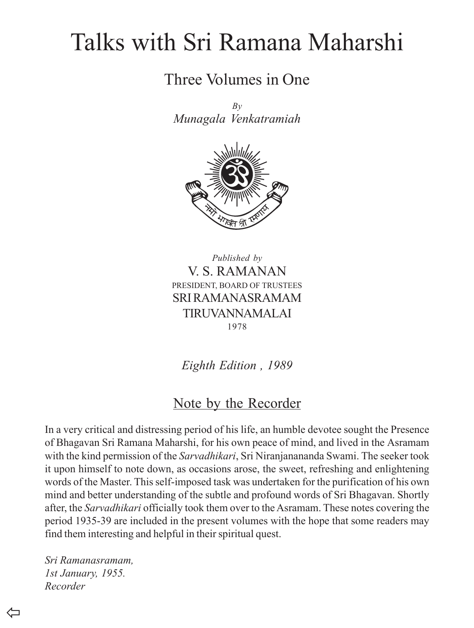# Talks with Sri Ramana Maharshi

# Three Volumes in One

*By Munagala Venkatramiah*



*Published by* V. S. RAMANAN PRESIDENT, BOARD OF TRUSTEES SRI RAMANASRAMAM TIRUVANNAMALAI 1978

*Eighth Edition , 1989*

# Note by the Recorder

In a very critical and distressing period of his life, an humble devotee sought the Presence of Bhagavan Sri Ramana Maharshi, for his own peace of mind, and lived in the Asramam with the kind permission of the *Sarvadhikari*, Sri Niranjanananda Swami. The seeker took it upon himself to note down, as occasions arose, the sweet, refreshing and enlightening words of the Master. This self-imposed task was undertaken for the purification of his own mind and better understanding of the subtle and profound words of Sri Bhagavan. Shortly after, the *Sarvadhikari* officially took them over to the Asramam. These notes covering the period 1935-39 are included in the present volumes with the hope that some readers may find them interesting and helpful in their spiritual quest.

*Sri Ramanasramam, 1st January, 1955. Recorder*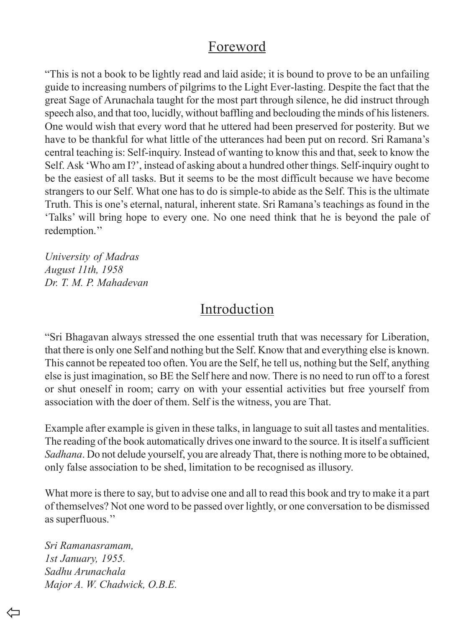# Foreword

"This is not a book to be lightly read and laid aside; it is bound to prove to be an unfailing guide to increasing numbers of pilgrims to the Light Ever-lasting. Despite the fact that the great Sage of Arunachala taught for the most part through silence, he did instruct through speech also, and that too, lucidly, without baffling and beclouding the minds of his listeners. One would wish that every word that he uttered had been preserved for posterity. But we have to be thankful for what little of the utterances had been put on record. Sri Ramana's central teaching is: Self-inquiry. Instead of wanting to know this and that, seek to know the Self. Ask 'Who am I?', instead of asking about a hundred other things. Self-inquiry ought to be the easiest of all tasks. But it seems to be the most difficult because we have become strangers to our Self. What one has to do is simple-to abide as the Self. This is the ultimate Truth. This is one's eternal, natural, inherent state. Sri Ramana's teachings as found in the 'Talks' will bring hope to every one. No one need think that he is beyond the pale of redemption.''

*University of Madras August 11th, 1958 Dr. T. M. P. Mahadevan*

# Introduction

"Sri Bhagavan always stressed the one essential truth that was necessary for Liberation, that there is only one Self and nothing but the Self. Know that and everything else is known. This cannot be repeated too often. You are the Self, he tell us, nothing but the Self, anything else is just imagination, so BE the Self here and now. There is no need to run off to a forest or shut oneself in room; carry on with your essential activities but free yourself from association with the doer of them. Self is the witness, you are That.

Example after example is given in these talks, in language to suit all tastes and mentalities. The reading of the book automatically drives one inward to the source. It is itself a sufficient *Sadhana*. Do not delude yourself, you are already That, there is nothing more to be obtained, only false association to be shed, limitation to be recognised as illusory.

What more is there to say, but to advise one and all to read this book and try to make it a part of themselves? Not one word to be passed over lightly, or one conversation to be dismissed as superfluous.''

*Sri Ramanasramam, 1st January, 1955. Sadhu Arunachala Major A. W. Chadwick, O.B.E.*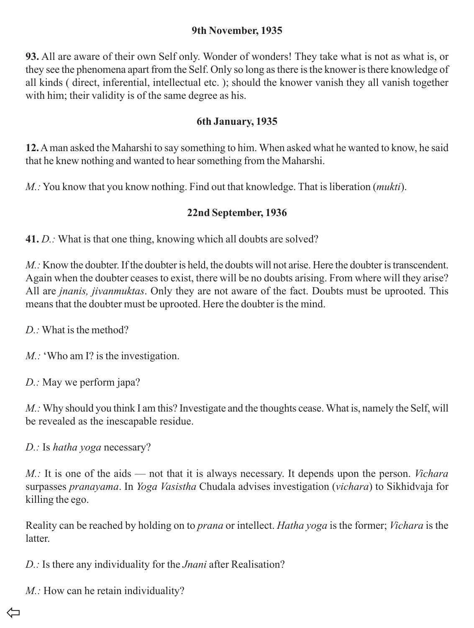### **9th November, 1935**

**93.** All are aware of their own Self only. Wonder of wonders! They take what is not as what is, or they see the phenomena apart from the Self. Only so long as there is the knower is there knowledge of all kinds ( direct, inferential, intellectual etc. ); should the knower vanish they all vanish together with him; their validity is of the same degree as his.

### **6th January, 1935**

**12.** A man asked the Maharshi to say something to him. When asked what he wanted to know, he said that he knew nothing and wanted to hear something from the Maharshi.

*M.:* You know that you know nothing. Find out that knowledge. That is liberation (*mukti*).

### **22nd September, 1936**

**41.** *D.:* What is that one thing, knowing which all doubts are solved?

*M.*: Know the doubter. If the doubter is held, the doubts will not arise. Here the doubter is transcendent. Again when the doubter ceases to exist, there will be no doubts arising. From where will they arise? All are *jnanis, jivanmuktas*. Only they are not aware of the fact. Doubts must be uprooted. This means that the doubter must be uprooted. Here the doubter is the mind.

*D.:* What is the method?

*M.*: 'Who am I? is the investigation.

*D.:* May we perform japa?

*M.:* Why should you think I am this? Investigate and the thoughts cease. What is, namely the Self, will be revealed as the inescapable residue.

*D.:* Is *hatha yoga* necessary?

*M.:* It is one of the aids — not that it is always necessary. It depends upon the person. *Vichara* surpasses *pranayama*. In *Yoga Vasistha* Chudala advises investigation (*vichara*) to Sikhidvaja for killing the ego.

Reality can be reached by holding on to *prana* or intellect. *Hatha yoga* is the former; *Vichara* is the **latter** 

*D.:* Is there any individuality for the *Jnani* after Realisation?

*M.*: How can he retain individuality?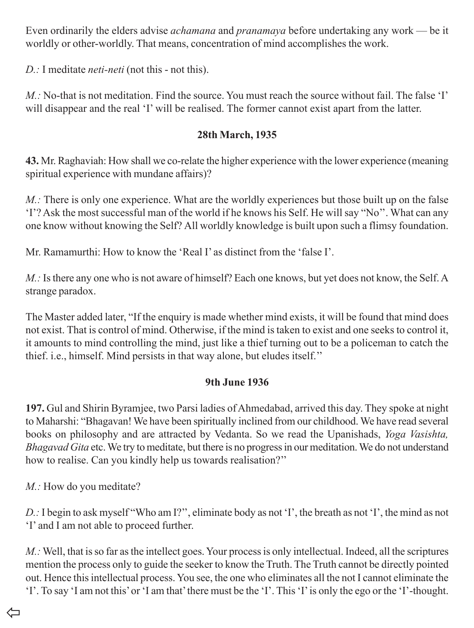Even ordinarily the elders advise *achamana* and *pranamaya* before undertaking any work — be it worldly or other-worldly. That means, concentration of mind accomplishes the work.

*D.:* I meditate *neti-neti* (not this - not this).

*M.:* No-that is not meditation. Find the source. You must reach the source without fail. The false 'I' will disappear and the real 'I' will be realised. The former cannot exist apart from the latter.

### **28th March, 1935**

**43.** Mr. Raghaviah: How shall we co-relate the higher experience with the lower experience (meaning spiritual experience with mundane affairs)?

*M.*: There is only one experience. What are the worldly experiences but those built up on the false 'I'? Ask the most successful man of the world if he knows his Self. He will say "No''. What can any one know without knowing the Self? All worldly knowledge is built upon such a flimsy foundation.

Mr. Ramamurthi: How to know the 'Real I' as distinct from the 'false I'.

*M.*: Is there any one who is not aware of himself? Each one knows, but yet does not know, the Self. A strange paradox.

The Master added later, "If the enquiry is made whether mind exists, it will be found that mind does not exist. That is control of mind. Otherwise, if the mind is taken to exist and one seeks to control it, it amounts to mind controlling the mind, just like a thief turning out to be a policeman to catch the thief. i.e., himself. Mind persists in that way alone, but eludes itself.''

### **9th June 1936**

**197.** Gul and Shirin Byramjee, two Parsi ladies of Ahmedabad, arrived this day. They spoke at night to Maharshi: "Bhagavan! We have been spiritually inclined from our childhood. We have read several books on philosophy and are attracted by Vedanta. So we read the Upanishads, *Yoga Vasishta, Bhagavad Gita* etc. We try to meditate, but there is no progress in our meditation. We do not understand how to realise. Can you kindly help us towards realisation?''

*M.*: How do you meditate?

 $\Leftrightarrow$ 

*D.*: I begin to ask myself "Who am I?", eliminate body as not 'I', the breath as not 'I', the mind as not 'I' and I am not able to proceed further.

*M.:* Well, that is so far as the intellect goes. Your process is only intellectual. Indeed, all the scriptures mention the process only to guide the seeker to know the Truth. The Truth cannot be directly pointed out. Hence this intellectual process. You see, the one who eliminates all the not I cannot eliminate the 'I'. To say 'I am not this' or 'I am that' there must be the 'I'. This 'I' is only the ego or the 'I'-thought.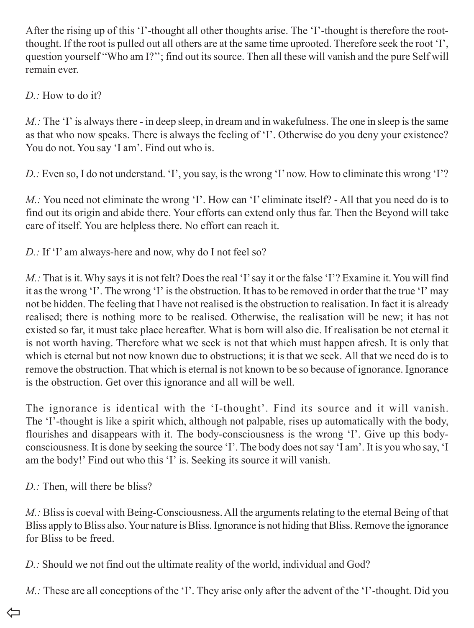After the rising up of this 'I'-thought all other thoughts arise. The 'I'-thought is therefore the rootthought. If the root is pulled out all others are at the same time uprooted. Therefore seek the root 'I', question yourself "Who am I?''; find out its source. Then all these will vanish and the pure Self will remain ever.

*D.:* How to do it?

*M.:* The 'I' is always there - in deep sleep, in dream and in wakefulness. The one in sleep is the same as that who now speaks. There is always the feeling of 'I'. Otherwise do you deny your existence? You do not. You say 'I am'. Find out who is.

*D.*: Even so, I do not understand. 'I', you say, is the wrong 'I' now. How to eliminate this wrong 'I'?

*M.:* You need not eliminate the wrong 'I'. How can 'I' eliminate itself? - All that you need do is to find out its origin and abide there. Your efforts can extend only thus far. Then the Beyond will take care of itself. You are helpless there. No effort can reach it.

*D.*: If 'I' am always-here and now, why do I not feel so?

*M.*: That is it. Why says it is not felt? Does the real 'I' say it or the false 'I'? Examine it. You will find it as the wrong 'I'. The wrong 'I' is the obstruction. It has to be removed in order that the true 'I' may not be hidden. The feeling that I have not realised is the obstruction to realisation. In fact it is already realised; there is nothing more to be realised. Otherwise, the realisation will be new; it has not existed so far, it must take place hereafter. What is born will also die. If realisation be not eternal it is not worth having. Therefore what we seek is not that which must happen afresh. It is only that which is eternal but not now known due to obstructions; it is that we seek. All that we need do is to remove the obstruction. That which is eternal is not known to be so because of ignorance. Ignorance is the obstruction. Get over this ignorance and all will be well.

The ignorance is identical with the 'I-thought'. Find its source and it will vanish. The 'I'-thought is like a spirit which, although not palpable, rises up automatically with the body, flourishes and disappears with it. The body-consciousness is the wrong 'I'. Give up this bodyconsciousness. It is done by seeking the source 'I'. The body does not say 'I am'. It is you who say, 'I am the body!' Find out who this 'I' is. Seeking its source it will vanish.

*D.:* Then, will there be bliss?

 $\Leftrightarrow$ 

*M.*: Bliss is coeval with Being-Consciousness. All the arguments relating to the eternal Being of that Bliss apply to Bliss also. Your nature is Bliss. Ignorance is not hiding that Bliss. Remove the ignorance for Bliss to be freed.

*D.:* Should we not find out the ultimate reality of the world, individual and God?

*M.*: These are all conceptions of the 'I'. They arise only after the advent of the 'I'-thought. Did you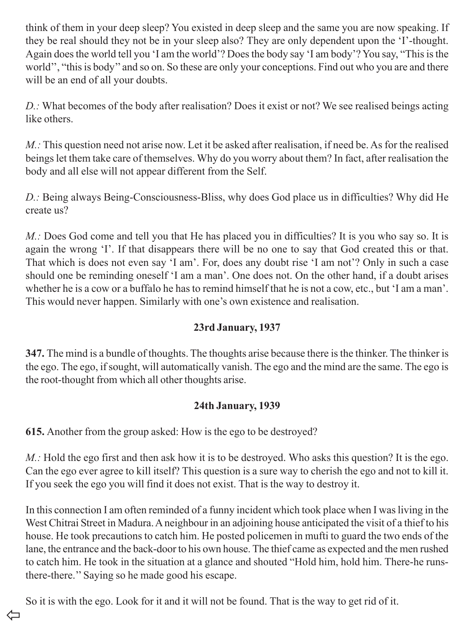think of them in your deep sleep? You existed in deep sleep and the same you are now speaking. If they be real should they not be in your sleep also? They are only dependent upon the 'I'-thought. Again does the world tell you 'I am the world'? Does the body say 'I am body'? You say, "This is the world'', "this is body'' and so on. So these are only your conceptions. Find out who you are and there will be an end of all your doubts.

*D.:* What becomes of the body after realisation? Does it exist or not? We see realised beings acting like others.

*M.*: This question need not arise now. Let it be asked after realisation, if need be. As for the realised beings let them take care of themselves. Why do you worry about them? In fact, after realisation the body and all else will not appear different from the Self.

*D.:* Being always Being-Consciousness-Bliss, why does God place us in difficulties? Why did He create us?

*M.*: Does God come and tell you that He has placed you in difficulties? It is you who say so. It is again the wrong 'I'. If that disappears there will be no one to say that God created this or that. That which is does not even say 'I am'. For, does any doubt rise 'I am not'? Only in such a case should one be reminding oneself 'I am a man'. One does not. On the other hand, if a doubt arises whether he is a cow or a buffalo he has to remind himself that he is not a cow, etc., but 'I am a man'. This would never happen. Similarly with one's own existence and realisation.

# **23rd January, 1937**

**347.** The mind is a bundle of thoughts. The thoughts arise because there is the thinker. The thinker is the ego. The ego, if sought, will automatically vanish. The ego and the mind are the same. The ego is the root-thought from which all other thoughts arise.

# **24th January, 1939**

**615.** Another from the group asked: How is the ego to be destroyed?

 $\Leftrightarrow$ 

*M.*: Hold the ego first and then ask how it is to be destroyed. Who asks this question? It is the ego. Can the ego ever agree to kill itself? This question is a sure way to cherish the ego and not to kill it. If you seek the ego you will find it does not exist. That is the way to destroy it.

In this connection I am often reminded of a funny incident which took place when I was living in the West Chitrai Street in Madura. A neighbour in an adjoining house anticipated the visit of a thief to his house. He took precautions to catch him. He posted policemen in mufti to guard the two ends of the lane, the entrance and the back-door to his own house. The thief came as expected and the men rushed to catch him. He took in the situation at a glance and shouted "Hold him, hold him. There-he runsthere-there.'' Saying so he made good his escape.

So it is with the ego. Look for it and it will not be found. That is the way to get rid of it.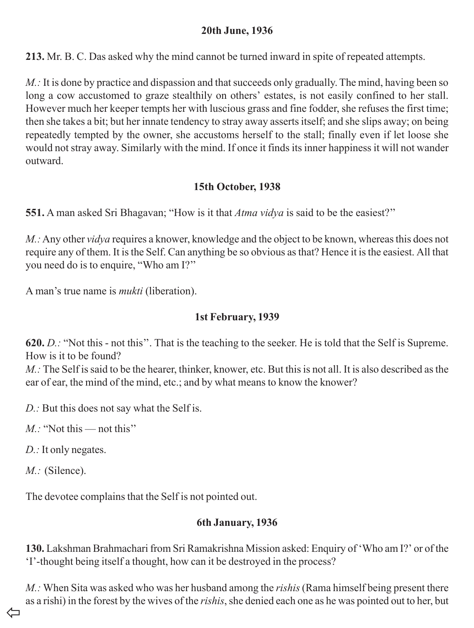## **20th June, 1936**

**213.** Mr. B. C. Das asked why the mind cannot be turned inward in spite of repeated attempts.

*M.*: It is done by practice and dispassion and that succeeds only gradually. The mind, having been so long a cow accustomed to graze stealthily on others' estates, is not easily confined to her stall. However much her keeper tempts her with luscious grass and fine fodder, she refuses the first time; then she takes a bit; but her innate tendency to stray away asserts itself; and she slips away; on being repeatedly tempted by the owner, she accustoms herself to the stall; finally even if let loose she would not stray away. Similarly with the mind. If once it finds its inner happiness it will not wander outward.

# **15th October, 1938**

**551.** A man asked Sri Bhagavan; "How is it that *Atma vidya* is said to be the easiest?''

*M.:* Any other *vidya* requires a knower, knowledge and the object to be known, whereas this does not require any of them. It is the Self. Can anything be so obvious as that? Hence it is the easiest. All that you need do is to enquire, "Who am I?''

A man's true name is *mukti* (liberation).

## **1st February, 1939**

**620.** *D.:* "Not this - not this''. That is the teaching to the seeker. He is told that the Self is Supreme. How is it to be found?

*M.*: The Self is said to be the hearer, thinker, knower, etc. But this is not all. It is also described as the ear of ear, the mind of the mind, etc.; and by what means to know the knower?

*D.:* But this does not say what the Self is.

*M.*: "Not this — not this"

*D.*: It only negates.

*M.*: (Silence).

 $\Leftrightarrow$ 

The devotee complains that the Self is not pointed out.

## **6th January, 1936**

**130.** Lakshman Brahmachari from Sri Ramakrishna Mission asked: Enquiry of 'Who am I?' or of the 'I'-thought being itself a thought, how can it be destroyed in the process?

*M.:* When Sita was asked who was her husband among the *rishis* (Rama himself being present there as a rishi) in the forest by the wives of the *rishis*, she denied each one as he was pointed out to her, but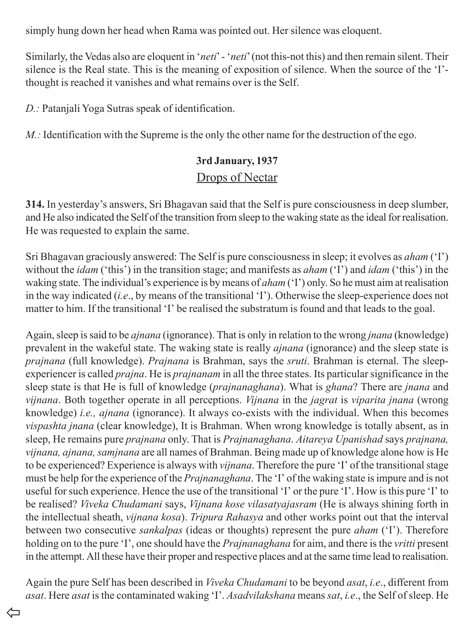simply hung down her head when Rama was pointed out. Her silence was eloquent.

Similarly, the Vedas also are eloquent in '*neti*' - '*neti*' (not this-not this) and then remain silent. Their silence is the Real state. This is the meaning of exposition of silence. When the source of the 'I' thought is reached it vanishes and what remains over is the Self.

*D.:* Patanjali Yoga Sutras speak of identification.

 $\Leftrightarrow$ 

*M.:* Identification with the Supreme is the only the other name for the destruction of the ego.

# **3rd January, 1937**

# Drops of Nectar

**314.** In yesterday's answers, Sri Bhagavan said that the Self is pure consciousness in deep slumber, and He also indicated the Self of the transition from sleep to the waking state as the ideal for realisation. He was requested to explain the same.

Sri Bhagavan graciously answered: The Self is pure consciousness in sleep; it evolves as *aham* ('I') without the *idam* ('this') in the transition stage; and manifests as *aham* ('I') and *idam* ('this') in the waking state. The individual's experience is by means of *aham* ('I') only. So he must aim at realisation in the way indicated (*i.e*., by means of the transitional 'I'). Otherwise the sleep-experience does not matter to him. If the transitional 'I' be realised the substratum is found and that leads to the goal.

Again, sleep is said to be *ajnana* (ignorance). That is only in relation to the wrong *jnana* (knowledge) prevalent in the wakeful state. The waking state is really *ajnana* (ignorance) and the sleep state is *prajnana* (full knowledge). *Prajnana* is Brahman, says the *sruti*. Brahman is eternal. The sleepexperiencer is called *prajna*. He is *prajnanam* in all the three states. Its particular significance in the sleep state is that He is full of knowledge (*prajnanaghana*). What is *ghana*? There are *jnana* and *vijnana*. Both together operate in all perceptions. *Vijnana* in the *jagrat* is *viparita jnana* (wrong knowledge) *i.e., ajnana* (ignorance). It always co-exists with the individual. When this becomes *vispashta jnana* (clear knowledge), It is Brahman. When wrong knowledge is totally absent, as in sleep, He remains pure *prajnana* only. That is *Prajnanaghana*. *Aitareya Upanishad* says *prajnana, vijnana, ajnana, samjnana* are all names of Brahman. Being made up of knowledge alone how is He to be experienced? Experience is always with *vijnana*. Therefore the pure 'I' of the transitional stage must be help for the experience of the *Prajnanaghana*. The 'I' of the waking state is impure and is not useful for such experience. Hence the use of the transitional 'I' or the pure 'I'. How is this pure 'I' to be realised? *Viveka Chudamani* says, *Vijnana kose vilasatyajasram* (He is always shining forth in the intellectual sheath, *vijnana kosa*). *Tripura Rahasya* and other works point out that the interval between two consecutive *sankalpas* (ideas or thoughts) represent the pure *aham* ('I'). Therefore holding on to the pure 'I', one should have the *Prajnanaghana* for aim, and there is the *vritti* present in the attempt. All these have their proper and respective places and at the same time lead to realisation.

Again the pure Self has been described in *Viveka Chudamani* to be beyond *asat*, *i.e*., different from *asat*. Here *asat* is the contaminated waking 'I'. *Asadvilakshana* means *sat*, *i.e*., the Self of sleep. He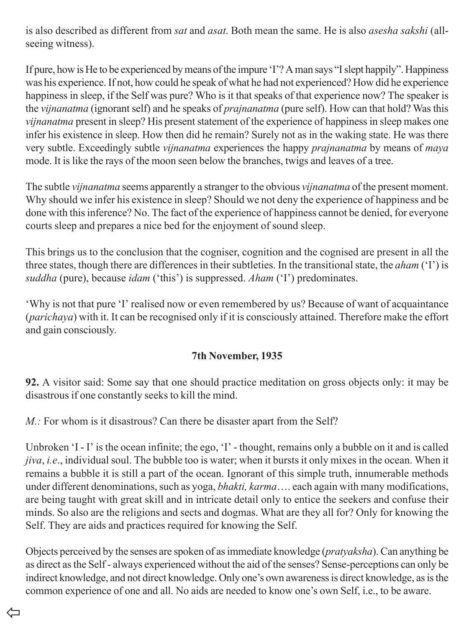is also described as different from *sat* and *asat*. Both mean the same. He is also *asesha sakshi* (allseeing witness).

If pure, how is He to be experienced by means of the impure 'I'? A man says "I slept happily". Happiness was his experience. If not, how could he speak of what he had not experienced? How did he experience happiness in sleep, if the Self was pure? Who is it that speaks of that experience now? The speaker is the *vijnanatma* (ignorant self) and he speaks of *prajnanatma* (pure self). How can that hold? Was this *vijnanatma* present in sleep? His present statement of the experience of happiness in sleep makes one infer his existence in sleep. How then did he remain? Surely not as in the waking state. He was there very subtle. Exceedingly subtle *vijnanatma* experiences the happy *prajnanatma* by means of *maya* mode. It is like the rays of the moon seen below the branches, twigs and leaves of a tree.

The subtle *vijnanatma* seems apparently a stranger to the obvious *vijnanatma* of the present moment. Why should we infer his existence in sleep? Should we not deny the experience of happiness and be done with this inference? No. The fact of the experience of happiness cannot be denied, for everyone courts sleep and prepares a nice bed for the enjoyment of sound sleep.

This brings us to the conclusion that the cogniser, cognition and the cognised are present in all the three states, though there are differences in their subtleties. In the transitional state, the *aham* ('I') is *suddha* (pure), because *idam* ('this') is suppressed. *Aham* ('I') predominates.

'Why is not that pure 'I' realised now or even remembered by us? Because of want of acquaintance (*parichaya*) with it. It can be recognised only if it is consciously attained. Therefore make the effort and gain consciously.

## **7th November, 1935**

**92.** A visitor said: Some say that one should practice meditation on gross objects only: it may be disastrous if one constantly seeks to kill the mind.

*M.*: For whom is it disastrous? Can there be disaster apart from the Self?

 $\Leftrightarrow$ 

Unbroken 'I - I' is the ocean infinite; the ego, 'I' - thought, remains only a bubble on it and is called *jiva*, *i.e*., individual soul. The bubble too is water; when it bursts it only mixes in the ocean. When it remains a bubble it is still a part of the ocean. Ignorant of this simple truth, innumerable methods under different denominations, such as yoga, *bhakti, karma*…. each again with many modifications, are being taught with great skill and in intricate detail only to entice the seekers and confuse their minds. So also are the religions and sects and dogmas. What are they all for? Only for knowing the Self. They are aids and practices required for knowing the Self.

Objects perceived by the senses are spoken of as immediate knowledge (*pratyaksha*). Can anything be as direct as the Self - always experienced without the aid of the senses? Sense-perceptions can only be indirect knowledge, and not direct knowledge. Only one's own awareness is direct knowledge, as is the common experience of one and all. No aids are needed to know one's own Self, i.e., to be aware.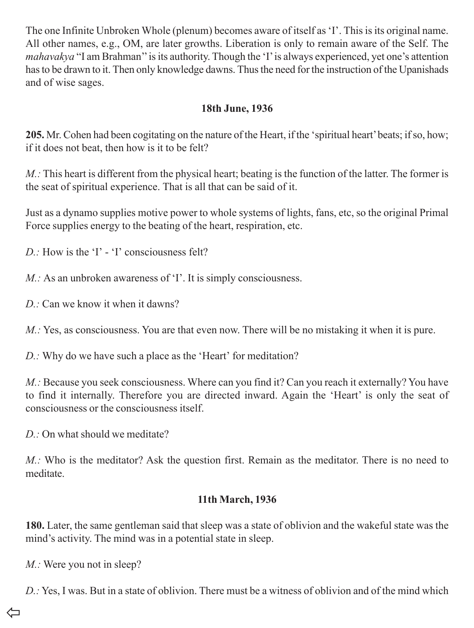The one Infinite Unbroken Whole (plenum) becomes aware of itself as 'I'. This is its original name. All other names, e.g., OM, are later growths. Liberation is only to remain aware of the Self. The *mahavakya* "I am Brahman'' is its authority. Though the 'I' is always experienced, yet one's attention has to be drawn to it. Then only knowledge dawns. Thus the need for the instruction of the Upanishads and of wise sages.

# **18th June, 1936**

**205.** Mr. Cohen had been cogitating on the nature of the Heart, if the 'spiritual heart' beats; if so, how; if it does not beat, then how is it to be felt?

*M.*: This heart is different from the physical heart; beating is the function of the latter. The former is the seat of spiritual experience. That is all that can be said of it.

Just as a dynamo supplies motive power to whole systems of lights, fans, etc, so the original Primal Force supplies energy to the beating of the heart, respiration, etc.

*D.:* How is the 'I' - 'I' consciousness felt?

*M.:* As an unbroken awareness of 'I'. It is simply consciousness.

*D.:* Can we know it when it dawns?

*M.:* Yes, as consciousness. You are that even now. There will be no mistaking it when it is pure.

*D.:* Why do we have such a place as the 'Heart' for meditation?

*M.*: Because you seek consciousness. Where can you find it? Can you reach it externally? You have to find it internally. Therefore you are directed inward. Again the 'Heart' is only the seat of consciousness or the consciousness itself.

*D.:* On what should we meditate?

*M.*: Who is the meditator? Ask the question first. Remain as the meditator. There is no need to meditate.

#### **11th March, 1936**

**180.** Later, the same gentleman said that sleep was a state of oblivion and the wakeful state was the mind's activity. The mind was in a potential state in sleep.

*M.*: Were you not in sleep?

 $\Leftrightarrow$ 

*D.:* Yes, I was. But in a state of oblivion. There must be a witness of oblivion and of the mind which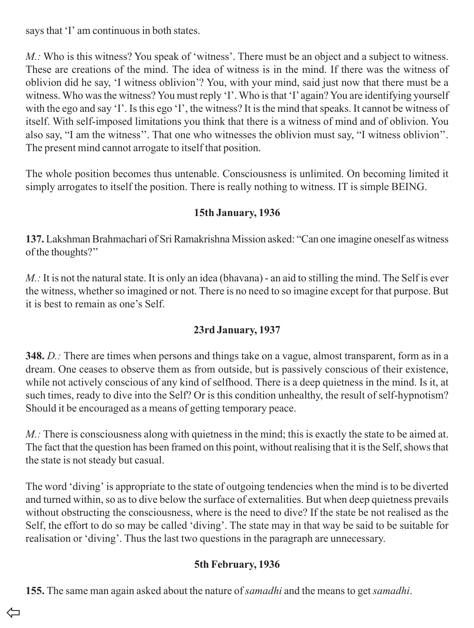says that 'I' am continuous in both states.

*M.:* Who is this witness? You speak of 'witness'. There must be an object and a subject to witness. These are creations of the mind. The idea of witness is in the mind. If there was the witness of oblivion did he say, 'I witness oblivion'? You, with your mind, said just now that there must be a witness. Who was the witness? You must reply 'I'. Who is that 'I' again? You are identifying yourself with the ego and say 'I'. Is this ego 'I', the witness? It is the mind that speaks. It cannot be witness of itself. With self-imposed limitations you think that there is a witness of mind and of oblivion. You also say, "I am the witness''. That one who witnesses the oblivion must say, "I witness oblivion''. The present mind cannot arrogate to itself that position.

The whole position becomes thus untenable. Consciousness is unlimited. On becoming limited it simply arrogates to itself the position. There is really nothing to witness. IT is simple BEING.

# **15th January, 1936**

**137.** Lakshman Brahmachari of Sri Ramakrishna Mission asked: "Can one imagine oneself as witness of the thoughts?''

*M.*: It is not the natural state. It is only an idea (bhavana) - an aid to stilling the mind. The Self is ever the witness, whether so imagined or not. There is no need to so imagine except for that purpose. But it is best to remain as one's Self.

# **23rd January, 1937**

**348.** *D.:* There are times when persons and things take on a vague, almost transparent, form as in a dream. One ceases to observe them as from outside, but is passively conscious of their existence, while not actively conscious of any kind of selfhood. There is a deep quietness in the mind. Is it, at such times, ready to dive into the Self? Or is this condition unhealthy, the result of self-hypnotism? Should it be encouraged as a means of getting temporary peace.

*M.*: There is consciousness along with quietness in the mind; this is exactly the state to be aimed at. The fact that the question has been framed on this point, without realising that it is the Self, shows that the state is not steady but casual.

The word 'diving' is appropriate to the state of outgoing tendencies when the mind is to be diverted and turned within, so as to dive below the surface of externalities. But when deep quietness prevails without obstructing the consciousness, where is the need to dive? If the state be not realised as the Self, the effort to do so may be called 'diving'. The state may in that way be said to be suitable for realisation or 'diving'. Thus the last two questions in the paragraph are unnecessary.

## **5th February, 1936**

**155.** The same man again asked about the nature of *samadhi* and the means to get *samadhi*.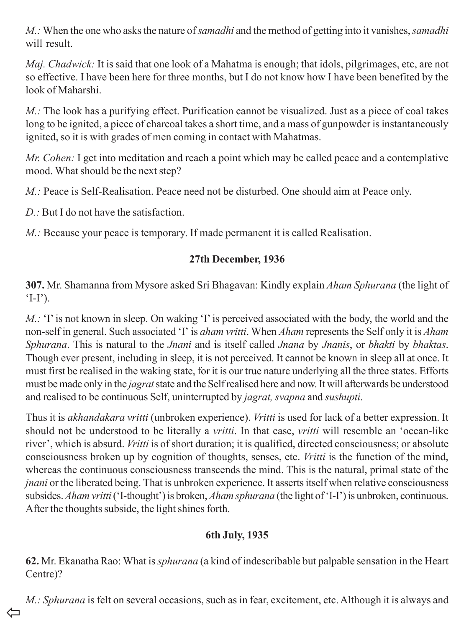*M.:* When the one who asks the nature of *samadhi* and the method of getting into it vanishes, *samadhi* will result.

*Maj. Chadwick:* It is said that one look of a Mahatma is enough; that idols, pilgrimages, etc, are not so effective. I have been here for three months, but I do not know how I have been benefited by the look of Maharshi.

*M.*: The look has a purifying effect. Purification cannot be visualized. Just as a piece of coal takes long to be ignited, a piece of charcoal takes a short time, and a mass of gunpowder is instantaneously ignited, so it is with grades of men coming in contact with Mahatmas.

*Mr. Cohen:* I get into meditation and reach a point which may be called peace and a contemplative mood. What should be the next step?

*M.:* Peace is Self-Realisation. Peace need not be disturbed. One should aim at Peace only.

*D.:* But I do not have the satisfaction.

 $\Leftrightarrow$ 

*M.*: Because your peace is temporary. If made permanent it is called Realisation.

### **27th December, 1936**

**307.** Mr. Shamanna from Mysore asked Sri Bhagavan: Kindly explain *Aham Sphurana* (the light of  $[I-I$ <sup> $\cdot$ </sup>).

*M.:* 'I' is not known in sleep. On waking 'I' is perceived associated with the body, the world and the non-self in general. Such associated 'I' is *aham vritti*. When *Aham* represents the Self only it is *Aham Sphurana*. This is natural to the *Jnani* and is itself called *Jnana* by *Jnanis*, or *bhakti* by *bhaktas*. Though ever present, including in sleep, it is not perceived. It cannot be known in sleep all at once. It must first be realised in the waking state, for it is our true nature underlying all the three states. Efforts must be made only in the *jagrat* state and the Self realised here and now. It will afterwards be understood and realised to be continuous Self, uninterrupted by *jagrat, svapna* and *sushupti*.

Thus it is *akhandakara vritti* (unbroken experience). *Vritti* is used for lack of a better expression. It should not be understood to be literally a *vritti*. In that case, *vritti* will resemble an 'ocean-like river', which is absurd. *Vritti* is of short duration; it is qualified, directed consciousness; or absolute consciousness broken up by cognition of thoughts, senses, etc. *Vritti* is the function of the mind, whereas the continuous consciousness transcends the mind. This is the natural, primal state of the *jnani* or the liberated being. That is unbroken experience. It asserts itself when relative consciousness subsides. *Aham vritti* ('I-thought') is broken, *Aham sphurana* (the light of 'I-I') is unbroken, continuous. After the thoughts subside, the light shines forth.

## **6th July, 1935**

**62.** Mr. Ekanatha Rao: What is *sphurana* (a kind of indescribable but palpable sensation in the Heart Centre)?

*M.: Sphurana* is felt on several occasions, such as in fear, excitement, etc. Although it is always and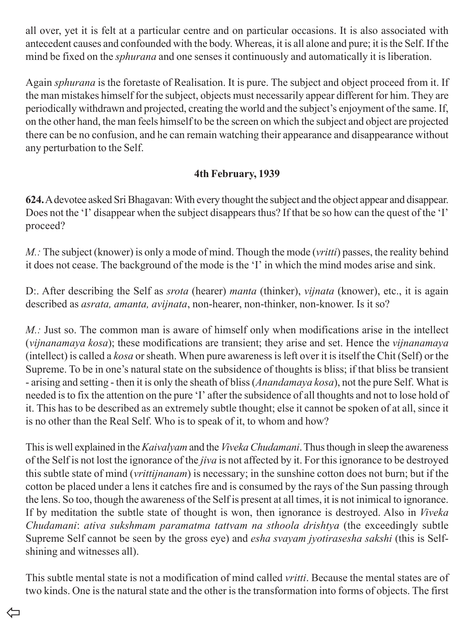all over, yet it is felt at a particular centre and on particular occasions. It is also associated with antecedent causes and confounded with the body. Whereas, it is all alone and pure; it is the Self. If the mind be fixed on the *sphurana* and one senses it continuously and automatically it is liberation.

Again *sphurana* is the foretaste of Realisation. It is pure. The subject and object proceed from it. If the man mistakes himself for the subject, objects must necessarily appear different for him. They are periodically withdrawn and projected, creating the world and the subject's enjoyment of the same. If, on the other hand, the man feels himself to be the screen on which the subject and object are projected there can be no confusion, and he can remain watching their appearance and disappearance without any perturbation to the Self.

# **4th February, 1939**

**624.** A devotee asked Sri Bhagavan: With every thought the subject and the object appear and disappear. Does not the 'I' disappear when the subject disappears thus? If that be so how can the quest of the 'I' proceed?

*M.:* The subject (knower) is only a mode of mind. Though the mode (*vritti*) passes, the reality behind it does not cease. The background of the mode is the 'I' in which the mind modes arise and sink.

D:. After describing the Self as *srota* (hearer) *manta* (thinker), *vijnata* (knower), etc., it is again described as *asrata, amanta, avijnata*, non-hearer, non-thinker, non-knower. Is it so?

*M.*: Just so. The common man is aware of himself only when modifications arise in the intellect (*vijnanamaya kosa*); these modifications are transient; they arise and set. Hence the *vijnanamaya* (intellect) is called a *kosa* or sheath. When pure awareness is left over it is itself the Chit (Self) or the Supreme. To be in one's natural state on the subsidence of thoughts is bliss; if that bliss be transient - arising and setting - then it is only the sheath of bliss (*Anandamaya kosa*), not the pure Self. What is needed is to fix the attention on the pure 'I' after the subsidence of all thoughts and not to lose hold of it. This has to be described as an extremely subtle thought; else it cannot be spoken of at all, since it is no other than the Real Self. Who is to speak of it, to whom and how?

This is well explained in the *Kaivalyam* and the *Viveka Chudamani*. Thus though in sleep the awareness of the Self is not lost the ignorance of the *jiva* is not affected by it. For this ignorance to be destroyed this subtle state of mind (*vrittijnanam*) is necessary; in the sunshine cotton does not burn; but if the cotton be placed under a lens it catches fire and is consumed by the rays of the Sun passing through the lens. So too, though the awareness of the Self is present at all times, it is not inimical to ignorance. If by meditation the subtle state of thought is won, then ignorance is destroyed. Also in *Viveka Chudamani*: *ativa sukshmam paramatma tattvam na sthoola drishtya* (the exceedingly subtle Supreme Self cannot be seen by the gross eye) and *esha svayam jyotirasesha sakshi* (this is Selfshining and witnesses all).

This subtle mental state is not a modification of mind called *vritti*. Because the mental states are of two kinds. One is the natural state and the other is the transformation into forms of objects. The first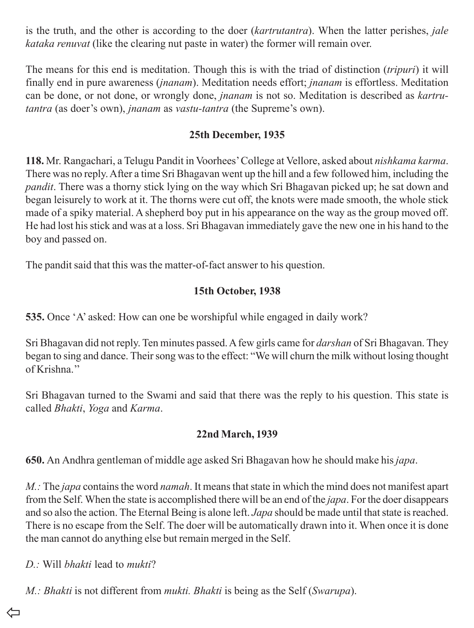is the truth, and the other is according to the doer (*kartrutantra*). When the latter perishes, *jale kataka renuvat* (like the clearing nut paste in water) the former will remain over.

The means for this end is meditation. Though this is with the triad of distinction (*tripuri*) it will finally end in pure awareness (*jnanam*). Meditation needs effort; *jnanam* is effortless. Meditation can be done, or not done, or wrongly done, *jnanam* is not so. Meditation is described as *kartrutantra* (as doer's own), *jnanam* as *vastu-tantra* (the Supreme's own).

### **25th December, 1935**

**118.** Mr. Rangachari, a Telugu Pandit in Voorhees' College at Vellore, asked about *nishkama karma*. There was no reply. After a time Sri Bhagavan went up the hill and a few followed him, including the *pandit*. There was a thorny stick lying on the way which Sri Bhagavan picked up; he sat down and began leisurely to work at it. The thorns were cut off, the knots were made smooth, the whole stick made of a spiky material. A shepherd boy put in his appearance on the way as the group moved off. He had lost his stick and was at a loss. Sri Bhagavan immediately gave the new one in his hand to the boy and passed on.

The pandit said that this was the matter-of-fact answer to his question.

## **15th October, 1938**

**535.** Once 'A' asked: How can one be worshipful while engaged in daily work?

Sri Bhagavan did not reply. Ten minutes passed. A few girls came for *darshan* of Sri Bhagavan. They began to sing and dance. Their song was to the effect: "We will churn the milk without losing thought of Krishna.''

Sri Bhagavan turned to the Swami and said that there was the reply to his question. This state is called *Bhakti*, *Yoga* and *Karma*.

### **22nd March, 1939**

**650.** An Andhra gentleman of middle age asked Sri Bhagavan how he should make his *japa*.

*M.:* The *japa* contains the word *namah*. It means that state in which the mind does not manifest apart from the Self. When the state is accomplished there will be an end of the *japa*. For the doer disappears and so also the action. The Eternal Being is alone left. *Japa* should be made until that state is reached. There is no escape from the Self. The doer will be automatically drawn into it. When once it is done the man cannot do anything else but remain merged in the Self.

*D.:* Will *bhakti* lead to *mukti*?

[Õ](#page-0-0)

*M.: Bhakti* is not different from *mukti. Bhakti* is being as the Self (*Swarupa*).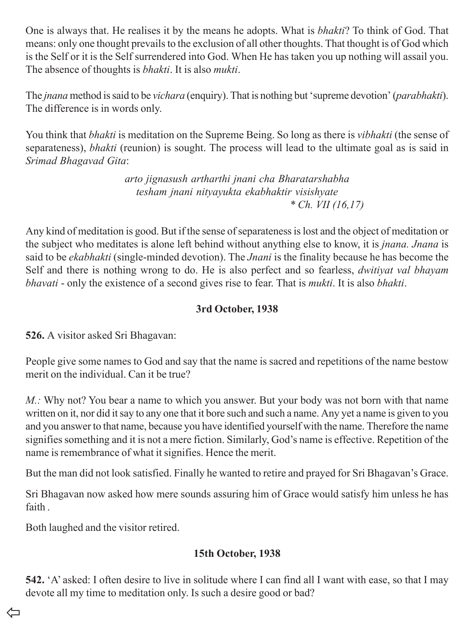One is always that. He realises it by the means he adopts. What is *bhakti*? To think of God. That means: only one thought prevails to the exclusion of all other thoughts. That thought is of God which is the Self or it is the Self surrendered into God. When He has taken you up nothing will assail you. The absence of thoughts is *bhakti*. It is also *mukti*.

The *jnana* method is said to be *vichara* (enquiry). That is nothing but 'supreme devotion' (*parabhakti*). The difference is in words only.

You think that *bhakti* is meditation on the Supreme Being. So long as there is *vibhakti* (the sense of separateness), *bhakti* (reunion) is sought. The process will lead to the ultimate goal as is said in *Srimad Bhagavad Gita*:

> *arto jignasush artharthi jnani cha Bharatarshabha tesham jnani nityayukta ekabhaktir visishyate \* Ch. VII (16,17)*

Any kind of meditation is good. But if the sense of separateness is lost and the object of meditation or the subject who meditates is alone left behind without anything else to know, it is *jnana. Jnana* is said to be *ekabhakti* (single-minded devotion). The *Jnani* is the finality because he has become the Self and there is nothing wrong to do. He is also perfect and so fearless, *dwitiyat val bhayam bhavati* - only the existence of a second gives rise to fear. That is *mukti*. It is also *bhakti*.

## **3rd October, 1938**

**526.** A visitor asked Sri Bhagavan:

People give some names to God and say that the name is sacred and repetitions of the name bestow merit on the individual. Can it be true?

*M.*: Why not? You bear a name to which you answer. But your body was not born with that name written on it, nor did it say to any one that it bore such and such a name. Any yet a name is given to you and you answer to that name, because you have identified yourself with the name. Therefore the name signifies something and it is not a mere fiction. Similarly, God's name is effective. Repetition of the name is remembrance of what it signifies. Hence the merit.

But the man did not look satisfied. Finally he wanted to retire and prayed for Sri Bhagavan's Grace.

Sri Bhagavan now asked how mere sounds assuring him of Grace would satisfy him unless he has faith .

Both laughed and the visitor retired.

 $\Leftrightarrow$ 

# **15th October, 1938**

**542.** 'A' asked: I often desire to live in solitude where I can find all I want with ease, so that I may devote all my time to meditation only. Is such a desire good or bad?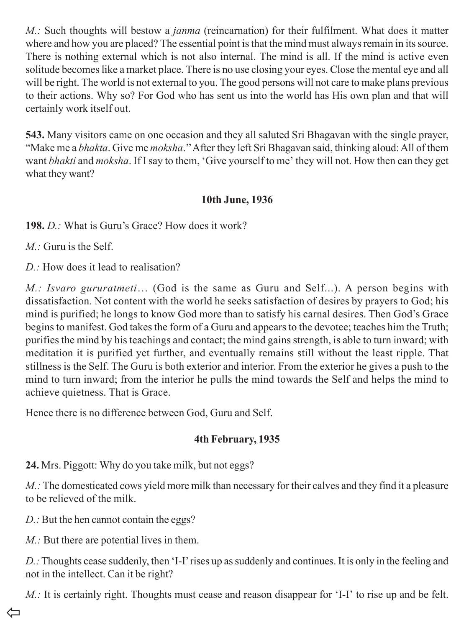*M.:* Such thoughts will bestow a *janma* (reincarnation) for their fulfilment. What does it matter where and how you are placed? The essential point is that the mind must always remain in its source. There is nothing external which is not also internal. The mind is all. If the mind is active even solitude becomes like a market place. There is no use closing your eyes. Close the mental eye and all will be right. The world is not external to you. The good persons will not care to make plans previous to their actions. Why so? For God who has sent us into the world has His own plan and that will certainly work itself out.

**543.** Many visitors came on one occasion and they all saluted Sri Bhagavan with the single prayer, "Make me a *bhakta*. Give me *moksha*.'' After they left Sri Bhagavan said, thinking aloud: All of them want *bhakti* and *moksha*. If I say to them, 'Give yourself to me' they will not. How then can they get what they want?

# **10th June, 1936**

**198.** *D.:* What is Guru's Grace? How does it work?

*M.:* Guru is the Self.

*D.:* How does it lead to realisation?

*M.: Isvaro gururatmeti*… (God is the same as Guru and Self...). A person begins with dissatisfaction. Not content with the world he seeks satisfaction of desires by prayers to God; his mind is purified; he longs to know God more than to satisfy his carnal desires. Then God's Grace begins to manifest. God takes the form of a Guru and appears to the devotee; teaches him the Truth; purifies the mind by his teachings and contact; the mind gains strength, is able to turn inward; with meditation it is purified yet further, and eventually remains still without the least ripple. That stillness is the Self. The Guru is both exterior and interior. From the exterior he gives a push to the mind to turn inward; from the interior he pulls the mind towards the Self and helps the mind to achieve quietness. That is Grace.

Hence there is no difference between God, Guru and Self.

## **4th February, 1935**

**24.** Mrs. Piggott: Why do you take milk, but not eggs?

*M.*: The domesticated cows yield more milk than necessary for their calves and they find it a pleasure to be relieved of the milk.

*D.:* But the hen cannot contain the eggs?

*M.*: But there are potential lives in them.

 $\Leftrightarrow$ 

*D.*: Thoughts cease suddenly, then 'I-I' rises up as suddenly and continues. It is only in the feeling and not in the intellect. Can it be right?

*M.:* It is certainly right. Thoughts must cease and reason disappear for 'I-I' to rise up and be felt.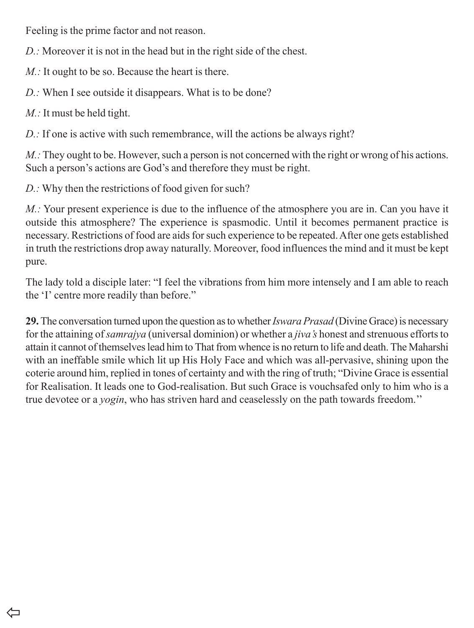Feeling is the prime factor and not reason.

*D.:* Moreover it is not in the head but in the right side of the chest.

*M.*: It ought to be so. Because the heart is there.

*D.:* When I see outside it disappears. What is to be done?

*M.:* It must be held tight.

 $\Leftrightarrow$ 

*D.*: If one is active with such remembrance, will the actions be always right?

*M.*: They ought to be. However, such a person is not concerned with the right or wrong of his actions. Such a person's actions are God's and therefore they must be right.

*D.:* Why then the restrictions of food given for such?

*M.:* Your present experience is due to the influence of the atmosphere you are in. Can you have it outside this atmosphere? The experience is spasmodic. Until it becomes permanent practice is necessary. Restrictions of food are aids for such experience to be repeated. After one gets established in truth the restrictions drop away naturally. Moreover, food influences the mind and it must be kept pure.

The lady told a disciple later: "I feel the vibrations from him more intensely and I am able to reach the 'I' centre more readily than before."

**29.** The conversation turned upon the question as to whether *Iswara Prasad* (Divine Grace) is necessary for the attaining of *samrajya* (universal dominion) or whether a *jiva's* honest and strenuous efforts to attain it cannot of themselves lead him to That from whence is no return to life and death. The Maharshi with an ineffable smile which lit up His Holy Face and which was all-pervasive, shining upon the coterie around him, replied in tones of certainty and with the ring of truth; "Divine Grace is essential for Realisation. It leads one to God-realisation. But such Grace is vouchsafed only to him who is a true devotee or a *yogin*, who has striven hard and ceaselessly on the path towards freedom.''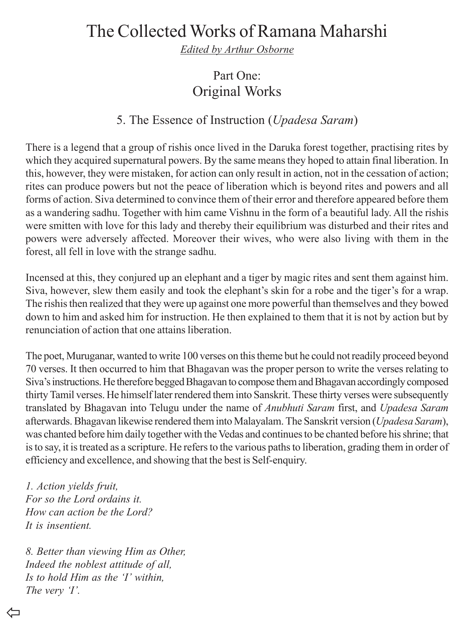# The Collected Works of Ramana Maharshi

*Edited by Arthur Osborne*

# Part One: Original Works

# 5. The Essence of Instruction (*Upadesa Saram*)

There is a legend that a group of rishis once lived in the Daruka forest together, practising rites by which they acquired supernatural powers. By the same means they hoped to attain final liberation. In this, however, they were mistaken, for action can only result in action, not in the cessation of action; rites can produce powers but not the peace of liberation which is beyond rites and powers and all forms of action. Siva determined to convince them of their error and therefore appeared before them as a wandering sadhu. Together with him came Vishnu in the form of a beautiful lady. All the rishis were smitten with love for this lady and thereby their equilibrium was disturbed and their rites and powers were adversely affected. Moreover their wives, who were also living with them in the forest, all fell in love with the strange sadhu.

Incensed at this, they conjured up an elephant and a tiger by magic rites and sent them against him. Siva, however, slew them easily and took the elephant's skin for a robe and the tiger's for a wrap. The rishis then realized that they were up against one more powerful than themselves and they bowed down to him and asked him for instruction. He then explained to them that it is not by action but by renunciation of action that one attains liberation.

The poet, Muruganar, wanted to write 100 verses on this theme but he could not readily proceed beyond 70 verses. It then occurred to him that Bhagavan was the proper person to write the verses relating to Siva's instructions. He therefore begged Bhagavan to compose them and Bhagavan accordingly composed thirty Tamil verses. He himself later rendered them into Sanskrit. These thirty verses were subsequently translated by Bhagavan into Telugu under the name of *Anubhuti Saram* first, and *Upadesa Saram* afterwards. Bhagavan likewise rendered them into Malayalam. The Sanskrit version (*Upadesa Saram*), was chanted before him daily together with the Vedas and continues to be chanted before his shrine; that is to say, it is treated as a scripture. He refers to the various paths to liberation, grading them in order of efficiency and excellence, and showing that the best is Self-enquiry.

*1. Action yields fruit, For so the Lord ordains it. How can action be the Lord? It is insentient.*

 $\Leftrightarrow$ 

*8. Better than viewing Him as Other, Indeed the noblest attitude of all, Is to hold Him as the 'I' within, The very 'I'.*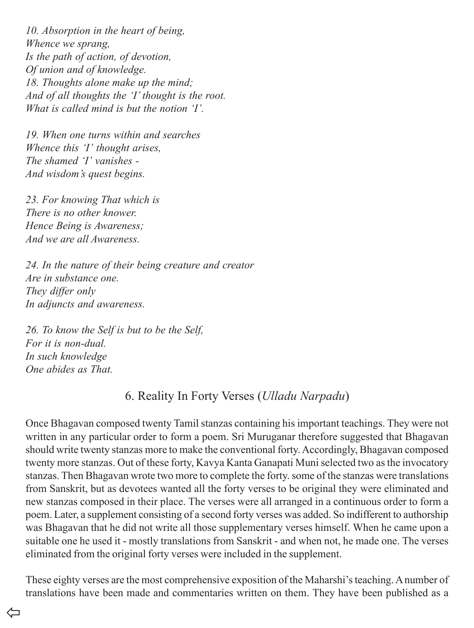*10. Absorption in the heart of being, Whence we sprang, Is the path of action, of devotion, Of union and of knowledge. 18. Thoughts alone make up the mind; And of all thoughts the 'I' thought is the root. What is called mind is but the notion 'I'.*

*19. When one turns within and searches Whence this 'I' thought arises, The shamed 'I' vanishes - And wisdom's quest begins.*

*23. For knowing That which is There is no other knower. Hence Being is Awareness; And we are all Awareness.*

*24. In the nature of their being creature and creator Are in substance one. They differ only In adjuncts and awareness.*

*26. To know the Self is but to be the Self, For it is non-dual. In such knowledge One abides as That.*

 $\Leftrightarrow$ 

# 6. Reality In Forty Verses (*Ulladu Narpadu*)

Once Bhagavan composed twenty Tamil stanzas containing his important teachings. They were not written in any particular order to form a poem. Sri Muruganar therefore suggested that Bhagavan should write twenty stanzas more to make the conventional forty. Accordingly, Bhagavan composed twenty more stanzas. Out of these forty, Kavya Kanta Ganapati Muni selected two as the invocatory stanzas. Then Bhagavan wrote two more to complete the forty. some of the stanzas were translations from Sanskrit, but as devotees wanted all the forty verses to be original they were eliminated and new stanzas composed in their place. The verses were all arranged in a continuous order to form a poem. Later, a supplement consisting of a second forty verses was added. So indifferent to authorship was Bhagavan that he did not write all those supplementary verses himself. When he came upon a suitable one he used it - mostly translations from Sanskrit - and when not, he made one. The verses eliminated from the original forty verses were included in the supplement.

These eighty verses are the most comprehensive exposition of the Maharshi's teaching. A number of translations have been made and commentaries written on them. They have been published as a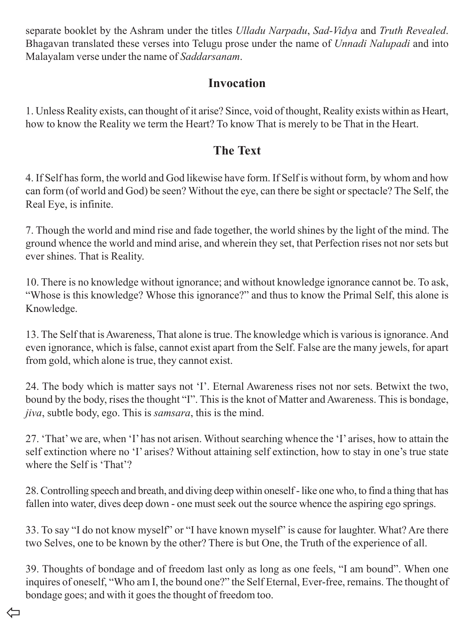separate booklet by the Ashram under the titles *Ulladu Narpadu*, *Sad-Vidya* and *Truth Revealed*. Bhagavan translated these verses into Telugu prose under the name of *Unnadi Nalupadi* and into Malayalam verse under the name of *Saddarsanam*.

# **Invocation**

1. Unless Reality exists, can thought of it arise? Since, void of thought, Reality exists within as Heart, how to know the Reality we term the Heart? To know That is merely to be That in the Heart.

# **The Text**

4. If Self has form, the world and God likewise have form. If Self is without form, by whom and how can form (of world and God) be seen? Without the eye, can there be sight or spectacle? The Self, the Real Eye, is infinite.

7. Though the world and mind rise and fade together, the world shines by the light of the mind. The ground whence the world and mind arise, and wherein they set, that Perfection rises not nor sets but ever shines. That is Reality.

10. There is no knowledge without ignorance; and without knowledge ignorance cannot be. To ask, "Whose is this knowledge? Whose this ignorance?" and thus to know the Primal Self, this alone is Knowledge.

13. The Self that is Awareness, That alone is true. The knowledge which is various is ignorance. And even ignorance, which is false, cannot exist apart from the Self. False are the many jewels, for apart from gold, which alone is true, they cannot exist.

24. The body which is matter says not 'I'. Eternal Awareness rises not nor sets. Betwixt the two, bound by the body, rises the thought "I". This is the knot of Matter and Awareness. This is bondage, *jiva*, subtle body, ego. This is *samsara*, this is the mind.

27. 'That' we are, when 'I' has not arisen. Without searching whence the 'I' arises, how to attain the self extinction where no 'I' arises? Without attaining self extinction, how to stay in one's true state where the Self is 'That'?

28. Controlling speech and breath, and diving deep within oneself - like one who, to find a thing that has fallen into water, dives deep down - one must seek out the source whence the aspiring ego springs.

33. To say "I do not know myself" or "I have known myself" is cause for laughter. What? Are there two Selves, one to be known by the other? There is but One, the Truth of the experience of all.

39. Thoughts of bondage and of freedom last only as long as one feels, "I am bound". When one inquires of oneself, "Who am I, the bound one?" the Self Eternal, Ever-free, remains. The thought of bondage goes; and with it goes the thought of freedom too.

[Õ](#page-0-0)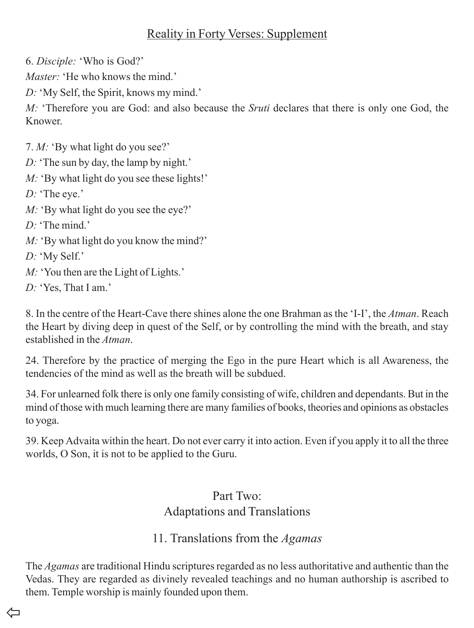# Reality in Forty Verses: Supplement

6. *Disciple:* 'Who is God?'

*Master:* 'He who knows the mind.'

*D:* 'My Self, the Spirit, knows my mind.'

*M:* 'Therefore you are God: and also because the *Sruti* declares that there is only one God, the Knower.

7. *M:* 'By what light do you see?'

*D:* 'The sun by day, the lamp by night.'

*M:* 'By what light do you see these lights!'

*D:* 'The eye.'

- *M*: 'By what light do you see the eye?'
- *D:* 'The mind.'
- *M*: 'By what light do you know the mind?'

*D:* 'My Self.'

 $\Leftrightarrow$ 

- *M:* 'You then are the Light of Lights.'
- *D:* 'Yes, That I am.'

8. In the centre of the Heart-Cave there shines alone the one Brahman as the 'I-I', the *Atman*. Reach the Heart by diving deep in quest of the Self, or by controlling the mind with the breath, and stay established in the *Atman*.

24. Therefore by the practice of merging the Ego in the pure Heart which is all Awareness, the tendencies of the mind as well as the breath will be subdued.

34. For unlearned folk there is only one family consisting of wife, children and dependants. But in the mind of those with much learning there are many families of books, theories and opinions as obstacles to yoga.

39. Keep Advaita within the heart. Do not ever carry it into action. Even if you apply it to all the three worlds, O Son, it is not to be applied to the Guru.

# Part Two: Adaptations and Translations

# 11. Translations from the *Agamas*

The *Agamas* are traditional Hindu scriptures regarded as no less authoritative and authentic than the Vedas. They are regarded as divinely revealed teachings and no human authorship is ascribed to them. Temple worship is mainly founded upon them.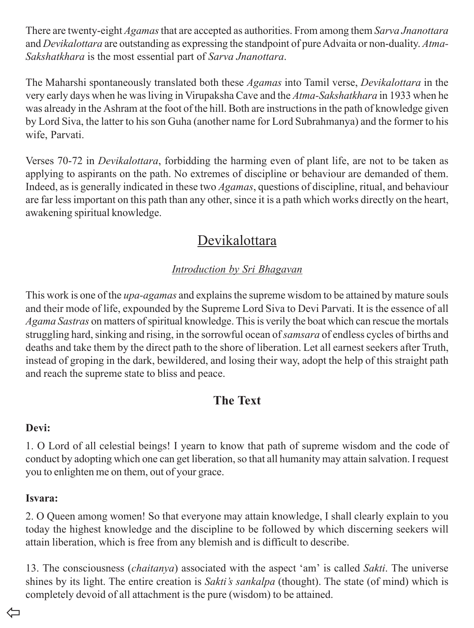There are twenty-eight *Agamas* that are accepted as authorities. From among them *Sarva Jnanottara* and *Devikalottara* are outstanding as expressing the standpoint of pure Advaita or non-duality. *Atma-Sakshatkhara* is the most essential part of *Sarva Jnanottara*.

The Maharshi spontaneously translated both these *Agamas* into Tamil verse, *Devikalottara* in the very early days when he was living in Virupaksha Cave and the *Atma-Sakshatkhara* in 1933 when he was already in the Ashram at the foot of the hill. Both are instructions in the path of knowledge given by Lord Siva, the latter to his son Guha (another name for Lord Subrahmanya) and the former to his wife, Parvati.

Verses 70-72 in *Devikalottara*, forbidding the harming even of plant life, are not to be taken as applying to aspirants on the path. No extremes of discipline or behaviour are demanded of them. Indeed, as is generally indicated in these two *Agamas*, questions of discipline, ritual, and behaviour are far less important on this path than any other, since it is a path which works directly on the heart, awakening spiritual knowledge.

# Devikalottara

# *Introduction by Sri Bhagavan*

This work is one of the *upa-agamas* and explains the supreme wisdom to be attained by mature souls and their mode of life, expounded by the Supreme Lord Siva to Devi Parvati. It is the essence of all *Agama Sastras* on matters of spiritual knowledge. This is verily the boat which can rescue the mortals struggling hard, sinking and rising, in the sorrowful ocean of *samsara* of endless cycles of births and deaths and take them by the direct path to the shore of liberation. Let all earnest seekers after Truth, instead of groping in the dark, bewildered, and losing their way, adopt the help of this straight path and reach the supreme state to bliss and peace.

# **The Text**

## **Devi:**

1. O Lord of all celestial beings! I yearn to know that path of supreme wisdom and the code of conduct by adopting which one can get liberation, so that all humanity may attain salvation. I request you to enlighten me on them, out of your grace.

# **Isvara:**

 $\Leftrightarrow$ 

2. O Queen among women! So that everyone may attain knowledge, I shall clearly explain to you today the highest knowledge and the discipline to be followed by which discerning seekers will attain liberation, which is free from any blemish and is difficult to describe.

13. The consciousness (*chaitanya*) associated with the aspect 'am' is called *Sakti*. The universe shines by its light. The entire creation is *Sakti's sankalpa* (thought). The state (of mind) which is completely devoid of all attachment is the pure (wisdom) to be attained.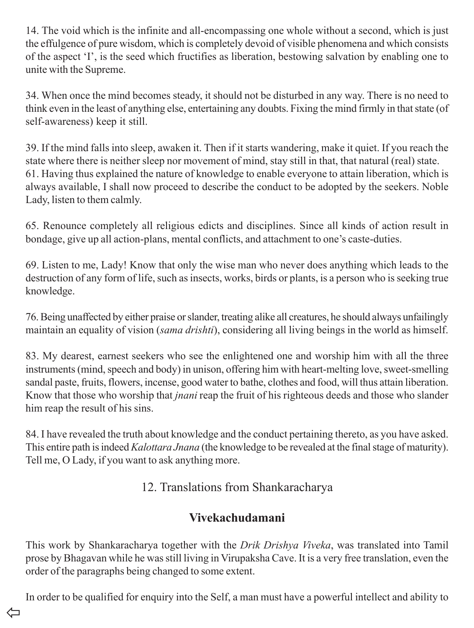14. The void which is the infinite and all-encompassing one whole without a second, which is just the effulgence of pure wisdom, which is completely devoid of visible phenomena and which consists of the aspect 'I', is the seed which fructifies as liberation, bestowing salvation by enabling one to unite with the Supreme.

34. When once the mind becomes steady, it should not be disturbed in any way. There is no need to think even in the least of anything else, entertaining any doubts. Fixing the mind firmly in that state (of self-awareness) keep it still.

39. If the mind falls into sleep, awaken it. Then if it starts wandering, make it quiet. If you reach the state where there is neither sleep nor movement of mind, stay still in that, that natural (real) state. 61. Having thus explained the nature of knowledge to enable everyone to attain liberation, which is always available, I shall now proceed to describe the conduct to be adopted by the seekers. Noble Lady, listen to them calmly.

65. Renounce completely all religious edicts and disciplines. Since all kinds of action result in bondage, give up all action-plans, mental conflicts, and attachment to one's caste-duties.

69. Listen to me, Lady! Know that only the wise man who never does anything which leads to the destruction of any form of life, such as insects, works, birds or plants, is a person who is seeking true knowledge.

76. Being unaffected by either praise or slander, treating alike all creatures, he should always unfailingly maintain an equality of vision (*sama drishti*), considering all living beings in the world as himself.

83. My dearest, earnest seekers who see the enlightened one and worship him with all the three instruments (mind, speech and body) in unison, offering him with heart-melting love, sweet-smelling sandal paste, fruits, flowers, incense, good water to bathe, clothes and food, will thus attain liberation. Know that those who worship that *jnani* reap the fruit of his righteous deeds and those who slander him reap the result of his sins.

84. I have revealed the truth about knowledge and the conduct pertaining thereto, as you have asked. This entire path is indeed *Kalottara Jnana* (the knowledge to be revealed at the final stage of maturity). Tell me, O Lady, if you want to ask anything more.

12. Translations from Shankaracharya

# **Vivekachudamani**

This work by Shankaracharya together with the *Drik Drishya Viveka*, was translated into Tamil prose by Bhagavan while he was still living in Virupaksha Cave. It is a very free translation, even the order of the paragraphs being changed to some extent.

In order to be qualified for enquiry into the Self, a man must have a powerful intellect and ability to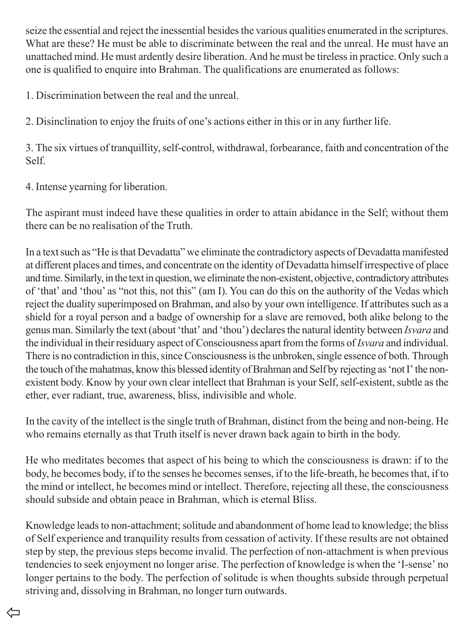seize the essential and reject the inessential besides the various qualities enumerated in the scriptures. What are these? He must be able to discriminate between the real and the unreal. He must have an unattached mind. He must ardently desire liberation. And he must be tireless in practice. Only such a one is qualified to enquire into Brahman. The qualifications are enumerated as follows:

1. Discrimination between the real and the unreal.

2. Disinclination to enjoy the fruits of one's actions either in this or in any further life.

3. The six virtues of tranquillity, self-control, withdrawal, forbearance, faith and concentration of the Self.

4. Intense yearning for liberation.

 $\Leftrightarrow$ 

The aspirant must indeed have these qualities in order to attain abidance in the Self; without them there can be no realisation of the Truth.

In a text such as "He is that Devadatta" we eliminate the contradictory aspects of Devadatta manifested at different places and times, and concentrate on the identity of Devadatta himself irrespective of place and time. Similarly, in the text in question, we eliminate the non-existent, objective, contradictory attributes of 'that' and 'thou' as "not this, not this" (am I). You can do this on the authority of the Vedas which reject the duality superimposed on Brahman, and also by your own intelligence. If attributes such as a shield for a royal person and a badge of ownership for a slave are removed, both alike belong to the genus man. Similarly the text (about 'that' and 'thou') declares the natural identity between *Isvara* and the individual in their residuary aspect of Consciousness apart from the forms of *Isvara* and individual. There is no contradiction in this, since Consciousness is the unbroken, single essence of both. Through the touch of the mahatmas, know this blessed identity of Brahman and Self by rejecting as 'not I' the nonexistent body. Know by your own clear intellect that Brahman is your Self, self-existent, subtle as the ether, ever radiant, true, awareness, bliss, indivisible and whole.

In the cavity of the intellect is the single truth of Brahman, distinct from the being and non-being. He who remains eternally as that Truth itself is never drawn back again to birth in the body.

He who meditates becomes that aspect of his being to which the consciousness is drawn: if to the body, he becomes body, if to the senses he becomes senses, if to the life-breath, he becomes that, if to the mind or intellect, he becomes mind or intellect. Therefore, rejecting all these, the consciousness should subside and obtain peace in Brahman, which is eternal Bliss.

Knowledge leads to non-attachment; solitude and abandonment of home lead to knowledge; the bliss of Self experience and tranquility results from cessation of activity. If these results are not obtained step by step, the previous steps become invalid. The perfection of non-attachment is when previous tendencies to seek enjoyment no longer arise. The perfection of knowledge is when the 'I-sense' no longer pertains to the body. The perfection of solitude is when thoughts subside through perpetual striving and, dissolving in Brahman, no longer turn outwards.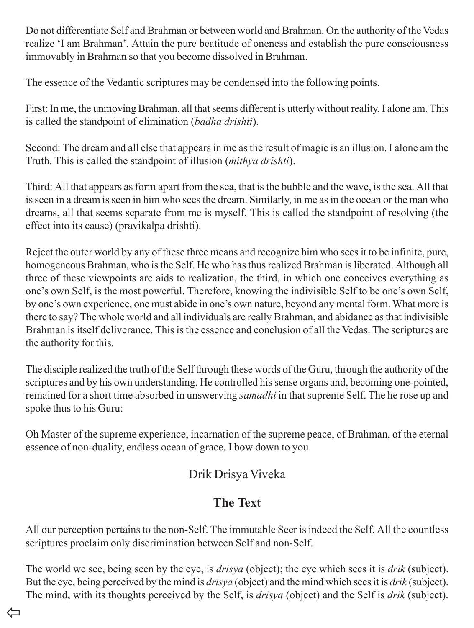Do not differentiate Self and Brahman or between world and Brahman. On the authority of the Vedas realize 'I am Brahman'. Attain the pure beatitude of oneness and establish the pure consciousness immovably in Brahman so that you become dissolved in Brahman.

The essence of the Vedantic scriptures may be condensed into the following points.

First: In me, the unmoving Brahman, all that seems different is utterly without reality. I alone am. This is called the standpoint of elimination (*badha drishti*).

Second: The dream and all else that appears in me as the result of magic is an illusion. I alone am the Truth. This is called the standpoint of illusion (*mithya drishti*).

Third: All that appears as form apart from the sea, that is the bubble and the wave, is the sea. All that is seen in a dream is seen in him who sees the dream. Similarly, in me as in the ocean or the man who dreams, all that seems separate from me is myself. This is called the standpoint of resolving (the effect into its cause) (pravikalpa drishti).

Reject the outer world by any of these three means and recognize him who sees it to be infinite, pure, homogeneous Brahman, who is the Self. He who has thus realized Brahman is liberated. Although all three of these viewpoints are aids to realization, the third, in which one conceives everything as one's own Self, is the most powerful. Therefore, knowing the indivisible Self to be one's own Self, by one's own experience, one must abide in one's own nature, beyond any mental form. What more is there to say? The whole world and all individuals are really Brahman, and abidance as that indivisible Brahman is itself deliverance. This is the essence and conclusion of all the Vedas. The scriptures are the authority for this.

The disciple realized the truth of the Self through these words of the Guru, through the authority of the scriptures and by his own understanding. He controlled his sense organs and, becoming one-pointed, remained for a short time absorbed in unswerving *samadhi* in that supreme Self. The he rose up and spoke thus to his Guru:

Oh Master of the supreme experience, incarnation of the supreme peace, of Brahman, of the eternal essence of non-duality, endless ocean of grace, I bow down to you.

# Drik Drisya Viveka

# **The Text**

All our perception pertains to the non-Self. The immutable Seer is indeed the Self. All the countless scriptures proclaim only discrimination between Self and non-Self.

The world we see, being seen by the eye, is *drisya* (object); the eye which sees it is *drik* (subject). But the eye, being perceived by the mind is *drisya* (object) and the mind which sees it is *drik* (subject). The mind, with its thoughts perceived by the Self, is *drisya* (object) and the Self is *drik* (subject).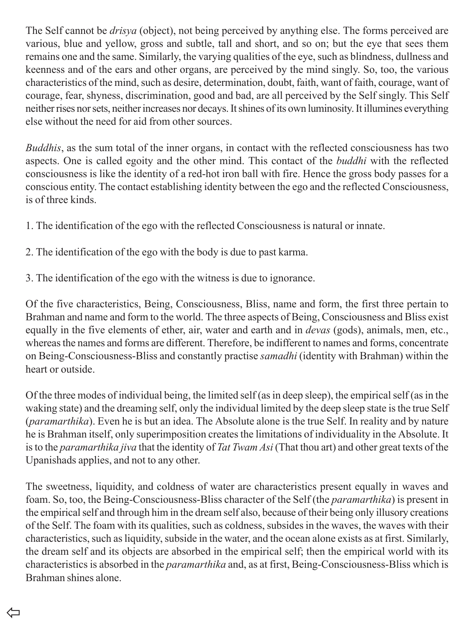The Self cannot be *drisya* (object), not being perceived by anything else. The forms perceived are various, blue and yellow, gross and subtle, tall and short, and so on; but the eye that sees them remains one and the same. Similarly, the varying qualities of the eye, such as blindness, dullness and keenness and of the ears and other organs, are perceived by the mind singly. So, too, the various characteristics of the mind, such as desire, determination, doubt, faith, want of faith, courage, want of courage, fear, shyness, discrimination, good and bad, are all perceived by the Self singly. This Self neither rises nor sets, neither increases nor decays. It shines of its own luminosity. It illumines everything else without the need for aid from other sources.

*Buddhis*, as the sum total of the inner organs, in contact with the reflected consciousness has two aspects. One is called egoity and the other mind. This contact of the *buddhi* with the reflected consciousness is like the identity of a red-hot iron ball with fire. Hence the gross body passes for a conscious entity. The contact establishing identity between the ego and the reflected Consciousness, is of three kinds.

- 1. The identification of the ego with the reflected Consciousness is natural or innate.
- 2. The identification of the ego with the body is due to past karma.
- 3. The identification of the ego with the witness is due to ignorance.

 $\Leftrightarrow$ 

Of the five characteristics, Being, Consciousness, Bliss, name and form, the first three pertain to Brahman and name and form to the world. The three aspects of Being, Consciousness and Bliss exist equally in the five elements of ether, air, water and earth and in *devas* (gods), animals, men, etc., whereas the names and forms are different. Therefore, be indifferent to names and forms, concentrate on Being-Consciousness-Bliss and constantly practise *samadhi* (identity with Brahman) within the heart or outside.

Of the three modes of individual being, the limited self (as in deep sleep), the empirical self (as in the waking state) and the dreaming self, only the individual limited by the deep sleep state is the true Self (*paramarthika*). Even he is but an idea. The Absolute alone is the true Self. In reality and by nature he is Brahman itself, only superimposition creates the limitations of individuality in the Absolute. It is to the *paramarthika jiva* that the identity of *Tat Twam Asi* (That thou art) and other great texts of the Upanishads applies, and not to any other.

The sweetness, liquidity, and coldness of water are characteristics present equally in waves and foam. So, too, the Being-Consciousness-Bliss character of the Self (the *paramarthika*) is present in the empirical self and through him in the dream self also, because of their being only illusory creations of the Self. The foam with its qualities, such as coldness, subsides in the waves, the waves with their characteristics, such as liquidity, subside in the water, and the ocean alone exists as at first. Similarly, the dream self and its objects are absorbed in the empirical self; then the empirical world with its characteristics is absorbed in the *paramarthika* and, as at first, Being-Consciousness-Bliss which is Brahman shines alone.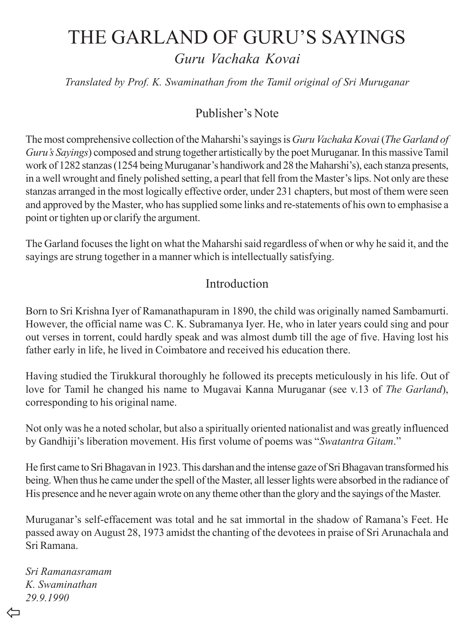# THE GARLAND OF GURU'S SAYINGS

*Guru Vachaka Kovai*

*Translated by Prof. K. Swaminathan from the Tamil original of Sri Muruganar*

Publisher's Note

The most comprehensive collection of the Maharshi's sayings is *Guru Vachaka Kovai* (*The Garland of Guru's Sayings*) composed and strung together artistically by the poet Muruganar. In this massive Tamil work of 1282 stanzas (1254 being Muruganar's handiwork and 28 the Maharshi's), each stanza presents, in a well wrought and finely polished setting, a pearl that fell from the Master's lips. Not only are these stanzas arranged in the most logically effective order, under 231 chapters, but most of them were seen and approved by the Master, who has supplied some links and re-statements of his own to emphasise a point or tighten up or clarify the argument.

The Garland focuses the light on what the Maharshi said regardless of when or why he said it, and the sayings are strung together in a manner which is intellectually satisfying.

# **Introduction**

Born to Sri Krishna Iyer of Ramanathapuram in 1890, the child was originally named Sambamurti. However, the official name was C. K. Subramanya Iyer. He, who in later years could sing and pour out verses in torrent, could hardly speak and was almost dumb till the age of five. Having lost his father early in life, he lived in Coimbatore and received his education there.

Having studied the Tirukkural thoroughly he followed its precepts meticulously in his life. Out of love for Tamil he changed his name to Mugavai Kanna Muruganar (see v.13 of *The Garland*), corresponding to his original name.

Not only was he a noted scholar, but also a spiritually oriented nationalist and was greatly influenced by Gandhiji's liberation movement. His first volume of poems was "*Swatantra Gitam*."

He first came to Sri Bhagavan in 1923. This darshan and the intense gaze of Sri Bhagavan transformed his being. When thus he came under the spell of the Master, all lesser lights were absorbed in the radiance of His presence and he never again wrote on any theme other than the glory and the sayings of the Master.

Muruganar's self-effacement was total and he sat immortal in the shadow of Ramana's Feet. He passed away on August 28, 1973 amidst the chanting of the devotees in praise of Sri Arunachala and Sri Ramana.

*Sri Ramanasramam K. Swaminathan 29.9.1990*

[Õ](#page-0-0)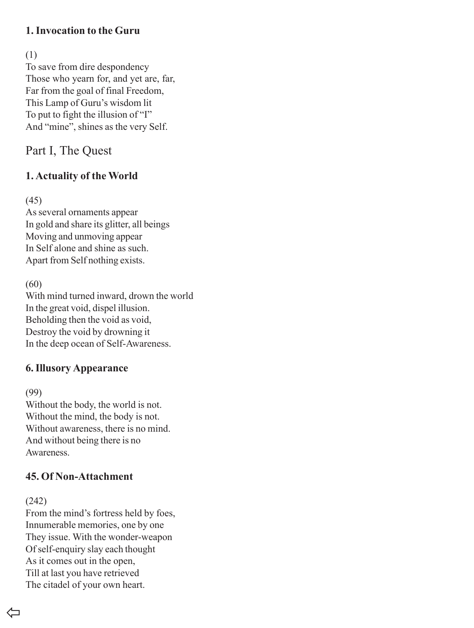### **1. Invocation to the Guru**

(1)

To save from dire despondency Those who yearn for, and yet are, far, Far from the goal of final Freedom, This Lamp of Guru's wisdom lit To put to fight the illusion of "I" And "mine", shines as the very Self.

Part I, The Quest

# **1. Actuality of the World**

(45)

As several ornaments appear In gold and share its glitter, all beings Moving and unmoving appear In Self alone and shine as such. Apart from Self nothing exists.

(60)

With mind turned inward, drown the world In the great void, dispel illusion. Beholding then the void as void, Destroy the void by drowning it In the deep ocean of Self-Awareness.

## **6. Illusory Appearance**

(99)

Without the body, the world is not. Without the mind, the body is not. Without awareness, there is no mind. And without being there is no **Awareness** 

# **45. Of Non-Attachment**

(242)

 $\Leftrightarrow$ 

From the mind's fortress held by foes, Innumerable memories, one by one They issue. With the wonder-weapon Of self-enquiry slay each thought As it comes out in the open, Till at last you have retrieved The citadel of your own heart.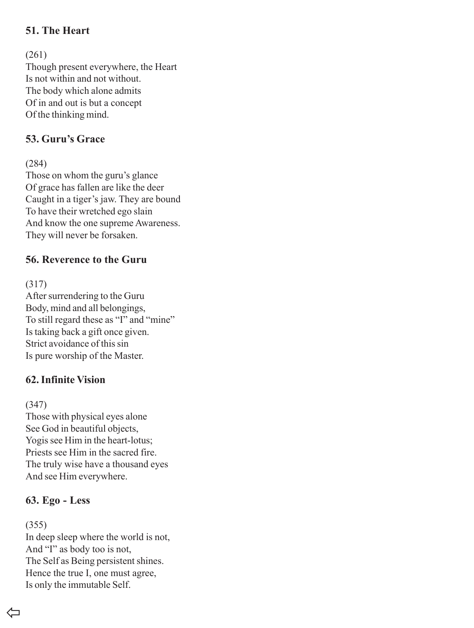### **51. The Heart**

(261)

Though present everywhere, the Heart Is not within and not without. The body which alone admits Of in and out is but a concept Of the thinking mind.

## **53. Guru's Grace**

(284)

Those on whom the guru's glance Of grace has fallen are like the deer Caught in a tiger's jaw. They are bound To have their wretched ego slain And know the one supreme Awareness. They will never be forsaken.

### **56. Reverence to the Guru**

(317)

After surrendering to the Guru Body, mind and all belongings, To still regard these as "I" and "mine" Is taking back a gift once given. Strict avoidance of this sin Is pure worship of the Master.

## **62. Infinite Vision**

(347)

Those with physical eyes alone See God in beautiful objects, Yogis see Him in the heart-lotus; Priests see Him in the sacred fire. The truly wise have a thousand eyes And see Him everywhere.

## **63. Ego - Less**

### (355)

 $\Leftrightarrow$ 

In deep sleep where the world is not, And "I" as body too is not, The Self as Being persistent shines. Hence the true I, one must agree, Is only the immutable Self.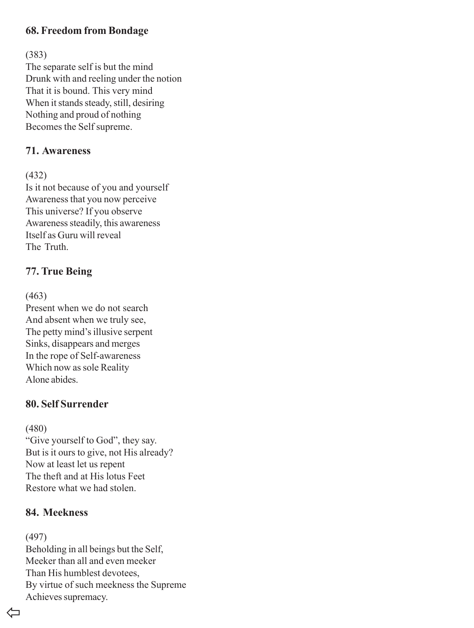### **68. Freedom from Bondage**

(383)

The separate self is but the mind Drunk with and reeling under the notion That it is bound. This very mind When it stands steady, still, desiring Nothing and proud of nothing Becomes the Self supreme.

#### **71. Awareness**

(432)

Is it not because of you and yourself Awareness that you now perceive This universe? If you observe Awareness steadily, this awareness Itself as Guru will reveal The Truth.

### **77. True Being**

#### (463)

Present when we do not search And absent when we truly see, The petty mind's illusive serpent Sinks, disappears and merges In the rope of Self-awareness Which now as sole Reality Alone abides.

### **80. Self Surrender**

(480)

"Give yourself to God", they say. But is it ours to give, not His already? Now at least let us repent The theft and at His lotus Feet Restore what we had stolen.

### **84. Meekness**

(497)

[Õ](#page-0-0)

Beholding in all beings but the Self, Meeker than all and even meeker Than His humblest devotees, By virtue of such meekness the Supreme Achieves supremacy.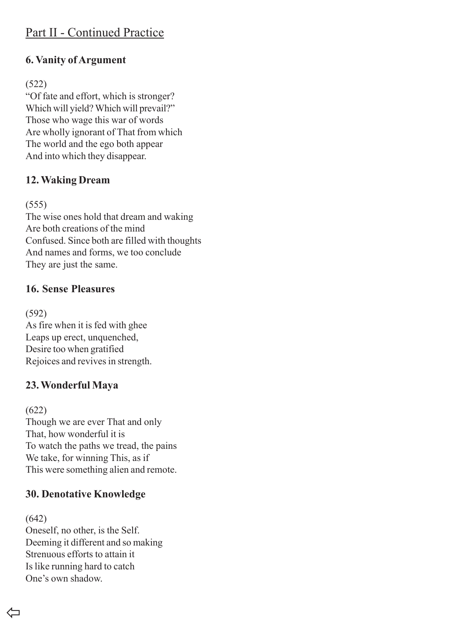# Part II - Continued Practice

# **6. Vanity of Argument**

#### (522)

"Of fate and effort, which is stronger? Which will yield? Which will prevail?" Those who wage this war of words Are wholly ignorant of That from which The world and the ego both appear And into which they disappear.

## **12. Waking Dream**

#### (555)

The wise ones hold that dream and waking Are both creations of the mind Confused. Since both are filled with thoughts And names and forms, we too conclude They are just the same.

### **16. Sense Pleasures**

(592)

As fire when it is fed with ghee Leaps up erect, unquenched, Desire too when gratified Rejoices and revives in strength.

## **23. Wonderful Maya**

(622)

Though we are ever That and only That, how wonderful it is To watch the paths we tread, the pains We take, for winning This, as if This were something alien and remote.

# **30. Denotative Knowledge**

(642)

 $\Leftrightarrow$ 

Oneself, no other, is the Self. Deeming it different and so making Strenuous efforts to attain it Is like running hard to catch One's own shadow.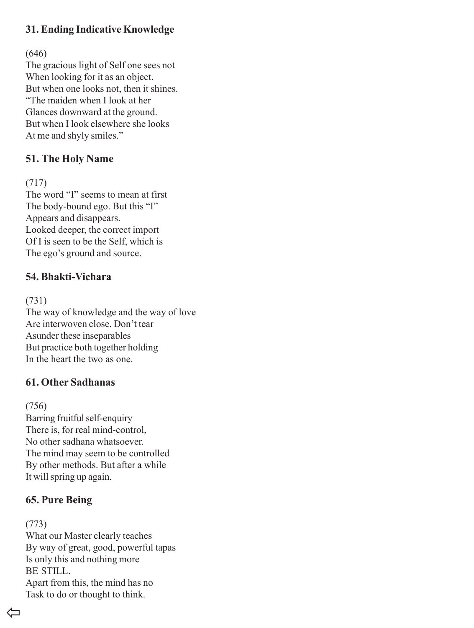# **31. Ending Indicative Knowledge**

(646)

The gracious light of Self one sees not When looking for it as an object. But when one looks not, then it shines. "The maiden when I look at her Glances downward at the ground. But when I look elsewhere she looks At me and shyly smiles."

## **51. The Holy Name**

(717)

The word "I" seems to mean at first The body-bound ego. But this "I" Appears and disappears. Looked deeper, the correct import Of I is seen to be the Self, which is The ego's ground and source.

### **54. Bhakti-Vichara**

(731)

The way of knowledge and the way of love Are interwoven close. Don't tear Asunder these inseparables But practice both together holding In the heart the two as one.

## **61. Other Sadhanas**

(756)

Barring fruitful self-enquiry There is, for real mind-control, No other sadhana whatsoever. The mind may seem to be controlled By other methods. But after a while It will spring up again.

## **65. Pure Being**

(773)

 $\Leftrightarrow$ 

What our Master clearly teaches By way of great, good, powerful tapas Is only this and nothing more BE STILL. Apart from this, the mind has no Task to do or thought to think.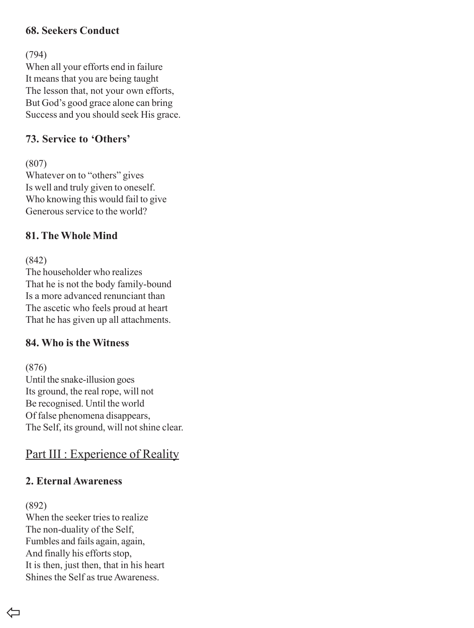#### **68. Seekers Conduct**

(794)

When all your efforts end in failure It means that you are being taught The lesson that, not your own efforts, But God's good grace alone can bring Success and you should seek His grace.

#### **73. Service to 'Others'**

(807)

Whatever on to "others" gives Is well and truly given to oneself. Who knowing this would fail to give Generous service to the world?

### **81. The Whole Mind**

(842)

The householder who realizes That he is not the body family-bound Is a more advanced renunciant than The ascetic who feels proud at heart That he has given up all attachments.

### **84. Who is the Witness**

(876) Until the snake-illusion goes Its ground, the real rope, will not Be recognised. Until the world Of false phenomena disappears, The Self, its ground, will not shine clear.

# Part III : Experience of Reality

### **2. Eternal Awareness**

(892)

 $\Leftrightarrow$ 

When the seeker tries to realize The non-duality of the Self, Fumbles and fails again, again, And finally his efforts stop, It is then, just then, that in his heart Shines the Self as true Awareness.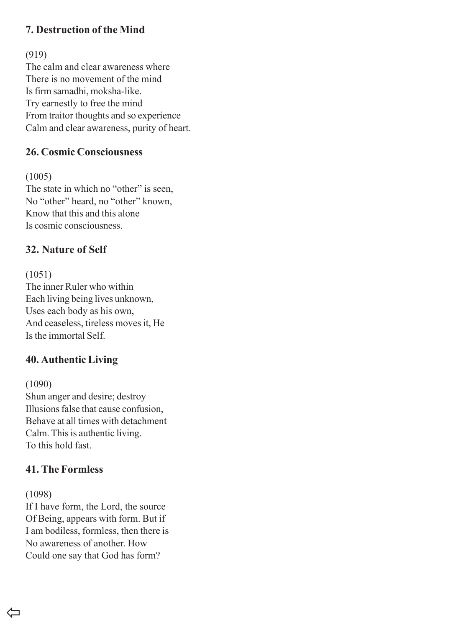# **7. Destruction of the Mind**

(919)

The calm and clear awareness where There is no movement of the mind Is firm samadhi, moksha-like. Try earnestly to free the mind From traitor thoughts and so experience Calm and clear awareness, purity of heart.

#### **26. Cosmic Consciousness**

(1005)

The state in which no "other" is seen. No "other" heard, no "other" known, Know that this and this alone Is cosmic consciousness.

## **32. Nature of Self**

(1051) The inner Ruler who within Each living being lives unknown, Uses each body as his own, And ceaseless, tireless moves it, He Is the immortal Self.

### **40. Authentic Living**

(1090)

Shun anger and desire; destroy Illusions false that cause confusion, Behave at all times with detachment Calm. This is authentic living. To this hold fast.

### **41. The Formless**

(1098)

 $\Leftrightarrow$ 

If I have form, the Lord, the source Of Being, appears with form. But if I am bodiless, formless, then there is No awareness of another. How Could one say that God has form?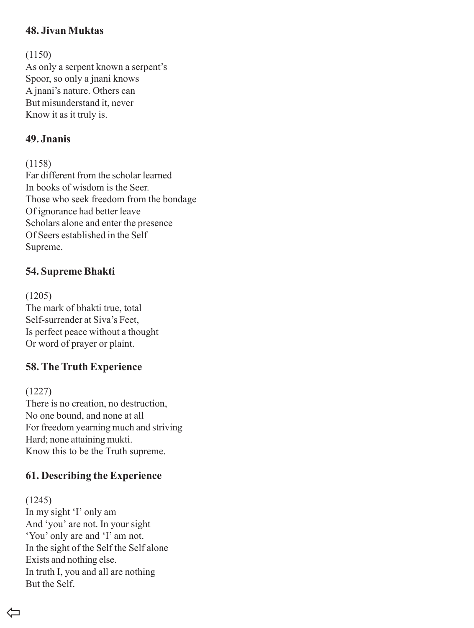### **48. Jivan Muktas**

(1150) As only a serpent known a serpent's Spoor, so only a jnani knows A jnani's nature. Others can But misunderstand it, never Know it as it truly is.

#### **49. Jnanis**

(1158) Far different from the scholar learned In books of wisdom is the Seer. Those who seek freedom from the bondage Of ignorance had better leave Scholars alone and enter the presence Of Seers established in the Self Supreme.

### **54. Supreme Bhakti**

(1205) The mark of bhakti true, total Self-surrender at Siva's Feet, Is perfect peace without a thought Or word of prayer or plaint.

### **58. The Truth Experience**

(1227)

There is no creation, no destruction, No one bound, and none at all For freedom yearning much and striving Hard; none attaining mukti. Know this to be the Truth supreme.

## **61. Describing the Experience**

(1245)

 $\Leftrightarrow$ 

In my sight 'I' only am And 'you' are not. In your sight 'You' only are and 'I' am not. In the sight of the Self the Self alone Exists and nothing else. In truth I, you and all are nothing But the Self.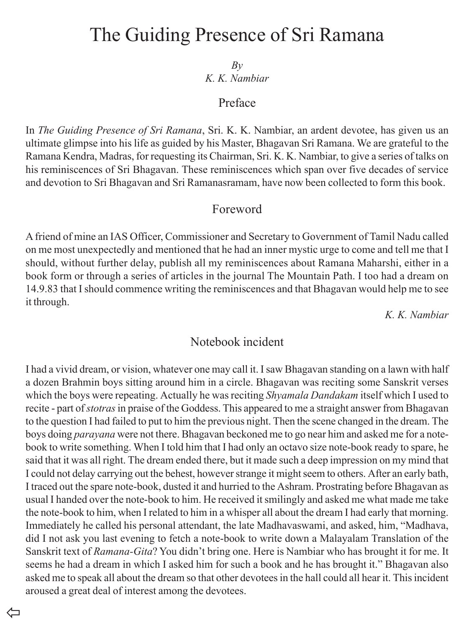## The Guiding Presence of Sri Ramana

*By*

*K. K. Nambiar*

#### Preface

In *The Guiding Presence of Sri Ramana*, Sri. K. K. Nambiar, an ardent devotee, has given us an ultimate glimpse into his life as guided by his Master, Bhagavan Sri Ramana. We are grateful to the Ramana Kendra, Madras, for requesting its Chairman, Sri. K. K. Nambiar, to give a series of talks on his reminiscences of Sri Bhagavan. These reminiscences which span over five decades of service and devotion to Sri Bhagavan and Sri Ramanasramam, have now been collected to form this book.

#### Foreword

A friend of mine an IAS Officer, Commissioner and Secretary to Government of Tamil Nadu called on me most unexpectedly and mentioned that he had an inner mystic urge to come and tell me that I should, without further delay, publish all my reminiscences about Ramana Maharshi, either in a book form or through a series of articles in the journal The Mountain Path. I too had a dream on 14.9.83 that I should commence writing the reminiscences and that Bhagavan would help me to see it through.

*K. K. Nambiar*

#### Notebook incident

I had a vivid dream, or vision, whatever one may call it. I saw Bhagavan standing on a lawn with half a dozen Brahmin boys sitting around him in a circle. Bhagavan was reciting some Sanskrit verses which the boys were repeating. Actually he was reciting *Shyamala Dandakam* itself which I used to recite - part of *stotras* in praise of the Goddess. This appeared to me a straight answer from Bhagavan to the question I had failed to put to him the previous night. Then the scene changed in the dream. The boys doing *parayana* were not there. Bhagavan beckoned me to go near him and asked me for a notebook to write something. When I told him that I had only an octavo size note-book ready to spare, he said that it was all right. The dream ended there, but it made such a deep impression on my mind that I could not delay carrying out the behest, however strange it might seem to others. After an early bath, I traced out the spare note-book, dusted it and hurried to the Ashram. Prostrating before Bhagavan as usual I handed over the note-book to him. He received it smilingly and asked me what made me take the note-book to him, when I related to him in a whisper all about the dream I had early that morning. Immediately he called his personal attendant, the late Madhavaswami, and asked, him, "Madhava, did I not ask you last evening to fetch a note-book to write down a Malayalam Translation of the Sanskrit text of *Ramana-Gita*? You didn't bring one. Here is Nambiar who has brought it for me. It seems he had a dream in which I asked him for such a book and he has brought it." Bhagavan also asked me to speak all about the dream so that other devotees in the hall could all hear it. This incident aroused a great deal of interest among the devotees.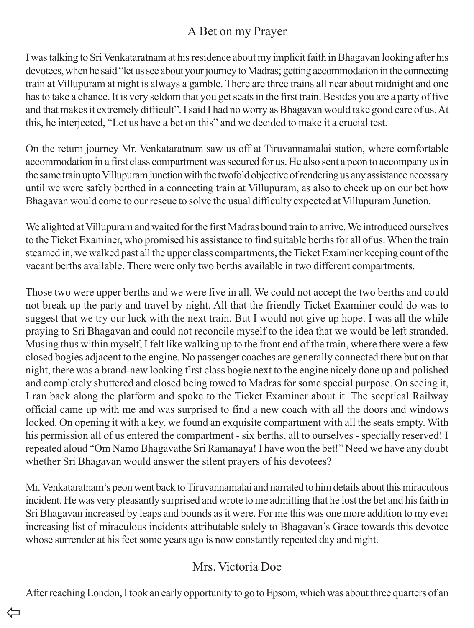## A Bet on my Prayer

I was talking to Sri Venkataratnam at his residence about my implicit faith in Bhagavan looking after his devotees, when he said "let us see about your journey to Madras; getting accommodation in the connecting train at Villupuram at night is always a gamble. There are three trains all near about midnight and one has to take a chance. It is very seldom that you get seats in the first train. Besides you are a party of five and that makes it extremely difficult". I said I had no worry as Bhagavan would take good care of us. At this, he interjected, "Let us have a bet on this" and we decided to make it a crucial test.

On the return journey Mr. Venkataratnam saw us off at Tiruvannamalai station, where comfortable accommodation in a first class compartment was secured for us. He also sent a peon to accompany us in the same train upto Villupuram junction with the twofold objective of rendering us any assistance necessary until we were safely berthed in a connecting train at Villupuram, as also to check up on our bet how Bhagavan would come to our rescue to solve the usual difficulty expected at Villupuram Junction.

We alighted at Villupuram and waited for the first Madras bound train to arrive. We introduced ourselves to the Ticket Examiner, who promised his assistance to find suitable berths for all of us. When the train steamed in, we walked past all the upper class compartments, the Ticket Examiner keeping count of the vacant berths available. There were only two berths available in two different compartments.

Those two were upper berths and we were five in all. We could not accept the two berths and could not break up the party and travel by night. All that the friendly Ticket Examiner could do was to suggest that we try our luck with the next train. But I would not give up hope. I was all the while praying to Sri Bhagavan and could not reconcile myself to the idea that we would be left stranded. Musing thus within myself, I felt like walking up to the front end of the train, where there were a few closed bogies adjacent to the engine. No passenger coaches are generally connected there but on that night, there was a brand-new looking first class bogie next to the engine nicely done up and polished and completely shuttered and closed being towed to Madras for some special purpose. On seeing it, I ran back along the platform and spoke to the Ticket Examiner about it. The sceptical Railway official came up with me and was surprised to find a new coach with all the doors and windows locked. On opening it with a key, we found an exquisite compartment with all the seats empty. With his permission all of us entered the compartment - six berths, all to ourselves - specially reserved! I repeated aloud "Om Namo Bhagavathe Sri Ramanaya! I have won the bet!" Need we have any doubt whether Sri Bhagavan would answer the silent prayers of his devotees?

Mr. Venkataratnam's peon went back to Tiruvannamalai and narrated to him details about this miraculous incident. He was very pleasantly surprised and wrote to me admitting that he lost the bet and his faith in Sri Bhagavan increased by leaps and bounds as it were. For me this was one more addition to my ever increasing list of miraculous incidents attributable solely to Bhagavan's Grace towards this devotee whose surrender at his feet some years ago is now constantly repeated day and night.

## Mrs. Victoria Doe

After reaching London, I took an early opportunity to go to Epsom, which was about three quarters of an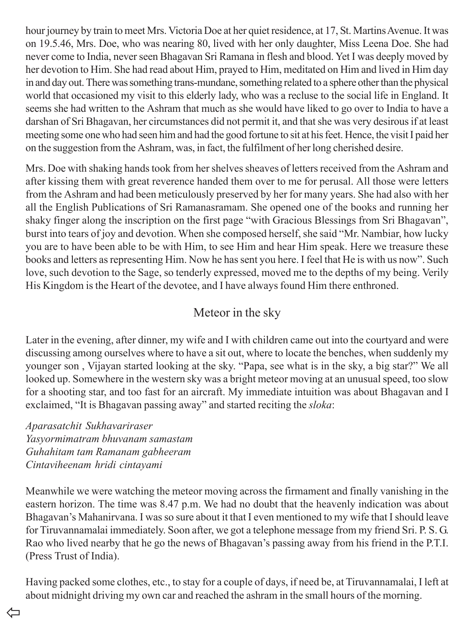hour journey by train to meet Mrs. Victoria Doe at her quiet residence, at 17, St. Martins Avenue. It was on 19.5.46, Mrs. Doe, who was nearing 80, lived with her only daughter, Miss Leena Doe. She had never come to India, never seen Bhagavan Sri Ramana in flesh and blood. Yet I was deeply moved by her devotion to Him. She had read about Him, prayed to Him, meditated on Him and lived in Him day in and day out. There was something trans-mundane, something related to a sphere other than the physical world that occasioned my visit to this elderly lady, who was a recluse to the social life in England. It seems she had written to the Ashram that much as she would have liked to go over to India to have a darshan of Sri Bhagavan, her circumstances did not permit it, and that she was very desirous if at least meeting some one who had seen him and had the good fortune to sit at his feet. Hence, the visit I paid her on the suggestion from the Ashram, was, in fact, the fulfilment of her long cherished desire.

Mrs. Doe with shaking hands took from her shelves sheaves of letters received from the Ashram and after kissing them with great reverence handed them over to me for perusal. All those were letters from the Ashram and had been meticulously preserved by her for many years. She had also with her all the English Publications of Sri Ramanasramam. She opened one of the books and running her shaky finger along the inscription on the first page "with Gracious Blessings from Sri Bhagavan", burst into tears of joy and devotion. When she composed herself, she said "Mr. Nambiar, how lucky you are to have been able to be with Him, to see Him and hear Him speak. Here we treasure these books and letters as representing Him. Now he has sent you here. I feel that He is with us now". Such love, such devotion to the Sage, so tenderly expressed, moved me to the depths of my being. Verily His Kingdom is the Heart of the devotee, and I have always found Him there enthroned.

### Meteor in the sky

Later in the evening, after dinner, my wife and I with children came out into the courtyard and were discussing among ourselves where to have a sit out, where to locate the benches, when suddenly my younger son , Vijayan started looking at the sky. "Papa, see what is in the sky, a big star?" We all looked up. Somewhere in the western sky was a bright meteor moving at an unusual speed, too slow for a shooting star, and too fast for an aircraft. My immediate intuition was about Bhagavan and I exclaimed, "It is Bhagavan passing away" and started reciting the *sloka*:

*Aparasatchit Sukhavariraser Yasyormimatram bhuvanam samastam Guhahitam tam Ramanam gabheeram Cintaviheenam hridi cintayami*

 $\Leftrightarrow$ 

Meanwhile we were watching the meteor moving across the firmament and finally vanishing in the eastern horizon. The time was 8.47 p.m. We had no doubt that the heavenly indication was about Bhagavan's Mahanirvana. I was so sure about it that I even mentioned to my wife that I should leave for Tiruvannamalai immediately. Soon after, we got a telephone message from my friend Sri. P. S. G. Rao who lived nearby that he go the news of Bhagavan's passing away from his friend in the P.T.I. (Press Trust of India).

Having packed some clothes, etc., to stay for a couple of days, if need be, at Tiruvannamalai, I left at about midnight driving my own car and reached the ashram in the small hours of the morning.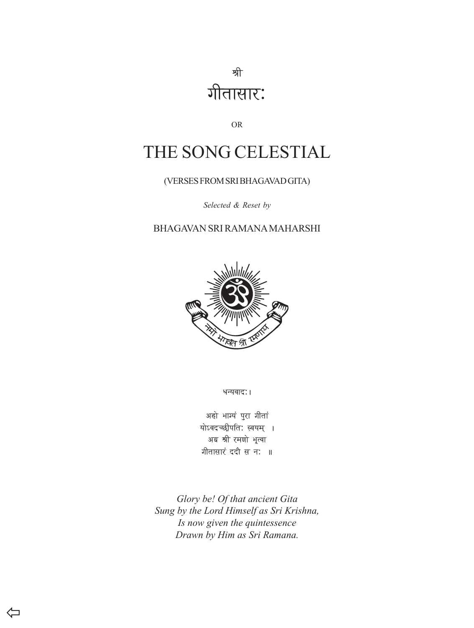श्री गीतासार:

OR

## THE SONG CELESTIAL

(VERSES FROM SRI BHAGAVAD GITA)

*Selected & Reset by*

#### BHAGAVAN SRI RAMANA MAHARSHI



धन्यवाद: ।

अहो भाग्यं पुरा गीतां योऽवदच्छीपति: स्वयम् । अब श्री रमणो भूत्वा गीतासारं ददौ स न: ॥

*Glory be! Of that ancient Gita Sung by the Lord Himself as Sri Krishna, Is now given the quintessence Drawn by Him as Sri Ramana.*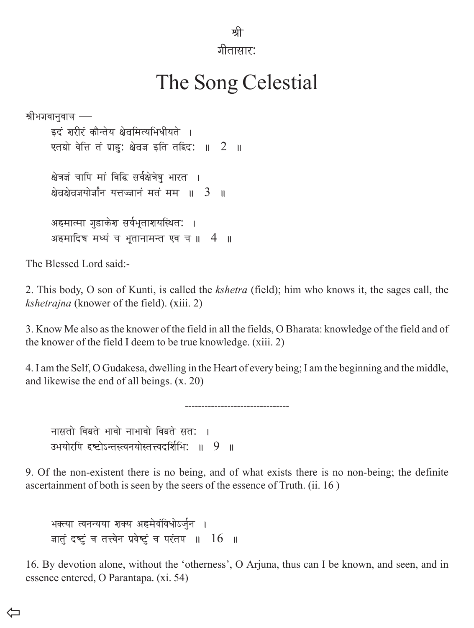श्री गीतासार"

# The Song Celestial

श्रीभगवानुवाच $\rule{1em}{0.15mm}$ इटं शरीरं कौन्तेय क्षेत्रमित्यभिधीयते । एतयो वेत्ति तं प्राहु: क्षेत्रज्ञ इति तद्दिर:  $|| 2 ||$ क्षेत्रज्ञं चापि मां विद्धि सर्वक्षेत्रेष भारत ।  $\theta$ विश्वेवज्ञयोर्ज़ान यत्तज्ज्ञानं मतं मम $\theta$  ॥  $\beta$  ॥ अहमात्मा गडाकेश सर्वभताशयस्थित: । अहमादिश्व मध्यं च भतानामन्त एव च ॥  $4$  ॥

The Blessed Lord said:-

 $\Leftrightarrow$ 

2. This body, O son of Kunti, is called the *kshetra* (field); him who knows it, the sages call, the *kshetrajna* (knower of the field). (xiii. 2)

3. Know Me also as the knower of the field in all the fields, O Bharata: knowledge of the field and of the knower of the field I deem to be true knowledge. (xiii. 2)

4. I am the Self, O Gudakesa, dwelling in the Heart of every being; I am the beginning and the middle, and likewise the end of all beings. (x. 20)

--------------------------------

नासतो विद्यते भावो नाभावो विद्यते सत: । उभयोरपि दृष्टोऽन्तस्त्वनयोस्तत्त्वदर्शिभि: ॥ 9 ॥

9. Of the non-existent there is no being, and of what exists there is no non-being; the definite ascertainment of both is seen by the seers of the essence of Truth. (ii. 16 )

भक्त्या त्वनन्यया शक्य अहमेवंविधोऽर्जन । ज्ञात दृष्टं च तत्त्वेन प्रवेष्टं च परंतप ॥  $16$  ॥

16. By devotion alone, without the 'otherness', O Arjuna, thus can I be known, and seen, and in essence entered, O Parantapa. (xi. 54)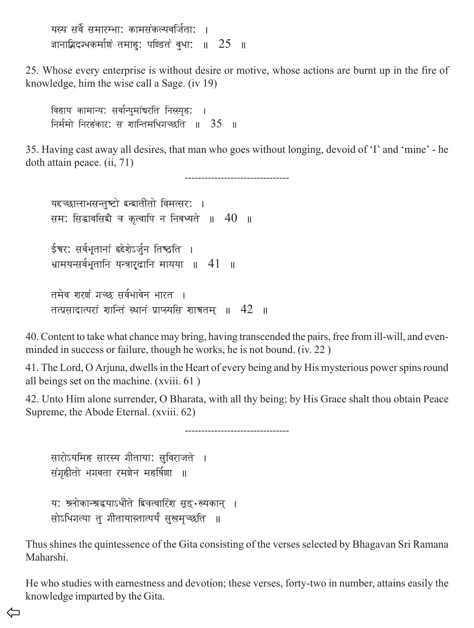यस्य सर्वे समारम्भा: कामसंकल्पवर्जिता: । ज्ञानाग्निदग्धकर्माणं तमाह: पण्डितं बधा:  $|| 25 ||$ 

25. Whose every enterprise is without desire or motive, whose actions are burnt up in the fire of knowledge, him the wise call a Sage. (iv 19)

विहाय कामान्य: सर्वान्पमांश्वरति निख्यह: । निर्ममो निरहंकार: स शान्तिमधिगच्छति ॥  $35$  ॥

35. Having cast away all desires, that man who goes without longing, devoid of 'I' and 'mine' - he doth attain peace. (ii, 71)

--------------------------------

यदच्छालाभसन्तुष्टो दन्द्वातीतो विमत्सर: । सम: सिद्धावसिद्दौ च कृत्वापि न निबध्यते ॥  $40$  ॥ ईश्वर: सर्वभुतानां हृदेशेऽर्जुन तिष्ठति । भ्रामयन्सर्वभुतानि यन्त्रारुढानि मायया ॥ 41 ॥ तमेव शरणं गच्छ सर्वभावेन भारत ।  $\tau$ तत्प्रसादात्परां शान्तिं स्थानं प्राप्स्यसि शाश्वतम ॥  $42$  ॥

40. Content to take what chance may bring, having transcended the pairs, free from ill-will, and evenminded in success or failure, though he works, he is not bound. (iv. 22 )

41. The Lord, O Arjuna, dwells in the Heart of every being and by His mysterious power spins round all beings set on the machine. (xviii. 61 )

42. Unto Him alone surrender, O Bharata, with all thy being; by His Grace shalt thou obtain Peace Supreme, the Abode Eternal. (xviii. 62)

--------------------------------

सारोऽयमिह सारस्य गीताया: सुविराजते । संगद्दीतो भगवता रमणेन महर्षिणा ॥

 $\Leftrightarrow$ 

य: श्र्लोकान्श्रद्धयाऽधीते द्विचत्वारिंश सड-ख्यकान । सोऽधिगत्या त गीतायास्तात्पर्यं सुखमच्छति ॥

Thus shines the quintessence of the Gita consisting of the verses selected by Bhagavan Sri Ramana Maharshi.

He who studies with earnestness and devotion; these verses, forty-two in number, attains easily the knowledge imparted by the Gita.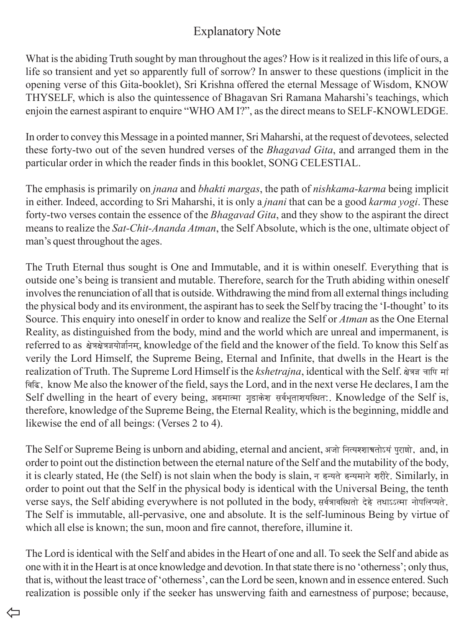## Explanatory Note

What is the abiding Truth sought by man throughout the ages? How is it realized in this life of ours, a life so transient and yet so apparently full of sorrow? In answer to these questions (implicit in the opening verse of this Gita-booklet), Sri Krishna offered the eternal Message of Wisdom, KNOW THYSELF, which is also the quintessence of Bhagavan Sri Ramana Maharshi's teachings, which enjoin the earnest aspirant to enquire "WHO AM I?", as the direct means to SELF-KNOWLEDGE.

In order to convey this Message in a pointed manner, Sri Maharshi, at the request of devotees, selected these forty-two out of the seven hundred verses of the *Bhagavad Gita*, and arranged them in the particular order in which the reader finds in this booklet, SONG CELESTIAL.

The emphasis is primarily on *jnana* and *bhakti margas*, the path of *nishkama-karma* being implicit in either. Indeed, according to Sri Maharshi, it is only a *jnani* that can be a good *karma yogi*. These forty-two verses contain the essence of the *Bhagavad Gita*, and they show to the aspirant the direct means to realize the *Sat-Chit-Ananda Atman*, the Self Absolute, which is the one, ultimate object of man's quest throughout the ages.

The Truth Eternal thus sought is One and Immutable, and it is within oneself. Everything that is outside one's being is transient and mutable. Therefore, search for the Truth abiding within oneself involves the renunciation of all that is outside. Withdrawing the mind from all external things including the physical body and its environment, the aspirant has to seek the Self by tracing the 'I-thought' to its Source. This enquiry into oneself in order to know and realize the Self or *Atman* as the One Eternal Reality, as distinguished from the body, mind and the world which are unreal and impermanent, is referred to as क्षेत्रक्षेत्रज्ञयोर्ज्ञानम्, knowledge of the field and the knower of the field. To know this Self as verily the Lord Himself, the Supreme Being, Eternal and Infinite, that dwells in the Heart is the realization of Truth. The Supreme Lord Himself is the *kshetrajna*, identical with the Self. क्षेत्रज्ञ चापि मां ivi≤, know Me also the knower of the field, says the Lord, and in the next verse He declares, I am the Self dwelling in the heart of every being, अहमात्मा गुडाकेश सर्वभुताशयस्थित:. Knowledge of the Self is, therefore, knowledge of the Supreme Being, the Eternal Reality, which is the beginning, middle and likewise the end of all beings: (Verses 2 to 4).

The Self or Supreme Being is unborn and abiding, eternal and ancient, अजो नित्यश्शास्रतोऽयं पराणो, and, in order to point out the distinction between the eternal nature of the Self and the mutability of the body, it is clearly stated, He (the Self) is not slain when the body is slain, न इन्यते इन्यमाने शरीरे. Similarly, in order to point out that the Self in the physical body is identical with the Universal Being, the tenth verse says, the Self abiding everywhere is not polluted in the body, सर्वत्रावस्थितो देहे तथाऽऽत्मा नोपलिप्यते. The Self is immutable, all-pervasive, one and absolute. It is the self-luminous Being by virtue of which all else is known; the sun, moon and fire cannot, therefore, illumine it.

The Lord is identical with the Self and abides in the Heart of one and all. To seek the Self and abide as one with it in the Heart is at once knowledge and devotion. In that state there is no 'otherness'; only thus, that is, without the least trace of 'otherness', can the Lord be seen, known and in essence entered. Such realization is possible only if the seeker has unswerving faith and earnestness of purpose; because,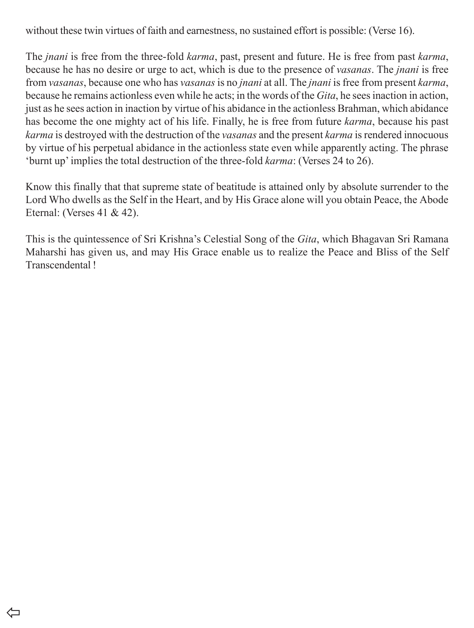without these twin virtues of faith and earnestness, no sustained effort is possible: (Verse 16).

The *jnani* is free from the three-fold *karma*, past, present and future. He is free from past *karma*, because he has no desire or urge to act, which is due to the presence of *vasanas*. The *jnani* is free from *vasanas*, because one who has *vasanas* is no *jnani* at all. The *jnani* is free from present *karma*, because he remains actionless even while he acts; in the words of the *Gita*, he sees inaction in action, just as he sees action in inaction by virtue of his abidance in the actionless Brahman, which abidance has become the one mighty act of his life. Finally, he is free from future *karma*, because his past *karma* is destroyed with the destruction of the *vasanas* and the present *karma* is rendered innocuous by virtue of his perpetual abidance in the actionless state even while apparently acting. The phrase 'burnt up' implies the total destruction of the three-fold *karma*: (Verses 24 to 26).

Know this finally that that supreme state of beatitude is attained only by absolute surrender to the Lord Who dwells as the Self in the Heart, and by His Grace alone will you obtain Peace, the Abode Eternal: (Verses 41 & 42).

This is the quintessence of Sri Krishna's Celestial Song of the *Gita*, which Bhagavan Sri Ramana Maharshi has given us, and may His Grace enable us to realize the Peace and Bliss of the Self Transcendental !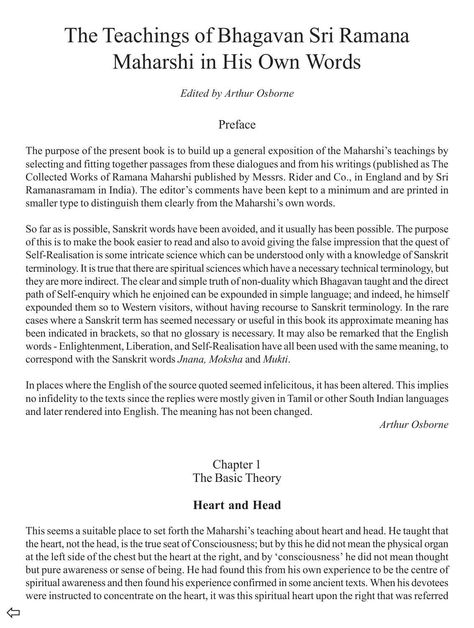# The Teachings of Bhagavan Sri Ramana Maharshi in His Own Words

#### *Edited by Arthur Osborne*

## Preface

The purpose of the present book is to build up a general exposition of the Maharshi's teachings by selecting and fitting together passages from these dialogues and from his writings (published as The Collected Works of Ramana Maharshi published by Messrs. Rider and Co., in England and by Sri Ramanasramam in India). The editor's comments have been kept to a minimum and are printed in smaller type to distinguish them clearly from the Maharshi's own words.

So far as is possible, Sanskrit words have been avoided, and it usually has been possible. The purpose of this is to make the book easier to read and also to avoid giving the false impression that the quest of Self-Realisation is some intricate science which can be understood only with a knowledge of Sanskrit terminology. It is true that there are spiritual sciences which have a necessary technical terminology, but they are more indirect. The clear and simple truth of non-duality which Bhagavan taught and the direct path of Self-enquiry which he enjoined can be expounded in simple language; and indeed, he himself expounded them so to Western visitors, without having recourse to Sanskrit terminology. In the rare cases where a Sanskrit term has seemed necessary or useful in this book its approximate meaning has been indicated in brackets, so that no glossary is necessary. It may also be remarked that the English words - Enlightenment, Liberation, and Self-Realisation have all been used with the same meaning, to correspond with the Sanskrit words *Jnana, Moksha* and *Mukti*.

In places where the English of the source quoted seemed infelicitous, it has been altered. This implies no infidelity to the texts since the replies were mostly given in Tamil or other South Indian languages and later rendered into English. The meaning has not been changed.

*Arthur Osborne*

## Chapter 1 The Basic Theory

## **Heart and Head**

This seems a suitable place to set forth the Maharshi's teaching about heart and head. He taught that the heart, not the head, is the true seat of Consciousness; but by this he did not mean the physical organ at the left side of the chest but the heart at the right, and by 'consciousness' he did not mean thought but pure awareness or sense of being. He had found this from his own experience to be the centre of spiritual awareness and then found his experience confirmed in some ancient texts. When his devotees were instructed to concentrate on the heart, it was this spiritual heart upon the right that was referred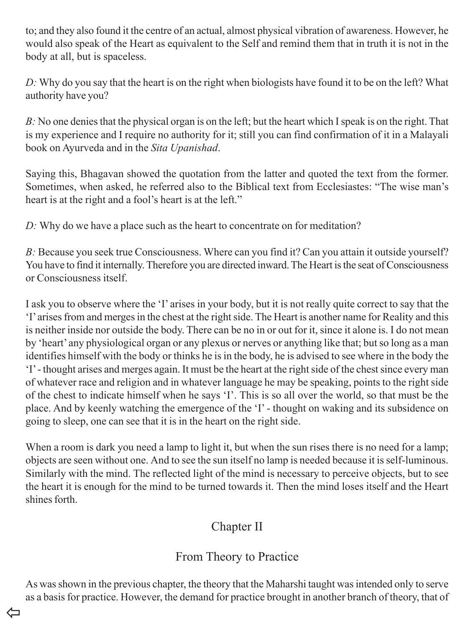to; and they also found it the centre of an actual, almost physical vibration of awareness. However, he would also speak of the Heart as equivalent to the Self and remind them that in truth it is not in the body at all, but is spaceless.

*D:* Why do you say that the heart is on the right when biologists have found it to be on the left? What authority have you?

*B:* No one denies that the physical organ is on the left; but the heart which I speak is on the right. That is my experience and I require no authority for it; still you can find confirmation of it in a Malayali book on Ayurveda and in the *Sita Upanishad*.

Saying this, Bhagavan showed the quotation from the latter and quoted the text from the former. Sometimes, when asked, he referred also to the Biblical text from Ecclesiastes: "The wise man's heart is at the right and a fool's heart is at the left."

*D:* Why do we have a place such as the heart to concentrate on for meditation?

*B:* Because you seek true Consciousness. Where can you find it? Can you attain it outside yourself? You have to find it internally. Therefore you are directed inward. The Heart is the seat of Consciousness or Consciousness itself.

I ask you to observe where the 'I' arises in your body, but it is not really quite correct to say that the 'I' arises from and merges in the chest at the right side. The Heart is another name for Reality and this is neither inside nor outside the body. There can be no in or out for it, since it alone is. I do not mean by 'heart' any physiological organ or any plexus or nerves or anything like that; but so long as a man identifies himself with the body or thinks he is in the body, he is advised to see where in the body the 'I' - thought arises and merges again. It must be the heart at the right side of the chest since every man of whatever race and religion and in whatever language he may be speaking, points to the right side of the chest to indicate himself when he says 'I'. This is so all over the world, so that must be the place. And by keenly watching the emergence of the 'I' - thought on waking and its subsidence on going to sleep, one can see that it is in the heart on the right side.

When a room is dark you need a lamp to light it, but when the sun rises there is no need for a lamp; objects are seen without one. And to see the sun itself no lamp is needed because it is self-luminous. Similarly with the mind. The reflected light of the mind is necessary to perceive objects, but to see the heart it is enough for the mind to be turned towards it. Then the mind loses itself and the Heart shines forth.

## Chapter II

## From Theory to Practice

As was shown in the previous chapter, the theory that the Maharshi taught was intended only to serve as a basis for practice. However, the demand for practice brought in another branch of theory, that of

 $\Leftarrow$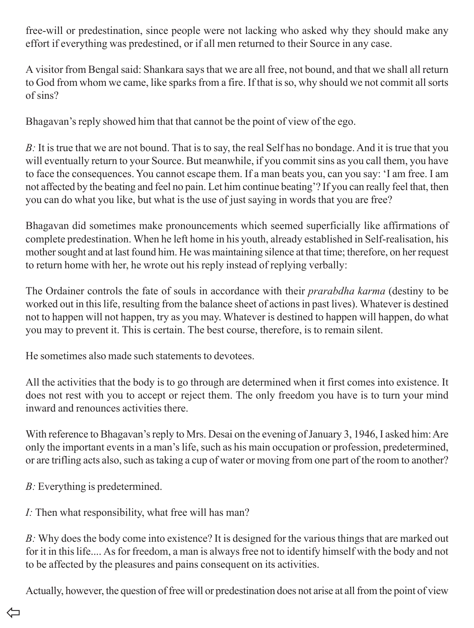free-will or predestination, since people were not lacking who asked why they should make any effort if everything was predestined, or if all men returned to their Source in any case.

A visitor from Bengal said: Shankara says that we are all free, not bound, and that we shall all return to God from whom we came, like sparks from a fire. If that is so, why should we not commit all sorts of sins?

Bhagavan's reply showed him that that cannot be the point of view of the ego.

*B:* It is true that we are not bound. That is to say, the real Self has no bondage. And it is true that you will eventually return to your Source. But meanwhile, if you commit sins as you call them, you have to face the consequences. You cannot escape them. If a man beats you, can you say: 'I am free. I am not affected by the beating and feel no pain. Let him continue beating'? If you can really feel that, then you can do what you like, but what is the use of just saying in words that you are free?

Bhagavan did sometimes make pronouncements which seemed superficially like affirmations of complete predestination. When he left home in his youth, already established in Self-realisation, his mother sought and at last found him. He was maintaining silence at that time; therefore, on her request to return home with her, he wrote out his reply instead of replying verbally:

The Ordainer controls the fate of souls in accordance with their *prarabdha karma* (destiny to be worked out in this life, resulting from the balance sheet of actions in past lives). Whatever is destined not to happen will not happen, try as you may. Whatever is destined to happen will happen, do what you may to prevent it. This is certain. The best course, therefore, is to remain silent.

He sometimes also made such statements to devotees.

All the activities that the body is to go through are determined when it first comes into existence. It does not rest with you to accept or reject them. The only freedom you have is to turn your mind inward and renounces activities there.

With reference to Bhagavan's reply to Mrs. Desai on the evening of January 3, 1946, I asked him: Are only the important events in a man's life, such as his main occupation or profession, predetermined, or are trifling acts also, such as taking a cup of water or moving from one part of the room to another?

*B:* Everything is predetermined.

 $\Leftrightarrow$ 

*I:* Then what responsibility, what free will has man?

*B:* Why does the body come into existence? It is designed for the various things that are marked out for it in this life.... As for freedom, a man is always free not to identify himself with the body and not to be affected by the pleasures and pains consequent on its activities.

Actually, however, the question of free will or predestination does not arise at all from the point of view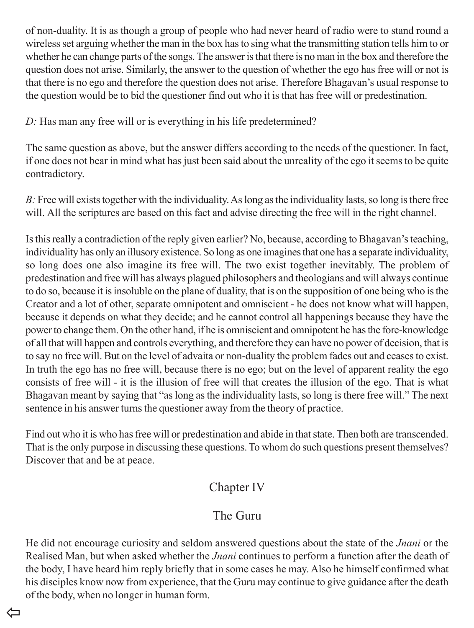of non-duality. It is as though a group of people who had never heard of radio were to stand round a wireless set arguing whether the man in the box has to sing what the transmitting station tells him to or whether he can change parts of the songs. The answer is that there is no man in the box and therefore the question does not arise. Similarly, the answer to the question of whether the ego has free will or not is that there is no ego and therefore the question does not arise. Therefore Bhagavan's usual response to the question would be to bid the questioner find out who it is that has free will or predestination.

*D:* Has man any free will or is everything in his life predetermined?

The same question as above, but the answer differs according to the needs of the questioner. In fact, if one does not bear in mind what has just been said about the unreality of the ego it seems to be quite contradictory.

*B:* Free will exists together with the individuality. As long as the individuality lasts, so long is there free will. All the scriptures are based on this fact and advise directing the free will in the right channel.

Is this really a contradiction of the reply given earlier? No, because, according to Bhagavan's teaching, individuality has only an illusory existence. So long as one imagines that one has a separate individuality, so long does one also imagine its free will. The two exist together inevitably. The problem of predestination and free will has always plagued philosophers and theologians and will always continue to do so, because it is insoluble on the plane of duality, that is on the supposition of one being who is the Creator and a lot of other, separate omnipotent and omniscient - he does not know what will happen, because it depends on what they decide; and he cannot control all happenings because they have the power to change them. On the other hand, if he is omniscient and omnipotent he has the fore-knowledge of all that will happen and controls everything, and therefore they can have no power of decision, that is to say no free will. But on the level of advaita or non-duality the problem fades out and ceases to exist. In truth the ego has no free will, because there is no ego; but on the level of apparent reality the ego consists of free will - it is the illusion of free will that creates the illusion of the ego. That is what Bhagavan meant by saying that "as long as the individuality lasts, so long is there free will." The next sentence in his answer turns the questioner away from the theory of practice.

Find out who it is who has free will or predestination and abide in that state. Then both are transcended. That is the only purpose in discussing these questions. To whom do such questions present themselves? Discover that and be at peace.

## Chapter IV

## The Guru

He did not encourage curiosity and seldom answered questions about the state of the *Jnani* or the Realised Man, but when asked whether the *Jnani* continues to perform a function after the death of the body, I have heard him reply briefly that in some cases he may. Also he himself confirmed what his disciples know now from experience, that the Guru may continue to give guidance after the death of the body, when no longer in human form.

 $\Leftarrow$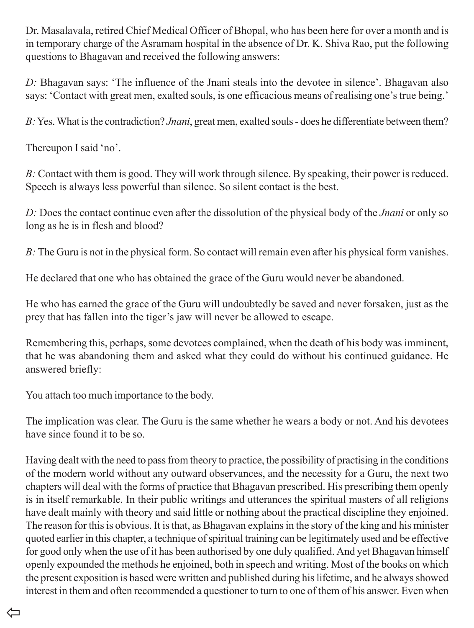Dr. Masalavala, retired Chief Medical Officer of Bhopal, who has been here for over a month and is in temporary charge of the Asramam hospital in the absence of Dr. K. Shiva Rao, put the following questions to Bhagavan and received the following answers:

*D:* Bhagavan says: 'The influence of the Jnani steals into the devotee in silence'. Bhagavan also says: 'Contact with great men, exalted souls, is one efficacious means of realising one's true being.'

*B:* Yes. What is the contradiction? *Jnani*, great men, exalted souls - does he differentiate between them?

Thereupon I said 'no'.

*B:* Contact with them is good. They will work through silence. By speaking, their power is reduced. Speech is always less powerful than silence. So silent contact is the best.

*D:* Does the contact continue even after the dissolution of the physical body of the *Jnani* or only so long as he is in flesh and blood?

*B:* The Guru is not in the physical form. So contact will remain even after his physical form vanishes.

He declared that one who has obtained the grace of the Guru would never be abandoned.

He who has earned the grace of the Guru will undoubtedly be saved and never forsaken, just as the prey that has fallen into the tiger's jaw will never be allowed to escape.

Remembering this, perhaps, some devotees complained, when the death of his body was imminent, that he was abandoning them and asked what they could do without his continued guidance. He answered briefly:

You attach too much importance to the body.

 $\Leftrightarrow$ 

The implication was clear. The Guru is the same whether he wears a body or not. And his devotees have since found it to be so.

Having dealt with the need to pass from theory to practice, the possibility of practising in the conditions of the modern world without any outward observances, and the necessity for a Guru, the next two chapters will deal with the forms of practice that Bhagavan prescribed. His prescribing them openly is in itself remarkable. In their public writings and utterances the spiritual masters of all religions have dealt mainly with theory and said little or nothing about the practical discipline they enjoined. The reason for this is obvious. It is that, as Bhagavan explains in the story of the king and his minister quoted earlier in this chapter, a technique of spiritual training can be legitimately used and be effective for good only when the use of it has been authorised by one duly qualified. And yet Bhagavan himself openly expounded the methods he enjoined, both in speech and writing. Most of the books on which the present exposition is based were written and published during his lifetime, and he always showed interest in them and often recommended a questioner to turn to one of them of his answer. Even when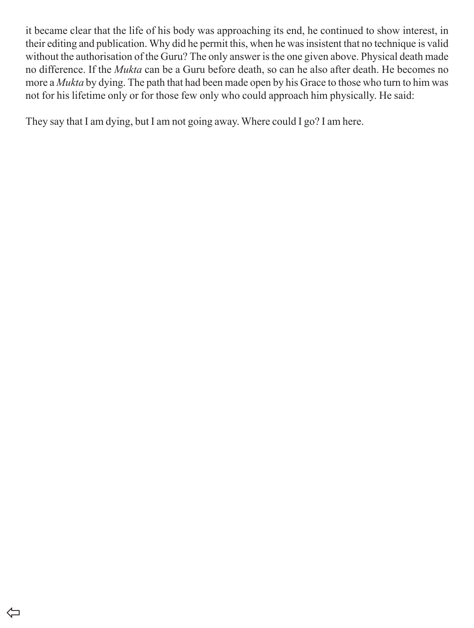it became clear that the life of his body was approaching its end, he continued to show interest, in their editing and publication. Why did he permit this, when he was insistent that no technique is valid without the authorisation of the Guru? The only answer is the one given above. Physical death made no difference. If the *Mukta* can be a Guru before death, so can he also after death. He becomes no more a *Mukta* by dying. The path that had been made open by his Grace to those who turn to him was not for his lifetime only or for those few only who could approach him physically. He said:

They say that I am dying, but I am not going away. Where could I go? I am here.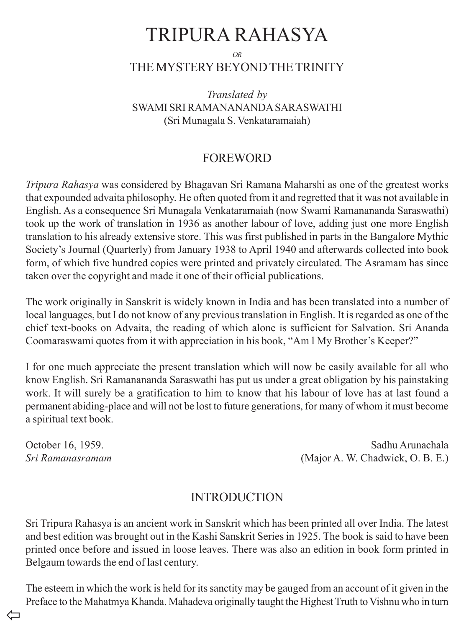## TRIPURA RAHASYA

*OR*

#### THE MYSTERY BEYOND THE TRINITY

*Translated by* SWAMI SRI RAMANANANDA SARASWATHI (Sri Munagala S. Venkataramaiah)

## FOREWORD

*Tripura Rahasya* was considered by Bhagavan Sri Ramana Maharshi as one of the greatest works that expounded advaita philosophy. He often quoted from it and regretted that it was not available in English. As a consequence Sri Munagala Venkataramaiah (now Swami Ramanananda Saraswathi) took up the work of translation in 1936 as another labour of love, adding just one more English translation to his already extensive store. This was first published in parts in the Bangalore Mythic Society's Journal (Quarterly) from January 1938 to April 1940 and afterwards collected into book form, of which five hundred copies were printed and privately circulated. The Asramam has since taken over the copyright and made it one of their official publications.

The work originally in Sanskrit is widely known in India and has been translated into a number of local languages, but I do not know of any previous translation in English. It is regarded as one of the chief text-books on Advaita, the reading of which alone is sufficient for Salvation. Sri Ananda Coomaraswami quotes from it with appreciation in his book, "Am l My Brother's Keeper?"

I for one much appreciate the present translation which will now be easily available for all who know English. Sri Ramanananda Saraswathi has put us under a great obligation by his painstaking work. It will surely be a gratification to him to know that his labour of love has at last found a permanent abiding-place and will not be lost to future generations, for many of whom it must become a spiritual text book.

October 16, 1959. *Sri Ramanasramam*

 $\Leftrightarrow$ 

Sadhu Arunachala (Major A. W. Chadwick, O. B. E.)

#### INTRODUCTION

Sri Tripura Rahasya is an ancient work in Sanskrit which has been printed all over India. The latest and best edition was brought out in the Kashi Sanskrit Series in 1925. The book is said to have been printed once before and issued in loose leaves. There was also an edition in book form printed in Belgaum towards the end of last century.

The esteem in which the work is held for its sanctity may be gauged from an account of it given in the Preface to the Mahatmya Khanda. Mahadeva originally taught the Highest Truth to Vishnu who in turn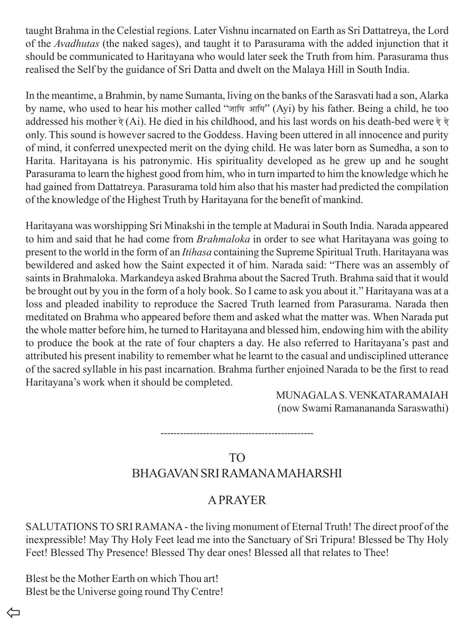taught Brahma in the Celestial regions. Later Vishnu incarnated on Earth as Sri Dattatreya, the Lord of the *Avadhutas* (the naked sages), and taught it to Parasurama with the added injunction that it should be communicated to Haritayana who would later seek the Truth from him. Parasurama thus realised the Self by the guidance of Sri Datta and dwelt on the Malaya Hill in South India.

In the meantime, a Brahmin, by name Sumanta, living on the banks of the Sarasvati had a son, Alarka by name, who used to hear his mother called "जायि आर्यि" (Ayi) by his father. Being a child, he too addressed his mother  $\dot{\sigma}$  (Ai). He died in his childhood, and his last words on his death-bed were  $\dot{\sigma}$ only. This sound is however sacred to the Goddess. Having been uttered in all innocence and purity of mind, it conferred unexpected merit on the dying child. He was later born as Sumedha, a son to Harita. Haritayana is his patronymic. His spirituality developed as he grew up and he sought Parasurama to learn the highest good from him, who in turn imparted to him the knowledge which he had gained from Dattatreya. Parasurama told him also that his master had predicted the compilation of the knowledge of the Highest Truth by Haritayana for the benefit of mankind.

Haritayana was worshipping Sri Minakshi in the temple at Madurai in South India. Narada appeared to him and said that he had come from *Brahmaloka* in order to see what Haritayana was going to present to the world in the form of an *Itihasa* containing the Supreme Spiritual Truth. Haritayana was bewildered and asked how the Saint expected it of him. Narada said: "There was an assembly of saints in Brahmaloka. Markandeya asked Brahma about the Sacred Truth. Brahma said that it would be brought out by you in the form of a holy book. So I came to ask you about it." Haritayana was at a loss and pleaded inability to reproduce the Sacred Truth learned from Parasurama. Narada then meditated on Brahma who appeared before them and asked what the matter was. When Narada put the whole matter before him, he turned to Haritayana and blessed him, endowing him with the ability to produce the book at the rate of four chapters a day. He also referred to Haritayana's past and attributed his present inability to remember what he learnt to the casual and undisciplined utterance of the sacred syllable in his past incarnation. Brahma further enjoined Narada to be the first to read Haritayana's work when it should be completed.

> MUNAGALA S. VENKATARAMAIAH (now Swami Ramanananda Saraswathi)

## TO BHAGAVAN SRI RAMANA MAHARSHI

-----------------------------------------------

## A PRAYER

SALUTATIONS TO SRI RAMANA - the living monument of Eternal Truth! The direct proof of the inexpressible! May Thy Holy Feet lead me into the Sanctuary of Sri Tripura! Blessed be Thy Holy Feet! Blessed Thy Presence! Blessed Thy dear ones! Blessed all that relates to Thee!

Blest be the Mother Earth on which Thou art! Blest be the Universe going round Thy Centre!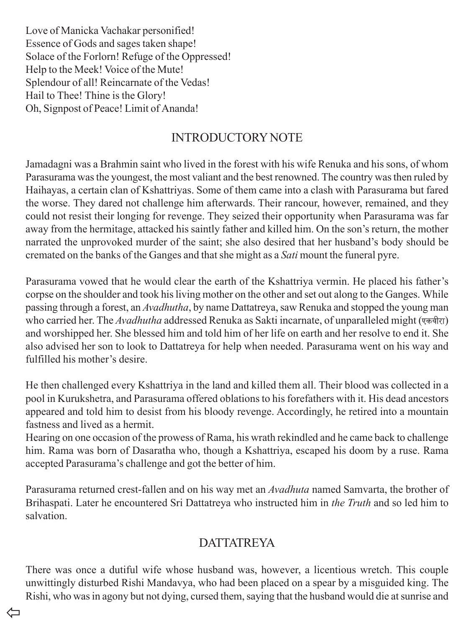Love of Manicka Vachakar personified! Essence of Gods and sages taken shape! Solace of the Forlorn! Refuge of the Oppressed! Help to the Meek! Voice of the Mute! Splendour of all! Reincarnate of the Vedas! Hail to Thee! Thine is the Glory! Oh, Signpost of Peace! Limit of Ananda!

 $\Leftrightarrow$ 

## INTRODUCTORY NOTE

Jamadagni was a Brahmin saint who lived in the forest with his wife Renuka and his sons, of whom Parasurama was the youngest, the most valiant and the best renowned. The country was then ruled by Haihayas, a certain clan of Kshattriyas. Some of them came into a clash with Parasurama but fared the worse. They dared not challenge him afterwards. Their rancour, however, remained, and they could not resist their longing for revenge. They seized their opportunity when Parasurama was far away from the hermitage, attacked his saintly father and killed him. On the son's return, the mother narrated the unprovoked murder of the saint; she also desired that her husband's body should be cremated on the banks of the Ganges and that she might as a *Sati* mount the funeral pyre.

Parasurama vowed that he would clear the earth of the Kshattriya vermin. He placed his father's corpse on the shoulder and took his living mother on the other and set out along to the Ganges. While passing through a forest, an *Avadhutha*, by name Dattatreya, saw Renuka and stopped the young man who carried her. The *Avadhutha* addressed Renuka as Sakti incarnate, of unparalleled might (एकवीरा) and worshipped her. She blessed him and told him of her life on earth and her resolve to end it. She also advised her son to look to Dattatreya for help when needed. Parasurama went on his way and fulfilled his mother's desire.

He then challenged every Kshattriya in the land and killed them all. Their blood was collected in a pool in Kurukshetra, and Parasurama offered oblations to his forefathers with it. His dead ancestors appeared and told him to desist from his bloody revenge. Accordingly, he retired into a mountain fastness and lived as a hermit.

Hearing on one occasion of the prowess of Rama, his wrath rekindled and he came back to challenge him. Rama was born of Dasaratha who, though a Kshattriya, escaped his doom by a ruse. Rama accepted Parasurama's challenge and got the better of him.

Parasurama returned crest-fallen and on his way met an *Avadhuta* named Samvarta, the brother of Brihaspati. Later he encountered Sri Dattatreya who instructed him in *the Truth* and so led him to salvation.

## **DATTATREYA**

There was once a dutiful wife whose husband was, however, a licentious wretch. This couple unwittingly disturbed Rishi Mandavya, who had been placed on a spear by a misguided king. The Rishi, who was in agony but not dying, cursed them, saying that the husband would die at sunrise and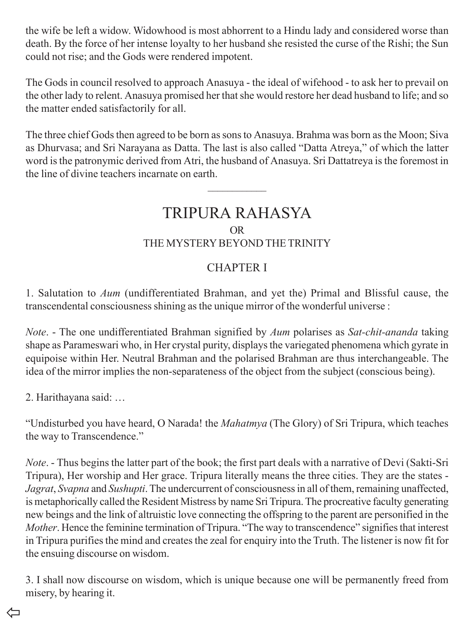the wife be left a widow. Widowhood is most abhorrent to a Hindu lady and considered worse than death. By the force of her intense loyalty to her husband she resisted the curse of the Rishi; the Sun could not rise; and the Gods were rendered impotent.

The Gods in council resolved to approach Anasuya - the ideal of wifehood - to ask her to prevail on the other lady to relent. Anasuya promised her that she would restore her dead husband to life; and so the matter ended satisfactorily for all.

The three chief Gods then agreed to be born as sons to Anasuya. Brahma was born as the Moon; Siva as Dhurvasa; and Sri Narayana as Datta. The last is also called "Datta Atreya," of which the latter word is the patronymic derived from Atri, the husband of Anasuya. Sri Dattatreya is the foremost in the line of divine teachers incarnate on earth.

 $\mathcal{L}_\text{max}$ 

## TRIPURA RAHASYA OR THE MYSTERY BEYOND THE TRINITY

## CHAPTER I

1. Salutation to *Aum* (undifferentiated Brahman, and yet the) Primal and Blissful cause, the transcendental consciousness shining as the unique mirror of the wonderful universe :

*Note*. - The one undifferentiated Brahman signified by *Aum* polarises as *Sat-chit-ananda* taking shape as Parameswari who, in Her crystal purity, displays the variegated phenomena which gyrate in equipoise within Her. Neutral Brahman and the polarised Brahman are thus interchangeable. The idea of the mirror implies the non-separateness of the object from the subject (conscious being).

2. Harithayana said: …

 $\Leftrightarrow$ 

"Undisturbed you have heard, O Narada! the *Mahatmya* (The Glory) of Sri Tripura, which teaches the way to Transcendence."

*Note*. - Thus begins the latter part of the book; the first part deals with a narrative of Devi (Sakti-Sri Tripura), Her worship and Her grace. Tripura literally means the three cities. They are the states - *Jagrat*, *Svapna* and *Sushupti*. The undercurrent of consciousness in all of them, remaining unaffected, is metaphorically called the Resident Mistress by name Sri Tripura. The procreative faculty generating new beings and the link of altruistic love connecting the offspring to the parent are personified in the *Mother*. Hence the feminine termination of Tripura. "The way to transcendence" signifies that interest in Tripura purifies the mind and creates the zeal for enquiry into the Truth. The listener is now fit for the ensuing discourse on wisdom.

3. I shall now discourse on wisdom, which is unique because one will be permanently freed from misery, by hearing it.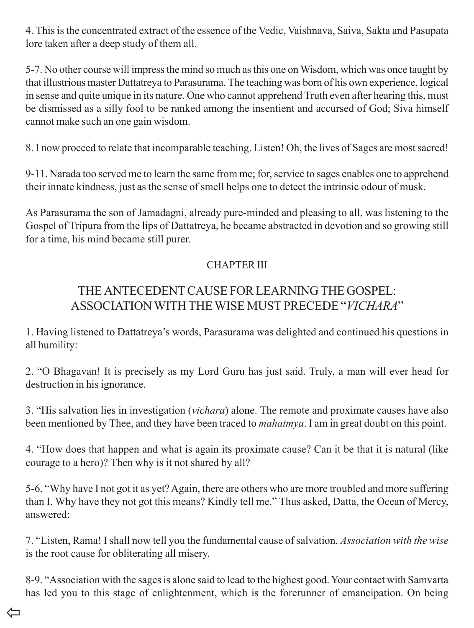4. This is the concentrated extract of the essence of the Vedic, Vaishnava, Saiva, Sakta and Pasupata lore taken after a deep study of them all.

5-7. No other course will impress the mind so much as this one on Wisdom, which was once taught by that illustrious master Dattatreya to Parasurama. The teaching was born of his own experience, logical in sense and quite unique in its nature. One who cannot apprehend Truth even after hearing this, must be dismissed as a silly fool to be ranked among the insentient and accursed of God; Siva himself cannot make such an one gain wisdom.

8. I now proceed to relate that incomparable teaching. Listen! Oh, the lives of Sages are most sacred!

9-11. Narada too served me to learn the same from me; for, service to sages enables one to apprehend their innate kindness, just as the sense of smell helps one to detect the intrinsic odour of musk.

As Parasurama the son of Jamadagni, already pure-minded and pleasing to all, was listening to the Gospel of Tripura from the lips of Dattatreya, he became abstracted in devotion and so growing still for a time, his mind became still purer.

#### CHAPTER III

## THE ANTECEDENT CAUSE FOR LEARNING THE GOSPEL: ASSOCIATION WITH THE WISE MUST PRECEDE "*VICHARA*"

1. Having listened to Dattatreya's words, Parasurama was delighted and continued his questions in all humility:

2. "O Bhagavan! It is precisely as my Lord Guru has just said. Truly, a man will ever head for destruction in his ignorance.

3. "His salvation lies in investigation (*vichara*) alone. The remote and proximate causes have also been mentioned by Thee, and they have been traced to *mahatmya*. I am in great doubt on this point.

4. "How does that happen and what is again its proximate cause? Can it be that it is natural (like courage to a hero)? Then why is it not shared by all?

5-6. "Why have I not got it as yet? Again, there are others who are more troubled and more suffering than I. Why have they not got this means? Kindly tell me." Thus asked, Datta, the Ocean of Mercy, answered:

7. "Listen, Rama! I shall now tell you the fundamental cause of salvation. *Association with the wise* is the root cause for obliterating all misery.

8-9. "Association with the sages is alone said to lead to the highest good. Your contact with Samvarta has led you to this stage of enlightenment, which is the forerunner of emancipation. On being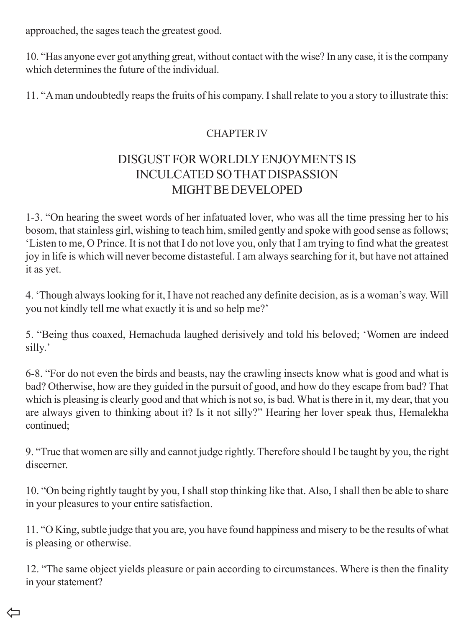approached, the sages teach the greatest good.

 $\Leftrightarrow$ 

10. "Has anyone ever got anything great, without contact with the wise? In any case, it is the company which determines the future of the individual.

11. "A man undoubtedly reaps the fruits of his company. I shall relate to you a story to illustrate this:

#### CHAPTER IV

## DISGUST FOR WORLDLY ENJOYMENTS IS INCULCATED SO THAT DISPASSION MIGHT BE DEVELOPED

1-3. "On hearing the sweet words of her infatuated lover, who was all the time pressing her to his bosom, that stainless girl, wishing to teach him, smiled gently and spoke with good sense as follows; 'Listen to me, O Prince. It is not that I do not love you, only that I am trying to find what the greatest joy in life is which will never become distasteful. I am always searching for it, but have not attained it as yet.

4. 'Though always looking for it, I have not reached any definite decision, as is a woman's way. Will you not kindly tell me what exactly it is and so help me?'

5. "Being thus coaxed, Hemachuda laughed derisively and told his beloved; 'Women are indeed silly.'

6-8. "For do not even the birds and beasts, nay the crawling insects know what is good and what is bad? Otherwise, how are they guided in the pursuit of good, and how do they escape from bad? That which is pleasing is clearly good and that which is not so, is bad. What is there in it, my dear, that you are always given to thinking about it? Is it not silly?" Hearing her lover speak thus, Hemalekha continued;

9. "True that women are silly and cannot judge rightly. Therefore should I be taught by you, the right discerner.

10. "On being rightly taught by you, I shall stop thinking like that. Also, I shall then be able to share in your pleasures to your entire satisfaction.

11. "O King, subtle judge that you are, you have found happiness and misery to be the results of what is pleasing or otherwise.

12. "The same object yields pleasure or pain according to circumstances. Where is then the finality in your statement?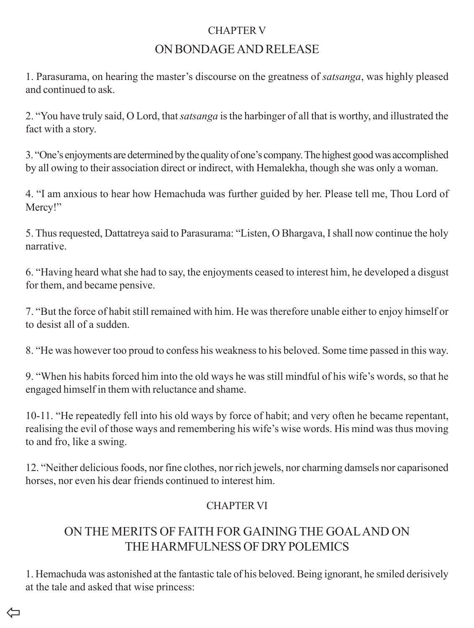#### CHAPTER V

## ON BONDAGE AND RELEASE

1. Parasurama, on hearing the master's discourse on the greatness of *satsanga*, was highly pleased and continued to ask.

2. "You have truly said, O Lord, that *satsanga* is the harbinger of all that is worthy, and illustrated the fact with a story.

3. "One's enjoyments are determined by the quality of one's company. The highest good was accomplished by all owing to their association direct or indirect, with Hemalekha, though she was only a woman.

4. "I am anxious to hear how Hemachuda was further guided by her. Please tell me, Thou Lord of Mercy!"

5. Thus requested, Dattatreya said to Parasurama: "Listen, O Bhargava, I shall now continue the holy narrative.

6. "Having heard what she had to say, the enjoyments ceased to interest him, he developed a disgust for them, and became pensive.

7. "But the force of habit still remained with him. He was therefore unable either to enjoy himself or to desist all of a sudden.

8. "He was however too proud to confess his weakness to his beloved. Some time passed in this way.

9. "When his habits forced him into the old ways he was still mindful of his wife's words, so that he engaged himself in them with reluctance and shame.

10-11. "He repeatedly fell into his old ways by force of habit; and very often he became repentant, realising the evil of those ways and remembering his wife's wise words. His mind was thus moving to and fro, like a swing.

12. "Neither delicious foods, nor fine clothes, nor rich jewels, nor charming damsels nor caparisoned horses, nor even his dear friends continued to interest him.

#### CHAPTER VI

## ON THE MERITS OF FAITH FOR GAINING THE GOAL AND ON THE HARMFULNESS OF DRY POLEMICS

1. Hemachuda was astonished at the fantastic tale of his beloved. Being ignorant, he smiled derisively at the tale and asked that wise princess:

 $\Leftrightarrow$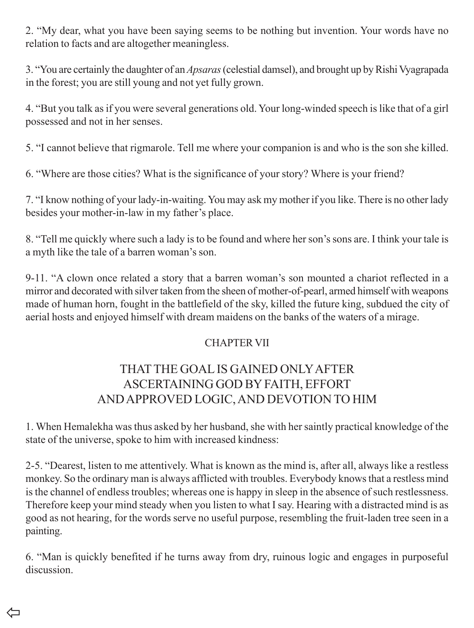2. "My dear, what you have been saying seems to be nothing but invention. Your words have no relation to facts and are altogether meaningless.

3. "You are certainly the daughter of an *Apsaras* (celestial damsel), and brought up by Rishi Vyagrapada in the forest; you are still young and not yet fully grown.

4. "But you talk as if you were several generations old. Your long-winded speech is like that of a girl possessed and not in her senses.

5. "I cannot believe that rigmarole. Tell me where your companion is and who is the son she killed.

6. "Where are those cities? What is the significance of your story? Where is your friend?

7. "I know nothing of your lady-in-waiting. You may ask my mother if you like. There is no other lady besides your mother-in-law in my father's place.

8. "Tell me quickly where such a lady is to be found and where her son's sons are. I think your tale is a myth like the tale of a barren woman's son.

9-11. "A clown once related a story that a barren woman's son mounted a chariot reflected in a mirror and decorated with silver taken from the sheen of mother-of-pearl, armed himself with weapons made of human horn, fought in the battlefield of the sky, killed the future king, subdued the city of aerial hosts and enjoyed himself with dream maidens on the banks of the waters of a mirage.

#### CHAPTER VII

## THAT THE GOAL IS GAINED ONLY AFTER ASCERTAINING GOD BY FAITH, EFFORT AND APPROVED LOGIC, AND DEVOTION TO HIM

1. When Hemalekha was thus asked by her husband, she with her saintly practical knowledge of the state of the universe, spoke to him with increased kindness:

2-5. "Dearest, listen to me attentively. What is known as the mind is, after all, always like a restless monkey. So the ordinary man is always afflicted with troubles. Everybody knows that a restless mind is the channel of endless troubles; whereas one is happy in sleep in the absence of such restlessness. Therefore keep your mind steady when you listen to what I say. Hearing with a distracted mind is as good as not hearing, for the words serve no useful purpose, resembling the fruit-laden tree seen in a painting.

6. "Man is quickly benefited if he turns away from dry, ruinous logic and engages in purposeful discussion.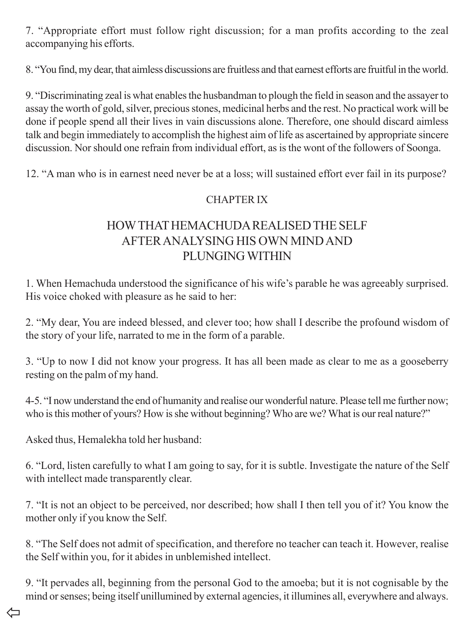7. "Appropriate effort must follow right discussion; for a man profits according to the zeal accompanying his efforts.

8. "You find, my dear, that aimless discussions are fruitless and that earnest efforts are fruitful in the world.

9. "Discriminating zeal is what enables the husbandman to plough the field in season and the assayer to assay the worth of gold, silver, precious stones, medicinal herbs and the rest. No practical work will be done if people spend all their lives in vain discussions alone. Therefore, one should discard aimless talk and begin immediately to accomplish the highest aim of life as ascertained by appropriate sincere discussion. Nor should one refrain from individual effort, as is the wont of the followers of Soonga.

12. "A man who is in earnest need never be at a loss; will sustained effort ever fail in its purpose?

#### CHAPTER IX

## HOW THAT HEMACHUDA REALISED THE SELF AFTER ANALYSING HIS OWN MIND AND PLUNGING WITHIN

1. When Hemachuda understood the significance of his wife's parable he was agreeably surprised. His voice choked with pleasure as he said to her:

2. "My dear, You are indeed blessed, and clever too; how shall I describe the profound wisdom of the story of your life, narrated to me in the form of a parable.

3. "Up to now I did not know your progress. It has all been made as clear to me as a gooseberry resting on the palm of my hand.

4-5. "I now understand the end of humanity and realise our wonderful nature. Please tell me further now; who is this mother of yours? How is she without beginning? Who are we? What is our real nature?"

Asked thus, Hemalekha told her husband:

[Õ](#page-0-0)

6. "Lord, listen carefully to what I am going to say, for it is subtle. Investigate the nature of the Self with intellect made transparently clear.

7. "It is not an object to be perceived, nor described; how shall I then tell you of it? You know the mother only if you know the Self.

8. "The Self does not admit of specification, and therefore no teacher can teach it. However, realise the Self within you, for it abides in unblemished intellect.

9. "It pervades all, beginning from the personal God to the amoeba; but it is not cognisable by the mind or senses; being itself unillumined by external agencies, it illumines all, everywhere and always.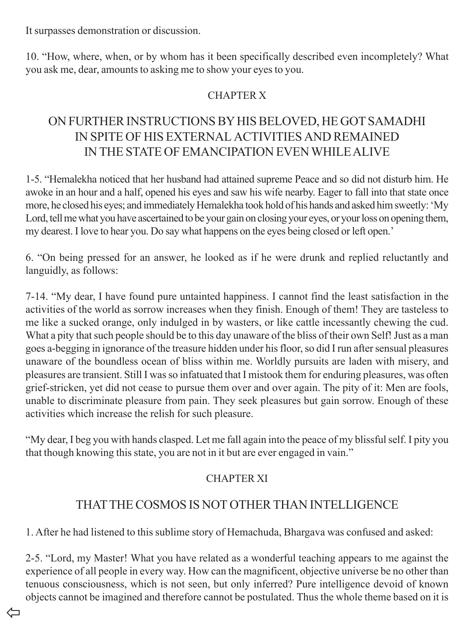It surpasses demonstration or discussion.

 $\Leftrightarrow$ 

10. "How, where, when, or by whom has it been specifically described even incompletely? What you ask me, dear, amounts to asking me to show your eyes to you.

#### CHAPTER X

## ON FURTHER INSTRUCTIONS BY HIS BELOVED, HE GOT SAMADHI IN SPITE OF HIS EXTERNAL ACTIVITIES AND REMAINED IN THE STATE OF EMANCIPATION EVEN WHILE ALIVE

1-5. "Hemalekha noticed that her husband had attained supreme Peace and so did not disturb him. He awoke in an hour and a half, opened his eyes and saw his wife nearby. Eager to fall into that state once more, he closed his eyes; and immediately Hemalekha took hold of his hands and asked him sweetly: 'My Lord, tell me what you have ascertained to be your gain on closing your eyes, or your loss on opening them, my dearest. I love to hear you. Do say what happens on the eyes being closed or left open.'

6. "On being pressed for an answer, he looked as if he were drunk and replied reluctantly and languidly, as follows:

7-14. "My dear, I have found pure untainted happiness. I cannot find the least satisfaction in the activities of the world as sorrow increases when they finish. Enough of them! They are tasteless to me like a sucked orange, only indulged in by wasters, or like cattle incessantly chewing the cud. What a pity that such people should be to this day unaware of the bliss of their own Self! Just as a man goes a-begging in ignorance of the treasure hidden under his floor, so did I run after sensual pleasures unaware of the boundless ocean of bliss within me. Worldly pursuits are laden with misery, and pleasures are transient. Still I was so infatuated that I mistook them for enduring pleasures, was often grief-stricken, yet did not cease to pursue them over and over again. The pity of it: Men are fools, unable to discriminate pleasure from pain. They seek pleasures but gain sorrow. Enough of these activities which increase the relish for such pleasure.

"My dear, I beg you with hands clasped. Let me fall again into the peace of my blissful self. I pity you that though knowing this state, you are not in it but are ever engaged in vain."

#### CHAPTER XI

## THAT THE COSMOS IS NOT OTHER THAN INTELLIGENCE

1. After he had listened to this sublime story of Hemachuda, Bhargava was confused and asked:

2-5. "Lord, my Master! What you have related as a wonderful teaching appears to me against the experience of all people in every way. How can the magnificent, objective universe be no other than tenuous consciousness, which is not seen, but only inferred? Pure intelligence devoid of known objects cannot be imagined and therefore cannot be postulated. Thus the whole theme based on it is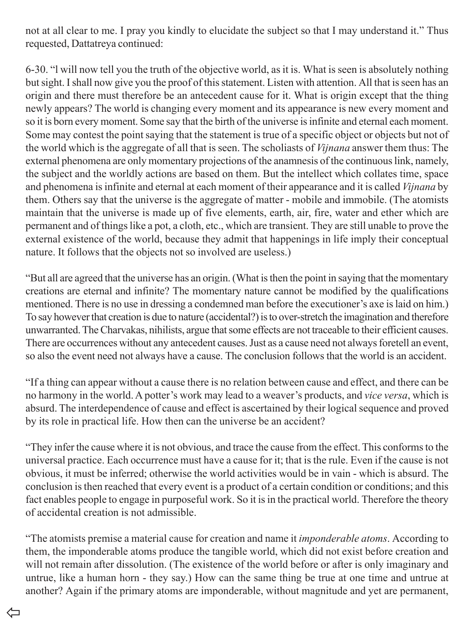not at all clear to me. I pray you kindly to elucidate the subject so that I may understand it." Thus requested, Dattatreya continued:

6-30. "l will now tell you the truth of the objective world, as it is. What is seen is absolutely nothing but sight. I shall now give you the proof of this statement. Listen with attention. All that is seen has an origin and there must therefore be an antecedent cause for it. What is origin except that the thing newly appears? The world is changing every moment and its appearance is new every moment and so it is born every moment. Some say that the birth of the universe is infinite and eternal each moment. Some may contest the point saying that the statement is true of a specific object or objects but not of the world which is the aggregate of all that is seen. The scholiasts of *Vijnana* answer them thus: The external phenomena are only momentary projections of the anamnesis of the continuous link, namely, the subject and the worldly actions are based on them. But the intellect which collates time, space and phenomena is infinite and eternal at each moment of their appearance and it is called *Vijnana* by them. Others say that the universe is the aggregate of matter - mobile and immobile. (The atomists maintain that the universe is made up of five elements, earth, air, fire, water and ether which are permanent and of things like a pot, a cloth, etc., which are transient. They are still unable to prove the external existence of the world, because they admit that happenings in life imply their conceptual nature. It follows that the objects not so involved are useless.)

"But all are agreed that the universe has an origin. (What is then the point in saying that the momentary creations are eternal and infinite? The momentary nature cannot be modified by the qualifications mentioned. There is no use in dressing a condemned man before the executioner's axe is laid on him.) To say however that creation is due to nature (accidental?) is to over-stretch the imagination and therefore unwarranted. The Charvakas, nihilists, argue that some effects are not traceable to their efficient causes. There are occurrences without any antecedent causes. Just as a cause need not always foretell an event, so also the event need not always have a cause. The conclusion follows that the world is an accident.

"If a thing can appear without a cause there is no relation between cause and effect, and there can be no harmony in the world. A potter's work may lead to a weaver's products, and *vice versa*, which is absurd. The interdependence of cause and effect is ascertained by their logical sequence and proved by its role in practical life. How then can the universe be an accident?

"They infer the cause where it is not obvious, and trace the cause from the effect. This conforms to the universal practice. Each occurrence must have a cause for it; that is the rule. Even if the cause is not obvious, it must be inferred; otherwise the world activities would be in vain - which is absurd. The conclusion is then reached that every event is a product of a certain condition or conditions; and this fact enables people to engage in purposeful work. So it is in the practical world. Therefore the theory of accidental creation is not admissible.

"The atomists premise a material cause for creation and name it *imponderable atoms*. According to them, the imponderable atoms produce the tangible world, which did not exist before creation and will not remain after dissolution. (The existence of the world before or after is only imaginary and untrue, like a human horn - they say.) How can the same thing be true at one time and untrue at another? Again if the primary atoms are imponderable, without magnitude and yet are permanent,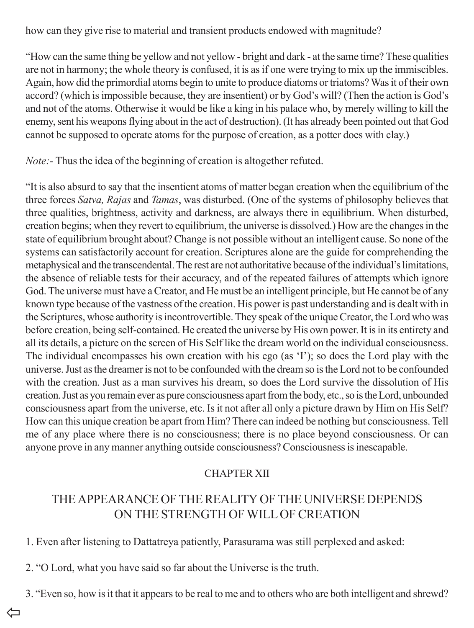how can they give rise to material and transient products endowed with magnitude?

"How can the same thing be yellow and not yellow - bright and dark - at the same time? These qualities are not in harmony; the whole theory is confused, it is as if one were trying to mix up the immiscibles. Again, how did the primordial atoms begin to unite to produce diatoms or triatoms? Was it of their own accord? (which is impossible because, they are insentient) or by God's will? (Then the action is God's and not of the atoms. Otherwise it would be like a king in his palace who, by merely willing to kill the enemy, sent his weapons flying about in the act of destruction). (It has already been pointed out that God cannot be supposed to operate atoms for the purpose of creation, as a potter does with clay.)

*Note:*-Thus the idea of the beginning of creation is altogether refuted.

"It is also absurd to say that the insentient atoms of matter began creation when the equilibrium of the three forces *Satva, Rajas* and *Tamas*, was disturbed. (One of the systems of philosophy believes that three qualities, brightness, activity and darkness, are always there in equilibrium. When disturbed, creation begins; when they revert to equilibrium, the universe is dissolved.) How are the changes in the state of equilibrium brought about? Change is not possible without an intelligent cause. So none of the systems can satisfactorily account for creation. Scriptures alone are the guide for comprehending the metaphysical and the transcendental. The rest are not authoritative because of the individual's limitations, the absence of reliable tests for their accuracy, and of the repeated failures of attempts which ignore God. The universe must have a Creator, and He must be an intelligent principle, but He cannot be of any known type because of the vastness of the creation. His power is past understanding and is dealt with in the Scriptures, whose authority is incontrovertible. They speak of the unique Creator, the Lord who was before creation, being self-contained. He created the universe by His own power. It is in its entirety and all its details, a picture on the screen of His Self like the dream world on the individual consciousness. The individual encompasses his own creation with his ego (as 'I'); so does the Lord play with the universe. Just as the dreamer is not to be confounded with the dream so is the Lord not to be confounded with the creation. Just as a man survives his dream, so does the Lord survive the dissolution of His creation. Just as you remain ever as pure consciousness apart from the body, etc., so is the Lord, unbounded consciousness apart from the universe, etc. Is it not after all only a picture drawn by Him on His Self? How can this unique creation be apart from Him? There can indeed be nothing but consciousness. Tell me of any place where there is no consciousness; there is no place beyond consciousness. Or can anyone prove in any manner anything outside consciousness? Consciousness is inescapable.

#### CHAPTER XII

## THE APPEARANCE OF THE REALITY OF THE UNIVERSE DEPENDS ON THE STRENGTH OF WILL OF CREATION

1. Even after listening to Dattatreya patiently, Parasurama was still perplexed and asked:

2. "O Lord, what you have said so far about the Universe is the truth.

 $\Leftrightarrow$ 

3. "Even so, how is it that it appears to be real to me and to others who are both intelligent and shrewd?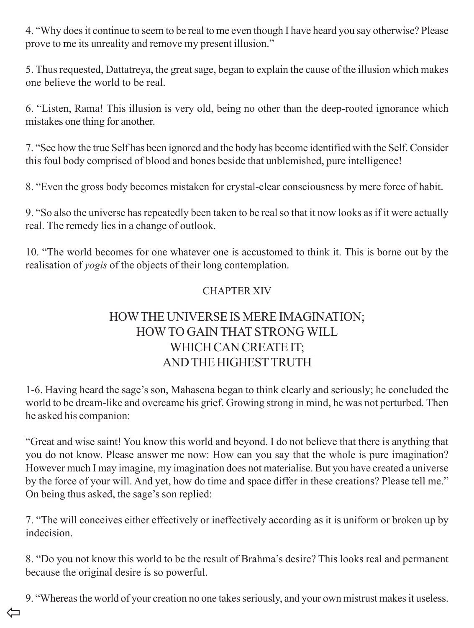4. "Why does it continue to seem to be real to me even though I have heard you say otherwise? Please prove to me its unreality and remove my present illusion."

5. Thus requested, Dattatreya, the great sage, began to explain the cause of the illusion which makes one believe the world to be real.

6. "Listen, Rama! This illusion is very old, being no other than the deep-rooted ignorance which mistakes one thing for another.

7. "See how the true Self has been ignored and the body has become identified with the Self. Consider this foul body comprised of blood and bones beside that unblemished, pure intelligence!

8. "Even the gross body becomes mistaken for crystal-clear consciousness by mere force of habit.

9. "So also the universe has repeatedly been taken to be real so that it now looks as if it were actually real. The remedy lies in a change of outlook.

10. "The world becomes for one whatever one is accustomed to think it. This is borne out by the realisation of *yogis* of the objects of their long contemplation.

#### CHAPTER XIV

## HOW THE UNIVERSE IS MERE IMAGINATION; HOW TO GAIN THAT STRONG WILL WHICH CAN CREATE IT; AND THE HIGHEST TRUTH

1-6. Having heard the sage's son, Mahasena began to think clearly and seriously; he concluded the world to be dream-like and overcame his grief. Growing strong in mind, he was not perturbed. Then he asked his companion:

"Great and wise saint! You know this world and beyond. I do not believe that there is anything that you do not know. Please answer me now: How can you say that the whole is pure imagination? However much I may imagine, my imagination does not materialise. But you have created a universe by the force of your will. And yet, how do time and space differ in these creations? Please tell me." On being thus asked, the sage's son replied:

7. "The will conceives either effectively or ineffectively according as it is uniform or broken up by indecision.

8. "Do you not know this world to be the result of Brahma's desire? This looks real and permanent because the original desire is so powerful.

9. "Whereas the world of your creation no one takes seriously, and your own mistrust makes it useless.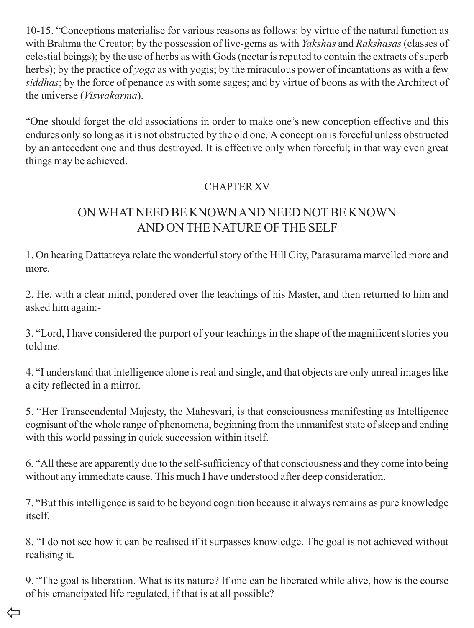10-15. "Conceptions materialise for various reasons as follows: by virtue of the natural function as with Brahma the Creator; by the possession of live-gems as with *Yakshas* and *Rakshasas* (classes of celestial beings); by the use of herbs as with Gods (nectar is reputed to contain the extracts of superb herbs); by the practice of *yoga* as with yogis; by the miraculous power of incantations as with a few *siddhas*; by the force of penance as with some sages; and by virtue of boons as with the Architect of the universe (*Viswakarma*).

"One should forget the old associations in order to make one's new conception effective and this endures only so long as it is not obstructed by the old one. A conception is forceful unless obstructed by an antecedent one and thus destroyed. It is effective only when forceful; in that way even great things may be achieved.

#### CHAPTER XV

## ON WHAT NEED BE KNOWN AND NEED NOT BE KNOWN AND ON THE NATURE OF THE SELF

1. On hearing Dattatreya relate the wonderful story of the Hill City, Parasurama marvelled more and more.

2. He, with a clear mind, pondered over the teachings of his Master, and then returned to him and asked him again:-

3. "Lord, I have considered the purport of your teachings in the shape of the magnificent stories you told me.

4. "I understand that intelligence alone is real and single, and that objects are only unreal images like a city reflected in a mirror.

5. "Her Transcendental Majesty, the Mahesvari, is that consciousness manifesting as Intelligence cognisant of the whole range of phenomena, beginning from the unmanifest state of sleep and ending with this world passing in quick succession within itself.

6. "All these are apparently due to the self-sufficiency of that consciousness and they come into being without any immediate cause. This much I have understood after deep consideration.

7. "But this intelligence is said to be beyond cognition because it always remains as pure knowledge itself.

8. "I do not see how it can be realised if it surpasses knowledge. The goal is not achieved without realising it.

9. "The goal is liberation. What is its nature? If one can be liberated while alive, how is the course of his emancipated life regulated, if that is at all possible?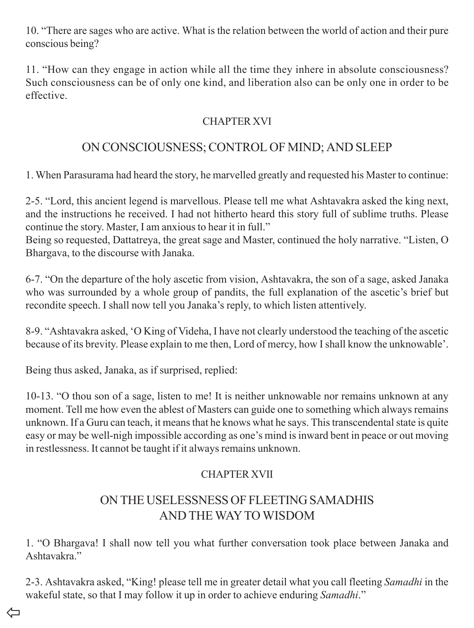10. "There are sages who are active. What is the relation between the world of action and their pure conscious being?

11. "How can they engage in action while all the time they inhere in absolute consciousness? Such consciousness can be of only one kind, and liberation also can be only one in order to be effective.

#### CHAPTER XVI

## ON CONSCIOUSNESS; CONTROL OF MIND; AND SLEEP

1. When Parasurama had heard the story, he marvelled greatly and requested his Master to continue:

2-5. "Lord, this ancient legend is marvellous. Please tell me what Ashtavakra asked the king next, and the instructions he received. I had not hitherto heard this story full of sublime truths. Please continue the story. Master, I am anxious to hear it in full."

Being so requested, Dattatreya, the great sage and Master, continued the holy narrative. "Listen, O Bhargava, to the discourse with Janaka.

6-7. "On the departure of the holy ascetic from vision, Ashtavakra, the son of a sage, asked Janaka who was surrounded by a whole group of pandits, the full explanation of the ascetic's brief but recondite speech. I shall now tell you Janaka's reply, to which listen attentively.

8-9. "Ashtavakra asked, 'O King of Videha, I have not clearly understood the teaching of the ascetic because of its brevity. Please explain to me then, Lord of mercy, how I shall know the unknowable'.

Being thus asked, Janaka, as if surprised, replied:

[Õ](#page-0-0)

10-13. "O thou son of a sage, listen to me! It is neither unknowable nor remains unknown at any moment. Tell me how even the ablest of Masters can guide one to something which always remains unknown. If a Guru can teach, it means that he knows what he says. This transcendental state is quite easy or may be well-nigh impossible according as one's mind is inward bent in peace or out moving in restlessness. It cannot be taught if it always remains unknown.

#### CHAPTER XVII

## ON THE USELESSNESS OF FLEETING SAMADHIS AND THE WAY TO WISDOM

1. "O Bhargava! I shall now tell you what further conversation took place between Janaka and Ashtavakra."

2-3. Ashtavakra asked, "King! please tell me in greater detail what you call fleeting *Samadhi* in the wakeful state, so that I may follow it up in order to achieve enduring *Samadhi*."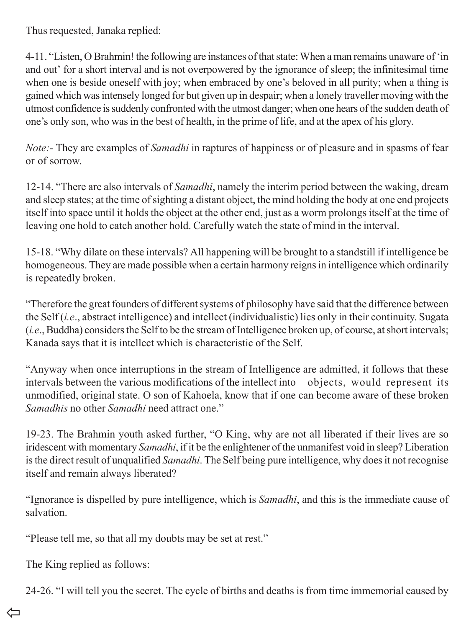Thus requested, Janaka replied:

4-11. "Listen, O Brahmin! the following are instances of that state: When a man remains unaware of 'in and out' for a short interval and is not overpowered by the ignorance of sleep; the infinitesimal time when one is beside oneself with joy; when embraced by one's beloved in all purity; when a thing is gained which was intensely longed for but given up in despair; when a lonely traveller moving with the utmost confidence is suddenly confronted with the utmost danger; when one hears of the sudden death of one's only son, who was in the best of health, in the prime of life, and at the apex of his glory.

*Note:-* They are examples of *Samadhi* in raptures of happiness or of pleasure and in spasms of fear or of sorrow.

12-14. "There are also intervals of *Samadhi*, namely the interim period between the waking, dream and sleep states; at the time of sighting a distant object, the mind holding the body at one end projects itself into space until it holds the object at the other end, just as a worm prolongs itself at the time of leaving one hold to catch another hold. Carefully watch the state of mind in the interval.

15-18. "Why dilate on these intervals? All happening will be brought to a standstill if intelligence be homogeneous. They are made possible when a certain harmony reigns in intelligence which ordinarily is repeatedly broken.

"Therefore the great founders of different systems of philosophy have said that the difference between the Self (*i.e*., abstract intelligence) and intellect (individualistic) lies only in their continuity. Sugata (*i.e*., Buddha) considers the Self to be the stream of Intelligence broken up, of course, at short intervals; Kanada says that it is intellect which is characteristic of the Self.

"Anyway when once interruptions in the stream of Intelligence are admitted, it follows that these intervals between the various modifications of the intellect into objects, would represent its unmodified, original state. O son of Kahoela, know that if one can become aware of these broken *Samadhis* no other *Samadhi* need attract one."

19-23. The Brahmin youth asked further, "O King, why are not all liberated if their lives are so iridescent with momentary *Samadhi*, if it be the enlightener of the unmanifest void in sleep? Liberation is the direct result of unqualified *Samadhi*. The Self being pure intelligence, why does it not recognise itself and remain always liberated?

"Ignorance is dispelled by pure intelligence, which is *Samadhi*, and this is the immediate cause of salvation.

"Please tell me, so that all my doubts may be set at rest."

The King replied as follows:

 $\Leftrightarrow$ 

24-26. "I will tell you the secret. The cycle of births and deaths is from time immemorial caused by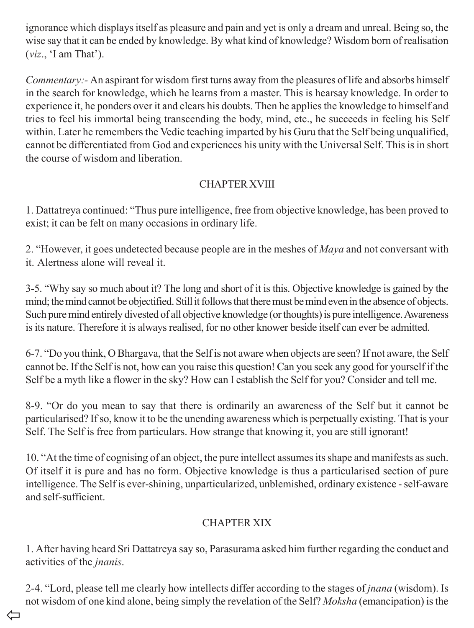ignorance which displays itself as pleasure and pain and yet is only a dream and unreal. Being so, the wise say that it can be ended by knowledge. By what kind of knowledge? Wisdom born of realisation (*viz*., 'I am That').

*Commentary:-* An aspirant for wisdom first turns away from the pleasures of life and absorbs himself in the search for knowledge, which he learns from a master. This is hearsay knowledge. In order to experience it, he ponders over it and clears his doubts. Then he applies the knowledge to himself and tries to feel his immortal being transcending the body, mind, etc., he succeeds in feeling his Self within. Later he remembers the Vedic teaching imparted by his Guru that the Self being unqualified, cannot be differentiated from God and experiences his unity with the Universal Self. This is in short the course of wisdom and liberation.

#### CHAPTER XVIII

1. Dattatreya continued: "Thus pure intelligence, free from objective knowledge, has been proved to exist; it can be felt on many occasions in ordinary life.

2. "However, it goes undetected because people are in the meshes of *Maya* and not conversant with it. Alertness alone will reveal it.

3-5. "Why say so much about it? The long and short of it is this. Objective knowledge is gained by the mind; the mind cannot be objectified. Still it follows that there must be mind even in the absence of objects. Such pure mind entirely divested of all objective knowledge (or thoughts) is pure intelligence. Awareness is its nature. Therefore it is always realised, for no other knower beside itself can ever be admitted.

6-7. "Do you think, O Bhargava, that the Self is not aware when objects are seen? If not aware, the Self cannot be. If the Self is not, how can you raise this question! Can you seek any good for yourself if the Self be a myth like a flower in the sky? How can I establish the Self for you? Consider and tell me.

8-9. "Or do you mean to say that there is ordinarily an awareness of the Self but it cannot be particularised? If so, know it to be the unending awareness which is perpetually existing. That is your Self. The Self is free from particulars. How strange that knowing it, you are still ignorant!

10. "At the time of cognising of an object, the pure intellect assumes its shape and manifests as such. Of itself it is pure and has no form. Objective knowledge is thus a particularised section of pure intelligence. The Self is ever-shining, unparticularized, unblemished, ordinary existence - self-aware and self-sufficient.

#### CHAPTER XIX

1. After having heard Sri Dattatreya say so, Parasurama asked him further regarding the conduct and activities of the *jnanis*.

2-4. "Lord, please tell me clearly how intellects differ according to the stages of *jnana* (wisdom). Is not wisdom of one kind alone, being simply the revelation of the Self? *Moksha* (emancipation) is the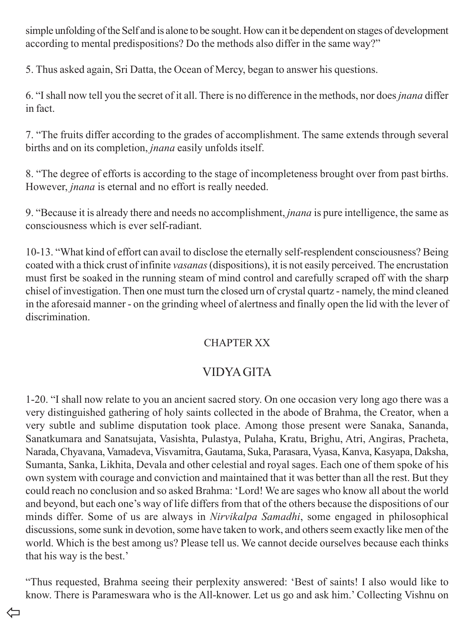simple unfolding of the Self and is alone to be sought. How can it be dependent on stages of development according to mental predispositions? Do the methods also differ in the same way?"

5. Thus asked again, Sri Datta, the Ocean of Mercy, began to answer his questions.

6. "I shall now tell you the secret of it all. There is no difference in the methods, nor does *jnana* differ in fact.

7. "The fruits differ according to the grades of accomplishment. The same extends through several births and on its completion, *jnana* easily unfolds itself.

8. "The degree of efforts is according to the stage of incompleteness brought over from past births. However, *jnana* is eternal and no effort is really needed.

9. "Because it is already there and needs no accomplishment, *jnana* is pure intelligence, the same as consciousness which is ever self-radiant.

10-13. "What kind of effort can avail to disclose the eternally self-resplendent consciousness? Being coated with a thick crust of infinite *vasanas* (dispositions), it is not easily perceived. The encrustation must first be soaked in the running steam of mind control and carefully scraped off with the sharp chisel of investigation. Then one must turn the closed urn of crystal quartz - namely, the mind cleaned in the aforesaid manner - on the grinding wheel of alertness and finally open the lid with the lever of discrimination.

#### CHAPTER XX

## VIDYA GITA

1-20. "I shall now relate to you an ancient sacred story. On one occasion very long ago there was a very distinguished gathering of holy saints collected in the abode of Brahma, the Creator, when a very subtle and sublime disputation took place. Among those present were Sanaka, Sananda, Sanatkumara and Sanatsujata, Vasishta, Pulastya, Pulaha, Kratu, Brighu, Atri, Angiras, Pracheta, Narada, Chyavana, Vamadeva, Visvamitra, Gautama, Suka, Parasara, Vyasa, Kanva, Kasyapa, Daksha, Sumanta, Sanka, Likhita, Devala and other celestial and royal sages. Each one of them spoke of his own system with courage and conviction and maintained that it was better than all the rest. But they could reach no conclusion and so asked Brahma: 'Lord! We are sages who know all about the world and beyond, but each one's way of life differs from that of the others because the dispositions of our minds differ. Some of us are always in *Nirvikalpa Samadhi*, some engaged in philosophical discussions, some sunk in devotion, some have taken to work, and others seem exactly like men of the world. Which is the best among us? Please tell us. We cannot decide ourselves because each thinks that his way is the best.'

"Thus requested, Brahma seeing their perplexity answered: 'Best of saints! I also would like to know. There is Parameswara who is the All-knower. Let us go and ask him.' Collecting Vishnu on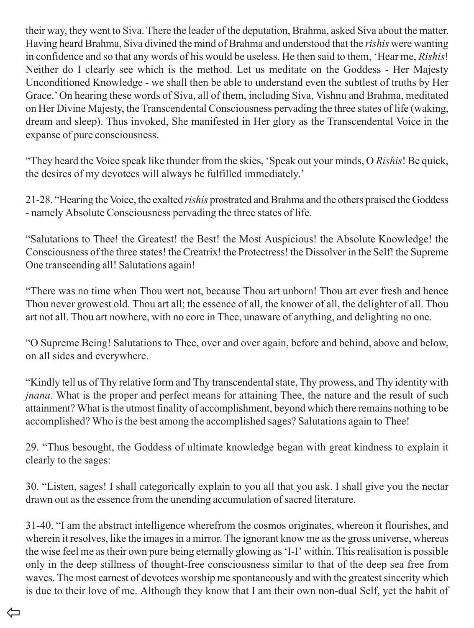their way, they went to Siva. There the leader of the deputation, Brahma, asked Siva about the matter. Having heard Brahma, Siva divined the mind of Brahma and understood that the *rishis* were wanting in confidence and so that any words of his would be useless. He then said to them, 'Hear me, *Rishis*! Neither do I clearly see which is the method. Let us meditate on the Goddess - Her Majesty Unconditioned Knowledge - we shall then be able to understand even the subtlest of truths by Her Grace.' On hearing these words of Siva, all of them, including Siva, Vishnu and Brahma, meditated on Her Divine Majesty, the Transcendental Consciousness pervading the three states of life (waking, dream and sleep). Thus invoked, She manifested in Her glory as the Transcendental Voice in the expanse of pure consciousness.

"They heard the Voice speak like thunder from the skies, 'Speak out your minds, O *Rishis*! Be quick, the desires of my devotees will always be fulfilled immediately.'

21-28. "Hearing the Voice, the exalted *rishis* prostrated and Brahma and the others praised the Goddess - namely Absolute Consciousness pervading the three states of life.

"Salutations to Thee! the Greatest! the Best! the Most Auspicious! the Absolute Knowledge! the Consciousness of the three states! the Creatrix! the Protectress! the Dissolver in the Self! the Supreme One transcending all! Salutations again!

"There was no time when Thou wert not, because Thou art unborn! Thou art ever fresh and hence Thou never growest old. Thou art all; the essence of all, the knower of all, the delighter of all. Thou art not all. Thou art nowhere, with no core in Thee, unaware of anything, and delighting no one.

"O Supreme Being! Salutations to Thee, over and over again, before and behind, above and below, on all sides and everywhere.

"Kindly tell us of Thy relative form and Thy transcendental state, Thy prowess, and Thy identity with *jnana*. What is the proper and perfect means for attaining Thee, the nature and the result of such attainment? What is the utmost finality of accomplishment, beyond which there remains nothing to be accomplished? Who is the best among the accomplished sages? Salutations again to Thee!

29. "Thus besought, the Goddess of ultimate knowledge began with great kindness to explain it clearly to the sages:

30. "Listen, sages! I shall categorically explain to you all that you ask. I shall give you the nectar drawn out as the essence from the unending accumulation of sacred literature.

31-40. "I am the abstract intelligence wherefrom the cosmos originates, whereon it flourishes, and wherein it resolves, like the images in a mirror. The ignorant know me as the gross universe, whereas the wise feel me as their own pure being eternally glowing as 'I-I' within. This realisation is possible only in the deep stillness of thought-free consciousness similar to that of the deep sea free from waves. The most earnest of devotees worship me spontaneously and with the greatest sincerity which is due to their love of me. Although they know that I am their own non-dual Self, yet the habit of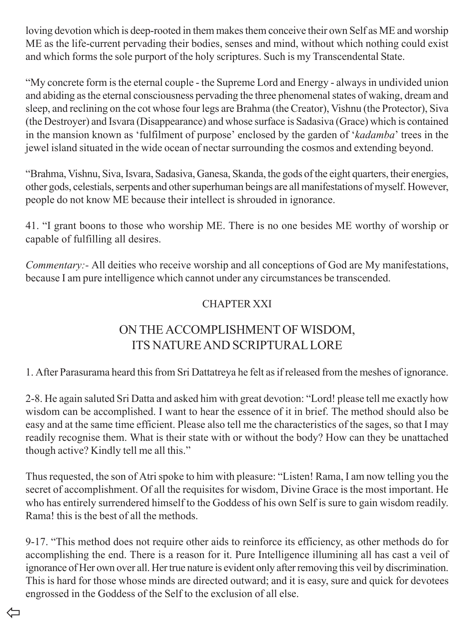loving devotion which is deep-rooted in them makes them conceive their own Self as ME and worship ME as the life-current pervading their bodies, senses and mind, without which nothing could exist and which forms the sole purport of the holy scriptures. Such is my Transcendental State.

"My concrete form is the eternal couple - the Supreme Lord and Energy - always in undivided union and abiding as the eternal consciousness pervading the three phenomenal states of waking, dream and sleep, and reclining on the cot whose four legs are Brahma (the Creator), Vishnu (the Protector), Siva (the Destroyer) and Isvara (Disappearance) and whose surface is Sadasiva (Grace) which is contained in the mansion known as 'fulfilment of purpose' enclosed by the garden of '*kadamba*' trees in the jewel island situated in the wide ocean of nectar surrounding the cosmos and extending beyond.

"Brahma, Vishnu, Siva, Isvara, Sadasiva, Ganesa, Skanda, the gods of the eight quarters, their energies, other gods, celestials, serpents and other superhuman beings are all manifestations of myself. However, people do not know ME because their intellect is shrouded in ignorance.

41. "I grant boons to those who worship ME. There is no one besides ME worthy of worship or capable of fulfilling all desires.

*Commentary:-* All deities who receive worship and all conceptions of God are My manifestations, because I am pure intelligence which cannot under any circumstances be transcended.

#### CHAPTER XXI

## ON THE ACCOMPLISHMENT OF WISDOM, ITS NATURE AND SCRIPTURAL LORE

1. After Parasurama heard this from Sri Dattatreya he felt as if released from the meshes of ignorance.

2-8. He again saluted Sri Datta and asked him with great devotion: "Lord! please tell me exactly how wisdom can be accomplished. I want to hear the essence of it in brief. The method should also be easy and at the same time efficient. Please also tell me the characteristics of the sages, so that I may readily recognise them. What is their state with or without the body? How can they be unattached though active? Kindly tell me all this."

Thus requested, the son of Atri spoke to him with pleasure: "Listen! Rama, I am now telling you the secret of accomplishment. Of all the requisites for wisdom, Divine Grace is the most important. He who has entirely surrendered himself to the Goddess of his own Self is sure to gain wisdom readily. Rama! this is the best of all the methods.

9-17. "This method does not require other aids to reinforce its efficiency, as other methods do for accomplishing the end. There is a reason for it. Pure Intelligence illumining all has cast a veil of ignorance of Her own over all. Her true nature is evident only after removing this veil by discrimination. This is hard for those whose minds are directed outward; and it is easy, sure and quick for devotees engrossed in the Goddess of the Self to the exclusion of all else.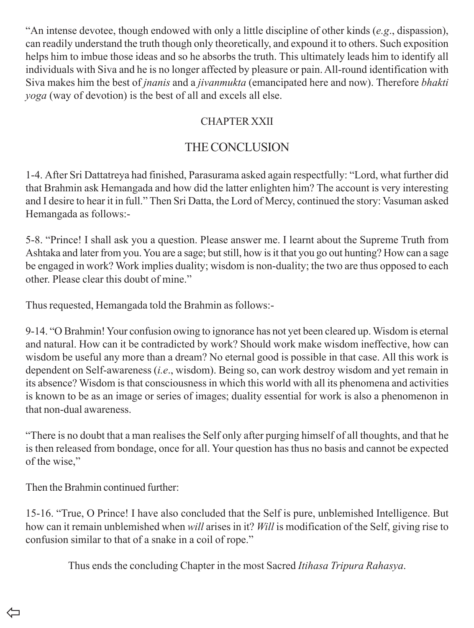"An intense devotee, though endowed with only a little discipline of other kinds (*e.g*., dispassion), can readily understand the truth though only theoretically, and expound it to others. Such exposition helps him to imbue those ideas and so he absorbs the truth. This ultimately leads him to identify all individuals with Siva and he is no longer affected by pleasure or pain. All-round identification with Siva makes him the best of *jnanis* and a *jivanmukta* (emancipated here and now). Therefore *bhakti yoga* (way of devotion) is the best of all and excels all else.

#### CHAPTER XXII

## THE CONCLUSION

1-4. After Sri Dattatreya had finished, Parasurama asked again respectfully: "Lord, what further did that Brahmin ask Hemangada and how did the latter enlighten him? The account is very interesting and I desire to hear it in full." Then Sri Datta, the Lord of Mercy, continued the story: Vasuman asked Hemangada as follows:-

5-8. "Prince! I shall ask you a question. Please answer me. I learnt about the Supreme Truth from Ashtaka and later from you. You are a sage; but still, how is it that you go out hunting? How can a sage be engaged in work? Work implies duality; wisdom is non-duality; the two are thus opposed to each other. Please clear this doubt of mine."

Thus requested, Hemangada told the Brahmin as follows:-

9-14. "O Brahmin! Your confusion owing to ignorance has not yet been cleared up. Wisdom is eternal and natural. How can it be contradicted by work? Should work make wisdom ineffective, how can wisdom be useful any more than a dream? No eternal good is possible in that case. All this work is dependent on Self-awareness (*i.e*., wisdom). Being so, can work destroy wisdom and yet remain in its absence? Wisdom is that consciousness in which this world with all its phenomena and activities is known to be as an image or series of images; duality essential for work is also a phenomenon in that non-dual awareness.

"There is no doubt that a man realises the Self only after purging himself of all thoughts, and that he is then released from bondage, once for all. Your question has thus no basis and cannot be expected of the wise,"

Then the Brahmin continued further:

 $\Leftrightarrow$ 

15-16. "True, O Prince! I have also concluded that the Self is pure, unblemished Intelligence. But how can it remain unblemished when *will* arises in it? *Will* is modification of the Self, giving rise to confusion similar to that of a snake in a coil of rope."

Thus ends the concluding Chapter in the most Sacred *Itihasa Tripura Rahasya*.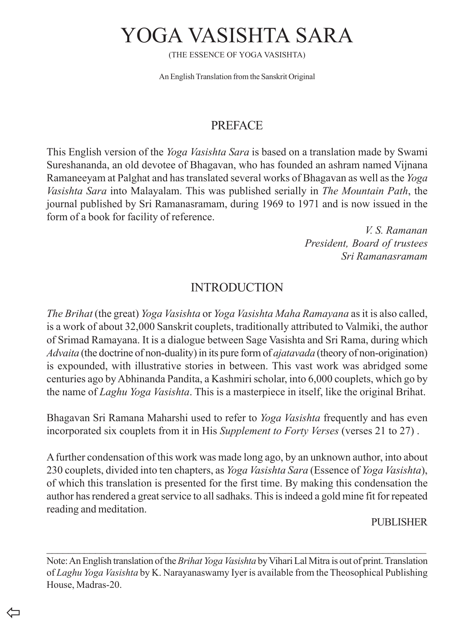# YOGA VASISHTA SARA

(THE ESSENCE OF YOGA VASISHTA)

An English Translation from the Sanskrit Original

#### **PREFACE**

This English version of the *Yoga Vasishta Sara* is based on a translation made by Swami Sureshananda, an old devotee of Bhagavan, who has founded an ashram named Vijnana Ramaneeyam at Palghat and has translated several works of Bhagavan as well as the *Yoga Vasishta Sara* into Malayalam. This was published serially in *The Mountain Path*, the journal published by Sri Ramanasramam, during 1969 to 1971 and is now issued in the form of a book for facility of reference.

> *V. S. Ramanan President, Board of trustees Sri Ramanasramam*

## INTRODUCTION

*The Brihat* (the great) *Yoga Vasishta* or *Yoga Vasishta Maha Ramayana* as it is also called, is a work of about 32,000 Sanskrit couplets, traditionally attributed to Valmiki, the author of Srimad Ramayana. It is a dialogue between Sage Vasishta and Sri Rama, during which *Advaita* (the doctrine of non-duality) in its pure form of *ajatavada* (theory of non-origination) is expounded, with illustrative stories in between. This vast work was abridged some centuries ago by Abhinanda Pandita, a Kashmiri scholar, into 6,000 couplets, which go by the name of *Laghu Yoga Vasishta*. This is a masterpiece in itself, like the original Brihat.

Bhagavan Sri Ramana Maharshi used to refer to *Yoga Vasishta* frequently and has even incorporated six couplets from it in His *Supplement to Forty Verses* (verses 21 to 27) .

A further condensation of this work was made long ago, by an unknown author, into about 230 couplets, divided into ten chapters, as *Yoga Vasishta Sara* (Essence of *Yoga Vasishta*), of which this translation is presented for the first time. By making this condensation the author has rendered a great service to all sadhaks. This is indeed a gold mine fit for repeated reading and meditation.

PUBLISHER

Note: An English translation of the *Brihat Yoga Vasishta* by Vihari Lal Mitra is out of print. Translation of *Laghu Yoga Vasishta* by K. Narayanaswamy Iyer is available from the Theosophical Publishing House, Madras-20.

 $\Leftrightarrow$ 

 $\_$  , and the contribution of the contribution of  $\mathcal{L}_\mathcal{A}$  , and the contribution of  $\mathcal{L}_\mathcal{A}$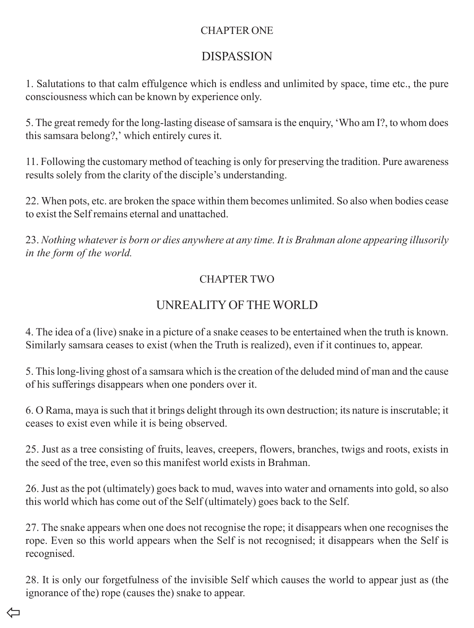#### CHAPTER ONE

## **DISPASSION**

1. Salutations to that calm effulgence which is endless and unlimited by space, time etc., the pure consciousness which can be known by experience only.

5. The great remedy for the long-lasting disease of samsara is the enquiry, 'Who am I?, to whom does this samsara belong?,' which entirely cures it.

11. Following the customary method of teaching is only for preserving the tradition. Pure awareness results solely from the clarity of the disciple's understanding.

22. When pots, etc. are broken the space within them becomes unlimited. So also when bodies cease to exist the Self remains eternal and unattached.

23. *Nothing whatever is born or dies anywhere at any time. It is Brahman alone appearing illusorily in the form of the world.*

### CHAPTER TWO

# UNREALITY OF THE WORLD

4. The idea of a (live) snake in a picture of a snake ceases to be entertained when the truth is known. Similarly samsara ceases to exist (when the Truth is realized), even if it continues to, appear.

5. This long-living ghost of a samsara which is the creation of the deluded mind of man and the cause of his sufferings disappears when one ponders over it.

6. O Rama, maya is such that it brings delight through its own destruction; its nature is inscrutable; it ceases to exist even while it is being observed.

25. Just as a tree consisting of fruits, leaves, creepers, flowers, branches, twigs and roots, exists in the seed of the tree, even so this manifest world exists in Brahman.

26. Just as the pot (ultimately) goes back to mud, waves into water and ornaments into gold, so also this world which has come out of the Self (ultimately) goes back to the Self.

27. The snake appears when one does not recognise the rope; it disappears when one recognises the rope. Even so this world appears when the Self is not recognised; it disappears when the Self is recognised.

28. It is only our forgetfulness of the invisible Self which causes the world to appear just as (the ignorance of the) rope (causes the) snake to appear.

 $\Leftrightarrow$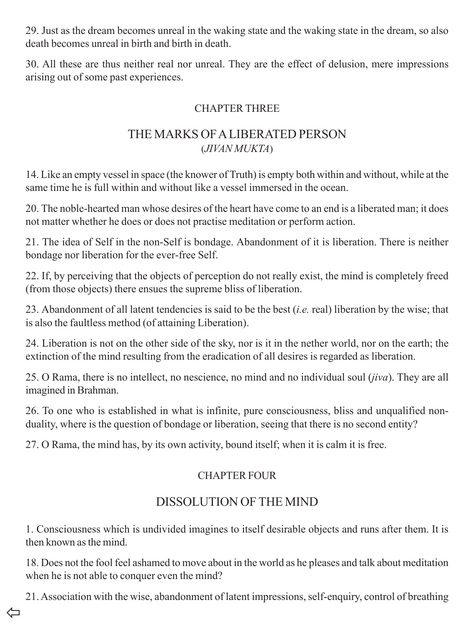29. Just as the dream becomes unreal in the waking state and the waking state in the dream, so also death becomes unreal in birth and birth in death.

30. All these are thus neither real nor unreal. They are the effect of delusion, mere impressions arising out of some past experiences.

#### CHAPTER THREE

### THE MARKS OF A LIBERATED PERSON (*JIVAN MUKTA*)

14. Like an empty vessel in space (the knower of Truth) is empty both within and without, while at the same time he is full within and without like a vessel immersed in the ocean.

20. The noble-hearted man whose desires of the heart have come to an end is a liberated man; it does not matter whether he does or does not practise meditation or perform action.

21. The idea of Self in the non-Self is bondage. Abandonment of it is liberation. There is neither bondage nor liberation for the ever-free Self.

22. If, by perceiving that the objects of perception do not really exist, the mind is completely freed (from those objects) there ensues the supreme bliss of liberation.

23. Abandonment of all latent tendencies is said to be the best (*i.e.* real) liberation by the wise; that is also the faultless method (of attaining Liberation).

24. Liberation is not on the other side of the sky, nor is it in the nether world, nor on the earth; the extinction of the mind resulting from the eradication of all desires is regarded as liberation.

25. O Rama, there is no intellect, no nescience, no mind and no individual soul (*jiva*). They are all imagined in Brahman.

26. To one who is established in what is infinite, pure consciousness, bliss and unqualified nonduality, where is the question of bondage or liberation, seeing that there is no second entity?

27. O Rama, the mind has, by its own activity, bound itself; when it is calm it is free.

 $\Leftrightarrow$ 

#### CHAPTER FOUR

## DISSOLUTION OF THE MIND

1. Consciousness which is undivided imagines to itself desirable objects and runs after them. It is then known as the mind.

18. Does not the fool feel ashamed to move about in the world as he pleases and talk about meditation when he is not able to conquer even the mind?

21. Association with the wise, abandonment of latent impressions, self-enquiry, control of breathing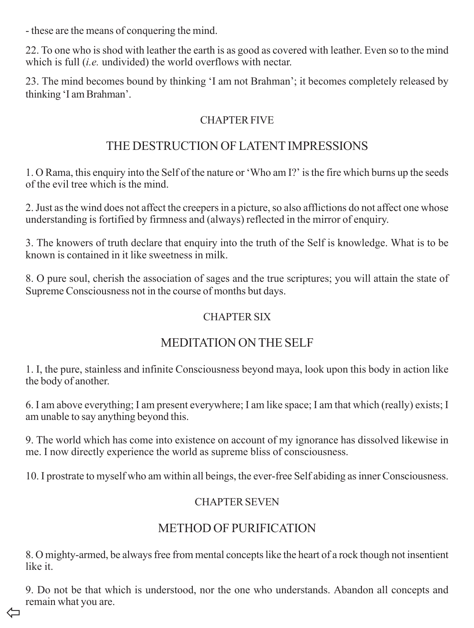- these are the means of conquering the mind.

[Õ](#page-0-0)

22. To one who is shod with leather the earth is as good as covered with leather. Even so to the mind which is full (*i.e.* undivided) the world overflows with nectar.

23. The mind becomes bound by thinking 'I am not Brahman'; it becomes completely released by thinking 'I am Brahman'.

#### CHAPTER FIVE

## THE DESTRUCTION OF LATENT IMPRESSIONS

1. O Rama, this enquiry into the Self of the nature or 'Who am I?' is the fire which burns up the seeds of the evil tree which is the mind.

2. Just as the wind does not affect the creepers in a picture, so also afflictions do not affect one whose understanding is fortified by firmness and (always) reflected in the mirror of enquiry.

3. The knowers of truth declare that enquiry into the truth of the Self is knowledge. What is to be known is contained in it like sweetness in milk.

8. O pure soul, cherish the association of sages and the true scriptures; you will attain the state of Supreme Consciousness not in the course of months but days.

#### CHAPTER SIX

### MEDITATION ON THE SELF

1. I, the pure, stainless and infinite Consciousness beyond maya, look upon this body in action like the body of another.

6. I am above everything; I am present everywhere; I am like space; I am that which (really) exists; I am unable to say anything beyond this.

9. The world which has come into existence on account of my ignorance has dissolved likewise in me. I now directly experience the world as supreme bliss of consciousness.

10. I prostrate to myself who am within all beings, the ever-free Self abiding as inner Consciousness.

#### CHAPTER SEVEN

## METHOD OF PURIFICATION

8. O mighty-armed, be always free from mental concepts like the heart of a rock though not insentient like it.

9. Do not be that which is understood, nor the one who understands. Abandon all concepts and remain what you are.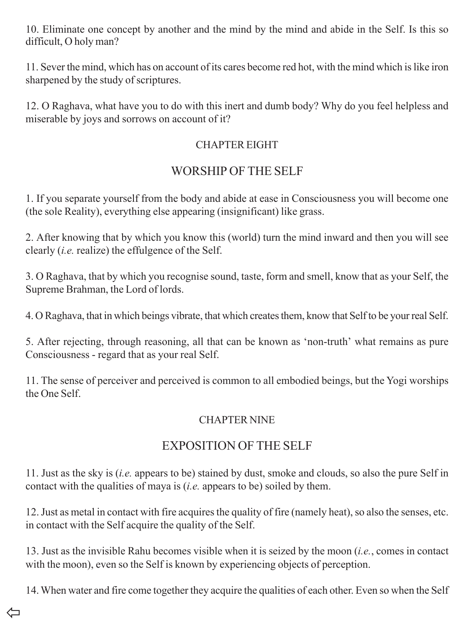10. Eliminate one concept by another and the mind by the mind and abide in the Self. Is this so difficult, O holy man?

11. Sever the mind, which has on account of its cares become red hot, with the mind which is like iron sharpened by the study of scriptures.

12. O Raghava, what have you to do with this inert and dumb body? Why do you feel helpless and miserable by joys and sorrows on account of it?

### CHAPTER EIGHT

# WORSHIP OF THE SELF

1. If you separate yourself from the body and abide at ease in Consciousness you will become one (the sole Reality), everything else appearing (insignificant) like grass.

2. After knowing that by which you know this (world) turn the mind inward and then you will see clearly (*i.e.* realize) the effulgence of the Self.

3. O Raghava, that by which you recognise sound, taste, form and smell, know that as your Self, the Supreme Brahman, the Lord of lords.

4. O Raghava, that in which beings vibrate, that which creates them, know that Self to be your real Self.

5. After rejecting, through reasoning, all that can be known as 'non-truth' what remains as pure Consciousness - regard that as your real Self.

11. The sense of perceiver and perceived is common to all embodied beings, but the Yogi worships the One Self.

#### CHAPTER NINE

# EXPOSITION OF THE SELF

11. Just as the sky is (*i.e.* appears to be) stained by dust, smoke and clouds, so also the pure Self in contact with the qualities of maya is (*i.e.* appears to be) soiled by them.

12. Just as metal in contact with fire acquires the quality of fire (namely heat), so also the senses, etc. in contact with the Self acquire the quality of the Self.

13. Just as the invisible Rahu becomes visible when it is seized by the moon (*i.e.*, comes in contact with the moon), even so the Self is known by experiencing objects of perception.

14. When water and fire come together they acquire the qualities of each other. Even so when the Self

 $\Leftrightarrow$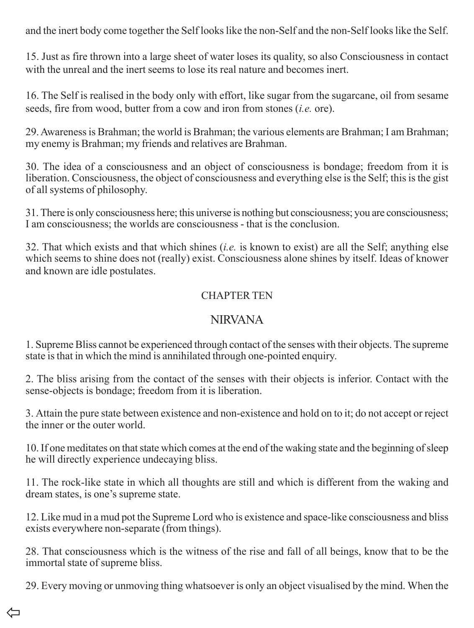and the inert body come together the Self looks like the non-Self and the non-Self looks like the Self.

15. Just as fire thrown into a large sheet of water loses its quality, so also Consciousness in contact with the unreal and the inert seems to lose its real nature and becomes inert.

16. The Self is realised in the body only with effort, like sugar from the sugarcane, oil from sesame seeds, fire from wood, butter from a cow and iron from stones (*i.e.* ore).

29. Awareness is Brahman; the world is Brahman; the various elements are Brahman; I am Brahman; my enemy is Brahman; my friends and relatives are Brahman.

30. The idea of a consciousness and an object of consciousness is bondage; freedom from it is liberation. Consciousness, the object of consciousness and everything else is the Self; this is the gist of all systems of philosophy.

31. There is only consciousness here; this universe is nothing but consciousness; you are consciousness; I am consciousness; the worlds are consciousness - that is the conclusion.

32. That which exists and that which shines (*i.e.* is known to exist) are all the Self; anything else which seems to shine does not (really) exist. Consciousness alone shines by itself. Ideas of knower and known are idle postulates.

#### CHAPTER TEN

#### NIRVANA

1. Supreme Bliss cannot be experienced through contact of the senses with their objects. The supreme state is that in which the mind is annihilated through one-pointed enquiry.

2. The bliss arising from the contact of the senses with their objects is inferior. Contact with the sense-objects is bondage; freedom from it is liberation.

3. Attain the pure state between existence and non-existence and hold on to it; do not accept or reject the inner or the outer world.

10. If one meditates on that state which comes at the end of the waking state and the beginning of sleep he will directly experience undecaying bliss.

11. The rock-like state in which all thoughts are still and which is different from the waking and dream states, is one's supreme state.

12. Like mud in a mud pot the Supreme Lord who is existence and space-like consciousness and bliss exists everywhere non-separate (from things).

28. That consciousness which is the witness of the rise and fall of all beings, know that to be the immortal state of supreme bliss.

29. Every moving or unmoving thing whatsoever is only an object visualised by the mind. When the

 $\Leftrightarrow$